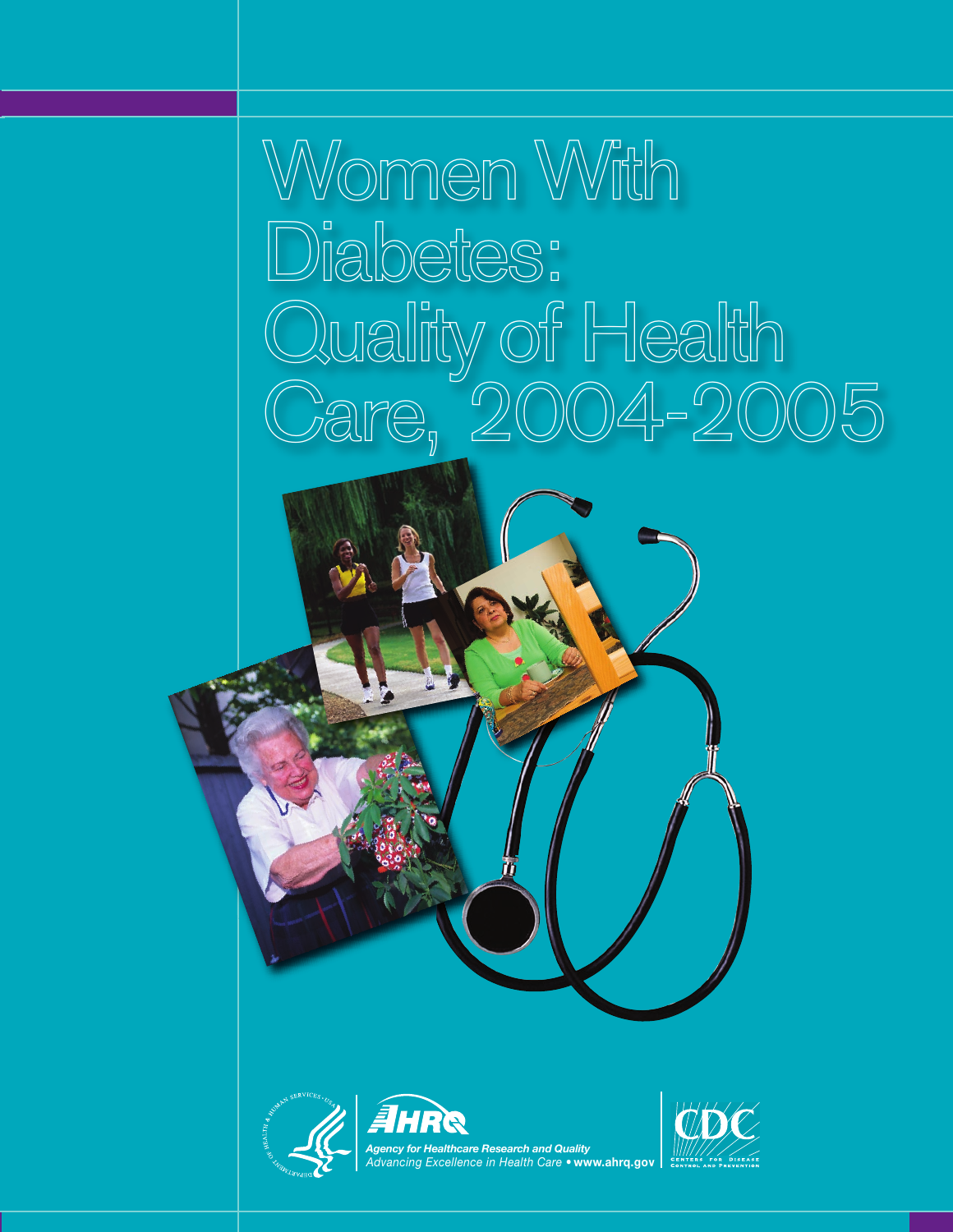# Women With Diabetes: Quality of Health Care, 2004-2005



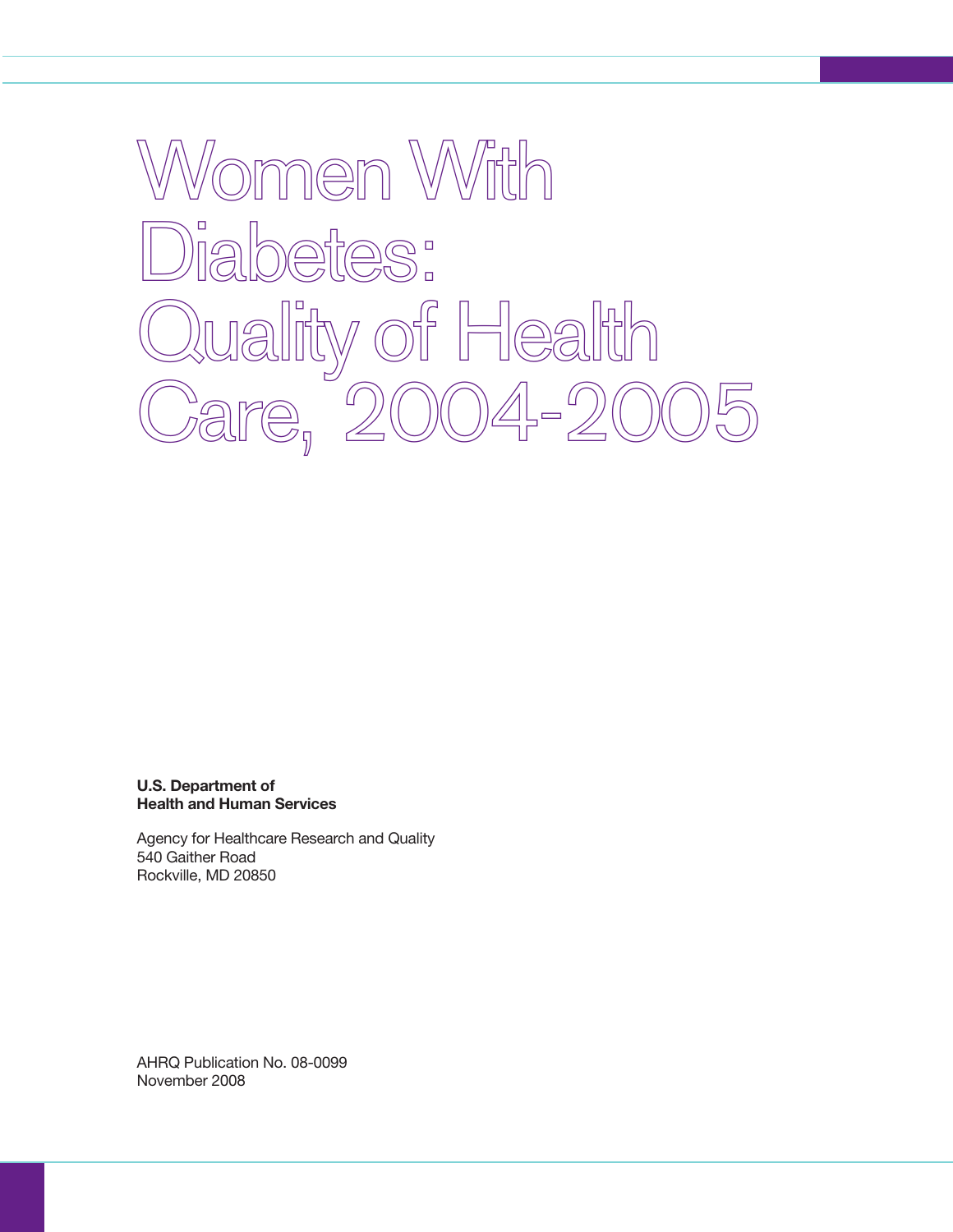WomenWith Diabetes: Quality of Health<br>Dare: 2004-20  $L$ are,  $2$ 

**U.S. Department of Health and Human Services**

Agency for Healthcare Research and Quality 540 Gaither Road Rockville, MD 20850

AHRQ Publication No. 08-0099 November 2008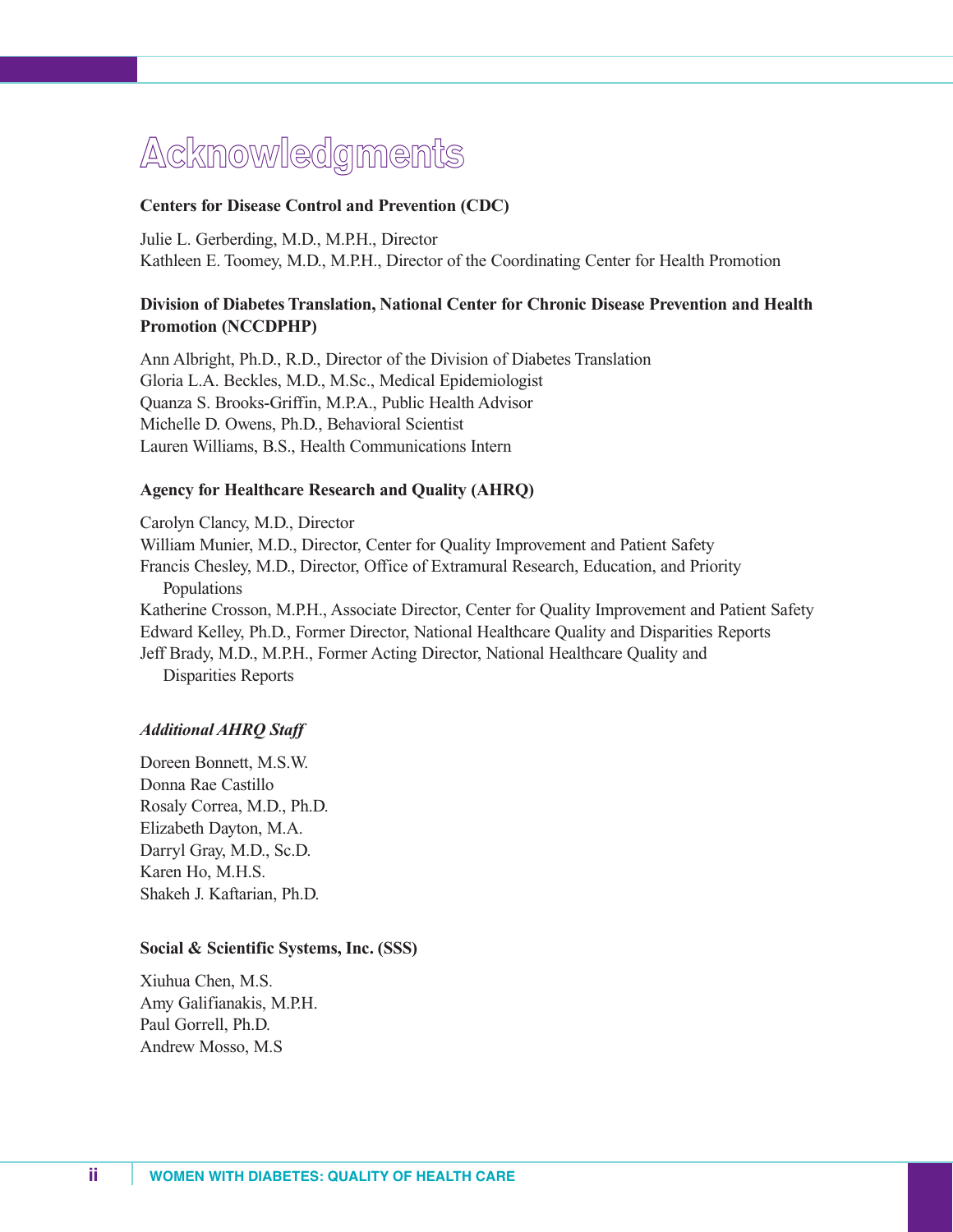# **Acknowledgments**

#### **Centers for Disease Control and Prevention (CDC)**

Julie L. Gerberding, M.D., M.P.H., Director Kathleen E. Toomey, M.D., M.P.H., Director of the Coordinating Center for Health Promotion

#### **Division of Diabetes Translation, National Center for Chronic Disease Prevention and Health Promotion (NCCDPHP)**

Ann Albright, Ph.D., R.D., Director of the Division of Diabetes Translation Gloria L.A. Beckles, M.D., M.Sc., Medical Epidemiologist Quanza S. Brooks-Griffin, M.P.A., Public Health Advisor Michelle D. Owens, Ph.D., Behavioral Scientist Lauren Williams, B.S., Health Communications Intern

#### **Agency for Healthcare Research and Quality (AHRQ)**

Carolyn Clancy, M.D., Director William Munier, M.D., Director, Center for Quality Improvement and Patient Safety Francis Chesley, M.D., Director, Office of Extramural Research, Education, and Priority Populations Katherine Crosson, M.P.H., Associate Director, Center for Quality Improvement and Patient Safety Edward Kelley, Ph.D., Former Director, National Healthcare Quality and Disparities Reports Jeff Brady, M.D., M.P.H., Former Acting Director, National Healthcare Quality and Disparities Reports

#### *Additional AHRQ Staff*

Doreen Bonnett, M.S.W. Donna Rae Castillo Rosaly Correa, M.D., Ph.D. Elizabeth Dayton, M.A. Darryl Gray, M.D., Sc.D. Karen Ho, M.H.S. Shakeh J. Kaftarian, Ph.D.

#### **Social & Scientific Systems, Inc. (SSS)**

Xiuhua Chen, M.S. Amy Galifianakis, M.P.H. Paul Gorrell, Ph.D. Andrew Mosso, M.S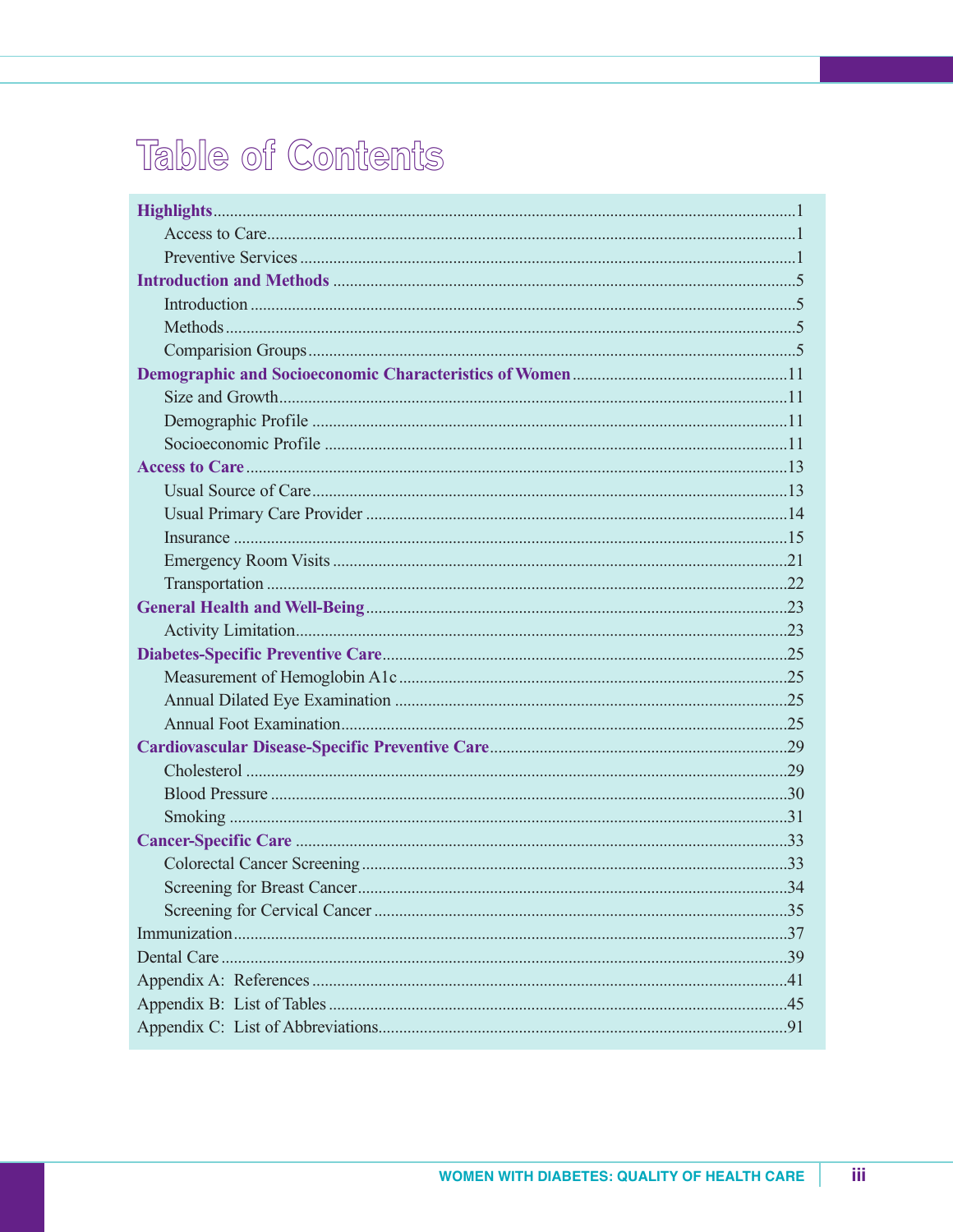# Table of Contents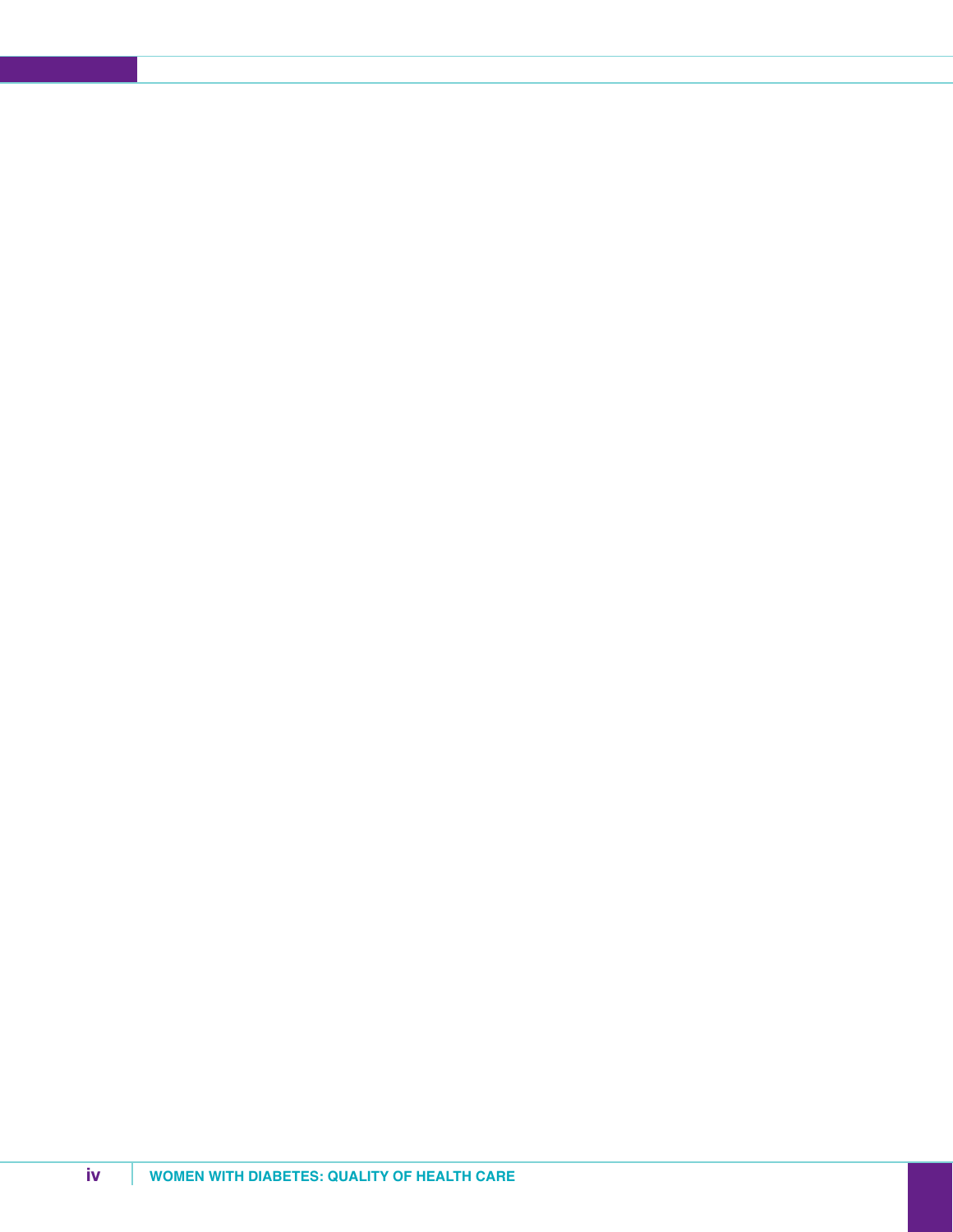**iv WOMEN WITH DIABETES: QUALITY OF HEALTH CARE**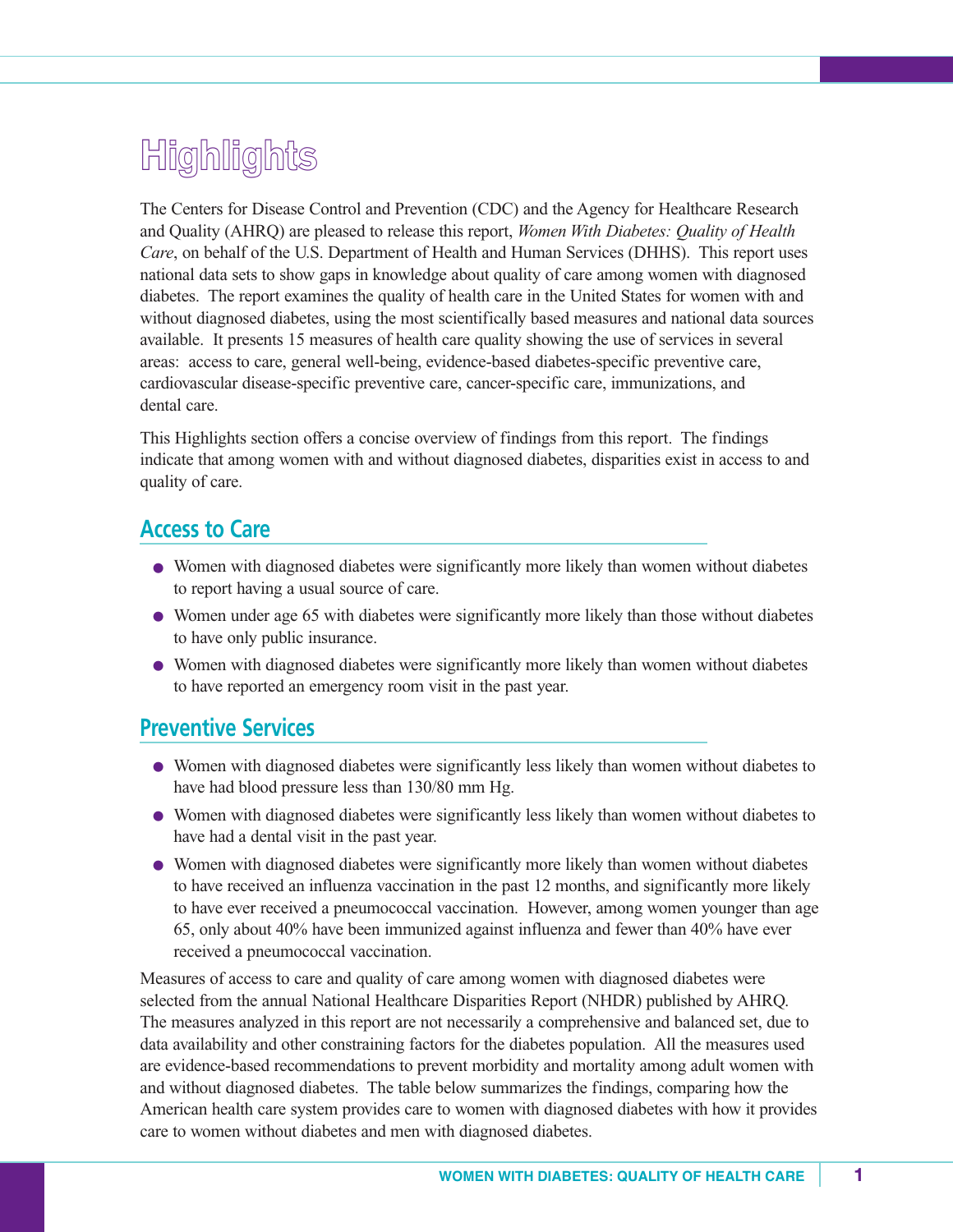# **Highlights**

The Centers for Disease Control and Prevention (CDC) and the Agency for Healthcare Research and Quality (AHRQ) are pleased to release this report, *Women With Diabetes: Quality of Health Care*, on behalf of the U.S. Department of Health and Human Services (DHHS). This report uses national data sets to show gaps in knowledge about quality of care among women with diagnosed diabetes. The report examines the quality of health care in the United States for women with and without diagnosed diabetes, using the most scientifically based measures and national data sources available. It presents 15 measures of health care quality showing the use of services in several areas: access to care, general well-being, evidence-based diabetes-specific preventive care, cardiovascular disease-specific preventive care, cancer-specific care, immunizations, and dental care.

This Highlights section offers a concise overview of findings from this report. The findings indicate that among women with and without diagnosed diabetes, disparities exist in access to and quality of care.

# **Access to Care**

- Women with diagnosed diabetes were significantly more likely than women without diabetes to report having a usual source of care.
- Women under age 65 with diabetes were significantly more likely than those without diabetes to have only public insurance.
- Women with diagnosed diabetes were significantly more likely than women without diabetes to have reported an emergency room visit in the past year.

### **Preventive Services**

- Women with diagnosed diabetes were significantly less likely than women without diabetes to have had blood pressure less than 130/80 mm Hg.
- Women with diagnosed diabetes were significantly less likely than women without diabetes to have had a dental visit in the past year.
- Women with diagnosed diabetes were significantly more likely than women without diabetes to have received an influenza vaccination in the past 12 months, and significantly more likely to have ever received a pneumococcal vaccination. However, among women younger than age 65, only about 40% have been immunized against influenza and fewer than 40% have ever received a pneumococcal vaccination.

Measures of access to care and quality of care among women with diagnosed diabetes were selected from the annual National Healthcare Disparities Report (NHDR) published by AHRQ. The measures analyzed in this report are not necessarily a comprehensive and balanced set, due to data availability and other constraining factors for the diabetes population. All the measures used are evidence-based recommendations to prevent morbidity and mortality among adult women with and without diagnosed diabetes. The table below summarizes the findings, comparing how the American health care system provides care to women with diagnosed diabetes with how it provides care to women without diabetes and men with diagnosed diabetes.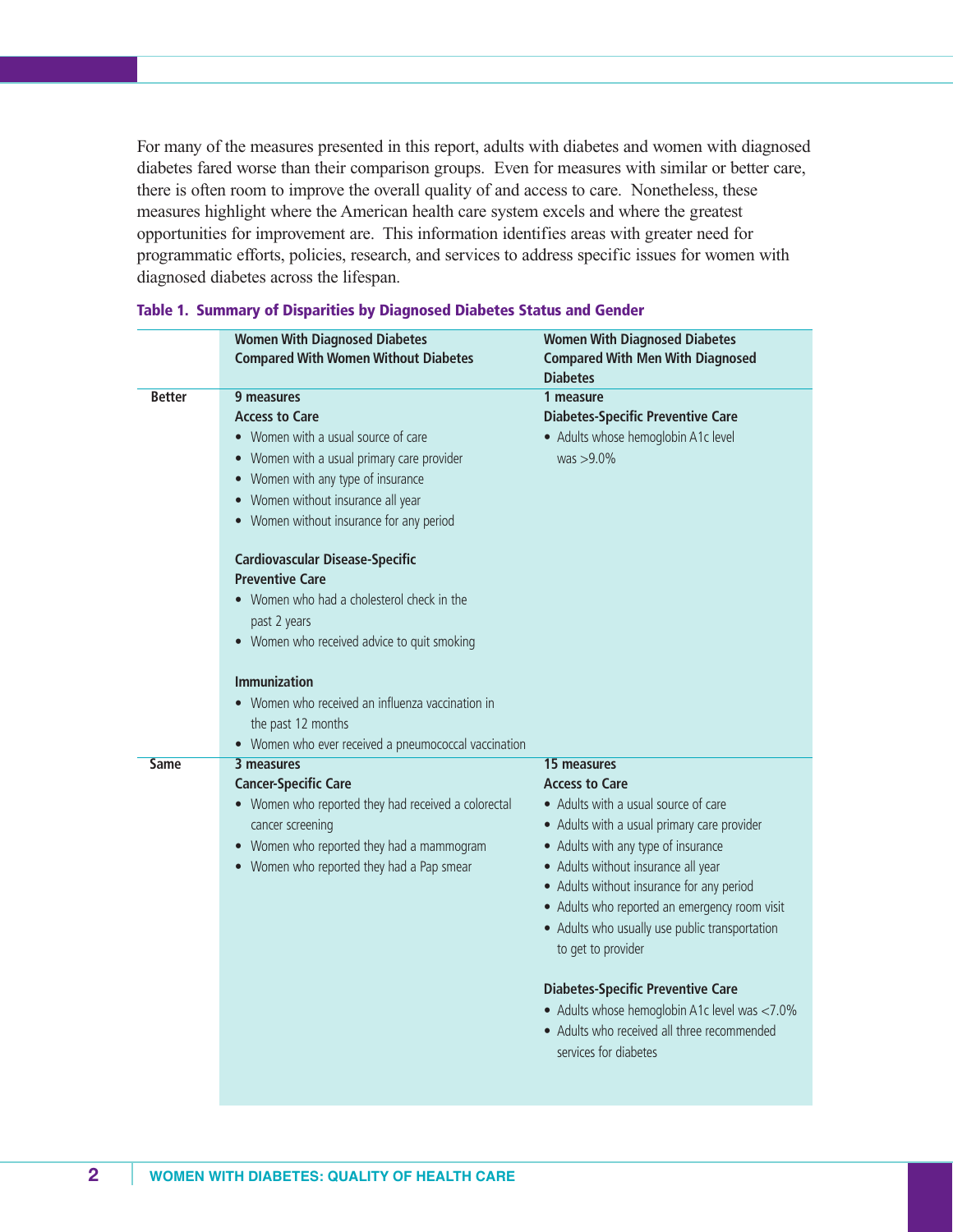For many of the measures presented in this report, adults with diabetes and women with diagnosed diabetes fared worse than their comparison groups. Even for measures with similar or better care, there is often room to improve the overall quality of and access to care. Nonetheless, these measures highlight where the American health care system excels and where the greatest opportunities for improvement are. This information identifies areas with greater need for programmatic efforts, policies, research, and services to address specific issues for women with diagnosed diabetes across the lifespan.

|               | <b>Women With Diagnosed Diabetes</b><br><b>Compared With Women Without Diabetes</b> | <b>Women With Diagnosed Diabetes</b><br><b>Compared With Men With Diagnosed</b><br><b>Diabetes</b> |
|---------------|-------------------------------------------------------------------------------------|----------------------------------------------------------------------------------------------------|
| <b>Better</b> | 9 measures                                                                          | 1 measure                                                                                          |
|               | <b>Access to Care</b>                                                               | <b>Diabetes-Specific Preventive Care</b>                                                           |
|               | • Women with a usual source of care                                                 | • Adults whose hemoglobin A1c level                                                                |
|               | • Women with a usual primary care provider                                          | was $>9.0\%$                                                                                       |
|               | • Women with any type of insurance                                                  |                                                                                                    |
|               | • Women without insurance all year                                                  |                                                                                                    |
|               | • Women without insurance for any period                                            |                                                                                                    |
|               | <b>Cardiovascular Disease-Specific</b>                                              |                                                                                                    |
|               | <b>Preventive Care</b>                                                              |                                                                                                    |
|               | • Women who had a cholesterol check in the                                          |                                                                                                    |
|               | past 2 years                                                                        |                                                                                                    |
|               | • Women who received advice to quit smoking                                         |                                                                                                    |
|               | <b>Immunization</b>                                                                 |                                                                                                    |
|               | • Women who received an influenza vaccination in                                    |                                                                                                    |
|               | the past 12 months                                                                  |                                                                                                    |
|               | • Women who ever received a pneumococcal vaccination                                |                                                                                                    |
| Same          | 3 measures                                                                          | 15 measures                                                                                        |
|               | <b>Cancer-Specific Care</b>                                                         | <b>Access to Care</b><br>• Adults with a usual source of care                                      |
|               | • Women who reported they had received a colorectal<br>cancer screening             | • Adults with a usual primary care provider                                                        |
|               | • Women who reported they had a mammogram                                           | • Adults with any type of insurance                                                                |
|               | • Women who reported they had a Pap smear                                           | • Adults without insurance all year                                                                |
|               |                                                                                     | • Adults without insurance for any period                                                          |
|               |                                                                                     | • Adults who reported an emergency room visit                                                      |
|               |                                                                                     | • Adults who usually use public transportation                                                     |
|               |                                                                                     | to get to provider                                                                                 |
|               |                                                                                     | <b>Diabetes-Specific Preventive Care</b>                                                           |
|               |                                                                                     | • Adults whose hemoglobin A1c level was <7.0%                                                      |
|               |                                                                                     | • Adults who received all three recommended<br>services for diabetes                               |
|               |                                                                                     |                                                                                                    |

#### **Table 1. Summary of Disparities by Diagnosed Diabetes Status and Gender**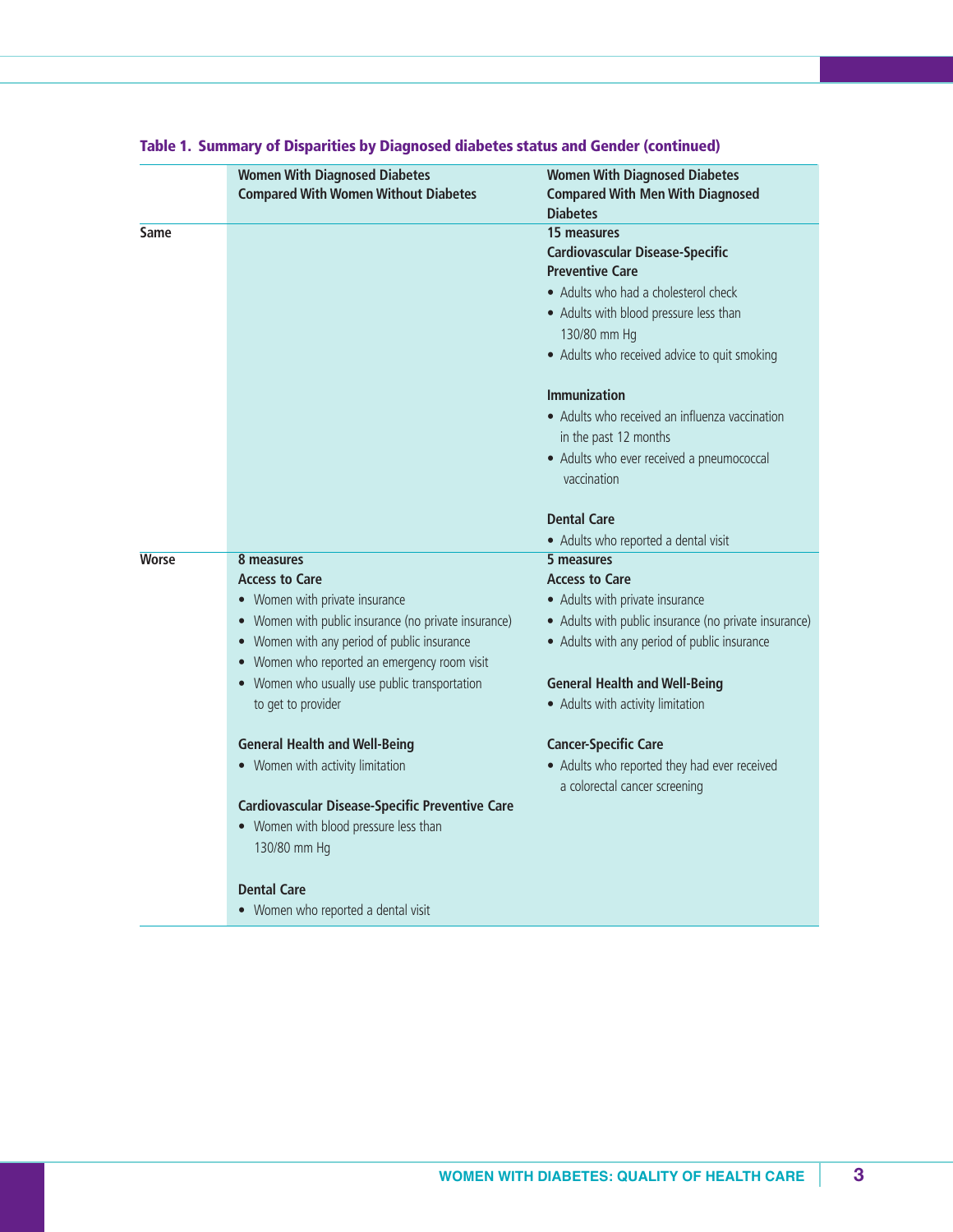|              | <b>Women With Diagnosed Diabetes</b><br><b>Compared With Women Without Diabetes</b> | <b>Women With Diagnosed Diabetes</b><br><b>Compared With Men With Diagnosed</b><br><b>Diabetes</b> |
|--------------|-------------------------------------------------------------------------------------|----------------------------------------------------------------------------------------------------|
| Same         |                                                                                     | 15 measures                                                                                        |
|              |                                                                                     | <b>Cardiovascular Disease-Specific</b>                                                             |
|              |                                                                                     | <b>Preventive Care</b>                                                                             |
|              |                                                                                     | • Adults who had a cholesterol check                                                               |
|              |                                                                                     | • Adults with blood pressure less than                                                             |
|              |                                                                                     | 130/80 mm Hq                                                                                       |
|              |                                                                                     | • Adults who received advice to quit smoking                                                       |
|              |                                                                                     | Immunization                                                                                       |
|              |                                                                                     | • Adults who received an influenza vaccination                                                     |
|              |                                                                                     | in the past 12 months                                                                              |
|              |                                                                                     | • Adults who ever received a pneumococcal<br>vaccination                                           |
|              |                                                                                     | <b>Dental Care</b>                                                                                 |
|              |                                                                                     | • Adults who reported a dental visit                                                               |
| <b>Worse</b> | 8 measures                                                                          | 5 measures                                                                                         |
|              | <b>Access to Care</b>                                                               | <b>Access to Care</b>                                                                              |
|              | • Women with private insurance                                                      | • Adults with private insurance                                                                    |
|              | • Women with public insurance (no private insurance)                                | • Adults with public insurance (no private insurance)                                              |
|              | • Women with any period of public insurance                                         | • Adults with any period of public insurance                                                       |
|              | • Women who reported an emergency room visit                                        |                                                                                                    |
|              | • Women who usually use public transportation                                       | <b>General Health and Well-Being</b>                                                               |
|              | to get to provider                                                                  | • Adults with activity limitation                                                                  |
|              | <b>General Health and Well-Being</b>                                                | <b>Cancer-Specific Care</b>                                                                        |
|              | • Women with activity limitation                                                    | • Adults who reported they had ever received<br>a colorectal cancer screening                      |
|              | <b>Cardiovascular Disease-Specific Preventive Care</b>                              |                                                                                                    |
|              | • Women with blood pressure less than<br>130/80 mm Hg                               |                                                                                                    |
|              | <b>Dental Care</b>                                                                  |                                                                                                    |
|              | Women who reported a dental visit                                                   |                                                                                                    |

#### **Table 1. Summary of Disparities by Diagnosed diabetes status and Gender (continued)**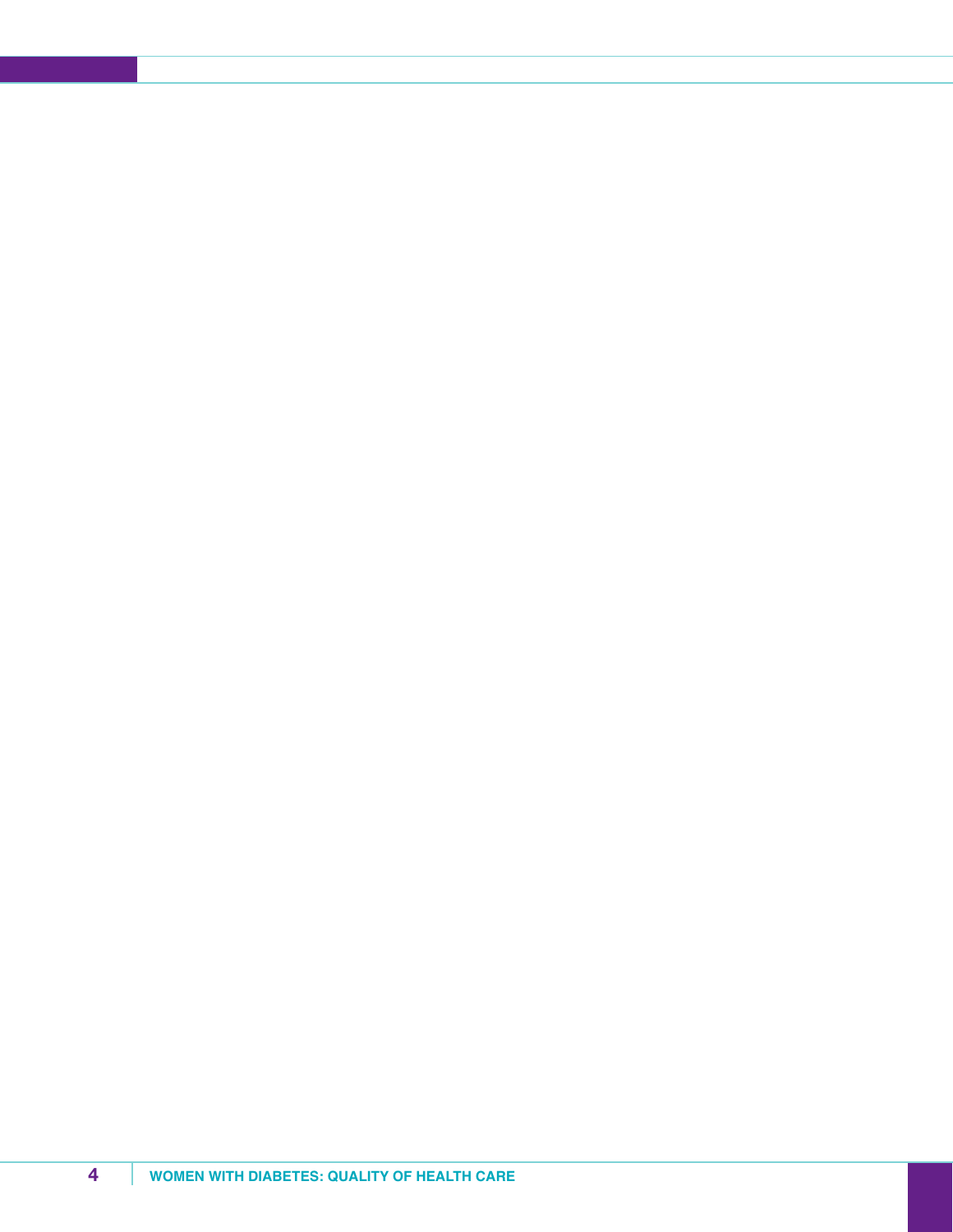**WOMEN WITH DIABETES: QUALITY OF HEALTH CARE**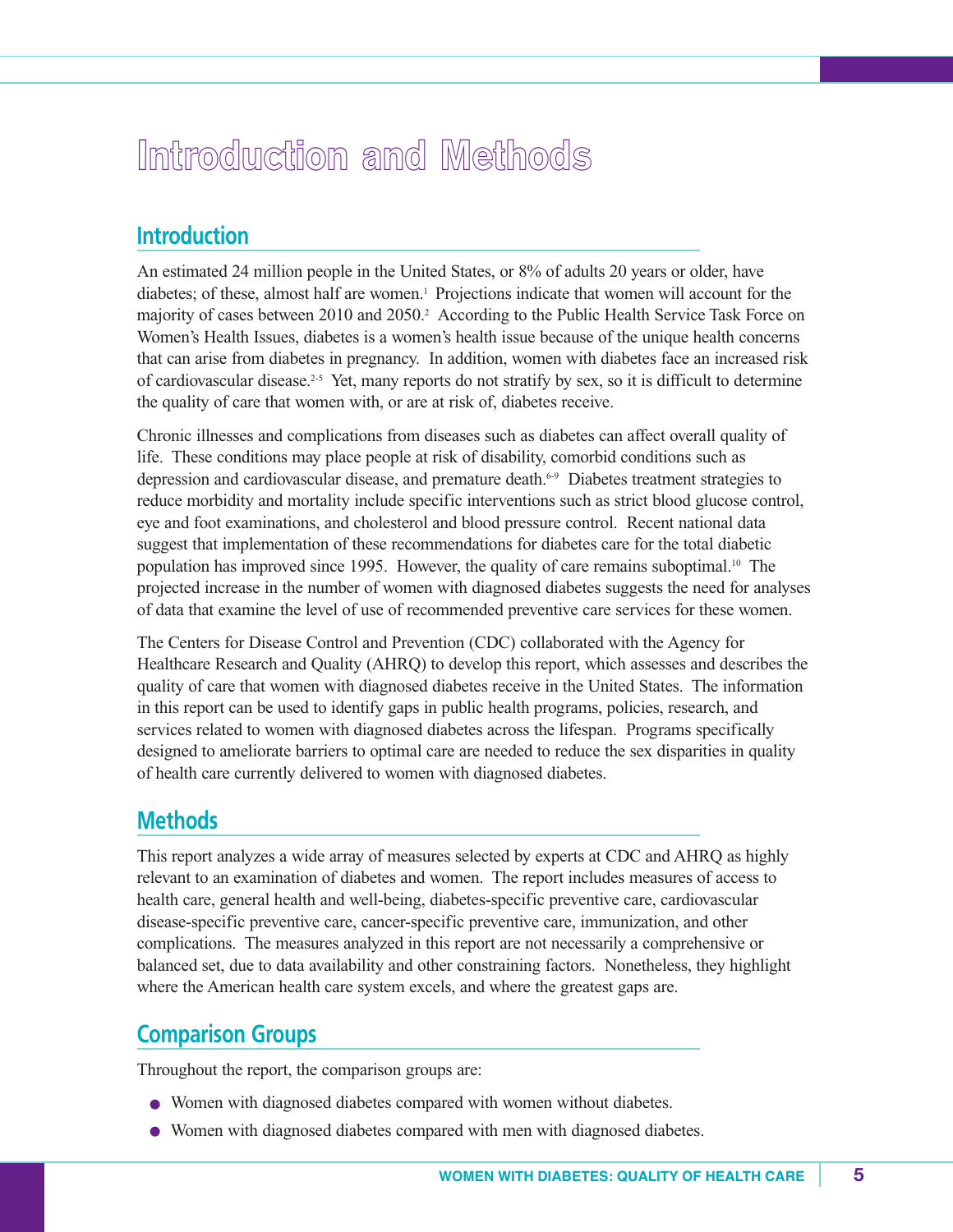# **Introduction and Methods**

# **Introduction**

An estimated 24 million people in the United States, or 8% of adults 20 years or older, have diabetes; of these, almost half are women.<sup>1</sup> Projections indicate that women will account for the majority of cases between 2010 and 2050.<sup>2</sup> According to the Public Health Service Task Force on Women's Health Issues, diabetes is a women's health issue because of the unique health concerns that can arise from diabetes in pregnancy. In addition, women with diabetes face an increased risk of cardiovascular disease.2-5 Yet, many reports do not stratify by sex, so it is difficult to determine the quality of care that women with, or are at risk of, diabetes receive.

Chronic illnesses and complications from diseases such as diabetes can affect overall quality of life. These conditions may place people at risk of disability, comorbid conditions such as depression and cardiovascular disease, and premature death.6-9 Diabetes treatment strategies to reduce morbidity and mortality include specific interventions such as strict blood glucose control, eye and foot examinations, and cholesterol and blood pressure control. Recent national data suggest that implementation of these recommendations for diabetes care for the total diabetic population has improved since 1995. However, the quality of care remains suboptimal.<sup>10</sup> The projected increase in the number of women with diagnosed diabetes suggests the need for analyses of data that examine the level of use of recommended preventive care services for these women.

The Centers for Disease Control and Prevention (CDC) collaborated with the Agency for Healthcare Research and Quality (AHRQ) to develop this report, which assesses and describes the quality of care that women with diagnosed diabetes receive in the United States. The information in this report can be used to identify gaps in public health programs, policies, research, and services related to women with diagnosed diabetes across the lifespan. Programs specifically designed to ameliorate barriers to optimal care are needed to reduce the sex disparities in quality of health care currently delivered to women with diagnosed diabetes.

# **Methods**

This report analyzes a wide array of measures selected by experts at CDC and AHRQ as highly relevant to an examination of diabetes and women. The report includes measures of access to health care, general health and well-being, diabetes-specific preventive care, cardiovascular disease-specific preventive care, cancer-specific preventive care, immunization, and other complications. The measures analyzed in this report are not necessarily a comprehensive or balanced set, due to data availability and other constraining factors. Nonetheless, they highlight where the American health care system excels, and where the greatest gaps are.

### **Comparison Groups**

Throughout the report, the comparison groups are:

- Women with diagnosed diabetes compared with women without diabetes.
- Women with diagnosed diabetes compared with men with diagnosed diabetes.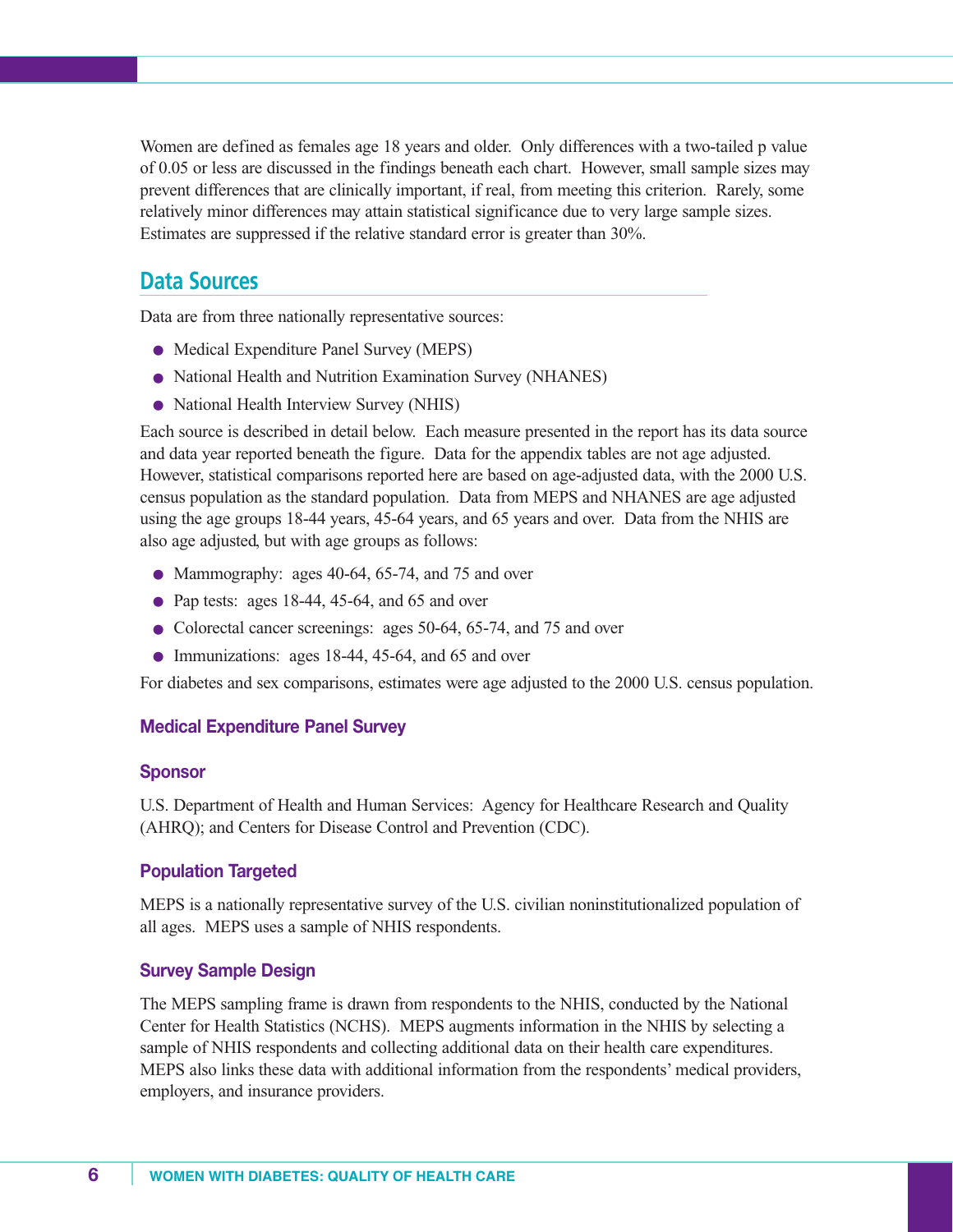Women are defined as females age 18 years and older. Only differences with a two-tailed p value of 0.05 or less are discussed in the findings beneath each chart. However, small sample sizes may prevent differences that are clinically important, if real, from meeting this criterion. Rarely, some relatively minor differences may attain statistical significance due to very large sample sizes. Estimates are suppressed if the relative standard error is greater than 30%.

### **Data Sources**

Data are from three nationally representative sources:

- Medical Expenditure Panel Survey (MEPS)
- National Health and Nutrition Examination Survey (NHANES)
- National Health Interview Survey (NHIS)

Each source is described in detail below. Each measure presented in the report has its data source and data year reported beneath the figure. Data for the appendix tables are not age adjusted. However, statistical comparisons reported here are based on age-adjusted data, with the 2000 U.S. census population as the standard population. Data from MEPS and NHANES are age adjusted using the age groups 18-44 years, 45-64 years, and 65 years and over. Data from the NHIS are also age adjusted, but with age groups as follows:

- Mammography: ages 40-64, 65-74, and 75 and over
- Pap tests: ages 18-44, 45-64, and 65 and over
- Colorectal cancer screenings: ages 50-64, 65-74, and 75 and over
- Immunizations: ages  $18-44$ ,  $45-64$ , and  $65$  and over

For diabetes and sex comparisons, estimates were age adjusted to the 2000 U.S. census population.

#### **Medical Expenditure Panel Survey**

#### **Sponsor**

U.S. Department of Health and Human Services: Agency for Healthcare Research and Quality (AHRQ); and Centers for Disease Control and Prevention (CDC).

#### **Population Targeted**

MEPS is a nationally representative survey of the U.S. civilian noninstitutionalized population of all ages. MEPS uses a sample of NHIS respondents.

#### **Survey Sample Design**

The MEPS sampling frame is drawn from respondents to the NHIS, conducted by the National Center for Health Statistics (NCHS). MEPS augments information in the NHIS by selecting a sample of NHIS respondents and collecting additional data on their health care expenditures. MEPS also links these data with additional information from the respondents' medical providers, employers, and insurance providers.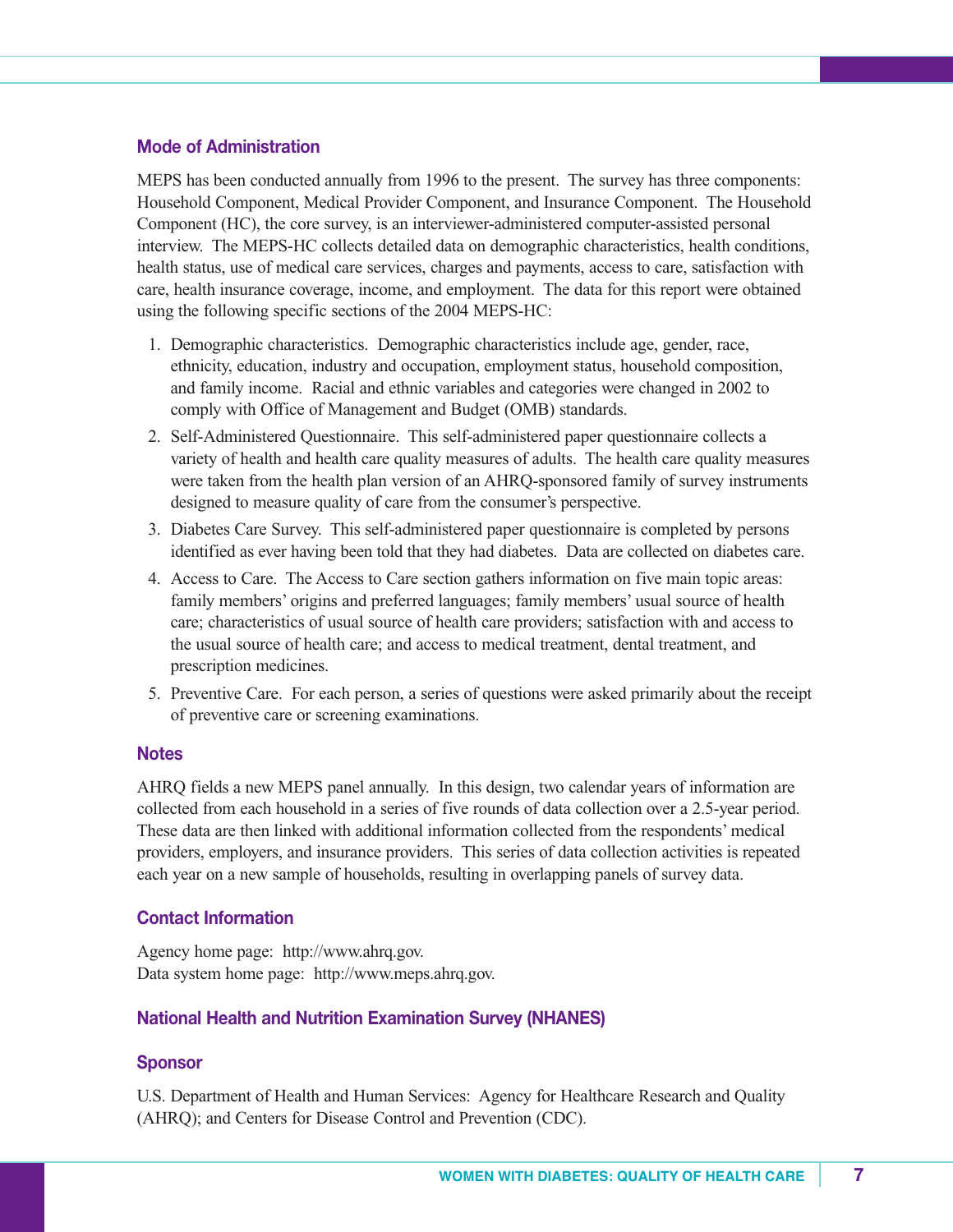#### **Mode of Administration**

MEPS has been conducted annually from 1996 to the present. The survey has three components: Household Component, Medical Provider Component, and Insurance Component. The Household Component (HC), the core survey, is an interviewer-administered computer-assisted personal interview. The MEPS-HC collects detailed data on demographic characteristics, health conditions, health status, use of medical care services, charges and payments, access to care, satisfaction with care, health insurance coverage, income, and employment. The data for this report were obtained using the following specific sections of the 2004 MEPS-HC:

- 1. Demographic characteristics. Demographic characteristics include age, gender, race, ethnicity, education, industry and occupation, employment status, household composition, and family income. Racial and ethnic variables and categories were changed in 2002 to comply with Office of Management and Budget (OMB) standards.
- 2. Self-Administered Questionnaire. This self-administered paper questionnaire collects a variety of health and health care quality measures of adults. The health care quality measures were taken from the health plan version of an AHRQ-sponsored family of survey instruments designed to measure quality of care from the consumer's perspective.
- 3. Diabetes Care Survey. This self-administered paper questionnaire is completed by persons identified as ever having been told that they had diabetes. Data are collected on diabetes care.
- 4. Access to Care. The Access to Care section gathers information on five main topic areas: family members' origins and preferred languages; family members' usual source of health care; characteristics of usual source of health care providers; satisfaction with and access to the usual source of health care; and access to medical treatment, dental treatment, and prescription medicines.
- 5. Preventive Care. For each person, a series of questions were asked primarily about the receipt of preventive care or screening examinations.

#### **Notes**

AHRQ fields a new MEPS panel annually. In this design, two calendar years of information are collected from each household in a series of five rounds of data collection over a 2.5-year period. These data are then linked with additional information collected from the respondents' medical providers, employers, and insurance providers. This series of data collection activities is repeated each year on a new sample of households, resulting in overlapping panels of survey data.

#### **Contact Information**

Agency home page: http://www.ahrq.gov. Data system home page: http://www.meps.ahrq.gov.

#### **National Health and Nutrition Examination Survey (NHANES)**

#### **Sponsor**

U.S. Department of Health and Human Services: Agency for Healthcare Research and Quality (AHRQ); and Centers for Disease Control and Prevention (CDC).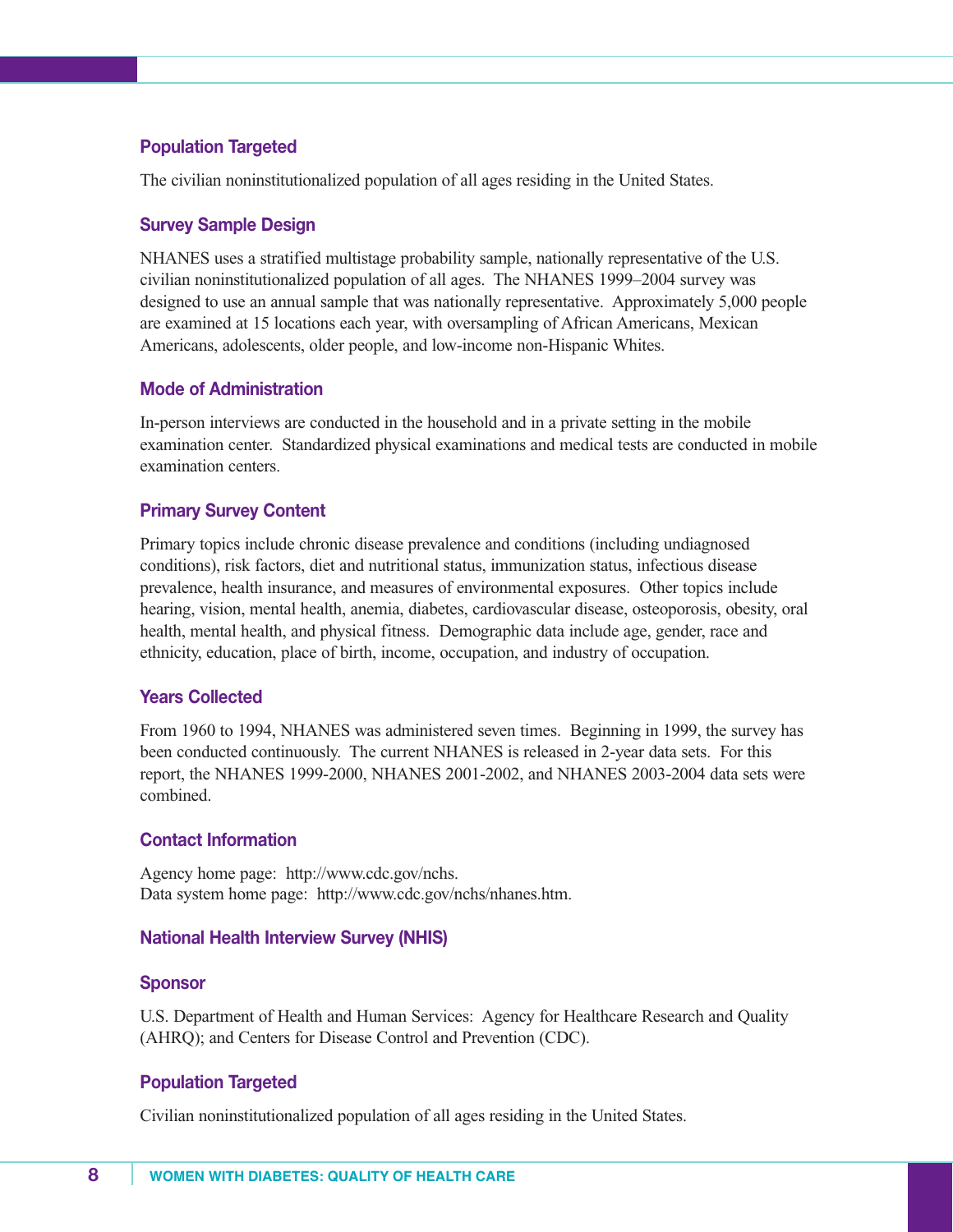#### **Population Targeted**

The civilian noninstitutionalized population of all ages residing in the United States.

#### **Survey Sample Design**

NHANES uses a stratified multistage probability sample, nationally representative of the U.S. civilian noninstitutionalized population of all ages. The NHANES 1999–2004 survey was designed to use an annual sample that was nationally representative. Approximately 5,000 people are examined at 15 locations each year, with oversampling of African Americans, Mexican Americans, adolescents, older people, and low-income non-Hispanic Whites.

#### **Mode of Administration**

In-person interviews are conducted in the household and in a private setting in the mobile examination center. Standardized physical examinations and medical tests are conducted in mobile examination centers.

#### **Primary Survey Content**

Primary topics include chronic disease prevalence and conditions (including undiagnosed conditions), risk factors, diet and nutritional status, immunization status, infectious disease prevalence, health insurance, and measures of environmental exposures. Other topics include hearing, vision, mental health, anemia, diabetes, cardiovascular disease, osteoporosis, obesity, oral health, mental health, and physical fitness. Demographic data include age, gender, race and ethnicity, education, place of birth, income, occupation, and industry of occupation.

#### **Years Collected**

From 1960 to 1994, NHANES was administered seven times. Beginning in 1999, the survey has been conducted continuously. The current NHANES is released in 2-year data sets. For this report, the NHANES 1999-2000, NHANES 2001-2002, and NHANES 2003-2004 data sets were combined.

#### **Contact Information**

Agency home page: http://www.cdc.gov/nchs. Data system home page: http://www.cdc.gov/nchs/nhanes.htm.

#### **National Health Interview Survey (NHIS)**

#### **Sponsor**

U.S. Department of Health and Human Services: Agency for Healthcare Research and Quality (AHRQ); and Centers for Disease Control and Prevention (CDC).

#### **Population Targeted**

Civilian noninstitutionalized population of all ages residing in the United States.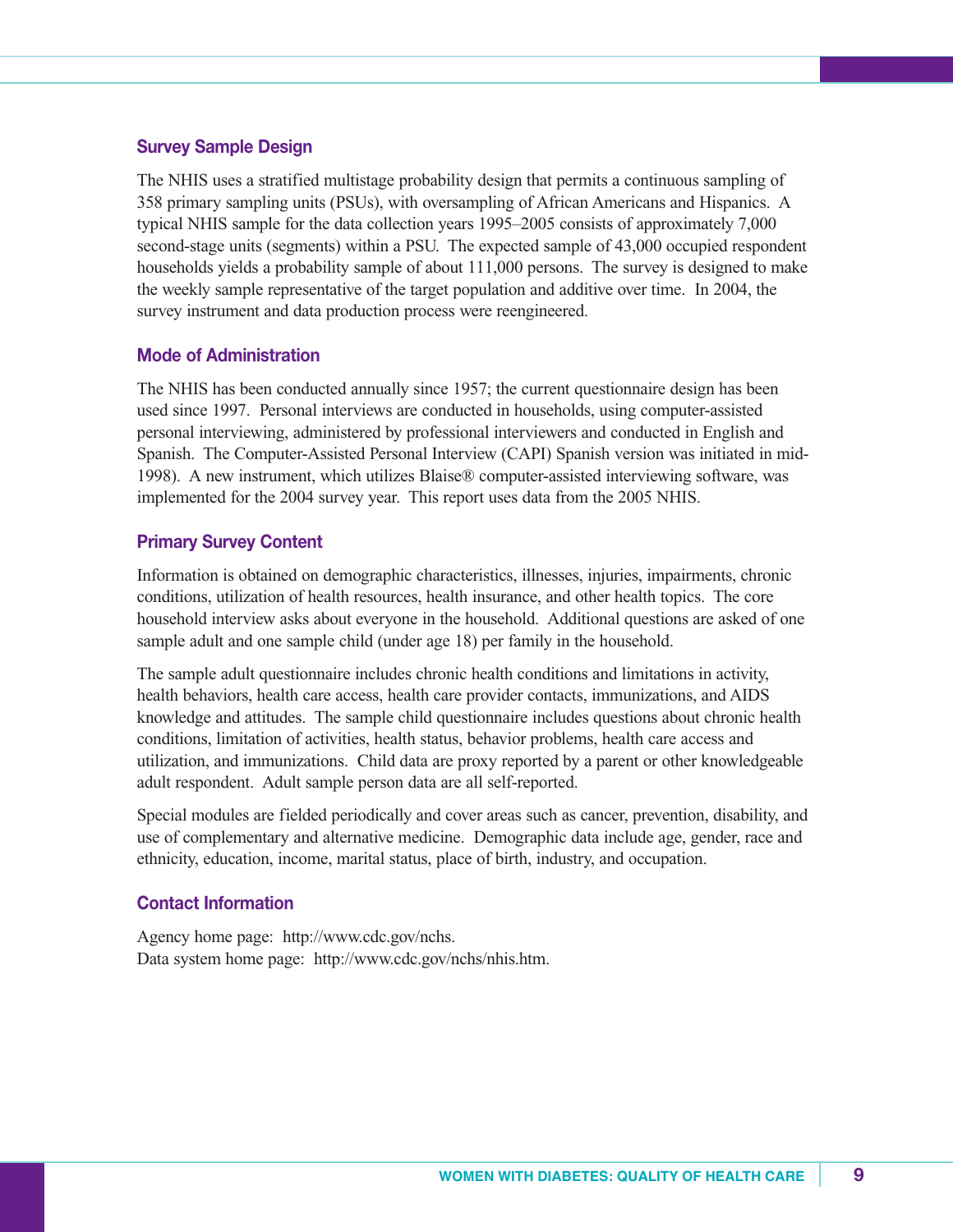#### **Survey Sample Design**

The NHIS uses a stratified multistage probability design that permits a continuous sampling of 358 primary sampling units (PSUs), with oversampling of African Americans and Hispanics. A typical NHIS sample for the data collection years 1995–2005 consists of approximately 7,000 second-stage units (segments) within a PSU. The expected sample of 43,000 occupied respondent households yields a probability sample of about 111,000 persons. The survey is designed to make the weekly sample representative of the target population and additive over time. In 2004, the survey instrument and data production process were reengineered.

#### **Mode of Administration**

The NHIS has been conducted annually since 1957; the current questionnaire design has been used since 1997. Personal interviews are conducted in households, using computer-assisted personal interviewing, administered by professional interviewers and conducted in English and Spanish. The Computer-Assisted Personal Interview (CAPI) Spanish version was initiated in mid-1998). A new instrument, which utilizes Blaise® computer-assisted interviewing software, was implemented for the 2004 survey year. This report uses data from the 2005 NHIS.

#### **Primary Survey Content**

Information is obtained on demographic characteristics, illnesses, injuries, impairments, chronic conditions, utilization of health resources, health insurance, and other health topics. The core household interview asks about everyone in the household. Additional questions are asked of one sample adult and one sample child (under age 18) per family in the household.

The sample adult questionnaire includes chronic health conditions and limitations in activity, health behaviors, health care access, health care provider contacts, immunizations, and AIDS knowledge and attitudes. The sample child questionnaire includes questions about chronic health conditions, limitation of activities, health status, behavior problems, health care access and utilization, and immunizations. Child data are proxy reported by a parent or other knowledgeable adult respondent. Adult sample person data are all self-reported.

Special modules are fielded periodically and cover areas such as cancer, prevention, disability, and use of complementary and alternative medicine. Demographic data include age, gender, race and ethnicity, education, income, marital status, place of birth, industry, and occupation.

#### **Contact Information**

Agency home page: http://www.cdc.gov/nchs. Data system home page: http://www.cdc.gov/nchs/nhis.htm.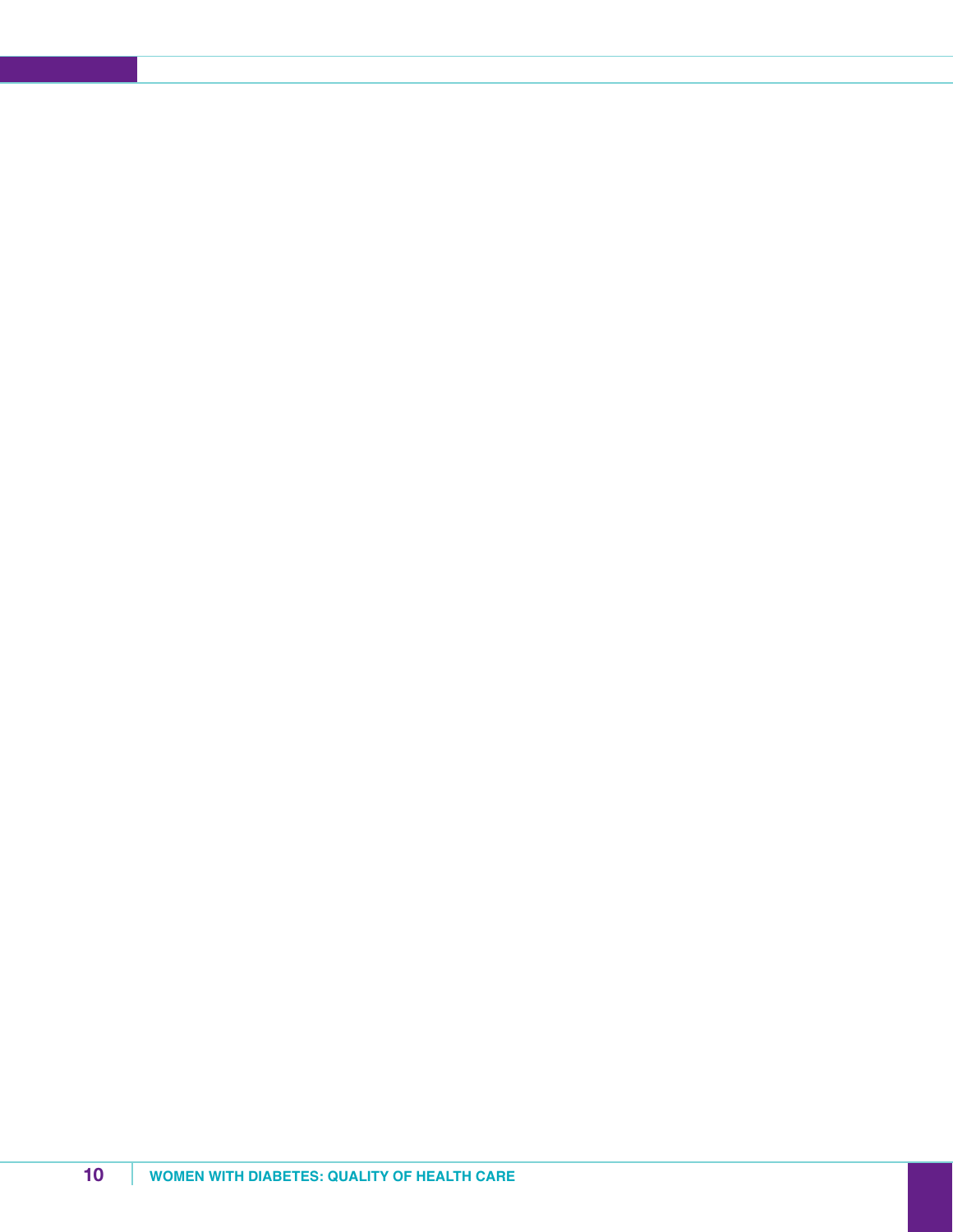**WOMEN WITH DIABETES: QUALITY OF HEALTH CARE**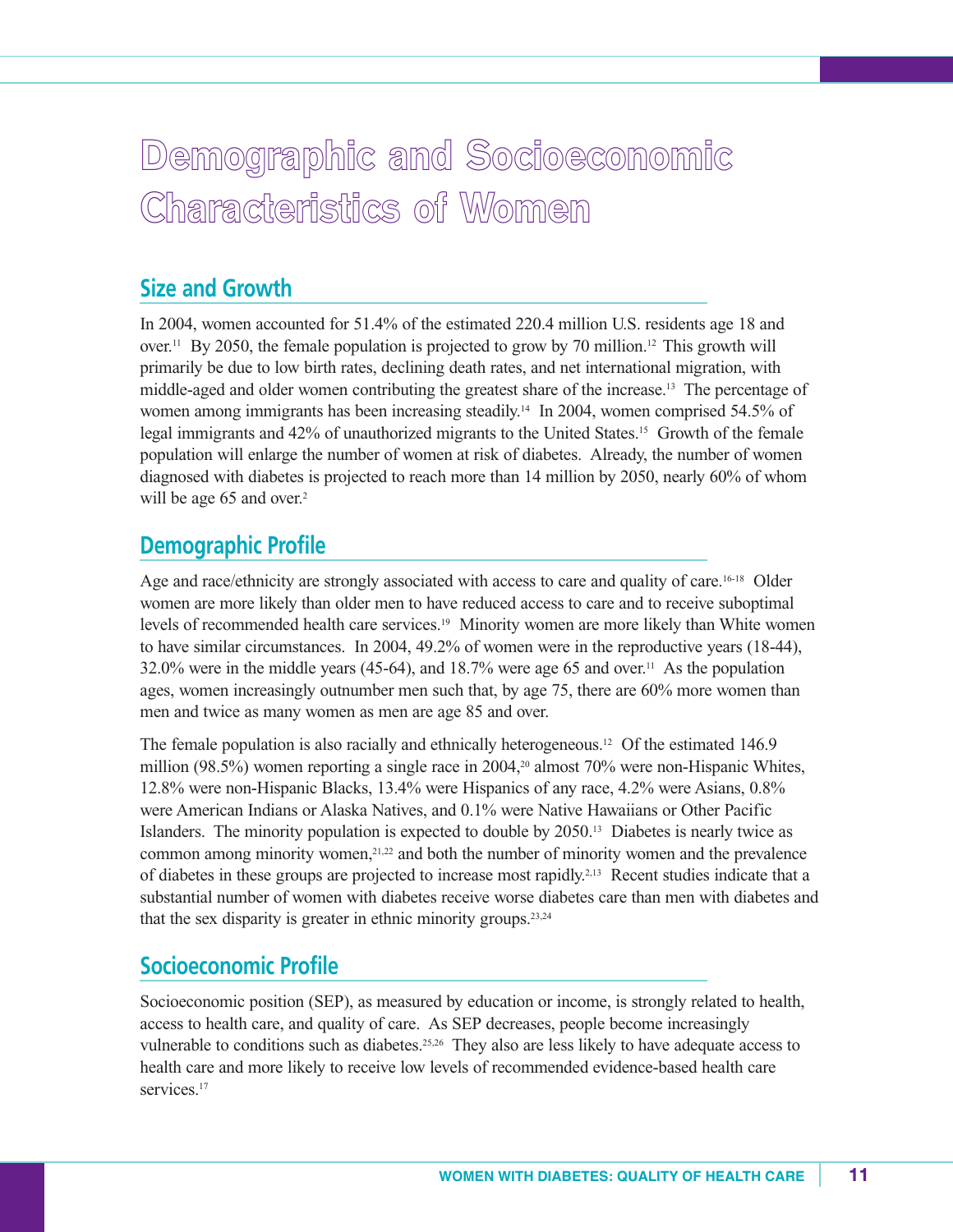# **Demographic and Socioeconomic Characteristics of Women**

# **Size and Growth**

In 2004, women accounted for 51.4% of the estimated 220.4 million U.S. residents age 18 and over.<sup>11</sup> By 2050, the female population is projected to grow by 70 million.<sup>12</sup> This growth will primarily be due to low birth rates, declining death rates, and net international migration, with middle-aged and older women contributing the greatest share of the increase.<sup>13</sup> The percentage of women among immigrants has been increasing steadily.<sup>14</sup> In 2004, women comprised 54.5% of legal immigrants and 42% of unauthorized migrants to the United States.<sup>15</sup> Growth of the female population will enlarge the number of women at risk of diabetes. Already, the number of women diagnosed with diabetes is projected to reach more than 14 million by 2050, nearly 60% of whom will be age 65 and over.<sup>2</sup>

### **Demographic Profile**

Age and race/ethnicity are strongly associated with access to care and quality of care.<sup>16-18</sup> Older women are more likely than older men to have reduced access to care and to receive suboptimal levels of recommended health care services.<sup>19</sup> Minority women are more likely than White women to have similar circumstances. In 2004, 49.2% of women were in the reproductive years (18-44),  $32.0\%$  were in the middle years (45-64), and 18.7% were age 65 and over.<sup>11</sup> As the population ages, women increasingly outnumber men such that, by age 75, there are 60% more women than men and twice as many women as men are age 85 and over.

The female population is also racially and ethnically heterogeneous.<sup>12</sup> Of the estimated 146.9 million (98.5%) women reporting a single race in 2004,<sup>20</sup> almost 70% were non-Hispanic Whites, 12.8% were non-Hispanic Blacks, 13.4% were Hispanics of any race, 4.2% were Asians, 0.8% were American Indians or Alaska Natives, and 0.1% were Native Hawaiians or Other Pacific Islanders. The minority population is expected to double by 2050.<sup>13</sup> Diabetes is nearly twice as common among minority women,21,22 and both the number of minority women and the prevalence of diabetes in these groups are projected to increase most rapidly.2,13 Recent studies indicate that a substantial number of women with diabetes receive worse diabetes care than men with diabetes and that the sex disparity is greater in ethnic minority groups.23,24

# **Socioeconomic Profile**

Socioeconomic position (SEP), as measured by education or income, is strongly related to health, access to health care, and quality of care. As SEP decreases, people become increasingly vulnerable to conditions such as diabetes.25,26 They also are less likely to have adequate access to health care and more likely to receive low levels of recommended evidence-based health care services.<sup>17</sup>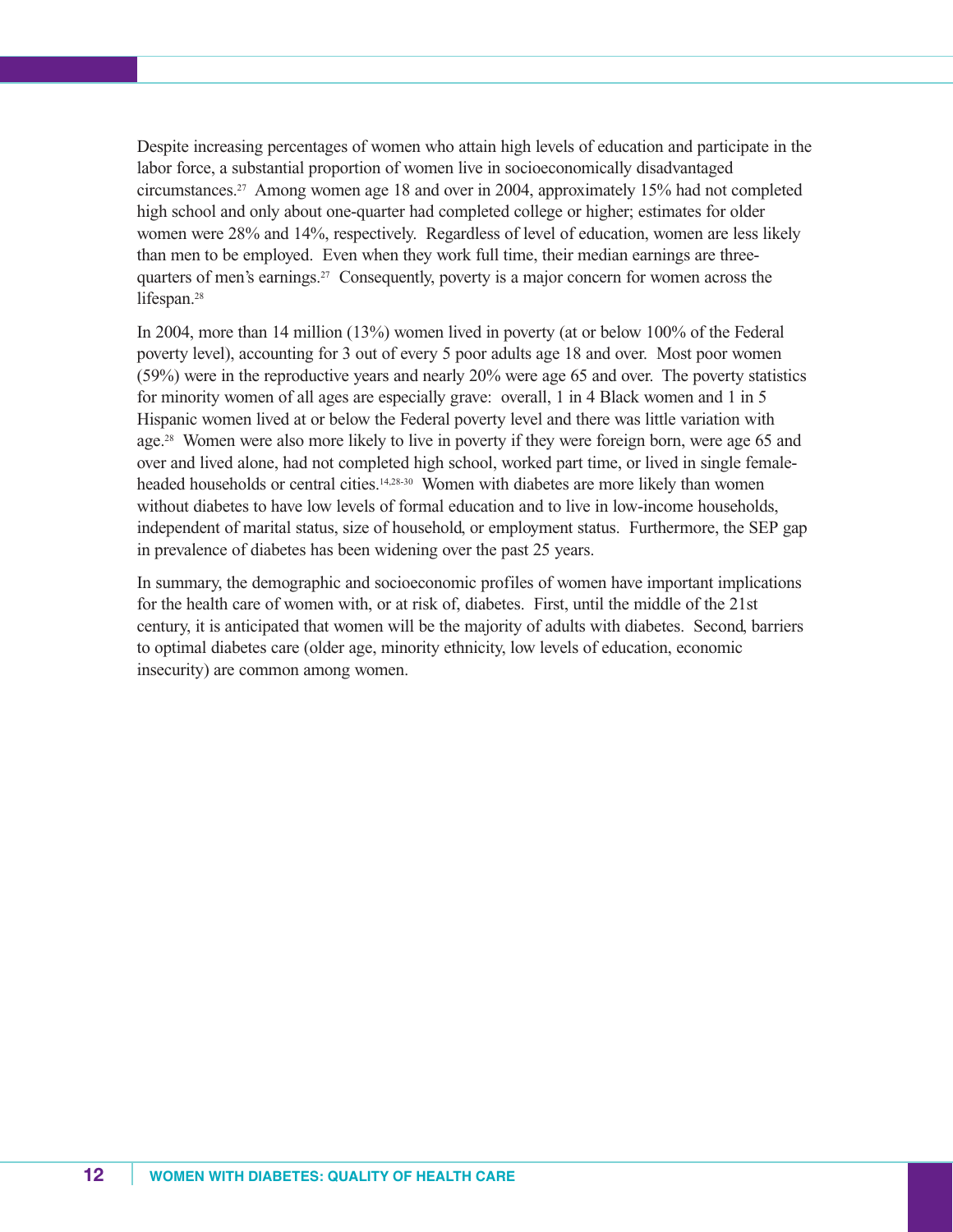Despite increasing percentages of women who attain high levels of education and participate in the labor force, a substantial proportion of women live in socioeconomically disadvantaged circumstances.<sup>27</sup> Among women age 18 and over in 2004, approximately 15% had not completed high school and only about one-quarter had completed college or higher; estimates for older women were 28% and 14%, respectively. Regardless of level of education, women are less likely than men to be employed. Even when they work full time, their median earnings are threequarters of men's earnings.<sup>27</sup> Consequently, poverty is a major concern for women across the lifespan.<sup>28</sup>

In 2004, more than 14 million (13%) women lived in poverty (at or below 100% of the Federal poverty level), accounting for 3 out of every 5 poor adults age 18 and over. Most poor women (59%) were in the reproductive years and nearly 20% were age 65 and over. The poverty statistics for minority women of all ages are especially grave: overall, 1 in 4 Black women and 1 in 5 Hispanic women lived at or below the Federal poverty level and there was little variation with age.<sup>28</sup> Women were also more likely to live in poverty if they were foreign born, were age 65 and over and lived alone, had not completed high school, worked part time, or lived in single femaleheaded households or central cities.14,28-30 Women with diabetes are more likely than women without diabetes to have low levels of formal education and to live in low-income households, independent of marital status, size of household, or employment status. Furthermore, the SEP gap in prevalence of diabetes has been widening over the past 25 years.

In summary, the demographic and socioeconomic profiles of women have important implications for the health care of women with, or at risk of, diabetes. First, until the middle of the 21st century, it is anticipated that women will be the majority of adults with diabetes. Second, barriers to optimal diabetes care (older age, minority ethnicity, low levels of education, economic insecurity) are common among women.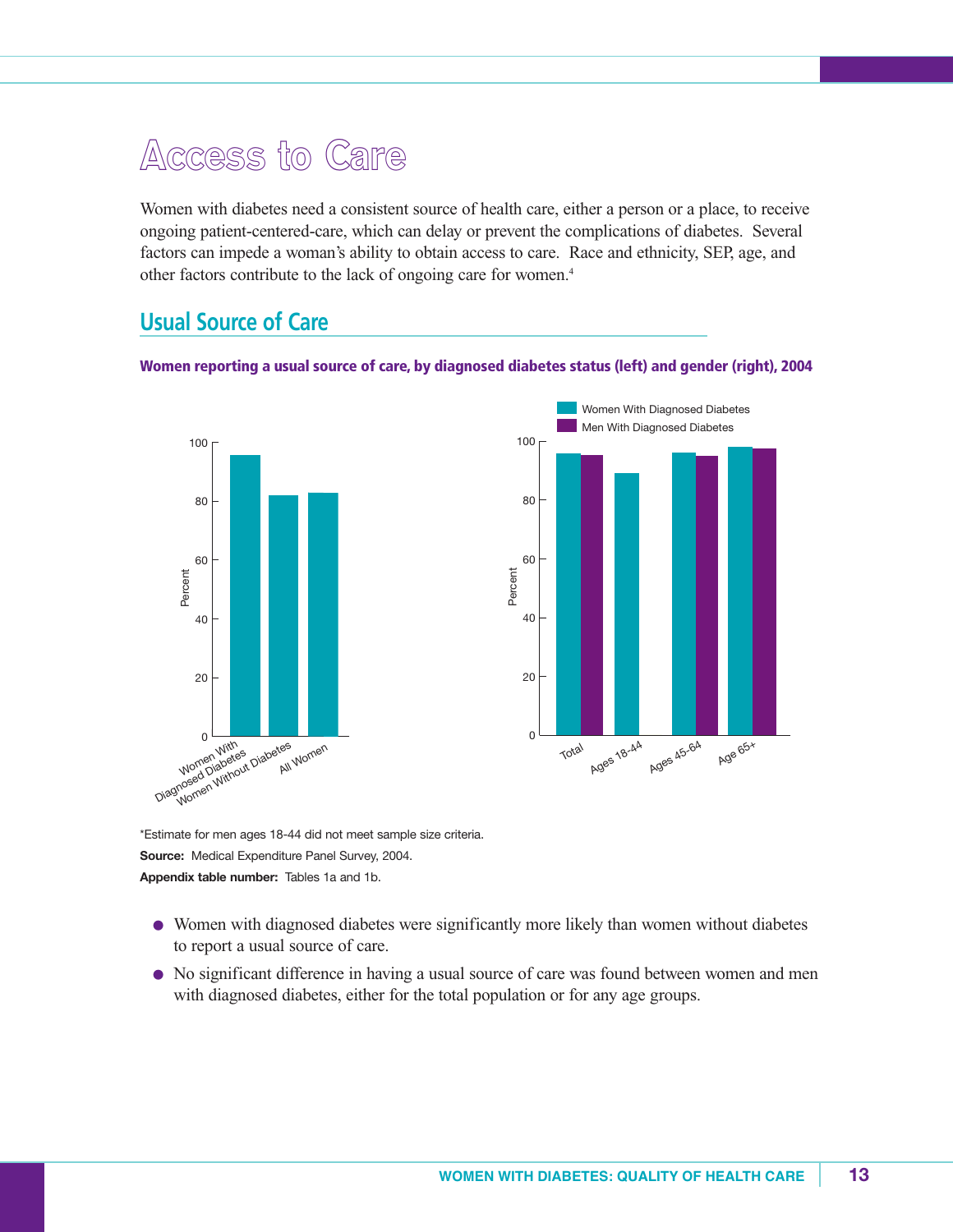# **Access to Care**

Women with diabetes need a consistent source of health care, either a person or a place, to receive ongoing patient-centered-care, which can delay or prevent the complications of diabetes. Several factors can impede a woman's ability to obtain access to care. Race and ethnicity, SEP, age, and other factors contribute to the lack of ongoing care for women.<sup>4</sup>

# **Usual Source of Care**



**Women reporting a usual source of care, by diagnosed diabetes status (left) and gender (right), 2004**

\*Estimate for men ages 18-44 did not meet sample size criteria. **Source:** Medical Expenditure Panel Survey, 2004. **Appendix table number:** Tables 1a and 1b.

- Women with diagnosed diabetes were significantly more likely than women without diabetes to report a usual source of care.
- No significant difference in having a usual source of care was found between women and men with diagnosed diabetes, either for the total population or for any age groups.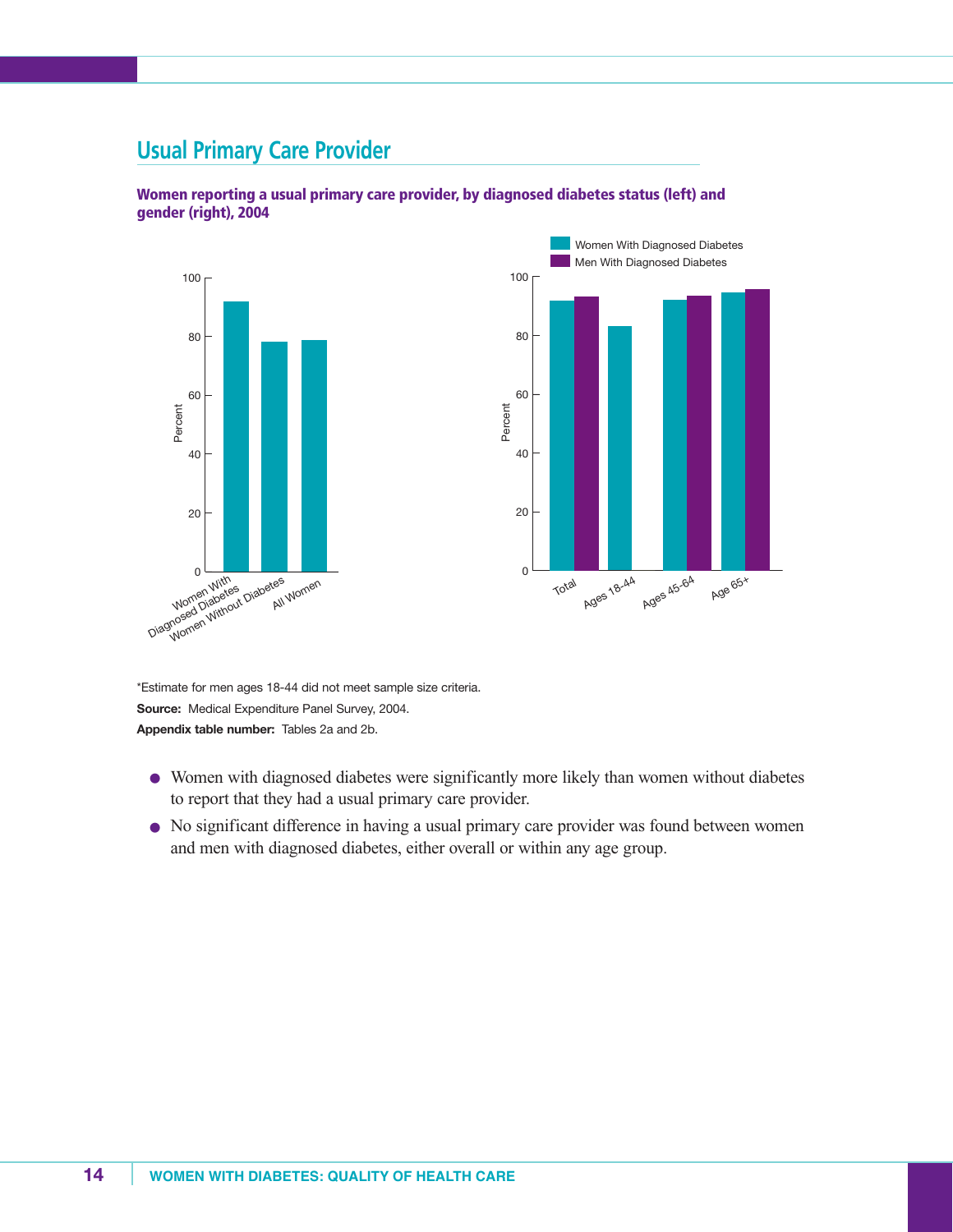# **Usual Primary Care Provider**



**Women reporting a usual primary care provider, by diagnosed diabetes status (left) and gender (right), 2004**

\*Estimate for men ages 18-44 did not meet sample size criteria. **Source:** Medical Expenditure Panel Survey, 2004. **Appendix table number:** Tables 2a and 2b.

- Women with diagnosed diabetes were significantly more likely than women without diabetes to report that they had a usual primary care provider.
- No significant difference in having a usual primary care provider was found between women and men with diagnosed diabetes, either overall or within any age group.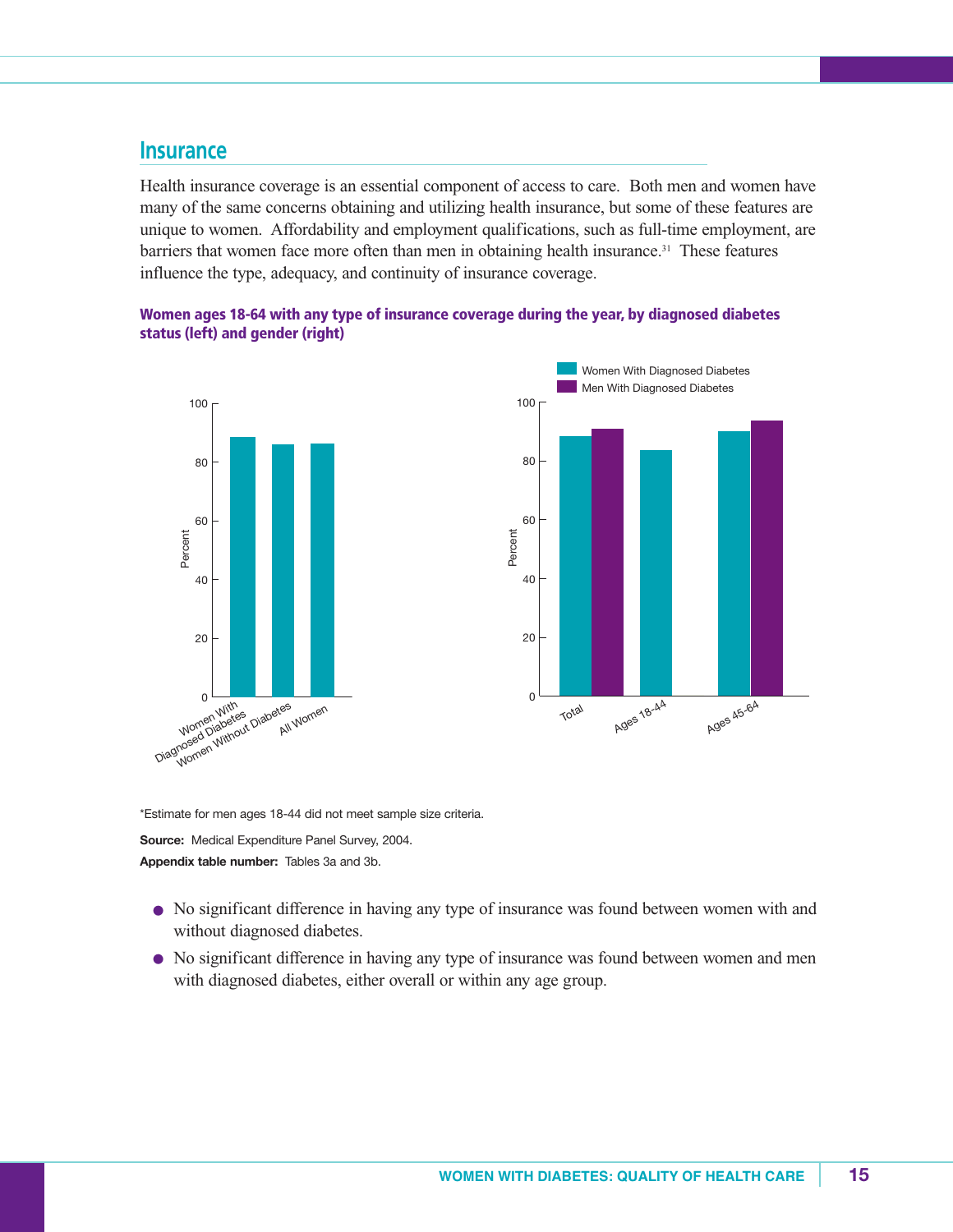#### **Insurance**

Health insurance coverage is an essential component of access to care. Both men and women have many of the same concerns obtaining and utilizing health insurance, but some of these features are unique to women. Affordability and employment qualifications, such as full-time employment, are barriers that women face more often than men in obtaining health insurance.<sup>31</sup> These features influence the type, adequacy, and continuity of insurance coverage.





\*Estimate for men ages 18-44 did not meet sample size criteria.

**Source:** Medical Expenditure Panel Survey, 2004. **Appendix table number:** Tables 3a and 3b.

- No significant difference in having any type of insurance was found between women with and without diagnosed diabetes.
- No significant difference in having any type of insurance was found between women and men with diagnosed diabetes, either overall or within any age group.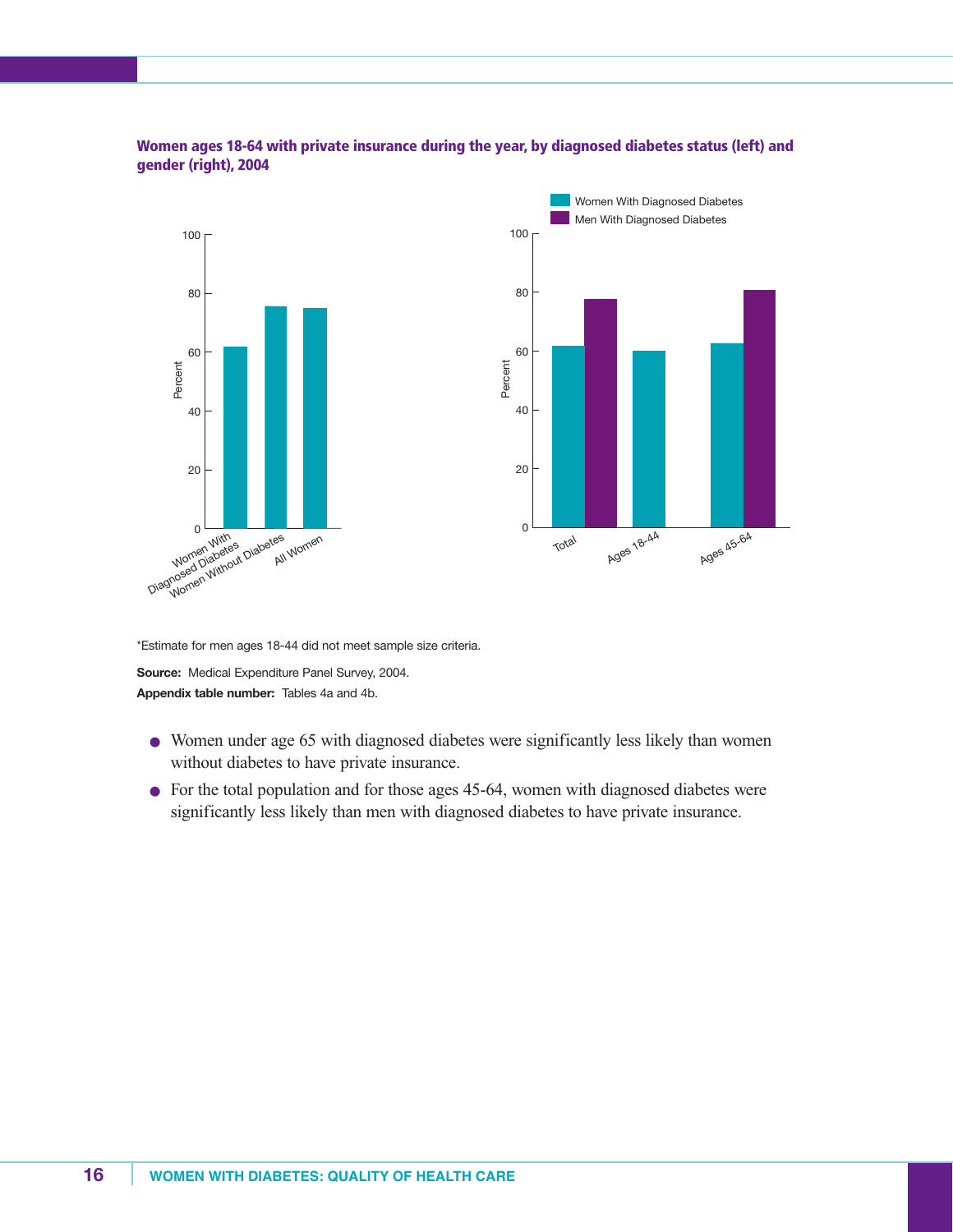

#### **Women ages 18-64 with private insurance during the year, by diagnosed diabetes status (left) and gender (right), 2004**

\*Estimate for men ages 18-44 did not meet sample size criteria.

**Source:** Medical Expenditure Panel Survey, 2004. **Appendix table number:** Tables 4a and 4b.

- Women under age 65 with diagnosed diabetes were significantly less likely than women without diabetes to have private insurance.
- For the total population and for those ages 45-64, women with diagnosed diabetes were significantly less likely than men with diagnosed diabetes to have private insurance.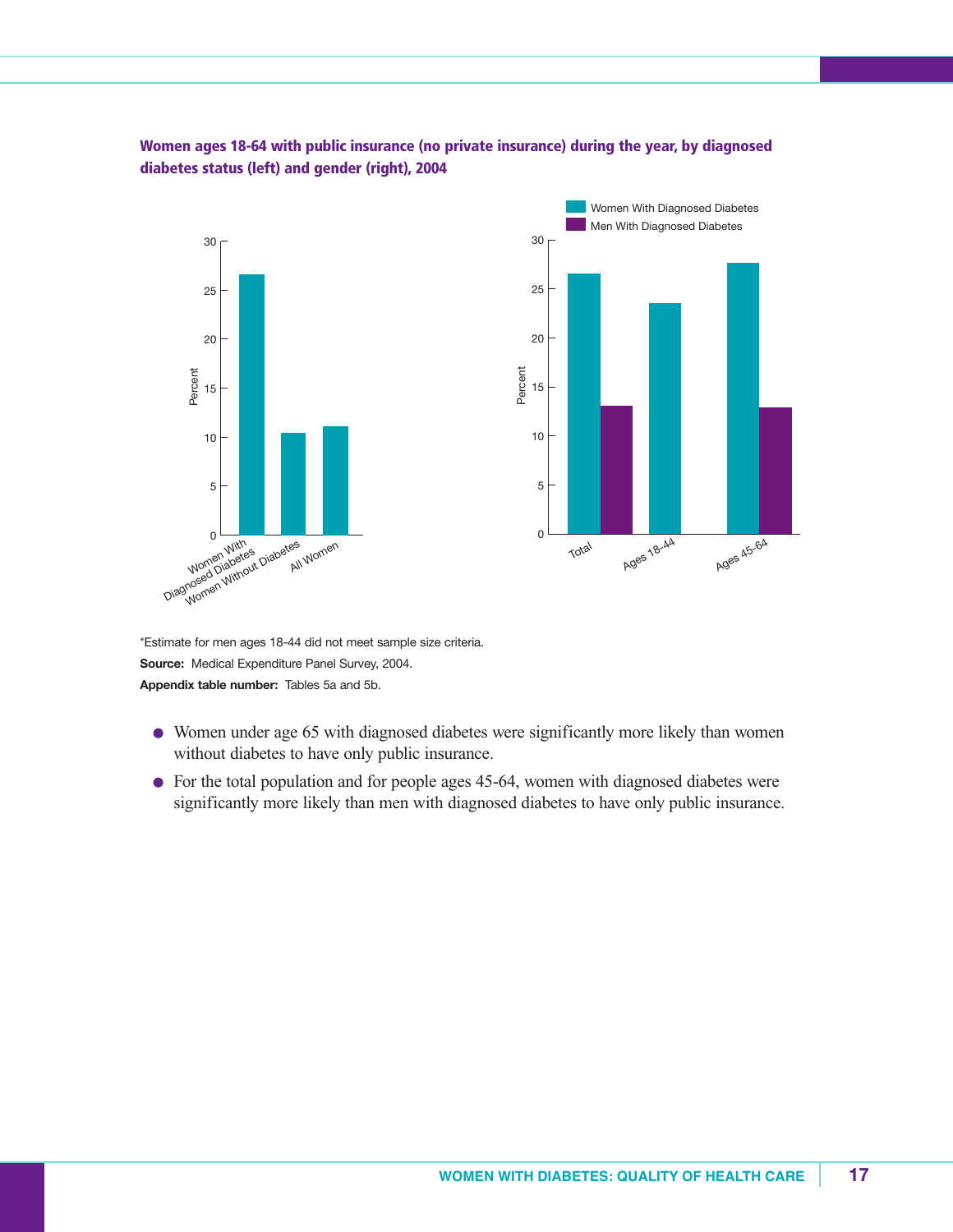#### **Women ages 18-64 with public insurance (no private insurance) during the year, by diagnosed diabetes status (left) and gender (right), 2004**



\*Estimate for men ages 18-44 did not meet sample size criteria. **Source:** Medical Expenditure Panel Survey, 2004. **Appendix table number:** Tables 5a and 5b.

- Women under age 65 with diagnosed diabetes were significantly more likely than women without diabetes to have only public insurance.
- For the total population and for people ages 45-64, women with diagnosed diabetes were significantly more likely than men with diagnosed diabetes to have only public insurance.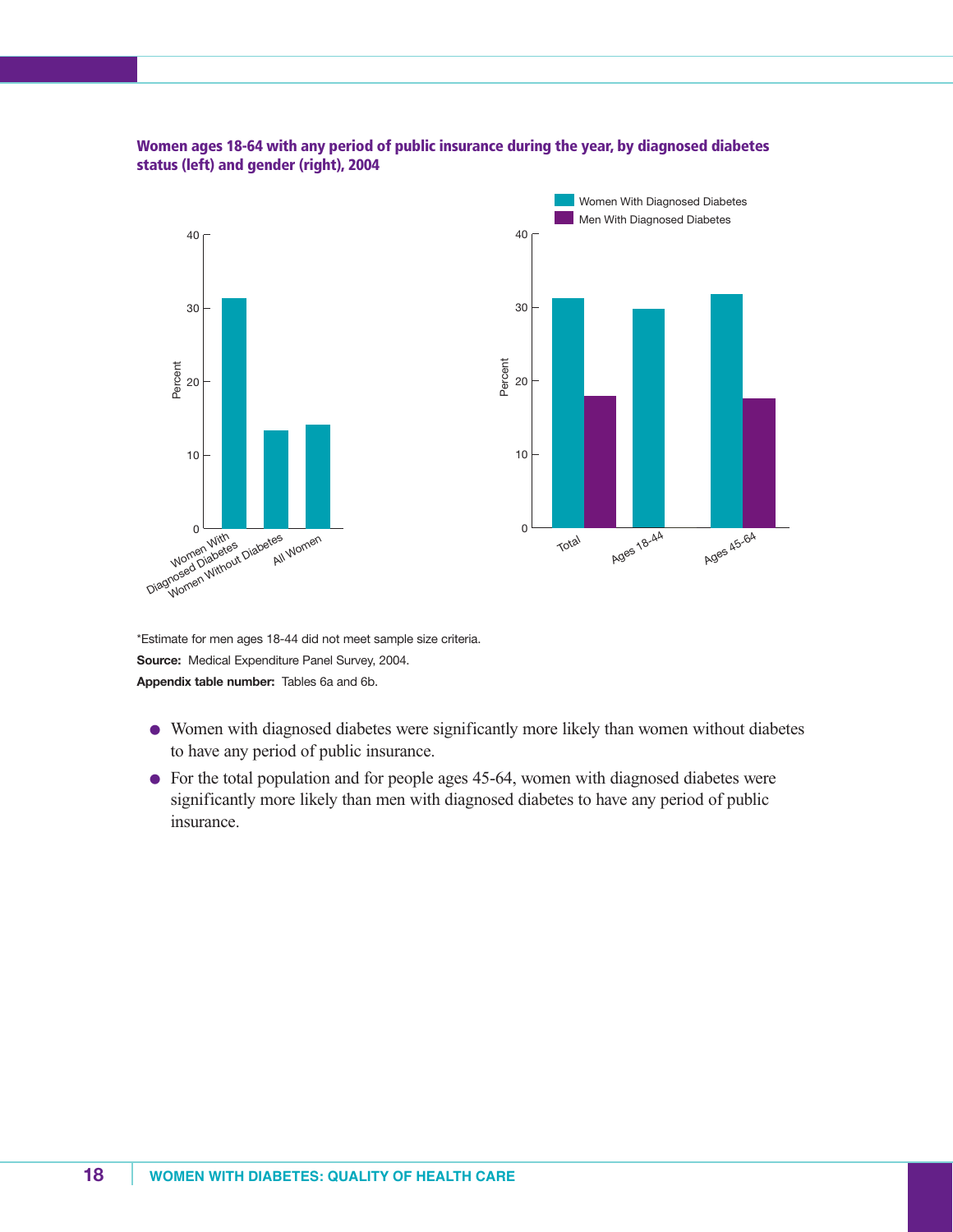

#### **Women ages 18-64 with any period of public insurance during the year, by diagnosed diabetes status (left) and gender (right), 2004**

\*Estimate for men ages 18-44 did not meet sample size criteria. **Source:** Medical Expenditure Panel Survey, 2004. **Appendix table number:** Tables 6a and 6b.

- Women with diagnosed diabetes were significantly more likely than women without diabetes to have any period of public insurance.
- For the total population and for people ages 45-64, women with diagnosed diabetes were significantly more likely than men with diagnosed diabetes to have any period of public insurance.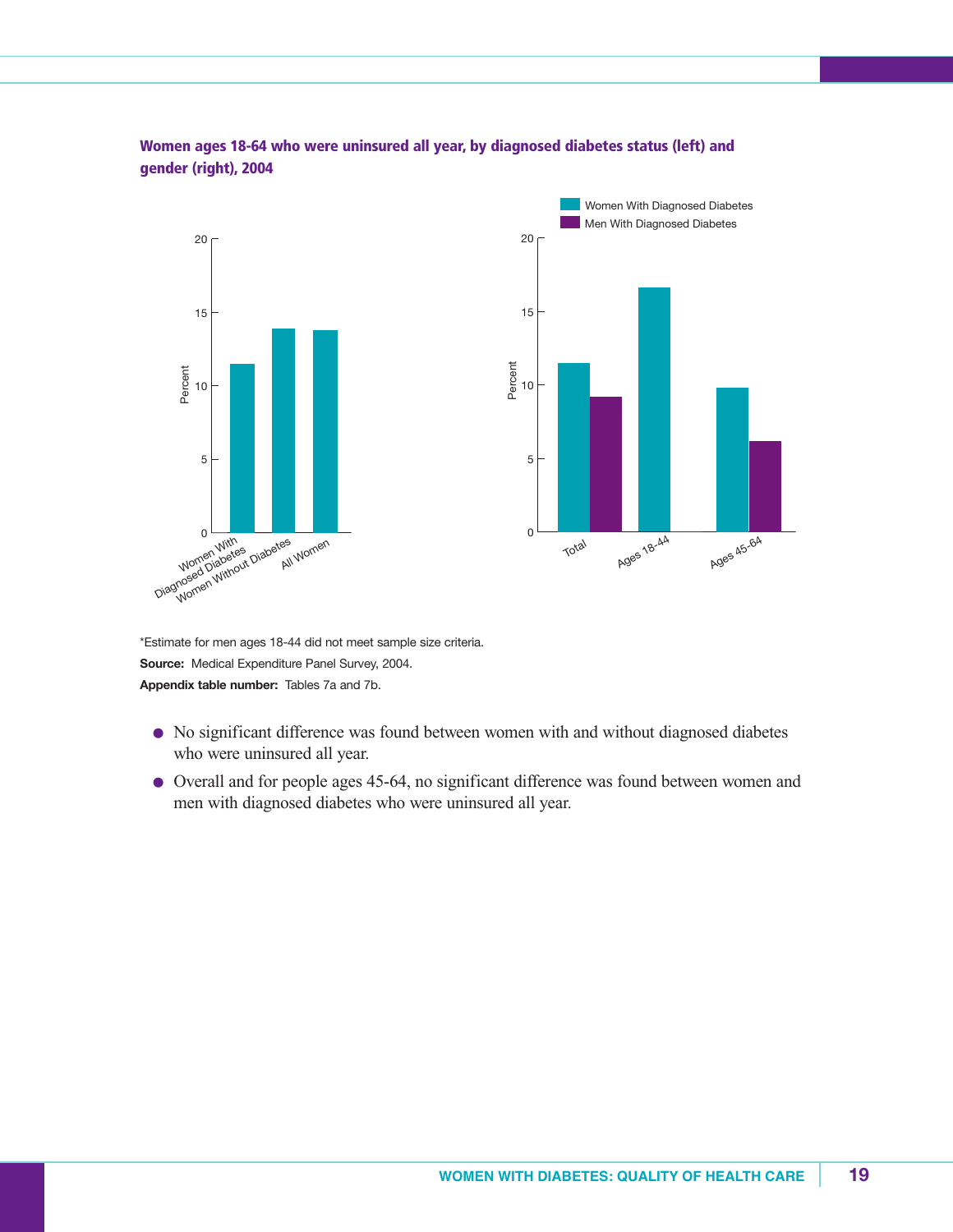

#### **Women ages 18-64 who were uninsured all year, by diagnosed diabetes status (left) and gender (right), 2004**

\*Estimate for men ages 18-44 did not meet sample size criteria. **Source:** Medical Expenditure Panel Survey, 2004. **Appendix table number:** Tables 7a and 7b.

- No significant difference was found between women with and without diagnosed diabetes who were uninsured all year.
- Overall and for people ages 45-64, no significant difference was found between women and men with diagnosed diabetes who were uninsured all year.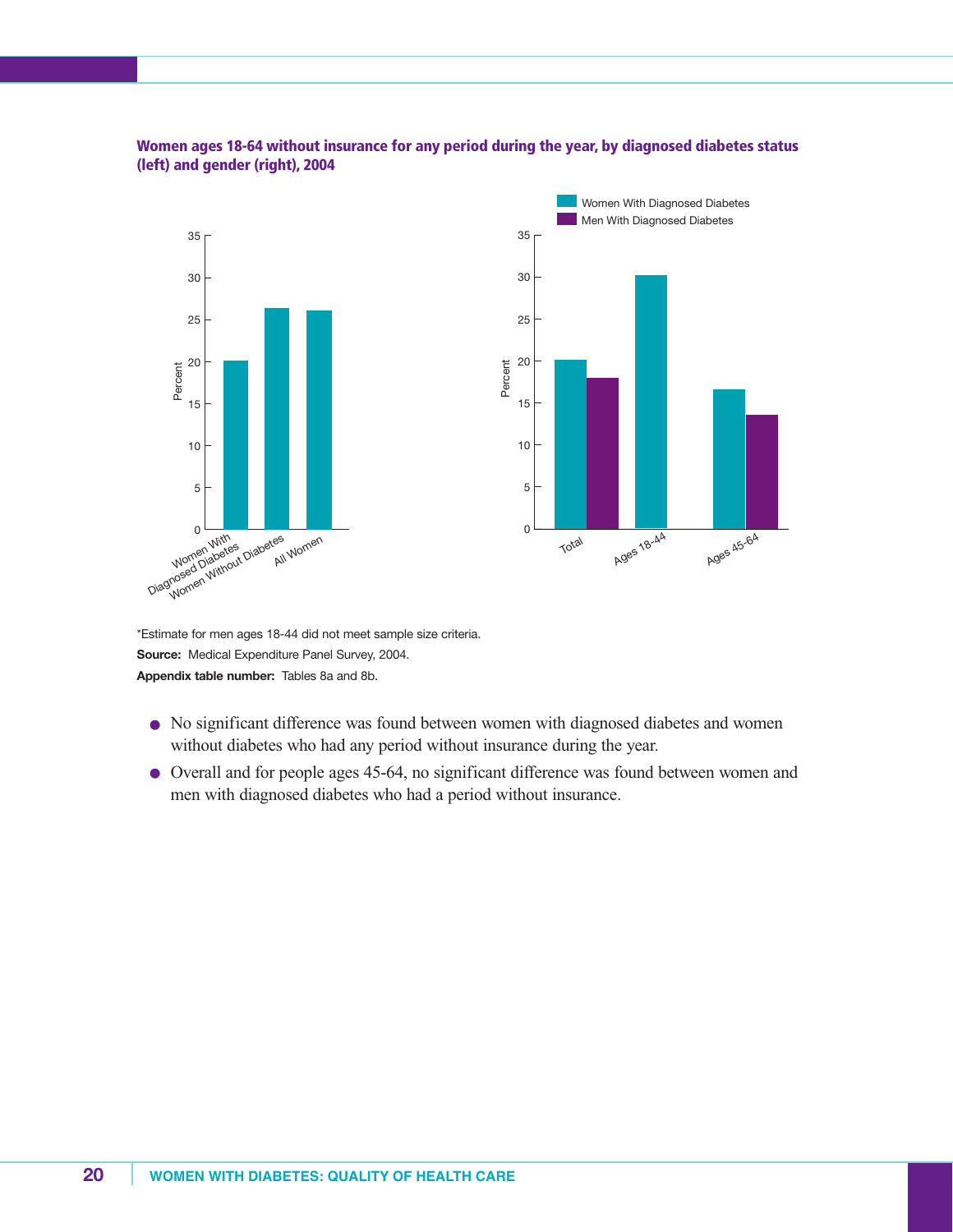

#### **Women ages 18-64 without insurance for any period during the year, by diagnosed diabetes status (left) and gender (right), 2004**

\*Estimate for men ages 18-44 did not meet sample size criteria. **Source:** Medical Expenditure Panel Survey, 2004. **Appendix table number:** Tables 8a and 8b.

- No significant difference was found between women with diagnosed diabetes and women without diabetes who had any period without insurance during the year.
- Overall and for people ages 45-64, no significant difference was found between women and men with diagnosed diabetes who had a period without insurance.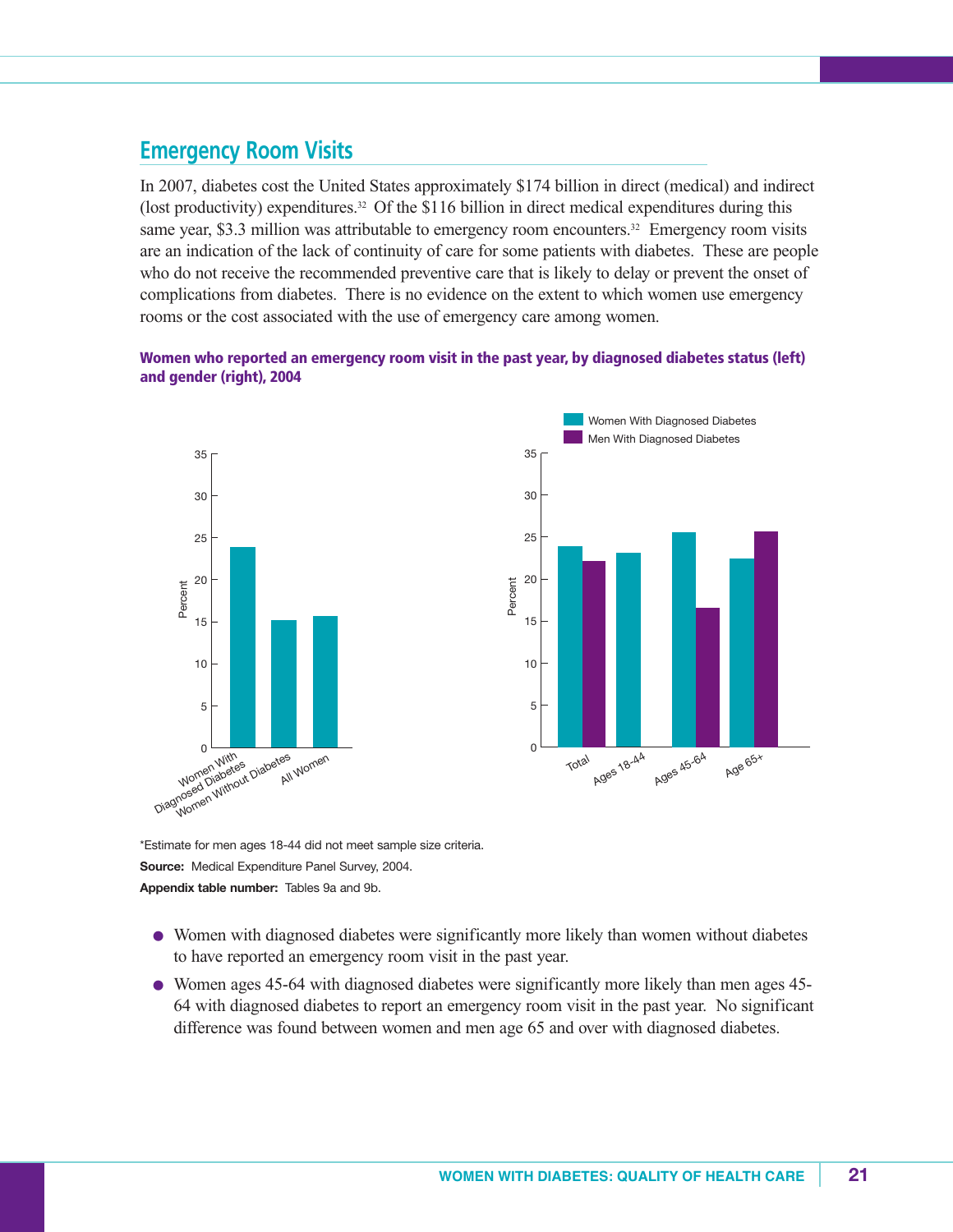### **Emergency Room Visits**

In 2007, diabetes cost the United States approximately \$174 billion in direct (medical) and indirect (lost productivity) expenditures.<sup>32</sup> Of the \$116 billion in direct medical expenditures during this same year, \$3.3 million was attributable to emergency room encounters.<sup>32</sup> Emergency room visits are an indication of the lack of continuity of care for some patients with diabetes. These are people who do not receive the recommended preventive care that is likely to delay or prevent the onset of complications from diabetes. There is no evidence on the extent to which women use emergency rooms or the cost associated with the use of emergency care among women.

#### **Women who reported an emergency room visit in the past year, by diagnosed diabetes status (left) and gender (right), 2004**



\*Estimate for men ages 18-44 did not meet sample size criteria. **Source:** Medical Expenditure Panel Survey, 2004. **Appendix table number:** Tables 9a and 9b.

- Women with diagnosed diabetes were significantly more likely than women without diabetes to have reported an emergency room visit in the past year.
- Women ages 45-64 with diagnosed diabetes were significantly more likely than men ages 45-64 with diagnosed diabetes to report an emergency room visit in the past year. No significant difference was found between women and men age 65 and over with diagnosed diabetes.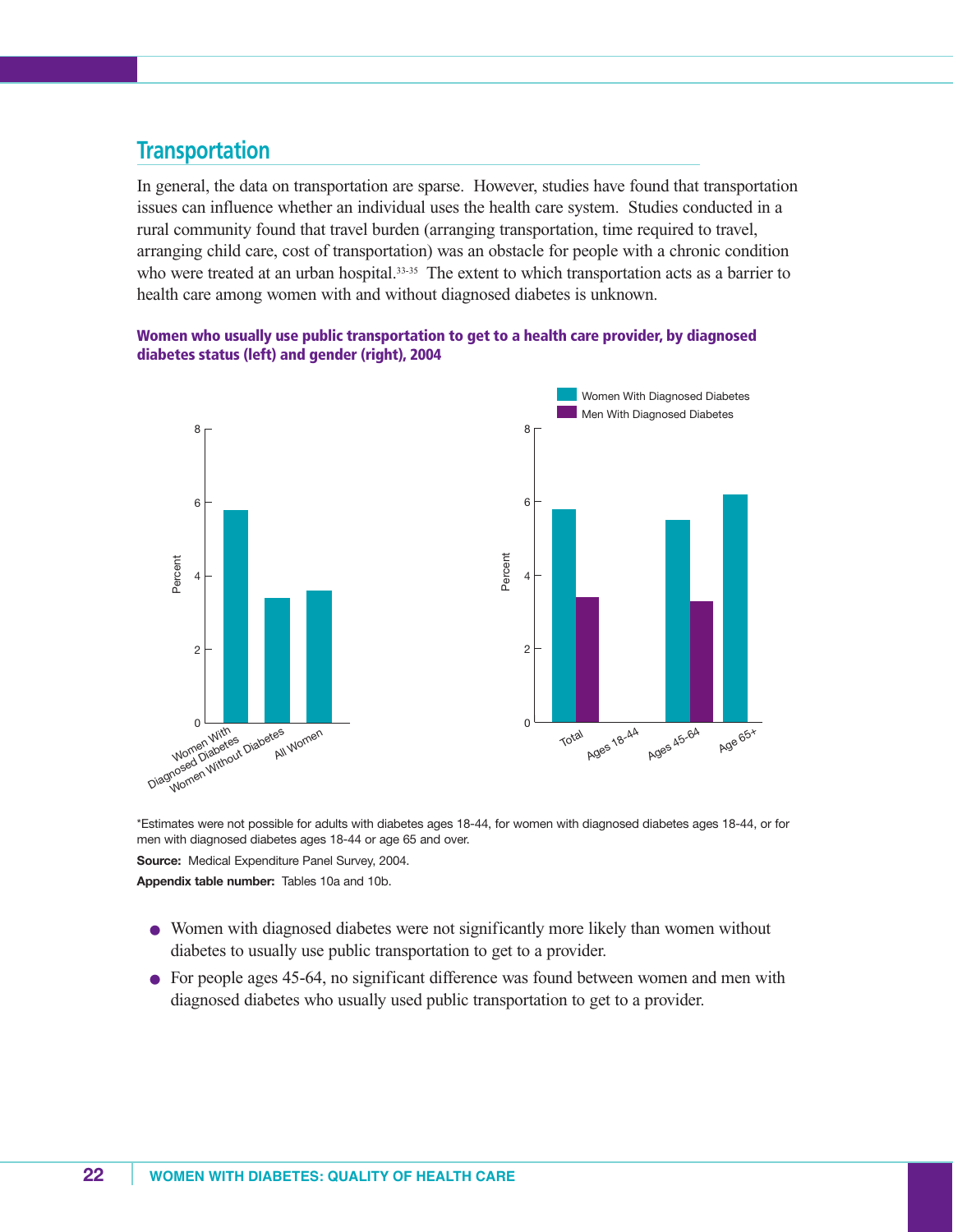### **Transportation**

In general, the data on transportation are sparse. However, studies have found that transportation issues can influence whether an individual uses the health care system. Studies conducted in a rural community found that travel burden (arranging transportation, time required to travel, arranging child care, cost of transportation) was an obstacle for people with a chronic condition who were treated at an urban hospital.<sup>33-35</sup> The extent to which transportation acts as a barrier to health care among women with and without diagnosed diabetes is unknown.

#### **Women who usually use public transportation to get to a health care provider, by diagnosed diabetes status (left) and gender (right), 2004**



\*Estimates were not possible for adults with diabetes ages 18-44, for women with diagnosed diabetes ages 18-44, or for men with diagnosed diabetes ages 18-44 or age 65 and over.

**Source:** Medical Expenditure Panel Survey, 2004.

**Appendix table number:** Tables 10a and 10b.

- Women with diagnosed diabetes were not significantly more likely than women without diabetes to usually use public transportation to get to a provider.
- For people ages 45-64, no significant difference was found between women and men with diagnosed diabetes who usually used public transportation to get to a provider.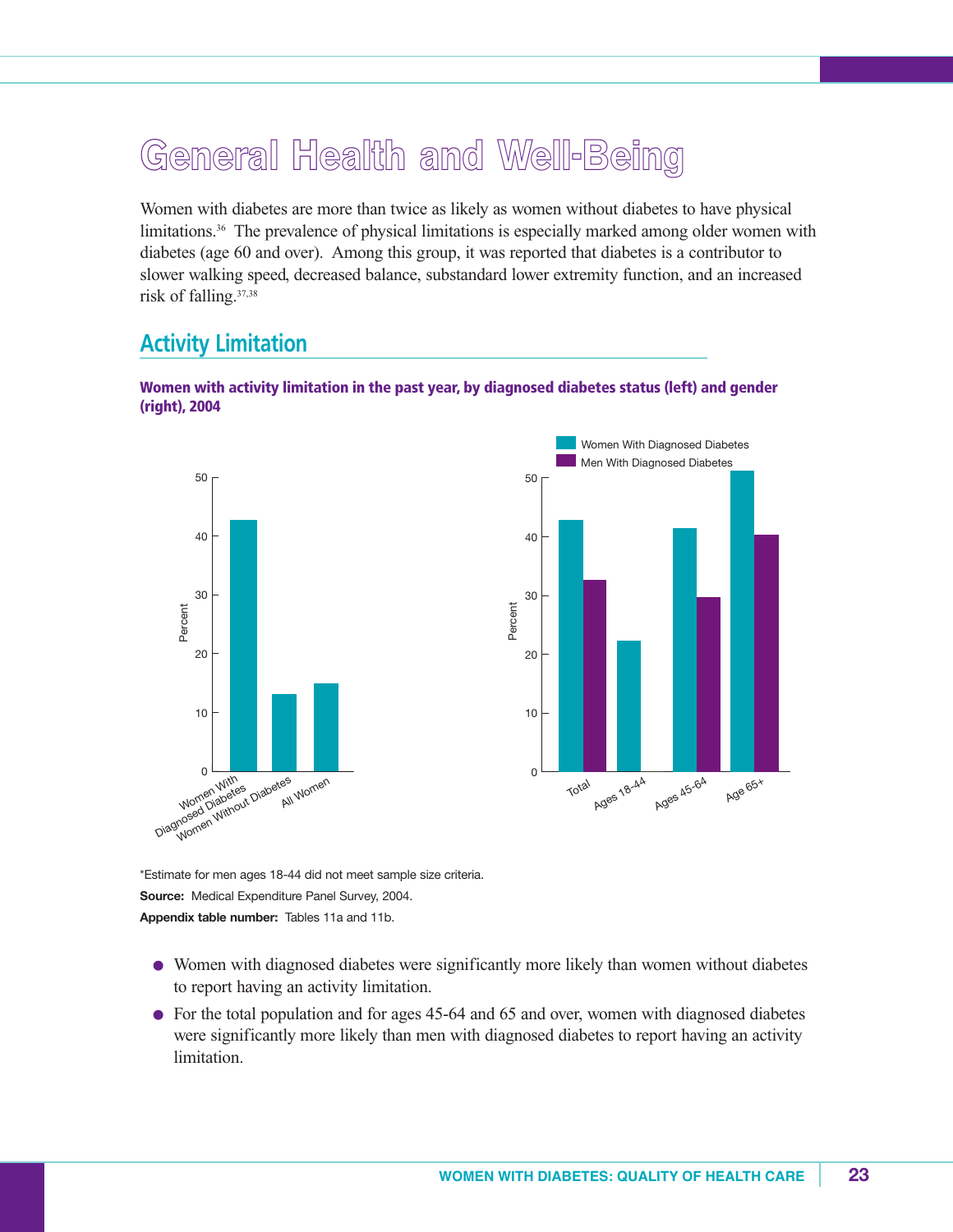# **General Health and Well-Being**

Women with diabetes are more than twice as likely as women without diabetes to have physical limitations.<sup>36</sup> The prevalence of physical limitations is especially marked among older women with diabetes (age 60 and over). Among this group, it was reported that diabetes is a contributor to slower walking speed, decreased balance, substandard lower extremity function, and an increased risk of falling.37,38

# **Activity Limitation**





\*Estimate for men ages 18-44 did not meet sample size criteria. **Source:** Medical Expenditure Panel Survey, 2004. **Appendix table number:** Tables 11a and 11b.

- Women with diagnosed diabetes were significantly more likely than women without diabetes to report having an activity limitation.
- For the total population and for ages 45-64 and 65 and over, women with diagnosed diabetes were significantly more likely than men with diagnosed diabetes to report having an activity limitation.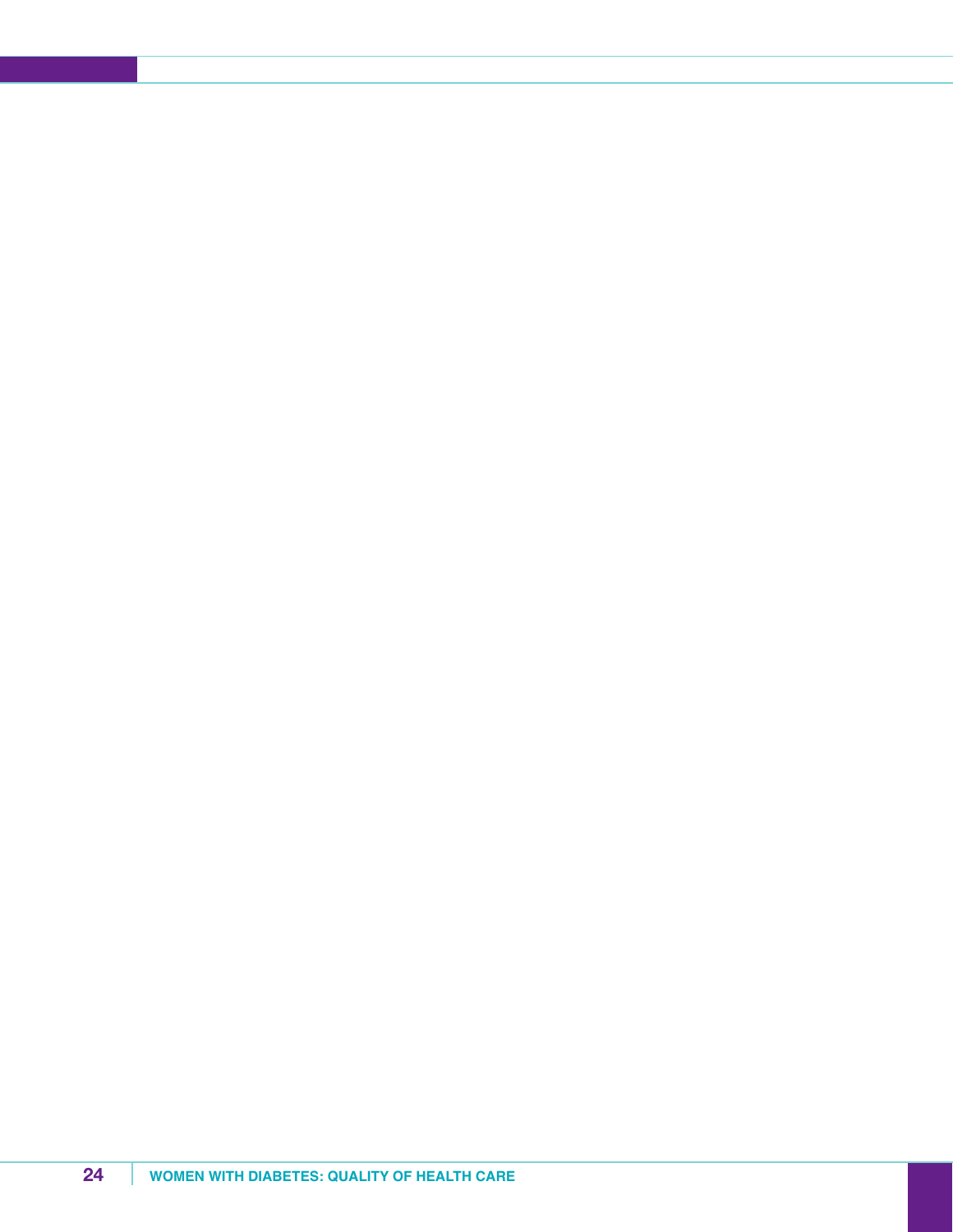**WOMEN WITH DIABETES: QUALITY OF HEALTH CARE**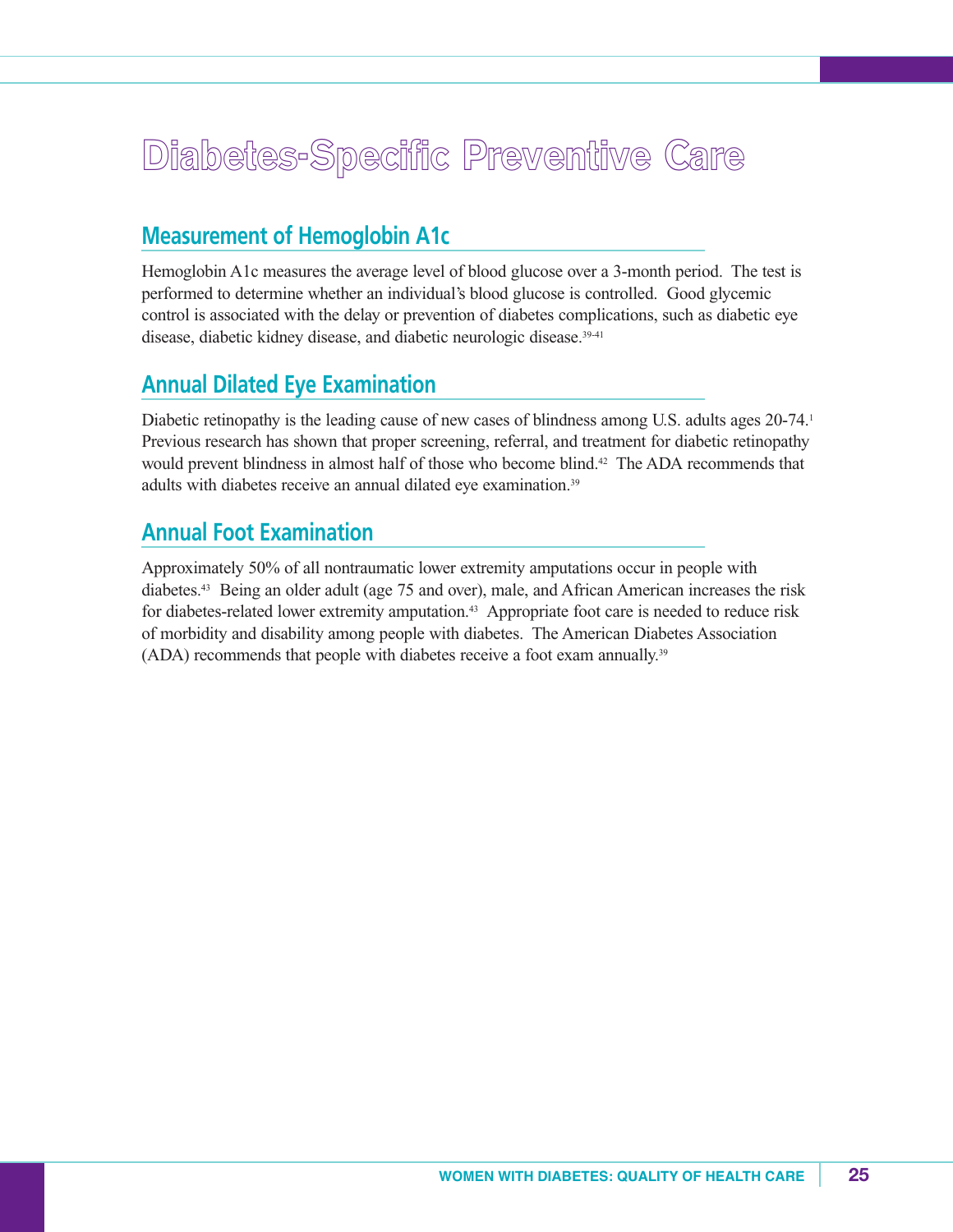# **Diabetes-Specific Preventive Care**

# **Measurement of Hemoglobin A1c**

Hemoglobin A1c measures the average level of blood glucose over a 3-month period. The test is performed to determine whether an individual's blood glucose is controlled. Good glycemic control is associated with the delay or prevention of diabetes complications, such as diabetic eye disease, diabetic kidney disease, and diabetic neurologic disease.<sup>39-41</sup>

# **Annual Dilated Eye Examination**

Diabetic retinopathy is the leading cause of new cases of blindness among U.S. adults ages 20-74.<sup>1</sup> Previous research has shown that proper screening, referral, and treatment for diabetic retinopathy would prevent blindness in almost half of those who become blind.<sup>42</sup> The ADA recommends that adults with diabetes receive an annual dilated eye examination.<sup>39</sup>

### **Annual Foot Examination**

Approximately 50% of all nontraumatic lower extremity amputations occur in people with diabetes.<sup>43</sup> Being an older adult (age 75 and over), male, and African American increases the risk for diabetes-related lower extremity amputation.<sup>43</sup> Appropriate foot care is needed to reduce risk of morbidity and disability among people with diabetes. The American Diabetes Association (ADA) recommends that people with diabetes receive a foot exam annually.39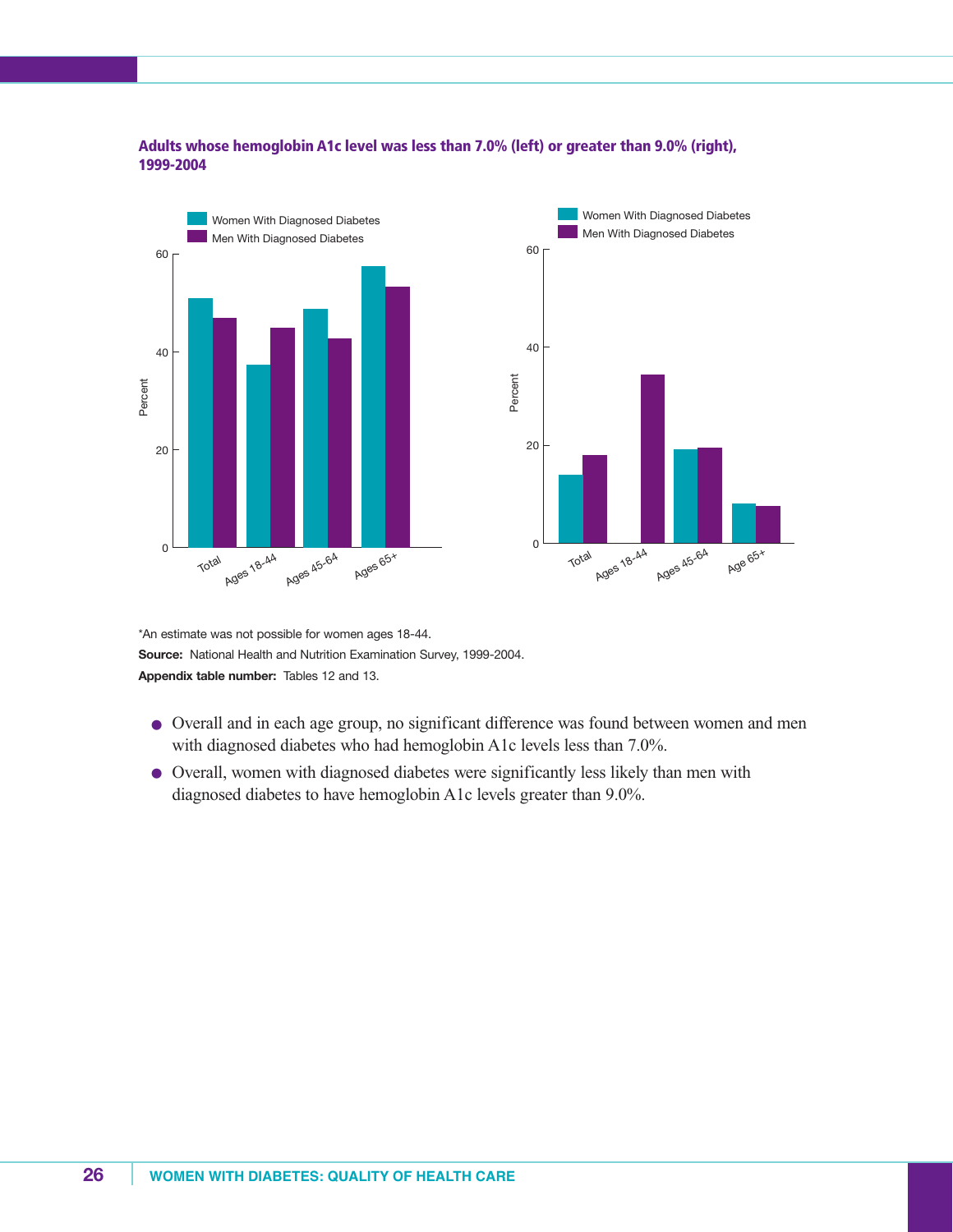#### **Adults whose hemoglobin A1c level was less than 7.0% (left) or greater than 9.0% (right), 1999-2004**



\*An estimate was not possible for women ages 18-44. **Source:** National Health and Nutrition Examination Survey, 1999-2004. **Appendix table number:** Tables 12 and 13.

- Overall and in each age group, no significant difference was found between women and men with diagnosed diabetes who had hemoglobin A1c levels less than 7.0%.
- Overall, women with diagnosed diabetes were significantly less likely than men with diagnosed diabetes to have hemoglobin A1c levels greater than 9.0%.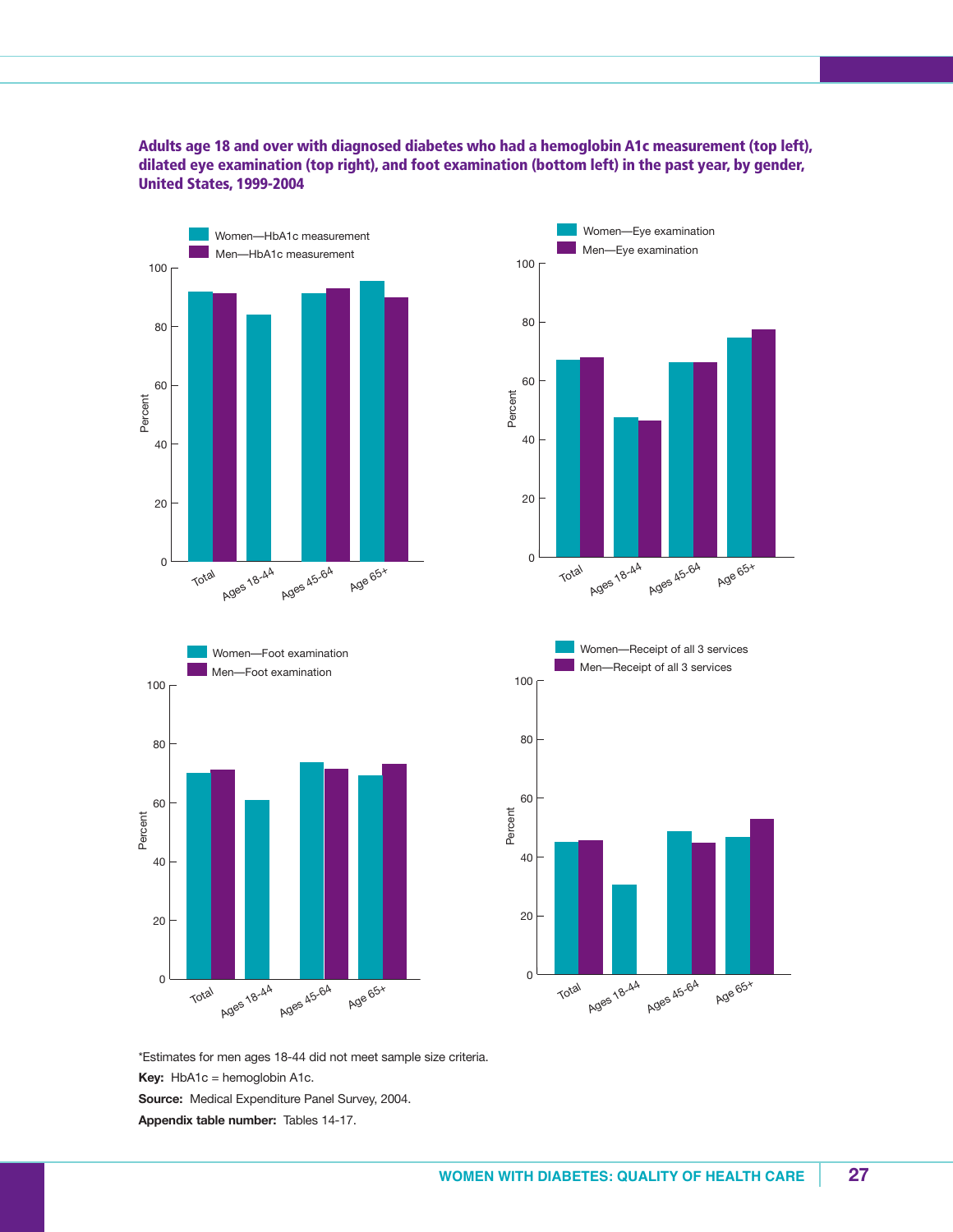#### **Adults age 18 and over with diagnosed diabetes who had a hemoglobin A1c measurement (top left), dilated eye examination (top right), and foot examination (bottom left) in the past year, by gender, United States, 1999-2004**









\*Estimates for men ages 18-44 did not meet sample size criteria.

**Key:** HbA1c = hemoglobin A1c.

**Source:** Medical Expenditure Panel Survey, 2004.

**Appendix table number:** Tables 14-17.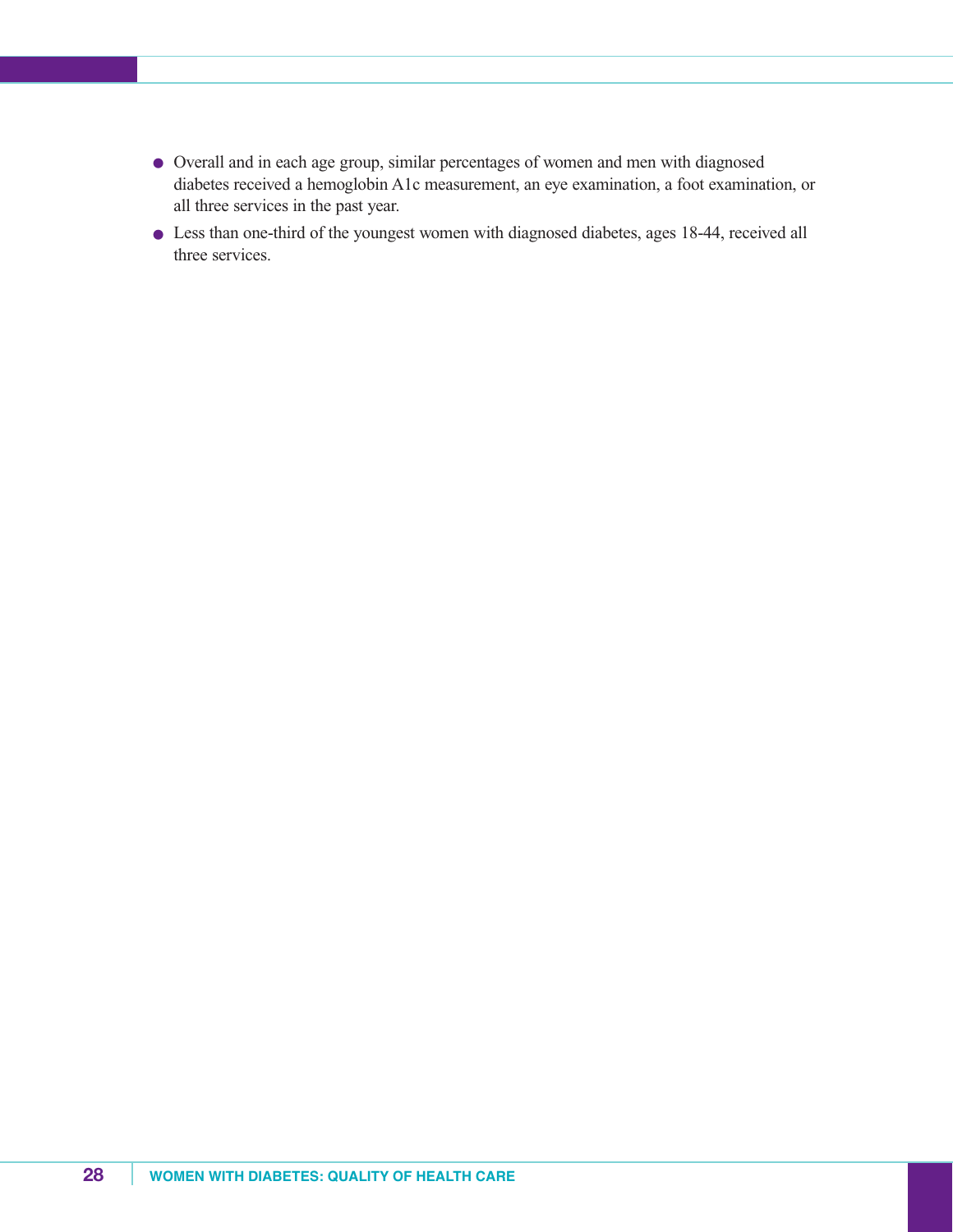- Overall and in each age group, similar percentages of women and men with diagnosed diabetes received a hemoglobin A1c measurement, an eye examination, a foot examination, or all three services in the past year.
- Less than one-third of the youngest women with diagnosed diabetes, ages 18-44, received all three services.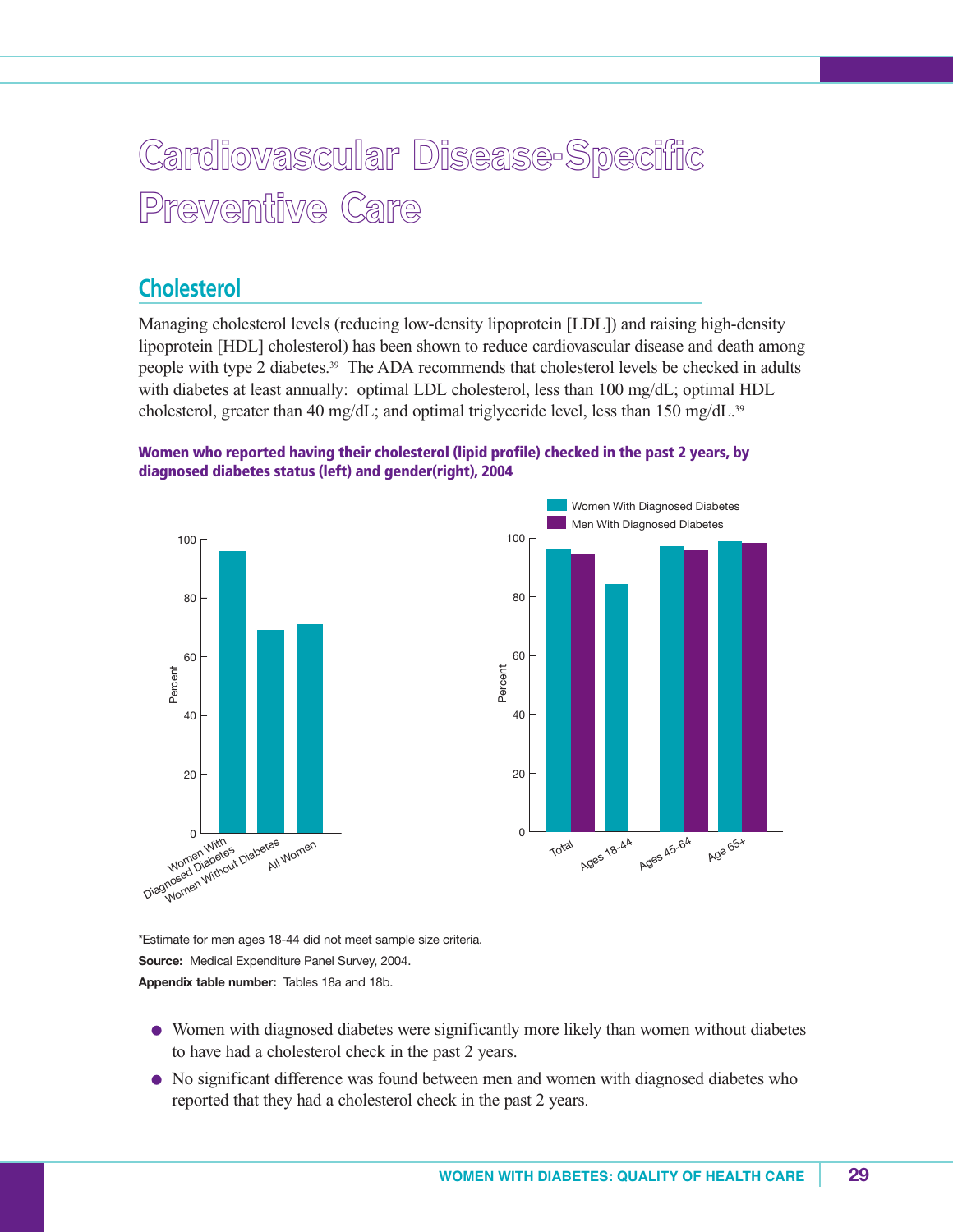# **Cardiovascular Disease-Specific Preventive Care**

# **Cholesterol**

Managing cholesterol levels (reducing low-density lipoprotein [LDL]) and raising high-density lipoprotein [HDL] cholesterol) has been shown to reduce cardiovascular disease and death among people with type 2 diabetes.<sup>39</sup> The ADA recommends that cholesterol levels be checked in adults with diabetes at least annually: optimal LDL cholesterol, less than 100 mg/dL; optimal HDL cholesterol, greater than 40 mg/dL; and optimal triglyceride level, less than 150 mg/dL.<sup>39</sup>

#### **Women who reported having their cholesterol (lipid profile) checked in the past 2 years, by diagnosed diabetes status (left) and gender(right), 2004**



\*Estimate for men ages 18-44 did not meet sample size criteria. **Source:** Medical Expenditure Panel Survey, 2004. **Appendix table number:** Tables 18a and 18b.

- Women with diagnosed diabetes were significantly more likely than women without diabetes to have had a cholesterol check in the past 2 years.
- No significant difference was found between men and women with diagnosed diabetes who reported that they had a cholesterol check in the past 2 years.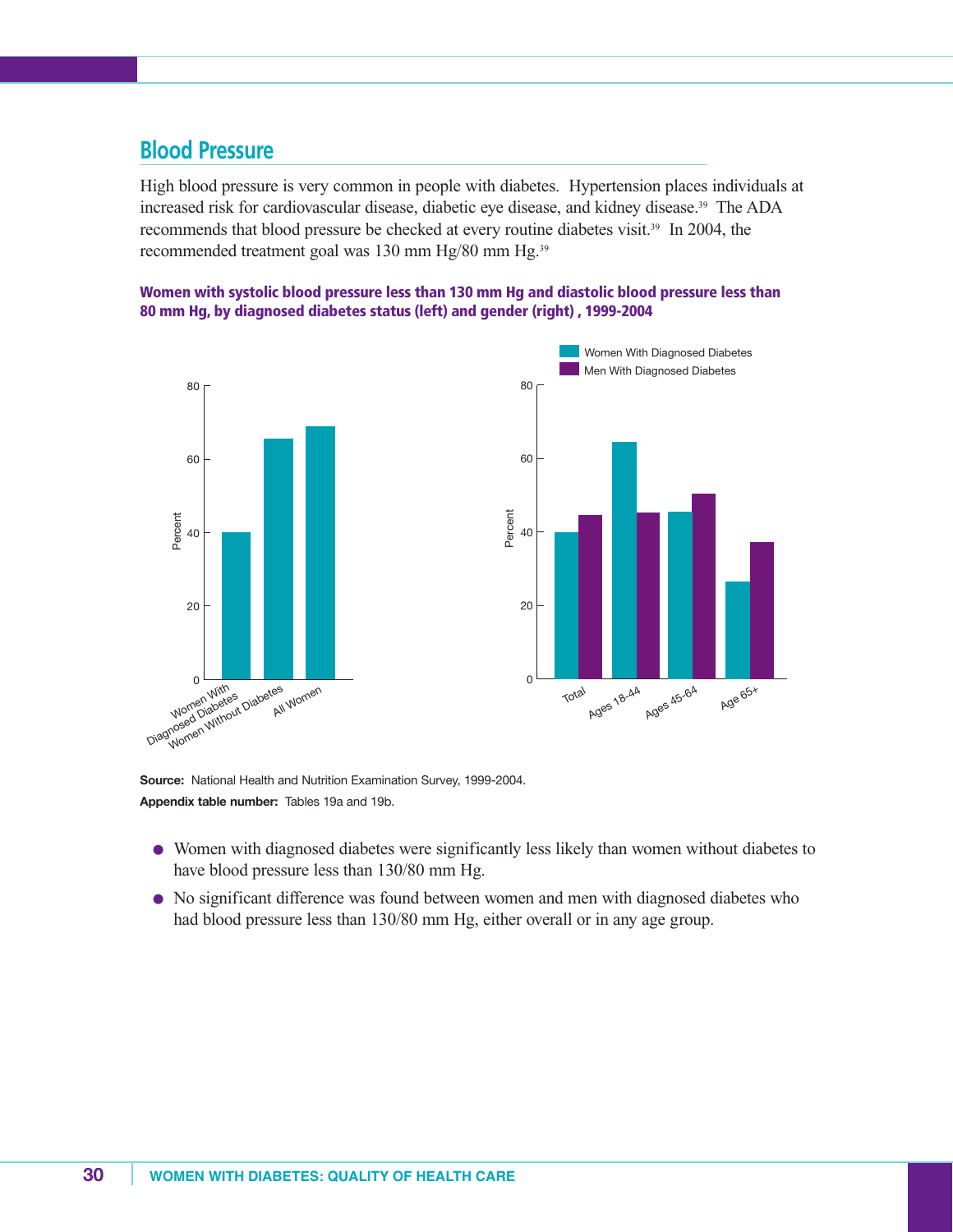### **Blood Pressure**

High blood pressure is very common in people with diabetes. Hypertension places individuals at increased risk for cardiovascular disease, diabetic eye disease, and kidney disease.<sup>39</sup> The ADA recommends that blood pressure be checked at every routine diabetes visit.<sup>39</sup> In 2004, the recommended treatment goal was 130 mm Hg/80 mm Hg.<sup>39</sup>

#### **Women with systolic blood pressure less than 130 mm Hg and diastolic blood pressure less than 80 mm Hg, by diagnosed diabetes status (left) and gender (right) , 1999-2004**



**Source:** National Health and Nutrition Examination Survey, 1999-2004. **Appendix table number:** Tables 19a and 19b.

- Women with diagnosed diabetes were significantly less likely than women without diabetes to have blood pressure less than 130/80 mm Hg.
- No significant difference was found between women and men with diagnosed diabetes who had blood pressure less than 130/80 mm Hg, either overall or in any age group.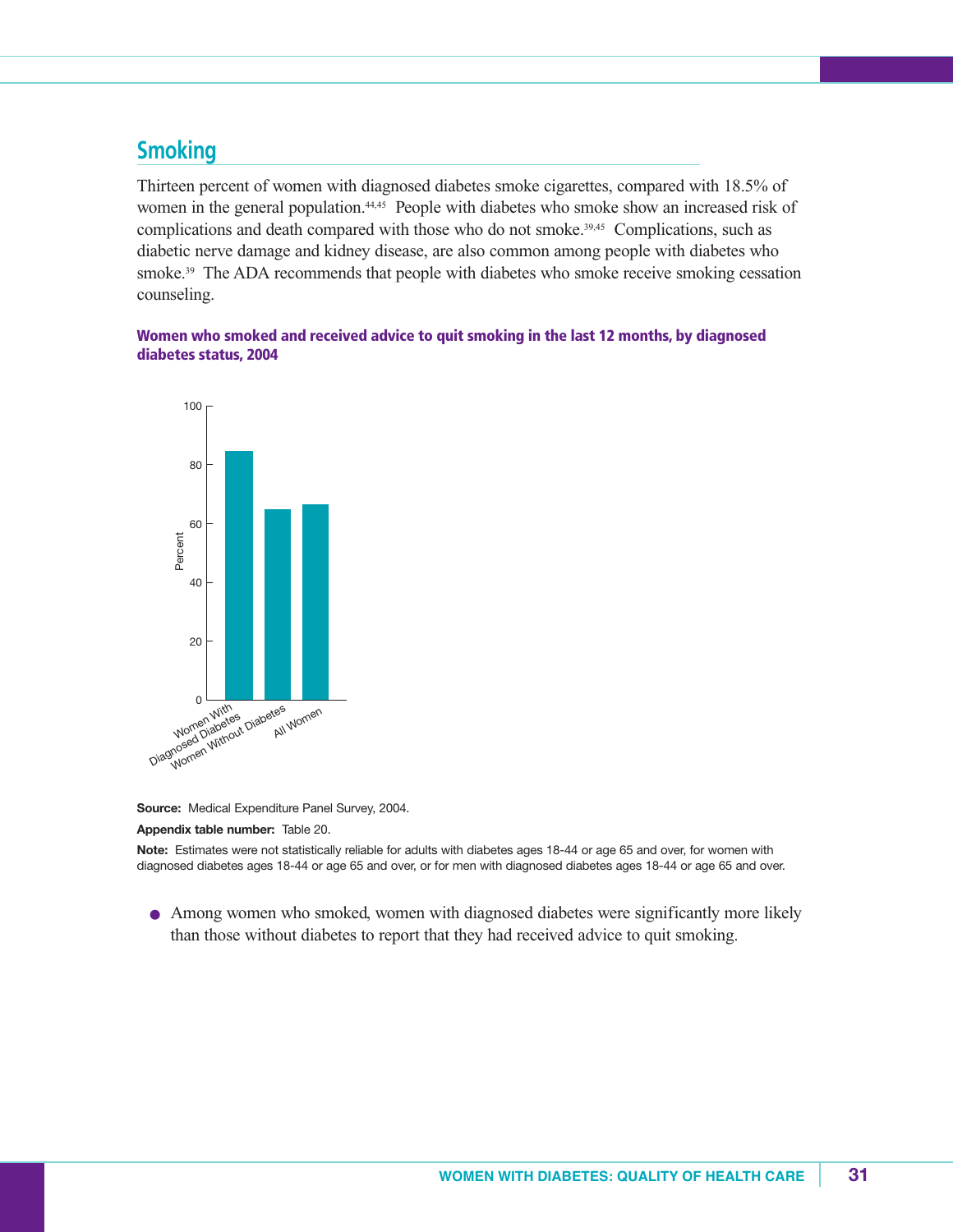# **Smoking**

Thirteen percent of women with diagnosed diabetes smoke cigarettes, compared with 18.5% of women in the general population.<sup>44,45</sup> People with diabetes who smoke show an increased risk of complications and death compared with those who do not smoke.<sup>39,45</sup> Complications, such as diabetic nerve damage and kidney disease, are also common among people with diabetes who smoke.<sup>39</sup> The ADA recommends that people with diabetes who smoke receive smoking cessation counseling.

#### **Women who smoked and received advice to quit smoking in the last 12 months, by diagnosed diabetes status, 2004**



**Source:** Medical Expenditure Panel Survey, 2004.

**Appendix table number:** Table 20.

**Note:** Estimates were not statistically reliable for adults with diabetes ages 18-44 or age 65 and over, for women with diagnosed diabetes ages 18-44 or age 65 and over, or for men with diagnosed diabetes ages 18-44 or age 65 and over.

• Among women who smoked, women with diagnosed diabetes were significantly more likely than those without diabetes to report that they had received advice to quit smoking.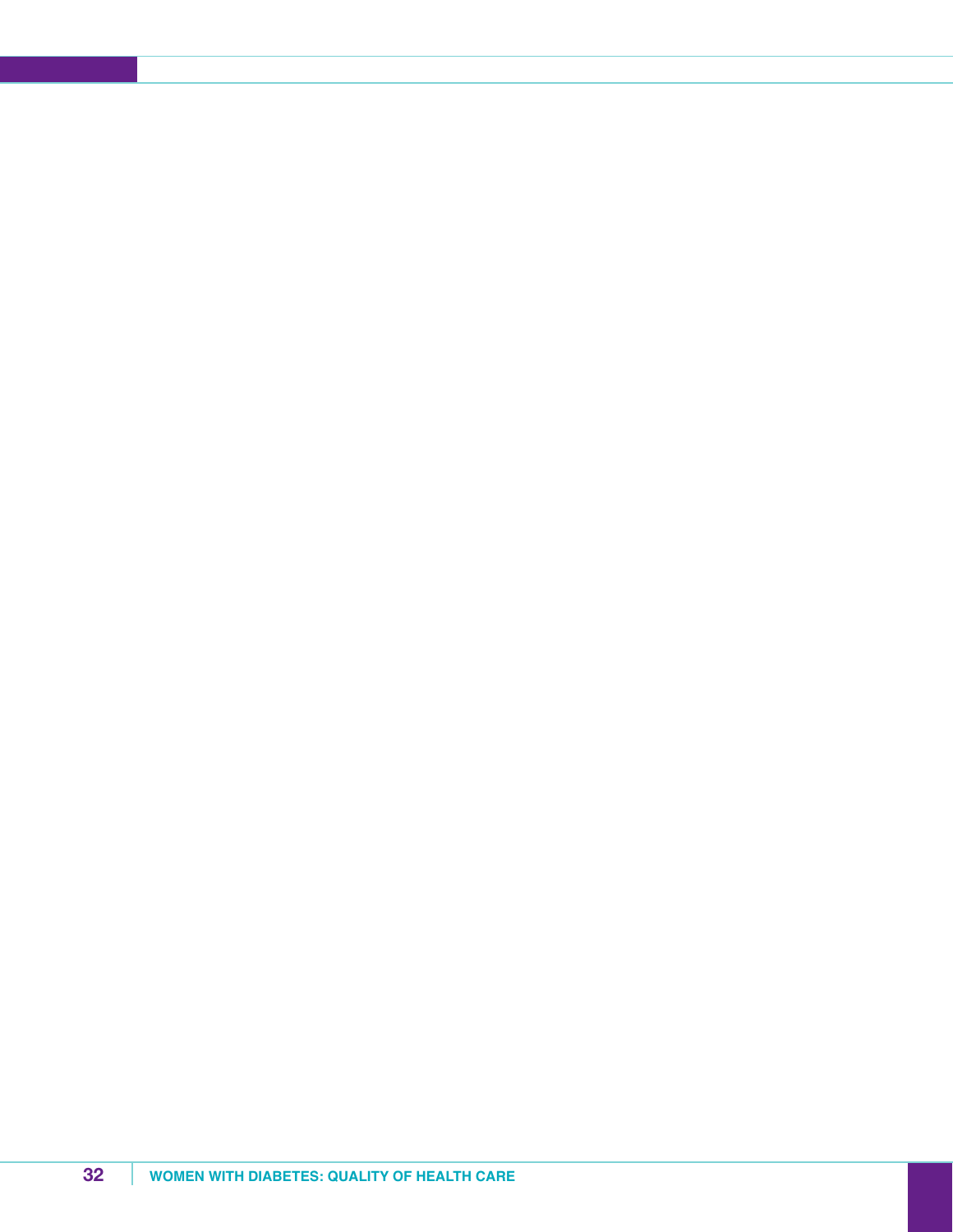**WOMEN WITH DIABETES: QUALITY OF HEALTH CARE**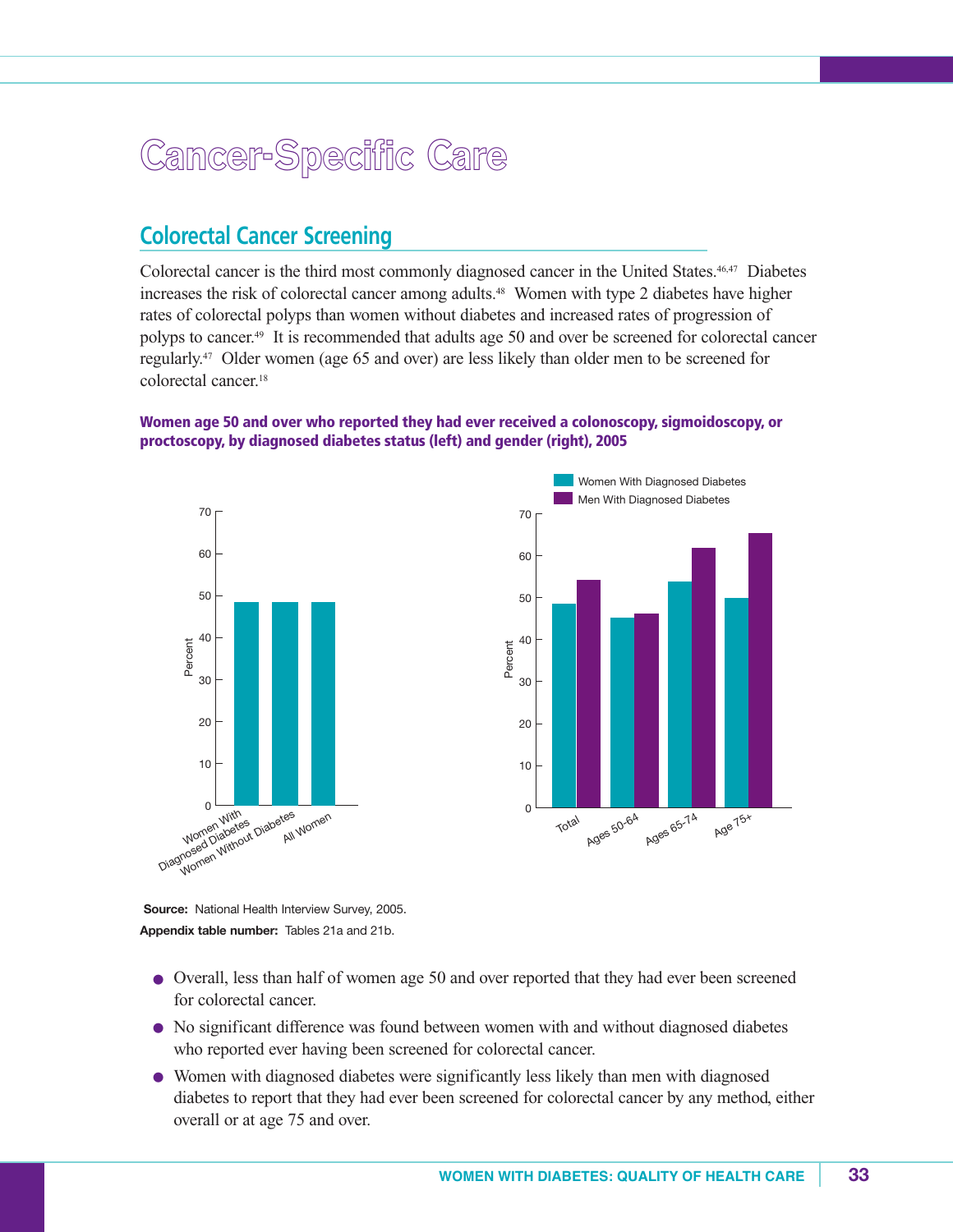## **Cancer-Specific Care**

### **Colorectal Cancer Screening**

Colorectal cancer is the third most commonly diagnosed cancer in the United States.46,47 Diabetes increases the risk of colorectal cancer among adults.<sup>48</sup> Women with type 2 diabetes have higher rates of colorectal polyps than women without diabetes and increased rates of progression of polyps to cancer.<sup>49</sup> It is recommended that adults age 50 and over be screened for colorectal cancer regularly.<sup>47</sup> Older women (age 65 and over) are less likely than older men to be screened for colorectal cancer.<sup>18</sup>

#### **Women age 50 and over who reported they had ever received a colonoscopy, sigmoidoscopy, or proctoscopy, by diagnosed diabetes status (left) and gender (right), 2005**



**Source:** National Health Interview Survey, 2005. **Appendix table number:** Tables 21a and 21b.

- Overall, less than half of women age 50 and over reported that they had ever been screened for colorectal cancer.
- No significant difference was found between women with and without diagnosed diabetes who reported ever having been screened for colorectal cancer.
- Women with diagnosed diabetes were significantly less likely than men with diagnosed diabetes to report that they had ever been screened for colorectal cancer by any method, either overall or at age 75 and over.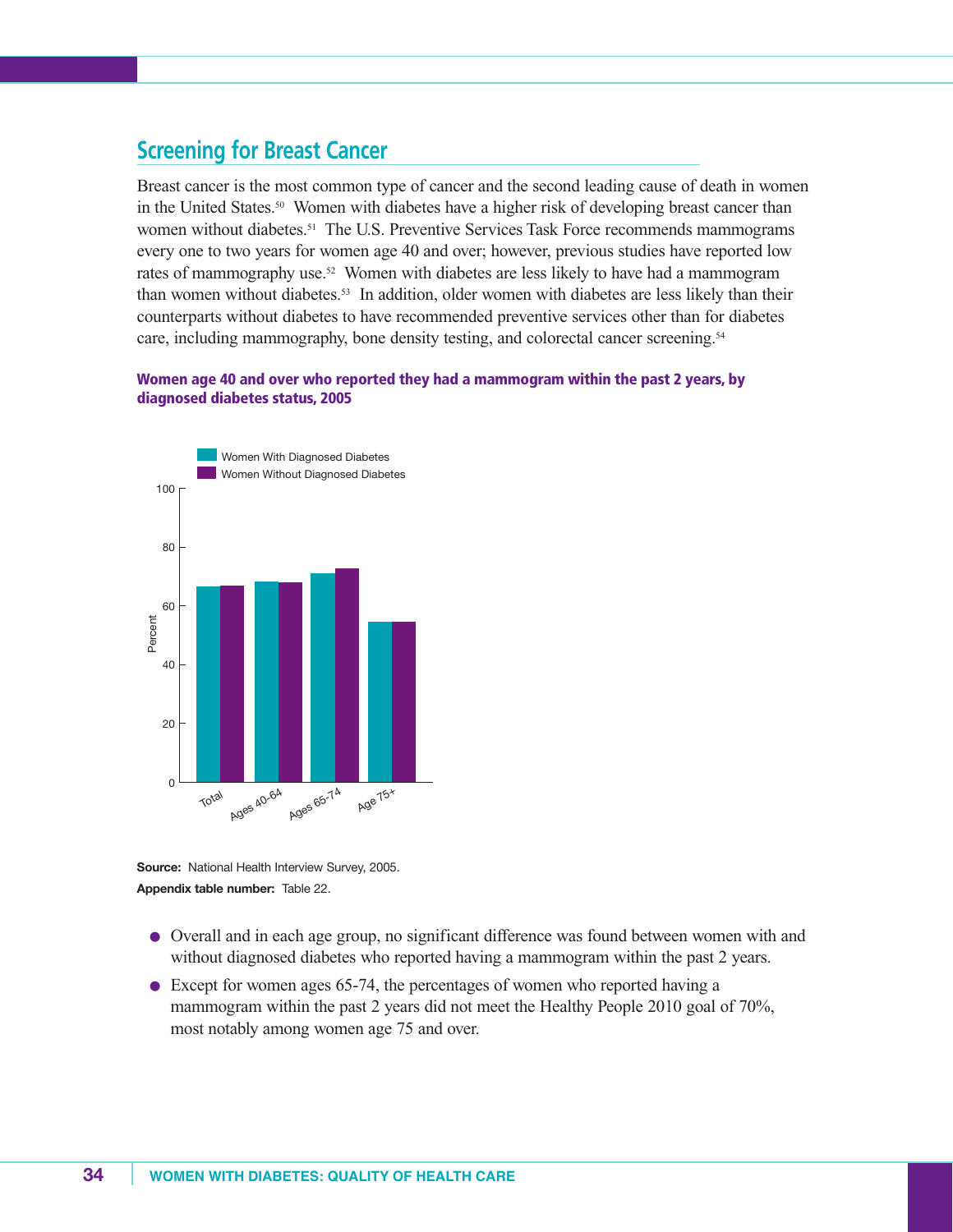### **Screening for Breast Cancer**

Breast cancer is the most common type of cancer and the second leading cause of death in women in the United States.<sup>50</sup> Women with diabetes have a higher risk of developing breast cancer than women without diabetes.<sup>51</sup> The U.S. Preventive Services Task Force recommends mammograms every one to two years for women age 40 and over; however, previous studies have reported low rates of mammography use.<sup>52</sup> Women with diabetes are less likely to have had a mammogram than women without diabetes.<sup>53</sup> In addition, older women with diabetes are less likely than their counterparts without diabetes to have recommended preventive services other than for diabetes care, including mammography, bone density testing, and colorectal cancer screening.<sup>54</sup>

#### **Women age 40 and over who reported they had a mammogram within the past 2 years, by diagnosed diabetes status, 2005**



**Source:** National Health Interview Survey, 2005. **Appendix table number:** Table 22.

- Overall and in each age group, no significant difference was found between women with and without diagnosed diabetes who reported having a mammogram within the past 2 years.
- Except for women ages 65-74, the percentages of women who reported having a mammogram within the past 2 years did not meet the Healthy People 2010 goal of 70%, most notably among women age 75 and over.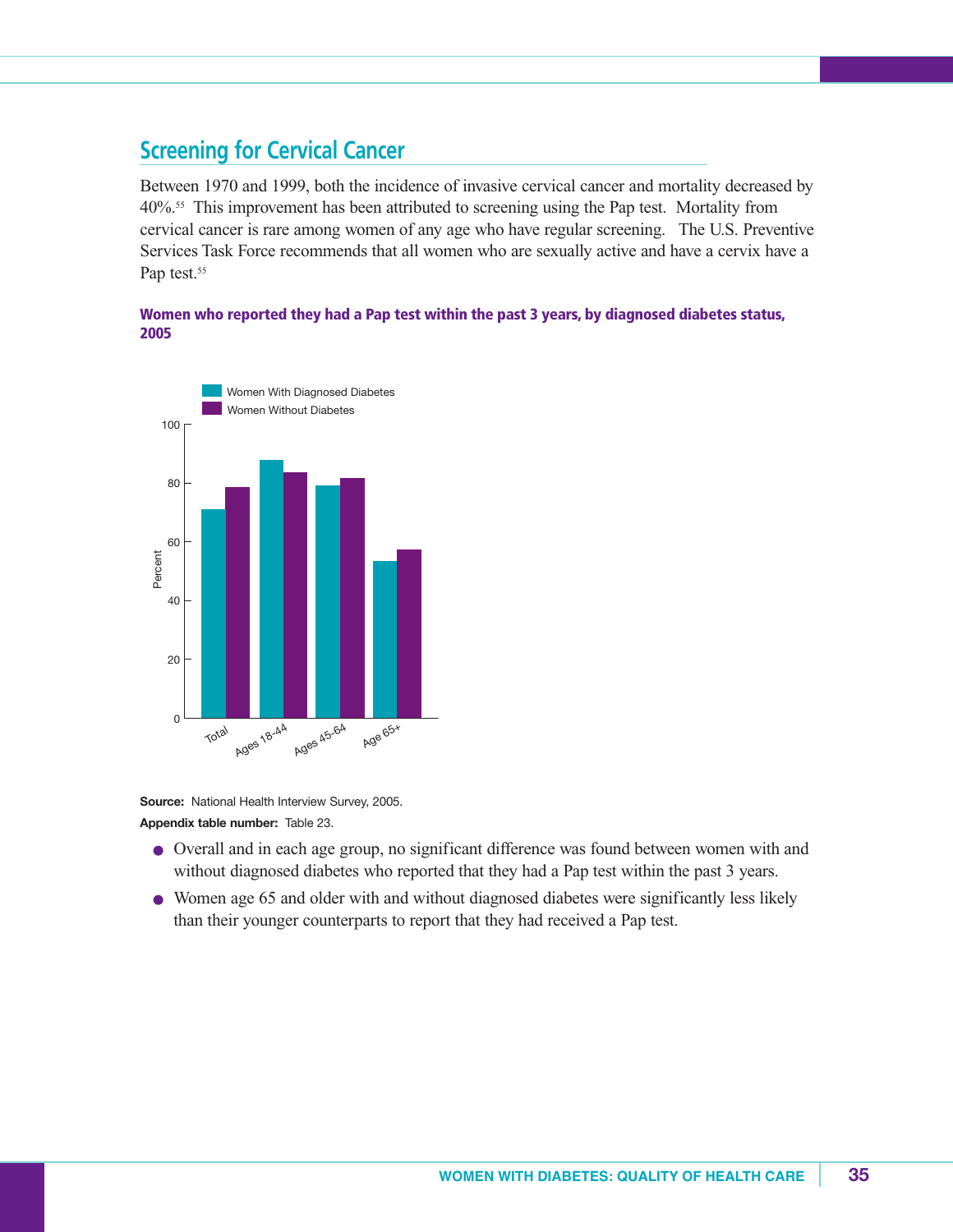### **Screening for Cervical Cancer**

Between 1970 and 1999, both the incidence of invasive cervical cancer and mortality decreased by 40%.<sup>55</sup> This improvement has been attributed to screening using the Pap test. Mortality from cervical cancer is rare among women of any age who have regular screening. The U.S. Preventive Services Task Force recommends that all women who are sexually active and have a cervix have a Pap test.<sup>55</sup>

#### **Women who reported they had a Pap test within the past 3 years, by diagnosed diabetes status, 2005**



**Source:** National Health Interview Survey, 2005.

**Appendix table number:** Table 23.

- Overall and in each age group, no significant difference was found between women with and without diagnosed diabetes who reported that they had a Pap test within the past 3 years.
- Women age 65 and older with and without diagnosed diabetes were significantly less likely than their younger counterparts to report that they had received a Pap test.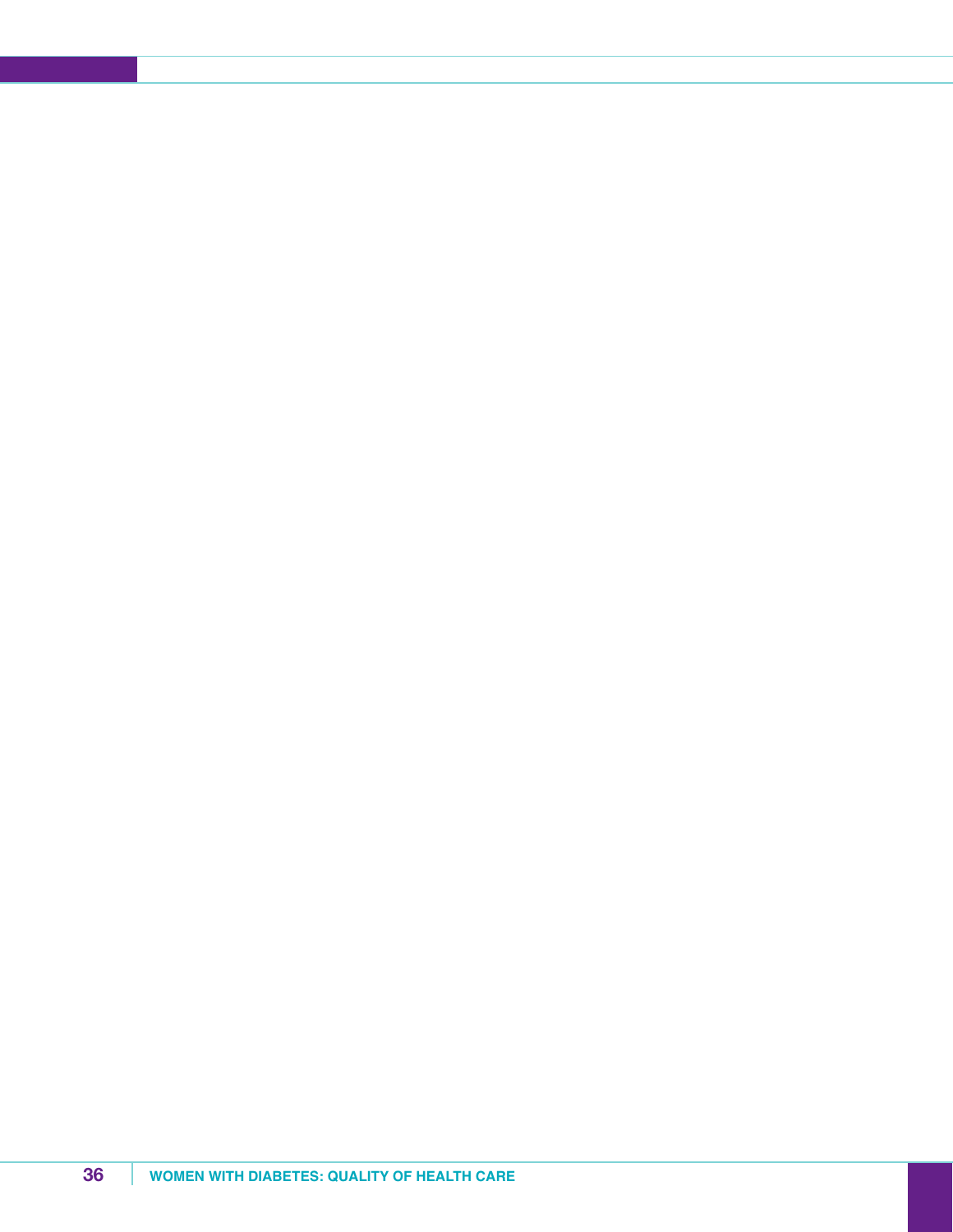**WOMEN WITH DIABETES: QUALITY OF HEALTH CARE**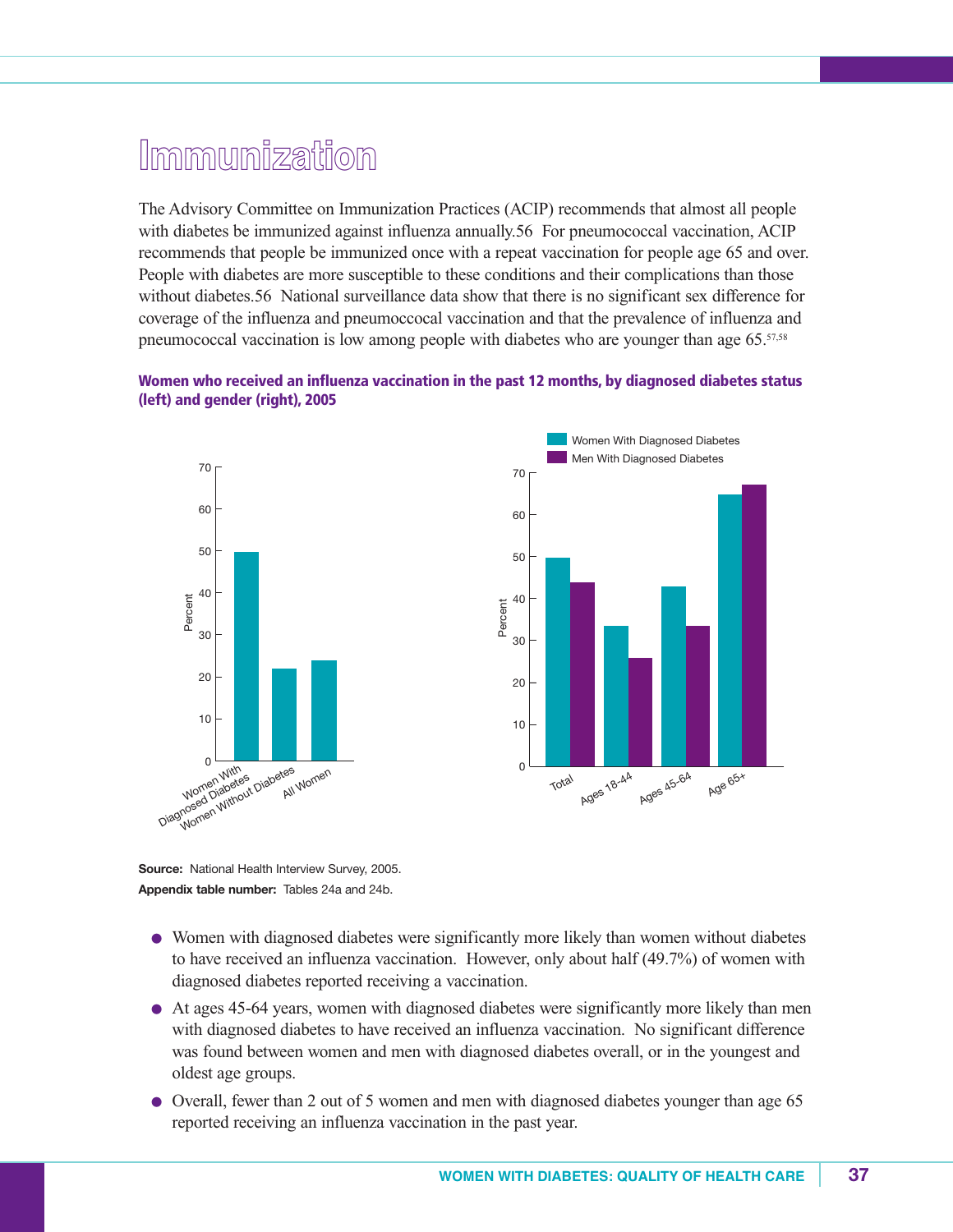### **Immunization**

The Advisory Committee on Immunization Practices (ACIP) recommends that almost all people with diabetes be immunized against influenza annually.56 For pneumococcal vaccination, ACIP recommends that people be immunized once with a repeat vaccination for people age 65 and over. People with diabetes are more susceptible to these conditions and their complications than those without diabetes.56 National surveillance data show that there is no significant sex difference for coverage of the influenza and pneumoccocal vaccination and that the prevalence of influenza and pneumococcal vaccination is low among people with diabetes who are younger than age 65.57,58





**Source:** National Health Interview Survey, 2005. **Appendix table number:** Tables 24a and 24b.

- Women with diagnosed diabetes were significantly more likely than women without diabetes to have received an influenza vaccination. However, only about half (49.7%) of women with diagnosed diabetes reported receiving a vaccination.
- At ages 45-64 years, women with diagnosed diabetes were significantly more likely than men with diagnosed diabetes to have received an influenza vaccination. No significant difference was found between women and men with diagnosed diabetes overall, or in the youngest and oldest age groups.
- Overall, fewer than 2 out of 5 women and men with diagnosed diabetes younger than age 65 reported receiving an influenza vaccination in the past year.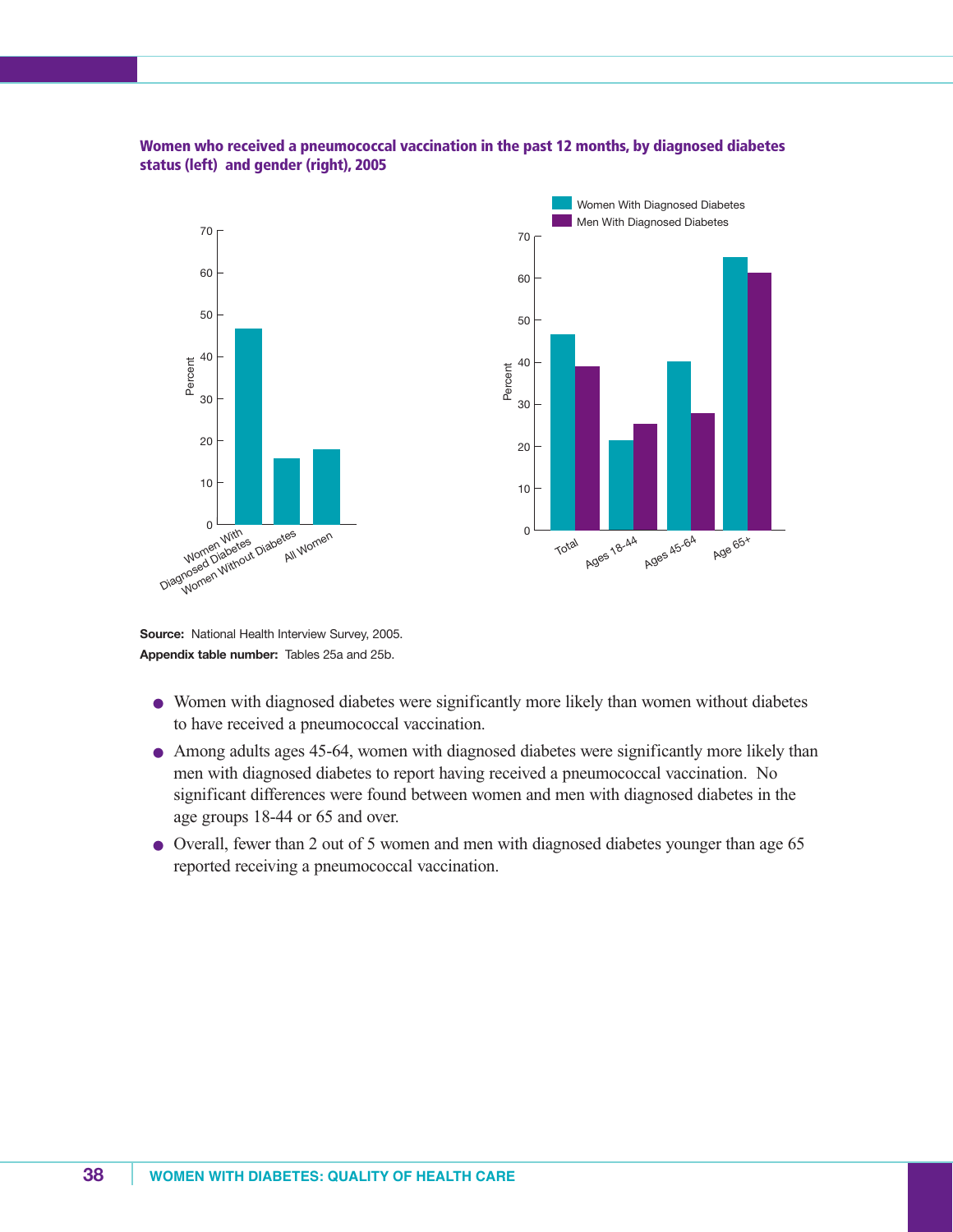

#### **Women who received a pneumococcal vaccination in the past 12 months, by diagnosed diabetes status (left) and gender (right), 2005**

**Source:** National Health Interview Survey, 2005. **Appendix table number:** Tables 25a and 25b.

- Women with diagnosed diabetes were significantly more likely than women without diabetes to have received a pneumococcal vaccination.
- Among adults ages 45-64, women with diagnosed diabetes were significantly more likely than men with diagnosed diabetes to report having received a pneumococcal vaccination. No significant differences were found between women and men with diagnosed diabetes in the age groups 18-44 or 65 and over.
- Overall, fewer than 2 out of 5 women and men with diagnosed diabetes younger than age 65 reported receiving a pneumococcal vaccination.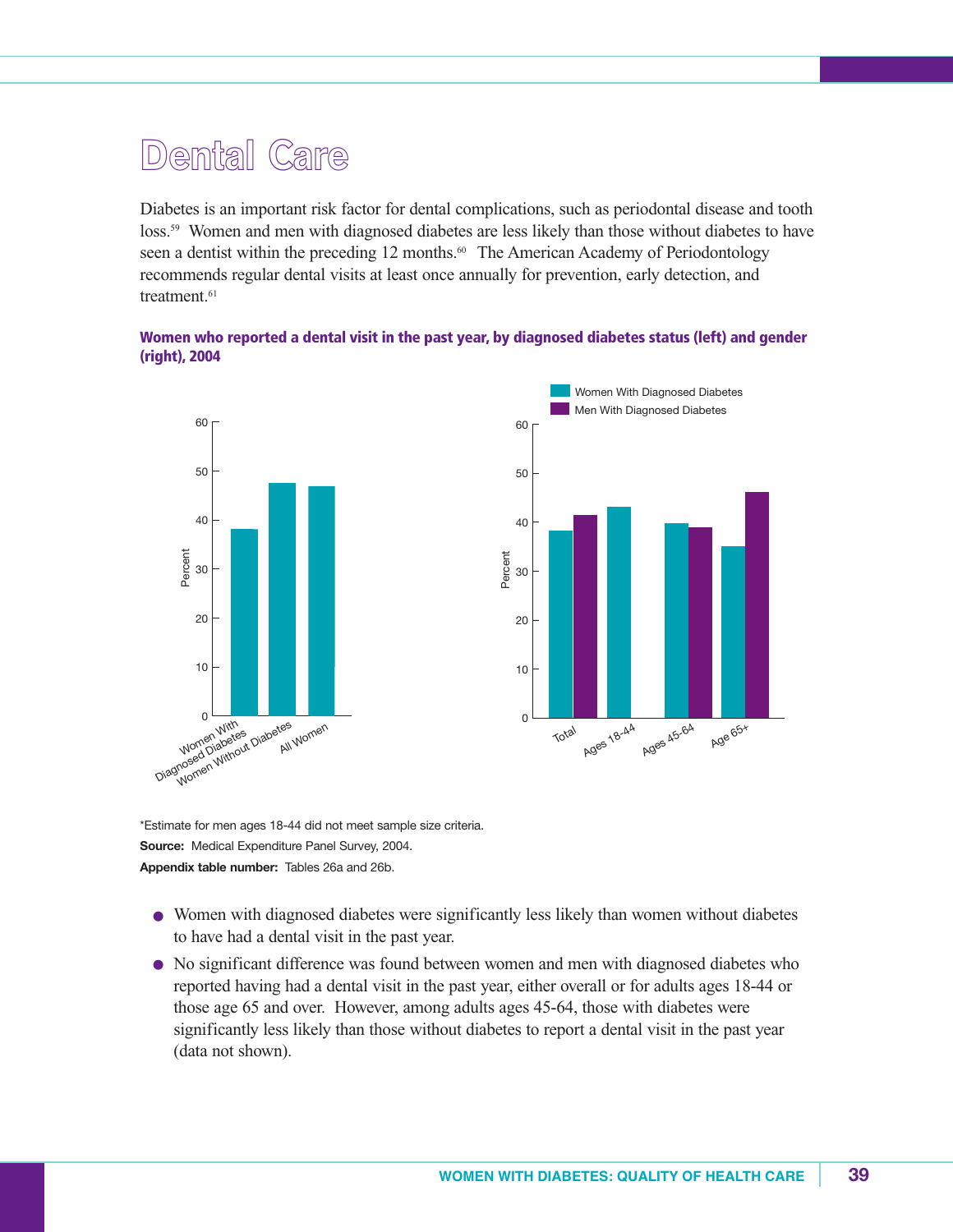## **Dental Care**

Diabetes is an important risk factor for dental complications, such as periodontal disease and tooth loss.<sup>59</sup> Women and men with diagnosed diabetes are less likely than those without diabetes to have seen a dentist within the preceding 12 months.<sup>60</sup> The American Academy of Periodontology recommends regular dental visits at least once annually for prevention, early detection, and treatment.<sup>61</sup>





\*Estimate for men ages 18-44 did not meet sample size criteria. **Source:** Medical Expenditure Panel Survey, 2004. **Appendix table number:** Tables 26a and 26b.

- Women with diagnosed diabetes were significantly less likely than women without diabetes to have had a dental visit in the past year.
- No significant difference was found between women and men with diagnosed diabetes who reported having had a dental visit in the past year, either overall or for adults ages 18-44 or those age 65 and over. However, among adults ages 45-64, those with diabetes were significantly less likely than those without diabetes to report a dental visit in the past year (data not shown).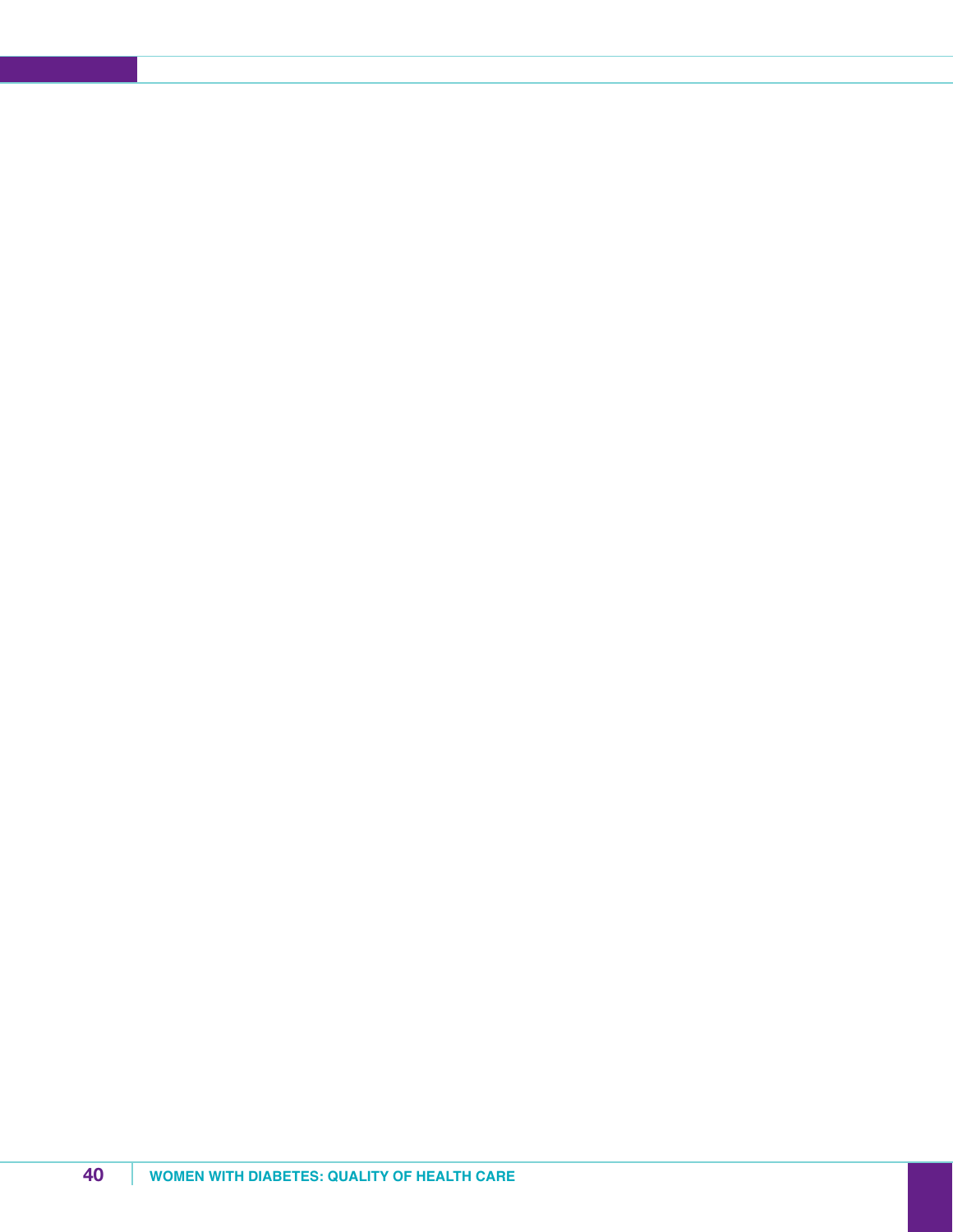**WOMEN WITH DIABETES: QUALITY OF HEALTH CARE**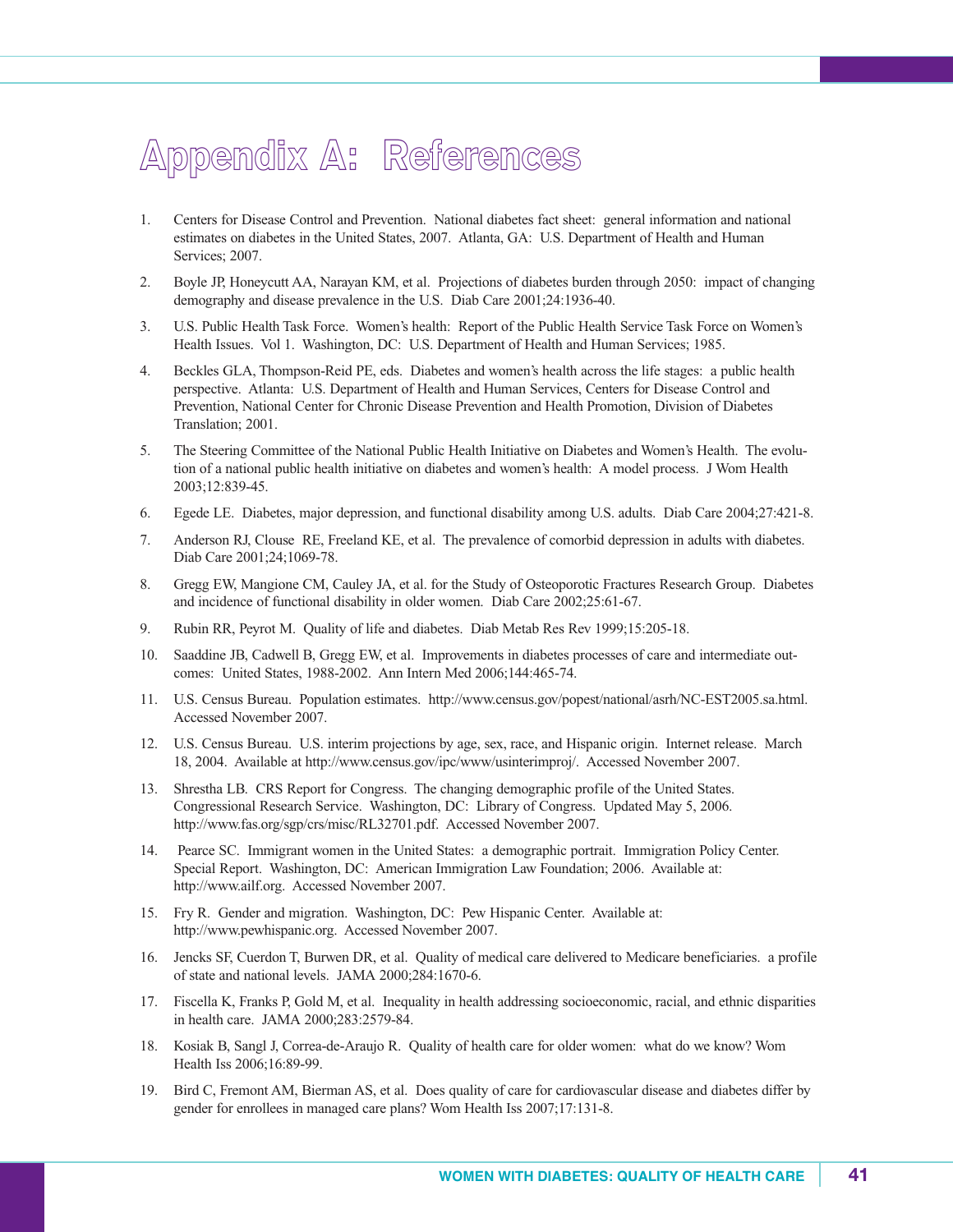## **Appendix A: References**

- 1. Centers for Disease Control and Prevention. National diabetes fact sheet: general information and national estimates on diabetes in the United States, 2007. Atlanta, GA: U.S. Department of Health and Human Services; 2007.
- 2. Boyle JP, Honeycutt AA, Narayan KM, et al. Projections of diabetes burden through 2050: impact of changing demography and disease prevalence in the U.S. Diab Care 2001;24:1936-40.
- 3. U.S. Public Health Task Force. Women's health: Report of the Public Health Service Task Force on Women's Health Issues. Vol 1. Washington, DC: U.S. Department of Health and Human Services; 1985.
- 4. Beckles GLA, Thompson-Reid PE, eds. Diabetes and women's health across the life stages: a public health perspective. Atlanta: U.S. Department of Health and Human Services, Centers for Disease Control and Prevention, National Center for Chronic Disease Prevention and Health Promotion, Division of Diabetes Translation; 2001.
- 5. The Steering Committee of the National Public Health Initiative on Diabetes and Women's Health. The evolution of a national public health initiative on diabetes and women's health: A model process. J Wom Health 2003;12:839-45.
- 6. Egede LE. Diabetes, major depression, and functional disability among U.S. adults. Diab Care 2004;27:421-8.
- 7. Anderson RJ, Clouse RE, Freeland KE, et al. The prevalence of comorbid depression in adults with diabetes. Diab Care 2001;24;1069-78.
- 8. Gregg EW, Mangione CM, Cauley JA, et al. for the Study of Osteoporotic Fractures Research Group. Diabetes and incidence of functional disability in older women. Diab Care 2002;25:61-67.
- 9. Rubin RR, Peyrot M. Quality of life and diabetes. Diab Metab Res Rev 1999;15:205-18.
- 10. Saaddine JB, Cadwell B, Gregg EW, et al. Improvements in diabetes processes of care and intermediate outcomes: United States, 1988-2002. Ann Intern Med 2006;144:465-74.
- 11. U.S. Census Bureau. Population estimates. http://www.census.gov/popest/national/asrh/NC-EST2005.sa.html. Accessed November 2007.
- 12. U.S. Census Bureau. U.S. interim projections by age, sex, race, and Hispanic origin. Internet release. March 18, 2004. Available at http://www.census.gov/ipc/www/usinterimproj/. Accessed November 2007.
- 13. Shrestha LB. CRS Report for Congress. The changing demographic profile of the United States. Congressional Research Service. Washington, DC: Library of Congress. Updated May 5, 2006. http://www.fas.org/sgp/crs/misc/RL32701.pdf. Accessed November 2007.
- 14. Pearce SC. Immigrant women in the United States: a demographic portrait. Immigration Policy Center. Special Report. Washington, DC: American Immigration Law Foundation; 2006. Available at: http://www.ailf.org. Accessed November 2007.
- 15. Fry R. Gender and migration. Washington, DC: Pew Hispanic Center. Available at: http://www.pewhispanic.org. Accessed November 2007.
- 16. Jencks SF, Cuerdon T, Burwen DR, et al. Quality of medical care delivered to Medicare beneficiaries. a profile of state and national levels. JAMA 2000;284:1670-6.
- 17. Fiscella K, Franks P, Gold M, et al. Inequality in health addressing socioeconomic, racial, and ethnic disparities in health care. JAMA 2000;283:2579-84.
- 18. Kosiak B, Sangl J, Correa-de-Araujo R. Quality of health care for older women: what do we know? Wom Health Iss 2006;16:89-99.
- 19. Bird C, Fremont AM, Bierman AS, et al. Does quality of care for cardiovascular disease and diabetes differ by gender for enrollees in managed care plans? Wom Health Iss 2007;17:131-8.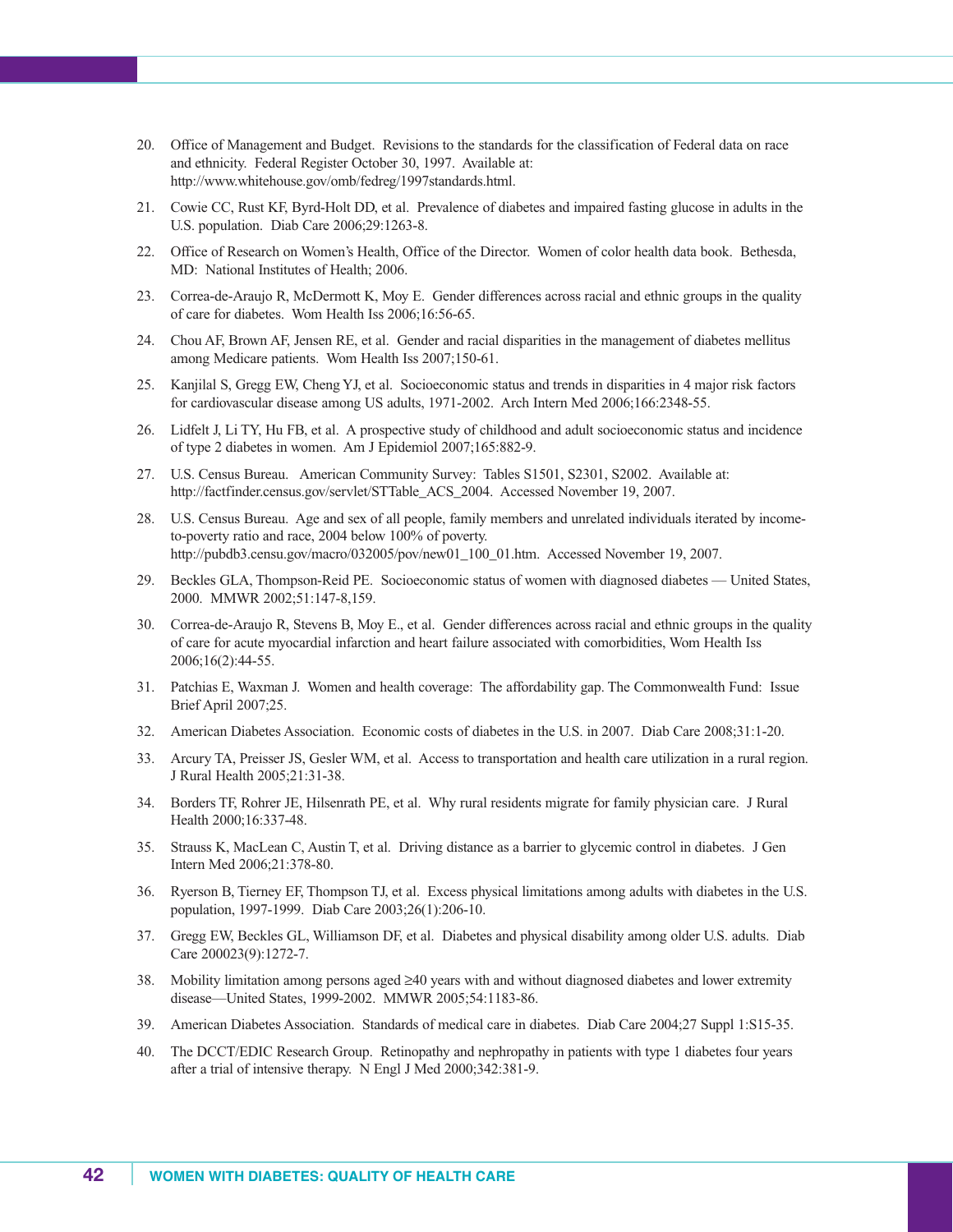- 20. Office of Management and Budget. Revisions to the standards for the classification of Federal data on race and ethnicity. Federal Register October 30, 1997. Available at: http://www.whitehouse.gov/omb/fedreg/1997standards.html.
- 21. Cowie CC, Rust KF, Byrd-Holt DD, et al. Prevalence of diabetes and impaired fasting glucose in adults in the U.S. population. Diab Care 2006;29:1263-8.
- 22. Office of Research on Women's Health, Office of the Director. Women of color health data book. Bethesda, MD: National Institutes of Health; 2006.
- 23. Correa-de-Araujo R, McDermott K, Moy E. Gender differences across racial and ethnic groups in the quality of care for diabetes. Wom Health Iss 2006;16:56-65.
- 24. Chou AF, Brown AF, Jensen RE, et al. Gender and racial disparities in the management of diabetes mellitus among Medicare patients. Wom Health Iss 2007;150-61.
- 25. Kanjilal S, Gregg EW, Cheng YJ, et al. Socioeconomic status and trends in disparities in 4 major risk factors for cardiovascular disease among US adults, 1971-2002. Arch Intern Med 2006;166:2348-55.
- 26. Lidfelt J, Li TY, Hu FB, et al. A prospective study of childhood and adult socioeconomic status and incidence of type 2 diabetes in women. Am J Epidemiol 2007;165:882-9.
- 27. U.S. Census Bureau. American Community Survey: Tables S1501, S2301, S2002. Available at: http://factfinder.census.gov/servlet/STTable\_ACS\_2004. Accessed November 19, 2007.
- 28. U.S. Census Bureau. Age and sex of all people, family members and unrelated individuals iterated by incometo-poverty ratio and race, 2004 below 100% of poverty. http://pubdb3.censu.gov/macro/032005/pov/new01\_100\_01.htm. Accessed November 19, 2007.
- 29. Beckles GLA, Thompson-Reid PE. Socioeconomic status of women with diagnosed diabetes United States, 2000. MMWR 2002;51:147-8,159.
- 30. Correa-de-Araujo R, Stevens B, Moy E., et al. Gender differences across racial and ethnic groups in the quality of care for acute myocardial infarction and heart failure associated with comorbidities, Wom Health Iss 2006;16(2):44-55.
- 31. Patchias E, Waxman J. Women and health coverage: The affordability gap. The Commonwealth Fund: Issue Brief April 2007;25.
- 32. American Diabetes Association. Economic costs of diabetes in the U.S. in 2007. Diab Care 2008;31:1-20.
- 33. Arcury TA, Preisser JS, Gesler WM, et al. Access to transportation and health care utilization in a rural region. J Rural Health 2005;21:31-38.
- 34. Borders TF, Rohrer JE, Hilsenrath PE, et al. Why rural residents migrate for family physician care. J Rural Health 2000;16:337-48.
- 35. Strauss K, MacLean C, Austin T, et al. Driving distance as a barrier to glycemic control in diabetes. J Gen Intern Med 2006;21:378-80.
- 36. Ryerson B, Tierney EF, Thompson TJ, et al. Excess physical limitations among adults with diabetes in the U.S. population, 1997-1999. Diab Care 2003;26(1):206-10.
- 37. Gregg EW, Beckles GL, Williamson DF, et al. Diabetes and physical disability among older U.S. adults. Diab Care 200023(9):1272-7.
- 38. Mobility limitation among persons aged ≥40 years with and without diagnosed diabetes and lower extremity disease—United States, 1999-2002. MMWR 2005;54:1183-86.
- 39. American Diabetes Association. Standards of medical care in diabetes. Diab Care 2004;27 Suppl 1:S15-35.
- 40. The DCCT/EDIC Research Group. Retinopathy and nephropathy in patients with type 1 diabetes four years after a trial of intensive therapy. N Engl J Med 2000;342:381-9.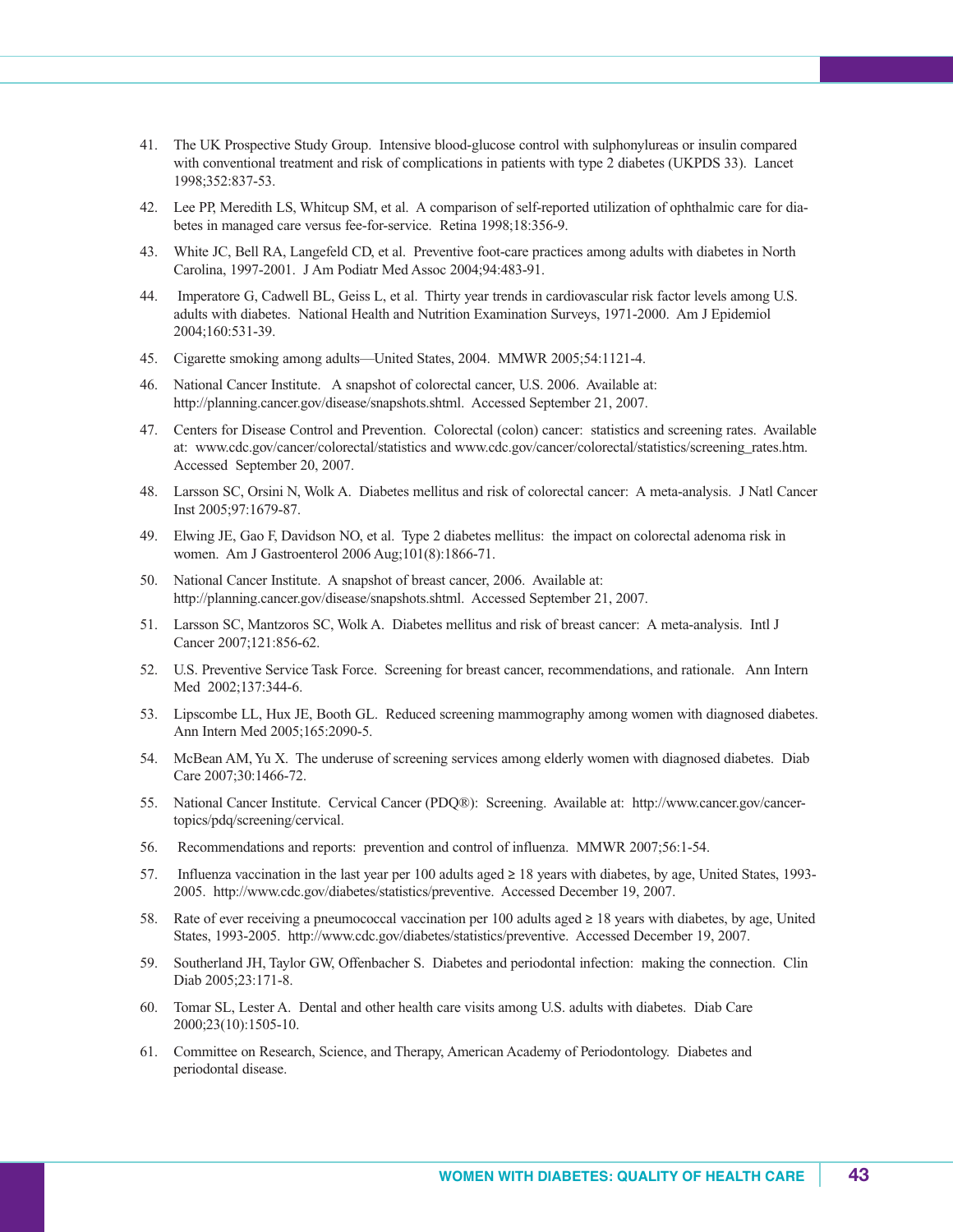- 41. The UK Prospective Study Group. Intensive blood-glucose control with sulphonylureas or insulin compared with conventional treatment and risk of complications in patients with type 2 diabetes (UKPDS 33). Lancet 1998;352:837-53.
- 42. Lee PP, Meredith LS, Whitcup SM, et al. A comparison of self-reported utilization of ophthalmic care for diabetes in managed care versus fee-for-service. Retina 1998;18:356-9.
- 43. White JC, Bell RA, Langefeld CD, et al. Preventive foot-care practices among adults with diabetes in North Carolina, 1997-2001. J Am Podiatr Med Assoc 2004;94:483-91.
- 44. Imperatore G, Cadwell BL, Geiss L, et al. Thirty year trends in cardiovascular risk factor levels among U.S. adults with diabetes. National Health and Nutrition Examination Surveys, 1971-2000. Am J Epidemiol 2004;160:531-39.
- 45. Cigarette smoking among adults—United States, 2004. MMWR 2005;54:1121-4.
- 46. National Cancer Institute. A snapshot of colorectal cancer, U.S. 2006. Available at: http://planning.cancer.gov/disease/snapshots.shtml. Accessed September 21, 2007.
- 47. Centers for Disease Control and Prevention. Colorectal (colon) cancer: statistics and screening rates. Available at: www.cdc.gov/cancer/colorectal/statistics and www.cdc.gov/cancer/colorectal/statistics/screening\_rates.htm. Accessed September 20, 2007.
- 48. Larsson SC, Orsini N, Wolk A. Diabetes mellitus and risk of colorectal cancer: A meta-analysis. J Natl Cancer Inst 2005;97:1679-87.
- 49. Elwing JE, Gao F, Davidson NO, et al. Type 2 diabetes mellitus: the impact on colorectal adenoma risk in women. Am J Gastroenterol 2006 Aug;101(8):1866-71.
- 50. National Cancer Institute. A snapshot of breast cancer, 2006. Available at: http://planning.cancer.gov/disease/snapshots.shtml. Accessed September 21, 2007.
- 51. Larsson SC, Mantzoros SC, Wolk A. Diabetes mellitus and risk of breast cancer: A meta-analysis. Intl J Cancer 2007;121:856-62.
- 52. U.S. Preventive Service Task Force. Screening for breast cancer, recommendations, and rationale. Ann Intern Med 2002;137:344-6.
- 53. Lipscombe LL, Hux JE, Booth GL. Reduced screening mammography among women with diagnosed diabetes. Ann Intern Med 2005;165:2090-5.
- 54. McBean AM, Yu X. The underuse of screening services among elderly women with diagnosed diabetes. Diab Care 2007;30:1466-72.
- 55. National Cancer Institute. Cervical Cancer (PDQ®): Screening. Available at: http://www.cancer.gov/cancertopics/pdq/screening/cervical.
- 56. Recommendations and reports: prevention and control of influenza. MMWR 2007;56:1-54.
- 57. Influenza vaccination in the last year per 100 adults aged ≥ 18 years with diabetes, by age, United States, 1993- 2005. http://www.cdc.gov/diabetes/statistics/preventive. Accessed December 19, 2007.
- 58. Rate of ever receiving a pneumococcal vaccination per 100 adults aged ≥ 18 years with diabetes, by age, United States, 1993-2005. http://www.cdc.gov/diabetes/statistics/preventive. Accessed December 19, 2007.
- 59. Southerland JH, Taylor GW, Offenbacher S. Diabetes and periodontal infection: making the connection. Clin Diab 2005;23:171-8.
- 60. Tomar SL, Lester A. Dental and other health care visits among U.S. adults with diabetes. Diab Care 2000;23(10):1505-10.
- 61. Committee on Research, Science, and Therapy, American Academy of Periodontology. Diabetes and periodontal disease.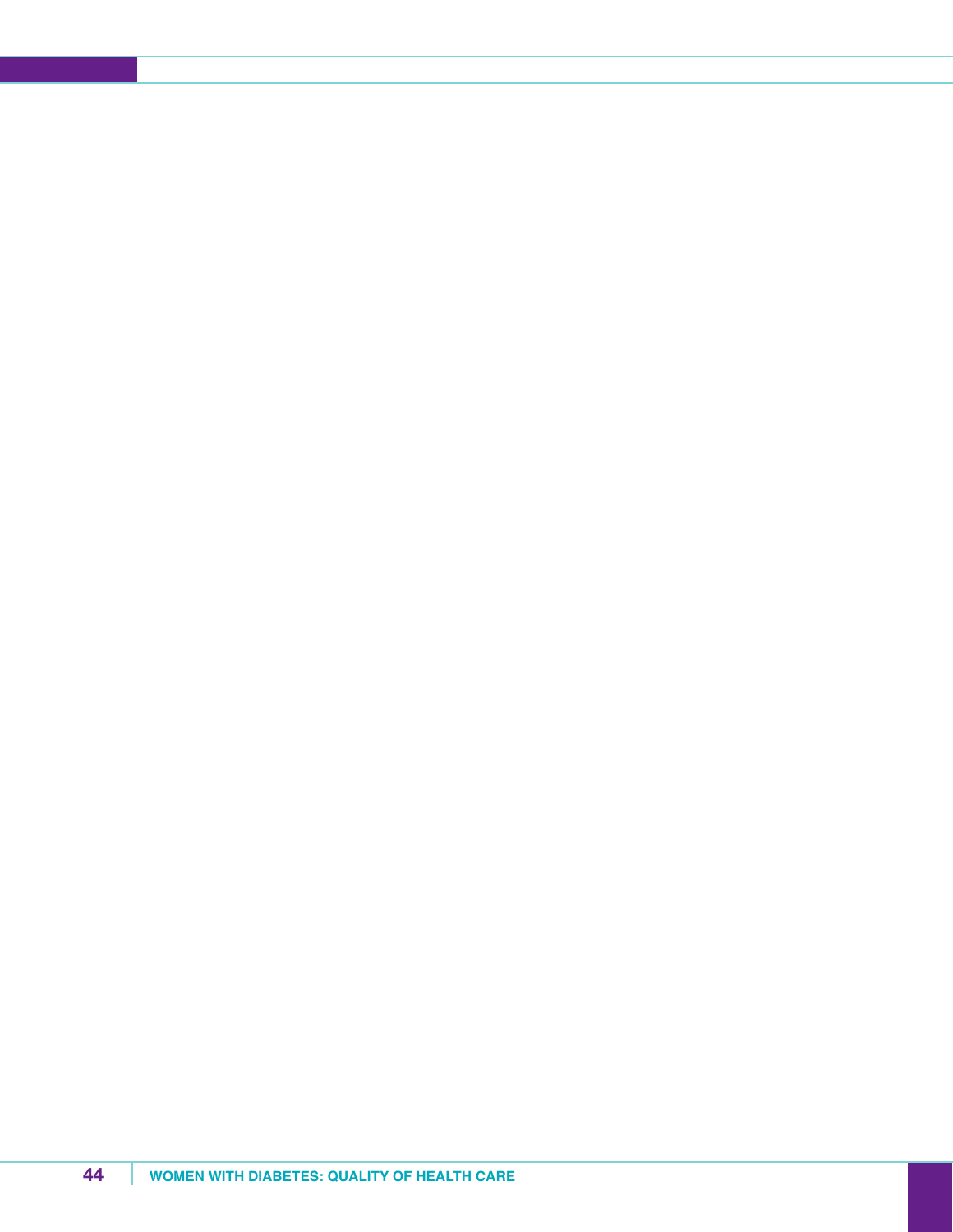**WOMEN WITH DIABETES: QUALITY OF HEALTH CARE**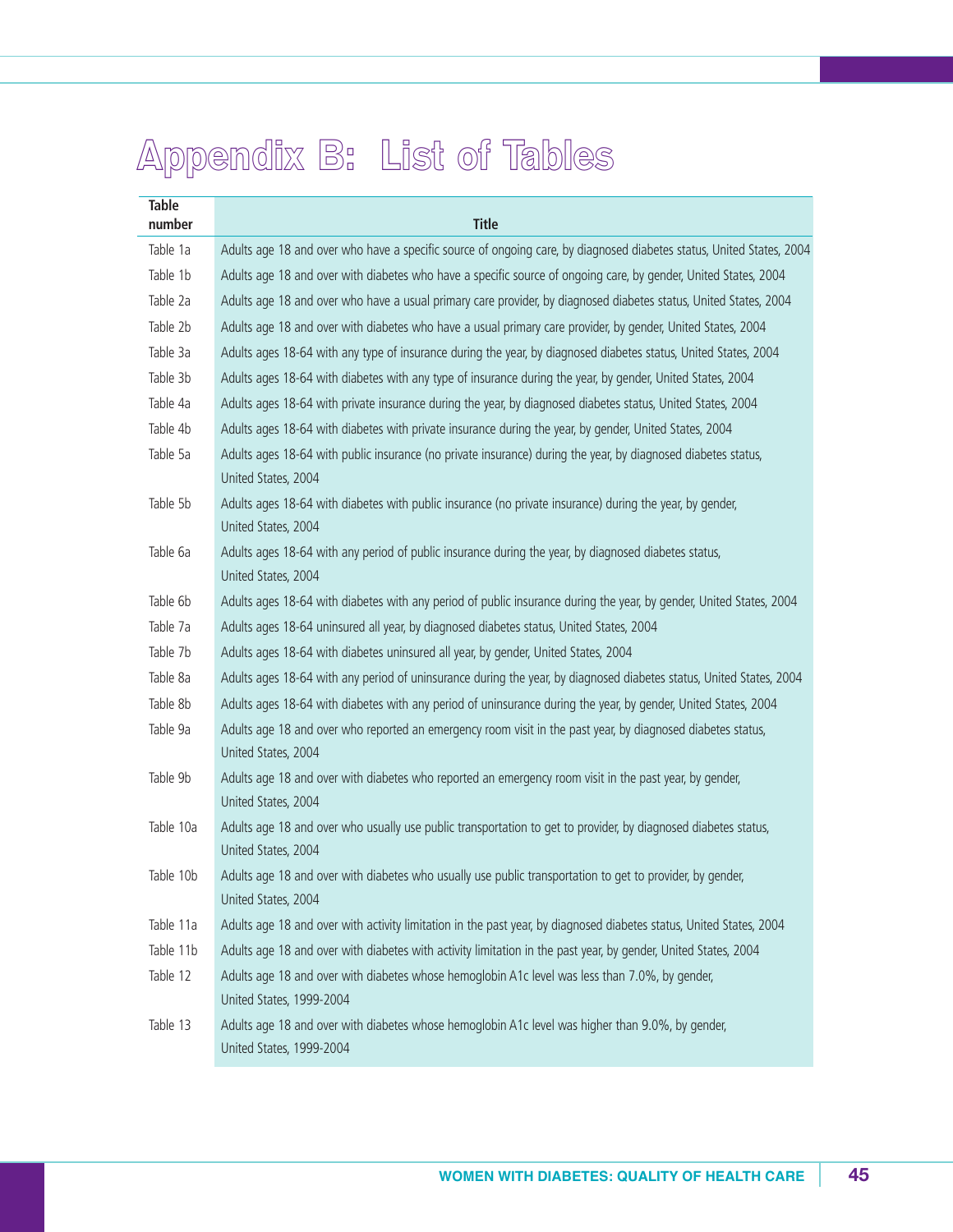# **Appendix B: List of Tables**

| <b>Table</b><br>number | <b>Title</b>                                                                                                                          |
|------------------------|---------------------------------------------------------------------------------------------------------------------------------------|
| Table 1a               | Adults age 18 and over who have a specific source of ongoing care, by diagnosed diabetes status, United States, 2004                  |
| Table 1b               | Adults age 18 and over with diabetes who have a specific source of ongoing care, by gender, United States, 2004                       |
| Table 2a               | Adults age 18 and over who have a usual primary care provider, by diagnosed diabetes status, United States, 2004                      |
| Table 2b               | Adults age 18 and over with diabetes who have a usual primary care provider, by gender, United States, 2004                           |
| Table 3a               | Adults ages 18-64 with any type of insurance during the year, by diagnosed diabetes status, United States, 2004                       |
| Table 3b               | Adults ages 18-64 with diabetes with any type of insurance during the year, by gender, United States, 2004                            |
| Table 4a               | Adults ages 18-64 with private insurance during the year, by diagnosed diabetes status, United States, 2004                           |
| Table 4b               | Adults ages 18-64 with diabetes with private insurance during the year, by gender, United States, 2004                                |
| Table 5a               | Adults ages 18-64 with public insurance (no private insurance) during the year, by diagnosed diabetes status,                         |
|                        | United States, 2004                                                                                                                   |
| Table 5b               | Adults ages 18-64 with diabetes with public insurance (no private insurance) during the year, by gender,<br>United States, 2004       |
| Table 6a               | Adults ages 18-64 with any period of public insurance during the year, by diagnosed diabetes status,                                  |
|                        | United States, 2004                                                                                                                   |
| Table 6b               | Adults ages 18-64 with diabetes with any period of public insurance during the year, by gender, United States, 2004                   |
| Table 7a               | Adults ages 18-64 uninsured all year, by diagnosed diabetes status, United States, 2004                                               |
| Table 7b               | Adults ages 18-64 with diabetes uninsured all year, by gender, United States, 2004                                                    |
| Table 8a               | Adults ages 18-64 with any period of uninsurance during the year, by diagnosed diabetes status, United States, 2004                   |
| Table 8b               | Adults ages 18-64 with diabetes with any period of uninsurance during the year, by gender, United States, 2004                        |
| Table 9a               | Adults age 18 and over who reported an emergency room visit in the past year, by diagnosed diabetes status,<br>United States, 2004    |
| Table 9b               | Adults age 18 and over with diabetes who reported an emergency room visit in the past year, by gender,                                |
|                        | United States, 2004                                                                                                                   |
| Table 10a              | Adults age 18 and over who usually use public transportation to get to provider, by diagnosed diabetes status,<br>United States, 2004 |
| Table 10b              | Adults age 18 and over with diabetes who usually use public transportation to get to provider, by gender,                             |
|                        | United States, 2004                                                                                                                   |
| Table 11a              | Adults age 18 and over with activity limitation in the past year, by diagnosed diabetes status, United States, 2004                   |
| Table 11b              | Adults age 18 and over with diabetes with activity limitation in the past year, by gender, United States, 2004                        |
| Table 12               | Adults age 18 and over with diabetes whose hemoglobin A1c level was less than 7.0%, by gender,                                        |
|                        | United States, 1999-2004                                                                                                              |
| Table 13               | Adults age 18 and over with diabetes whose hemoglobin A1c level was higher than 9.0%, by gender,<br>United States, 1999-2004          |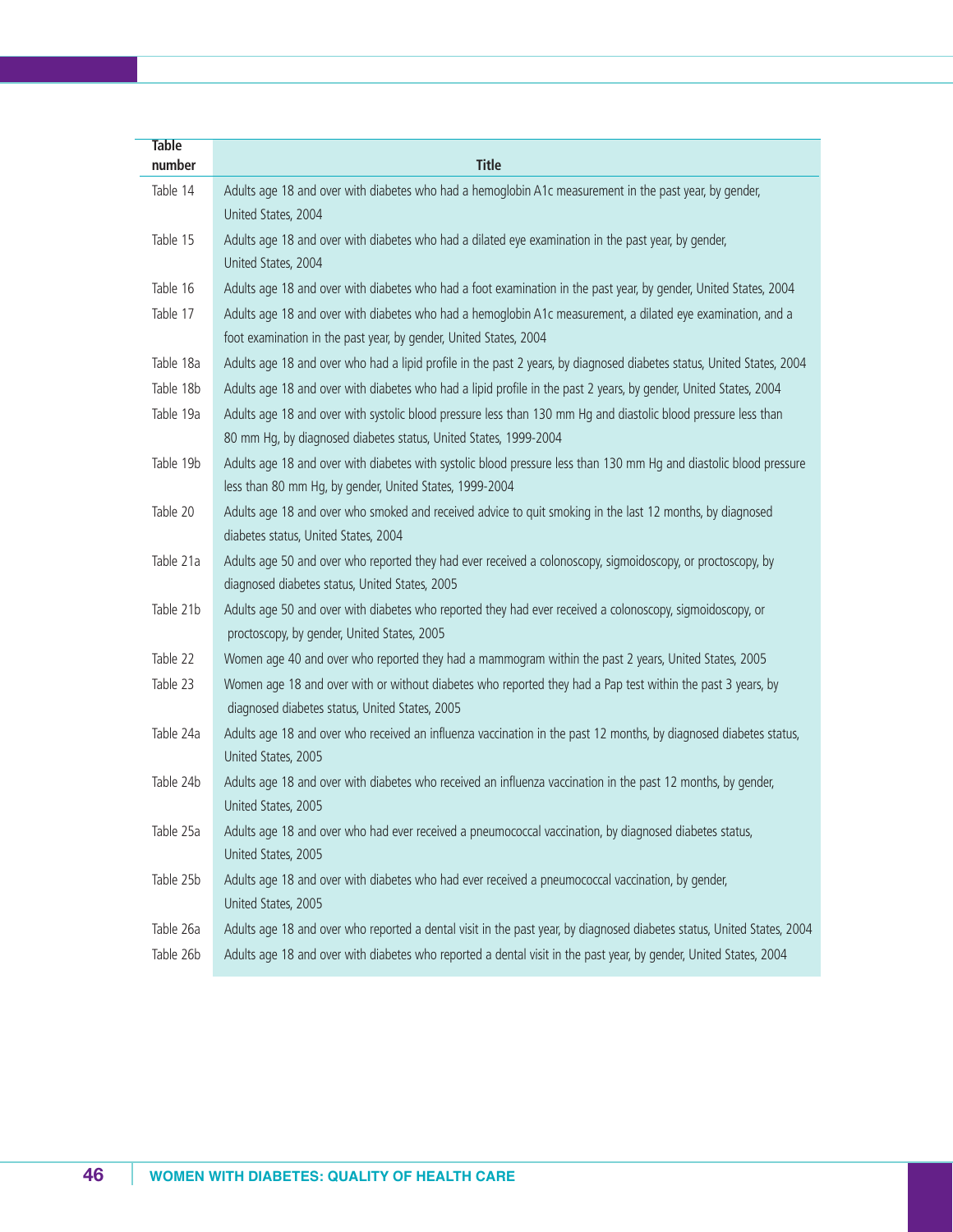| <b>Table</b> |                                                                                                                        |
|--------------|------------------------------------------------------------------------------------------------------------------------|
| number       | <b>Title</b>                                                                                                           |
| Table 14     | Adults age 18 and over with diabetes who had a hemoglobin A1c measurement in the past year, by gender,                 |
|              | United States, 2004                                                                                                    |
| Table 15     | Adults age 18 and over with diabetes who had a dilated eye examination in the past year, by gender,                    |
|              | United States, 2004                                                                                                    |
| Table 16     | Adults age 18 and over with diabetes who had a foot examination in the past year, by gender, United States, 2004       |
| Table 17     | Adults age 18 and over with diabetes who had a hemoglobin A1c measurement, a dilated eye examination, and a            |
|              | foot examination in the past year, by gender, United States, 2004                                                      |
| Table 18a    | Adults age 18 and over who had a lipid profile in the past 2 years, by diagnosed diabetes status, United States, 2004  |
| Table 18b    | Adults age 18 and over with diabetes who had a lipid profile in the past 2 years, by gender, United States, 2004       |
| Table 19a    | Adults age 18 and over with systolic blood pressure less than 130 mm Hg and diastolic blood pressure less than         |
|              | 80 mm Hg, by diagnosed diabetes status, United States, 1999-2004                                                       |
| Table 19b    | Adults age 18 and over with diabetes with systolic blood pressure less than 130 mm Hg and diastolic blood pressure     |
|              | less than 80 mm Hg, by gender, United States, 1999-2004                                                                |
| Table 20     | Adults age 18 and over who smoked and received advice to quit smoking in the last 12 months, by diagnosed              |
|              | diabetes status, United States, 2004                                                                                   |
| Table 21a    | Adults age 50 and over who reported they had ever received a colonoscopy, sigmoidoscopy, or proctoscopy, by            |
|              | diagnosed diabetes status, United States, 2005                                                                         |
| Table 21b    | Adults age 50 and over with diabetes who reported they had ever received a colonoscopy, sigmoidoscopy, or              |
|              | proctoscopy, by gender, United States, 2005                                                                            |
| Table 22     | Women age 40 and over who reported they had a mammogram within the past 2 years, United States, 2005                   |
| Table 23     | Women age 18 and over with or without diabetes who reported they had a Pap test within the past 3 years, by            |
|              | diagnosed diabetes status, United States, 2005                                                                         |
| Table 24a    | Adults age 18 and over who received an influenza vaccination in the past 12 months, by diagnosed diabetes status,      |
|              | United States, 2005                                                                                                    |
| Table 24b    | Adults age 18 and over with diabetes who received an influenza vaccination in the past 12 months, by gender,           |
|              | United States, 2005                                                                                                    |
| Table 25a    | Adults age 18 and over who had ever received a pneumococcal vaccination, by diagnosed diabetes status,                 |
|              | United States, 2005                                                                                                    |
| Table 25b    | Adults age 18 and over with diabetes who had ever received a pneumococcal vaccination, by gender,                      |
|              | United States, 2005                                                                                                    |
| Table 26a    | Adults age 18 and over who reported a dental visit in the past year, by diagnosed diabetes status, United States, 2004 |
| Table 26b    | Adults age 18 and over with diabetes who reported a dental visit in the past year, by gender, United States, 2004      |

 $\overline{a}$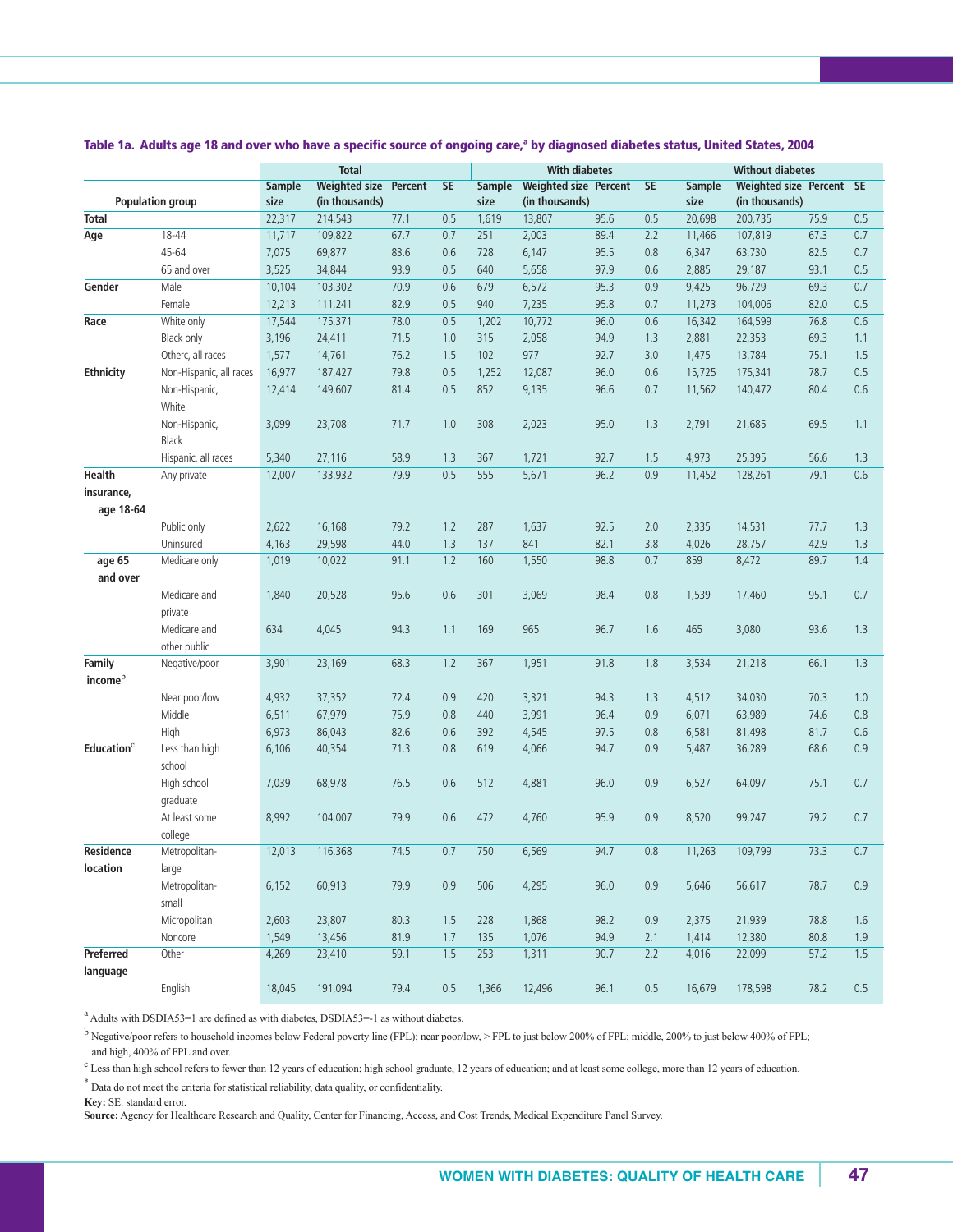|                              |                         | <b>Total</b><br>Weighted size Percent |                |      |           |               | <b>With diabetes</b>         |      |           | <b>Without diabetes</b> |                          |      |     |  |
|------------------------------|-------------------------|---------------------------------------|----------------|------|-----------|---------------|------------------------------|------|-----------|-------------------------|--------------------------|------|-----|--|
|                              |                         | <b>Sample</b>                         |                |      | <b>SE</b> | <b>Sample</b> | <b>Weighted size Percent</b> |      | <b>SE</b> | <b>Sample</b>           | Weighted size Percent SE |      |     |  |
|                              | Population group        | size                                  | (in thousands) |      |           | size          | (in thousands)               |      |           | size                    | (in thousands)           |      |     |  |
| <b>Total</b>                 |                         | 22,317                                | 214,543        | 77.1 | 0.5       | 1,619         | 13,807                       | 95.6 | 0.5       | 20,698                  | 200,735                  | 75.9 | 0.5 |  |
| Age                          | 18-44                   | 11,717                                | 109,822        | 67.7 | 0.7       | 251           | 2,003                        | 89.4 | 2.2       | 11,466                  | 107,819                  | 67.3 | 0.7 |  |
|                              | 45-64                   | 7,075                                 | 69,877         | 83.6 | 0.6       | 728           | 6,147                        | 95.5 | 0.8       | 6,347                   | 63,730                   | 82.5 | 0.7 |  |
|                              | 65 and over             | 3,525                                 | 34,844         | 93.9 | 0.5       | 640           | 5,658                        | 97.9 | 0.6       | 2,885                   | 29,187                   | 93.1 | 0.5 |  |
| Gender                       | Male                    | 10,104                                | 103,302        | 70.9 | 0.6       | 679           | 6,572                        | 95.3 | 0.9       | 9,425                   | 96,729                   | 69.3 | 0.7 |  |
|                              | Female                  | 12,213                                | 111,241        | 82.9 | 0.5       | 940           | 7,235                        | 95.8 | 0.7       | 11,273                  | 104,006                  | 82.0 | 0.5 |  |
| Race                         | White only              | 17,544                                | 175,371        | 78.0 | 0.5       | 1,202         | 10,772                       | 96.0 | 0.6       | 16,342                  | 164,599                  | 76.8 | 0.6 |  |
|                              | Black only              | 3,196                                 | 24,411         | 71.5 | 1.0       | 315           | 2,058                        | 94.9 | 1.3       | 2,881                   | 22,353                   | 69.3 | 1.1 |  |
|                              | Otherc, all races       | 1,577                                 | 14,761         | 76.2 | 1.5       | 102           | 977                          | 92.7 | 3.0       | 1,475                   | 13,784                   | 75.1 | 1.5 |  |
| Ethnicity                    | Non-Hispanic, all races | 16,977                                | 187,427        | 79.8 | 0.5       | 1,252         | 12,087                       | 96.0 | 0.6       | 15,725                  | 175,341                  | 78.7 | 0.5 |  |
|                              | Non-Hispanic,<br>White  | 12,414                                | 149,607        | 81.4 | 0.5       | 852           | 9,135                        | 96.6 | 0.7       | 11,562                  | 140,472                  | 80.4 | 0.6 |  |
|                              | Non-Hispanic,           | 3,099                                 | 23,708         | 71.7 | 1.0       | 308           | 2,023                        | 95.0 | 1.3       | 2,791                   | 21,685                   | 69.5 | 1.1 |  |
|                              | <b>Black</b>            |                                       |                |      |           |               |                              |      |           |                         |                          |      |     |  |
|                              | Hispanic, all races     | 5,340                                 | 27,116         | 58.9 | 1.3       | 367           | 1,721                        | 92.7 | 1.5       | 4,973                   | 25,395                   | 56.6 | 1.3 |  |
| Health                       | Any private             | 12,007                                | 133,932        | 79.9 | 0.5       | 555           | 5,671                        | 96.2 | 0.9       | 11,452                  | 128,261                  | 79.1 | 0.6 |  |
| insurance,                   |                         |                                       |                |      |           |               |                              |      |           |                         |                          |      |     |  |
| age 18-64                    |                         |                                       |                |      |           |               |                              |      |           |                         |                          |      |     |  |
|                              | Public only             | 2,622                                 | 16,168         | 79.2 | 1.2       | 287           | 1,637                        | 92.5 | 2.0       | 2,335                   | 14,531                   | 77.7 | 1.3 |  |
|                              | Uninsured               | 4,163                                 | 29,598         | 44.0 | 1.3       | 137           | 841                          | 82.1 | 3.8       | 4,026                   | 28,757                   | 42.9 | 1.3 |  |
| age 65                       | Medicare only           | 1,019                                 | 10,022         | 91.1 | 1.2       | 160           | 1,550                        | 98.8 | 0.7       | 859                     | 8,472                    | 89.7 | 1.4 |  |
| and over                     |                         |                                       |                |      |           |               |                              |      |           |                         |                          |      |     |  |
|                              | Medicare and            | 1,840                                 | 20,528         | 95.6 | 0.6       | 301           | 3,069                        | 98.4 | 0.8       | 1,539                   | 17,460                   | 95.1 | 0.7 |  |
|                              | private                 |                                       |                |      |           |               |                              |      |           |                         |                          |      |     |  |
|                              | Medicare and            | 634                                   | 4,045          | 94.3 | 1.1       | 169           | 965                          | 96.7 | 1.6       | 465                     | 3,080                    | 93.6 | 1.3 |  |
|                              | other public            |                                       |                |      |           |               |                              |      |           |                         |                          |      |     |  |
| Family                       | Negative/poor           | 3,901                                 | 23,169         | 68.3 | 1.2       | 367           | 1,951                        | 91.8 | 1.8       | 3,534                   | 21,218                   | 66.1 | 1.3 |  |
| $\mathsf{income}^\mathsf{b}$ |                         |                                       |                |      |           |               |                              |      |           |                         |                          |      |     |  |
|                              | Near poor/low           | 4,932                                 | 37,352         | 72.4 | 0.9       | 420           | 3,321                        | 94.3 | 1.3       | 4,512                   | 34,030                   | 70.3 | 1.0 |  |
|                              | Middle                  | 6,511                                 | 67,979         | 75.9 | 0.8       | 440           | 3,991                        | 96.4 | 0.9       | 6,071                   | 63,989                   | 74.6 | 0.8 |  |
|                              | High                    | 6,973                                 | 86,043         | 82.6 | 0.6       | 392           | 4,545                        | 97.5 | 0.8       | 6,581                   | 81,498                   | 81.7 | 0.6 |  |
| Education <sup>c</sup>       | Less than high          | 6,106                                 | 40,354         | 71.3 | 0.8       | 619           | 4,066                        | 94.7 | 0.9       | 5,487                   | 36,289                   | 68.6 | 0.9 |  |
|                              | school                  |                                       |                |      |           |               |                              |      |           |                         |                          |      |     |  |
|                              | High school             | 7,039                                 | 68,978         | 76.5 | 0.6       | 512           | 4,881                        | 96.0 | 0.9       | 6,527                   | 64,097                   | 75.1 | 0.7 |  |
|                              | graduate                |                                       |                |      |           |               |                              |      |           |                         |                          |      |     |  |
|                              | At least some           | 8,992                                 | 104,007        | 79.9 | 0.6       | 472           | 4,760                        | 95.9 | 0.9       | 8,520                   | 99,247                   | 79.2 | 0.7 |  |
|                              | college                 |                                       |                |      |           |               |                              |      |           |                         |                          |      |     |  |
| <b>Residence</b>             | Metropolitan-           | 12,013                                | 116,368        | 74.5 | 0.7       | 750           | 6,569                        | 94.7 | 0.8       | 11,263                  | 109,799                  | 73.3 | 0.7 |  |
| location                     | large                   |                                       |                |      |           |               |                              |      |           |                         |                          |      |     |  |
|                              | Metropolitan-           | 6,152                                 | 60,913         | 79.9 | 0.9       | 506           | 4,295                        | 96.0 | 0.9       | 5,646                   | 56,617                   | 78.7 | 0.9 |  |
|                              | small                   |                                       |                |      |           |               |                              |      |           |                         |                          |      |     |  |
|                              | Micropolitan            | 2,603                                 | 23,807         | 80.3 | 1.5       | 228           | 1,868                        | 98.2 | 0.9       | 2,375                   | 21,939                   | 78.8 | 1.6 |  |
|                              | Noncore                 | 1,549                                 | 13,456         | 81.9 | 1.7       | 135           | 1,076                        | 94.9 | 2.1       | 1,414                   | 12,380                   | 80.8 | 1.9 |  |
| <b>Preferred</b>             | Other                   | 4,269                                 | 23,410         | 59.1 | 1.5       | 253           | 1,311                        | 90.7 | 2.2       | 4,016                   | 22,099                   | 57.2 | 1.5 |  |
| language                     |                         |                                       |                |      |           |               |                              |      |           |                         |                          |      |     |  |
|                              | English                 | 18,045                                | 191,094        | 79.4 | 0.5       | 1,366         | 12,496                       | 96.1 | 0.5       | 16,679                  | 178,598                  | 78.2 | 0.5 |  |

#### **Table 1a. Adults age 18 and over who have a specific source of ongoing care,ª by diagnosed diabetes status, United States, 2004**

<sup>a</sup> Adults with DSDIA53=1 are defined as with diabetes, DSDIA53=-1 as without diabetes.

<sup>b</sup> Negative/poor refers to household incomes below Federal poverty line (FPL); near poor/low, > FPL to just below 200% of FPL; middle, 200% to just below 400% of FPL; and high, 400% of FPL and over.

<sup>c</sup> Less than high school refers to fewer than 12 years of education; high school graduate, 12 years of education; and at least some college, more than 12 years of education.

\* Data do not meet the criteria for statistical reliability, data quality, or confidentiality.

**Key:** SE: standard error.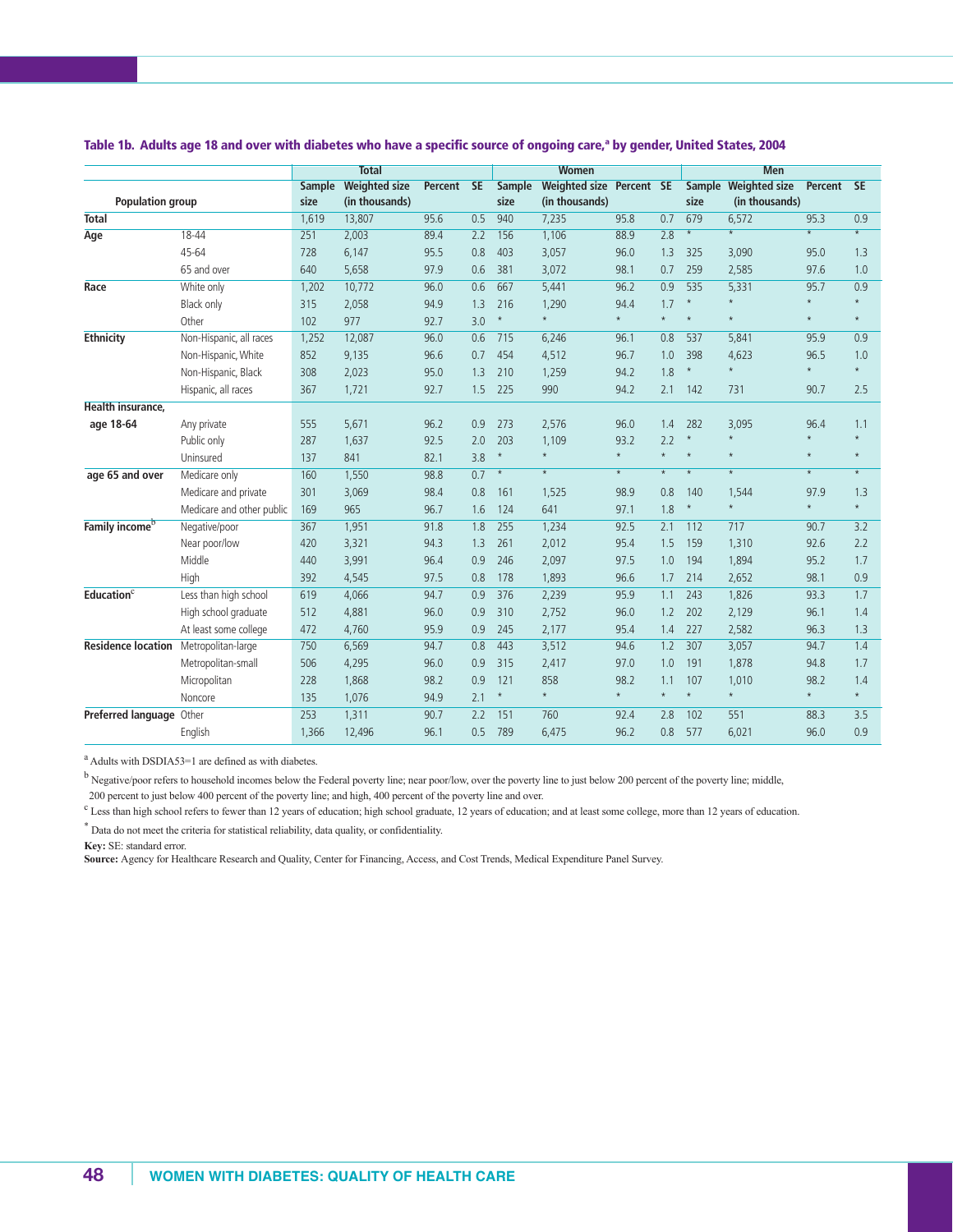|                            |                           | <b>Total</b>   |                                        |         |           | <b>Women</b>   |                                            |          |         | <b>Men</b>            |                                        |                |           |  |
|----------------------------|---------------------------|----------------|----------------------------------------|---------|-----------|----------------|--------------------------------------------|----------|---------|-----------------------|----------------------------------------|----------------|-----------|--|
| <b>Population group</b>    |                           | Sample<br>size | <b>Weighted size</b><br>(in thousands) | Percent | <b>SE</b> | Sample<br>size | Weighted size Percent SE<br>(in thousands) |          |         | <b>Sample</b><br>size | <b>Weighted size</b><br>(in thousands) | <b>Percent</b> | <b>SE</b> |  |
| <b>Total</b>               |                           | 1,619          | 13,807                                 | 95.6    | 0.5       | 940            | 7,235                                      | 95.8     | 0.7     | 679                   | 6,572                                  | 95.3           | 0.9       |  |
| Age                        | $18 - 44$                 | 251            | 2,003                                  | 89.4    | 2.2       | 156            | 1,106                                      | 88.9     | 2.8     | $\star$               | $\overline{\ast}$                      | $\star$        | $\star$   |  |
|                            | 45-64                     | 728            | 6,147                                  | 95.5    | 0.8       | 403            | 3,057                                      | 96.0     | 1.3     | 325                   | 3,090                                  | 95.0           | 1.3       |  |
|                            | 65 and over               | 640            | 5.658                                  | 97.9    | 0.6       | 381            | 3,072                                      | 98.1     | 0.7     | 259                   | 2,585                                  | 97.6           | 1.0       |  |
| Race                       | White only                | 1,202          | 10,772                                 | 96.0    | 0.6       | 667            | 5,441                                      | 96.2     | 0.9     | 535                   | 5,331                                  | 95.7           | 0.9       |  |
|                            | Black only                | 315            | 2,058                                  | 94.9    | 1.3       | 216            | 1,290                                      | 94.4     | 1.7     | $\star$               | $\star$                                | $\star$        | $\star$   |  |
|                            | Other                     | 102            | 977                                    | 92.7    | 3.0       | $\star$        | $^\star$                                   | $\star$  | $\star$ | $\star$               | $\star$                                | $\star$        | $\star$   |  |
| Ethnicity                  | Non-Hispanic, all races   | 1,252          | 12,087                                 | 96.0    | 0.6       | 715            | 6,246                                      | 96.1     | 0.8     | 537                   | 5,841                                  | 95.9           | 0.9       |  |
|                            | Non-Hispanic, White       | 852            | 9,135                                  | 96.6    | 0.7       | 454            | 4,512                                      | 96.7     | 1.0     | 398                   | 4,623                                  | 96.5           | 1.0       |  |
|                            | Non-Hispanic, Black       | 308            | 2,023                                  | 95.0    | 1.3       | 210            | 1,259                                      | 94.2     | 1.8     | $\star$               | $\star$                                | $\star$        | $\star$   |  |
|                            | Hispanic, all races       | 367            | 1,721                                  | 92.7    | 1.5       | 225            | 990                                        | 94.2     | 2.1     | 142                   | 731                                    | 90.7           | 2.5       |  |
| <b>Health insurance.</b>   |                           |                |                                        |         |           |                |                                            |          |         |                       |                                        |                |           |  |
| age 18-64                  | Any private               | 555            | 5.671                                  | 96.2    | 0.9       | 273            | 2,576                                      | 96.0     | 1.4     | 282                   | 3.095                                  | 96.4           | 1.1       |  |
|                            | Public only               | 287            | 1,637                                  | 92.5    | 2.0       | 203            | 1,109                                      | 93.2     | 2.2     | $\star$               | $\star$                                | $\star$        | $\star$   |  |
|                            | Uninsured                 | 137            | 841                                    | 82.1    | 3.8       | $\star$        | $^\star$                                   | $^\star$ | $\star$ | $\star$               | $\star$                                | $\star$        | $\star$   |  |
| age 65 and over            | Medicare only             | 160            | 1.550                                  | 98.8    | 0.7       | $\star$        | $\star$                                    | $^\star$ | $\star$ | $\star$               | $\star$                                | $\star$        | $\star$   |  |
|                            | Medicare and private      | 301            | 3,069                                  | 98.4    | 0.8       | 161            | 1,525                                      | 98.9     | 0.8     | 140                   | 1.544                                  | 97.9           | 1.3       |  |
|                            | Medicare and other public | 169            | 965                                    | 96.7    | 1.6       | 124            | 641                                        | 97.1     | 1.8     | $\star$               | $\star$                                | $\star$        | $\star$   |  |
| Family income <sup>b</sup> | Negative/poor             | 367            | 1,951                                  | 91.8    | 1.8       | 255            | 1,234                                      | 92.5     | 2.1     | 112                   | 717                                    | 90.7           | 3.2       |  |
|                            | Near poor/low             | 420            | 3,321                                  | 94.3    | 1.3       | 261            | 2,012                                      | 95.4     | 1.5     | 159                   | 1,310                                  | 92.6           | 2.2       |  |
|                            | Middle                    | 440            | 3.991                                  | 96.4    | 0.9       | 246            | 2,097                                      | 97.5     | 1.0     | 194                   | 1.894                                  | 95.2           | 1.7       |  |
|                            | High                      | 392            | 4,545                                  | 97.5    | 0.8       | 178            | 1,893                                      | 96.6     | 1.7     | 214                   | 2,652                                  | 98.1           | 0.9       |  |
| Education <sup>c</sup>     | Less than high school     | 619            | 4,066                                  | 94.7    | 0.9       | 376            | 2,239                                      | 95.9     | 1.1     | 243                   | 1,826                                  | 93.3           | 1.7       |  |
|                            | High school graduate      | 512            | 4,881                                  | 96.0    | 0.9       | 310            | 2,752                                      | 96.0     | 1.2     | 202                   | 2,129                                  | 96.1           | 1.4       |  |
|                            | At least some college     | 472            | 4,760                                  | 95.9    | 0.9       | 245            | 2,177                                      | 95.4     | 1.4     | 227                   | 2,582                                  | 96.3           | 1.3       |  |
| <b>Residence location</b>  | Metropolitan-large        | 750            | 6,569                                  | 94.7    | 0.8       | 443            | 3,512                                      | 94.6     | 1.2     | 307                   | 3,057                                  | 94.7           | 1.4       |  |
|                            | Metropolitan-small        | 506            | 4,295                                  | 96.0    | 0.9       | 315            | 2,417                                      | 97.0     | 1.0     | 191                   | 1,878                                  | 94.8           | 1.7       |  |
|                            | Micropolitan              | 228            | 1,868                                  | 98.2    | 0.9       | 121            | 858                                        | 98.2     | 1.1     | 107                   | 1,010                                  | 98.2           | 1.4       |  |
|                            | Noncore                   | 135            | 1,076                                  | 94.9    | 2.1       | $\star$        | $\star$                                    | $\star$  | $\star$ | $\star$               | $^\star$                               | $^\star$       | $\star$   |  |
| Preferred language Other   |                           | 253            | 1,311                                  | 90.7    | 2.2       | 151            | 760                                        | 92.4     | 2.8     | 102                   | 551                                    | 88.3           | 3.5       |  |
|                            | English                   | 1,366          | 12,496                                 | 96.1    | 0.5       | 789            | 6,475                                      | 96.2     | 0.8     | 577                   | 6,021                                  | 96.0           | 0.9       |  |

#### **Table 1b. Adults age 18 and over with diabetes who have a specific source of ongoing care,ª by gender, United States, 2004**

<sup>a</sup> Adults with DSDIA53=1 are defined as with diabetes.

<sup>b</sup> Negative/poor refers to household incomes below the Federal poverty line; near poor/low, over the poverty line to just below 200 percent of the poverty line; middle,

200 percent to just below 400 percent of the poverty line; and high, 400 percent of the poverty line and over.

<sup>c</sup> Less than high school refers to fewer than 12 years of education; high school graduate, 12 years of education; and at least some college, more than 12 years of education.

\* Data do not meet the criteria for statistical reliability, data quality, or confidentiality.

**Key:** SE: standard error.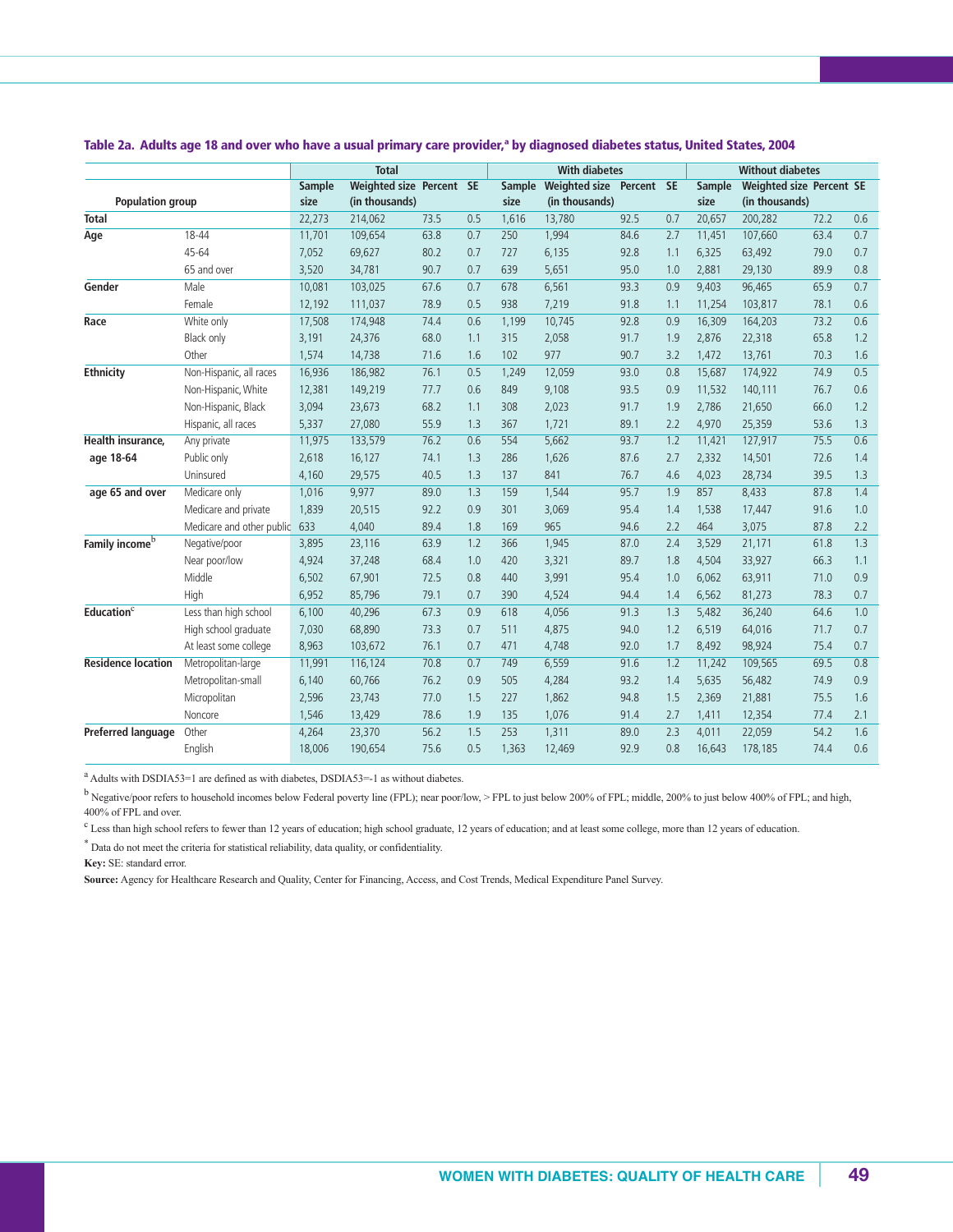|                            |                               | <b>Total</b>   |                                            |      |     |                       | <b>With diabetes</b>                       |      | <b>Without diabetes</b> |                       |                                                   |      |     |
|----------------------------|-------------------------------|----------------|--------------------------------------------|------|-----|-----------------------|--------------------------------------------|------|-------------------------|-----------------------|---------------------------------------------------|------|-----|
| Population group           |                               | Sample<br>size | Weighted size Percent SE<br>(in thousands) |      |     | <b>Sample</b><br>size | Weighted size Percent SE<br>(in thousands) |      |                         | <b>Sample</b><br>size | <b>Weighted size Percent SE</b><br>(in thousands) |      |     |
| <b>Total</b>               |                               | 22,273         | 214,062                                    | 73.5 | 0.5 | 1,616                 | 13,780                                     | 92.5 | 0.7                     | 20,657                | 200,282                                           | 72.2 | 0.6 |
| Age                        | 18-44                         | 11,701         | 109,654                                    | 63.8 | 0.7 | 250                   | 1,994                                      | 84.6 | 2.7                     | 11,451                | 107,660                                           | 63.4 | 0.7 |
|                            | 45-64                         | 7,052          | 69,627                                     | 80.2 | 0.7 | 727                   | 6,135                                      | 92.8 | 1.1                     | 6,325                 | 63,492                                            | 79.0 | 0.7 |
|                            | 65 and over                   | 3,520          | 34,781                                     | 90.7 | 0.7 | 639                   | 5,651                                      | 95.0 | 1.0                     | 2,881                 | 29,130                                            | 89.9 | 0.8 |
| Gender                     | Male                          | 10,081         | 103,025                                    | 67.6 | 0.7 | 678                   | 6,561                                      | 93.3 | 0.9                     | 9,403                 | 96,465                                            | 65.9 | 0.7 |
|                            | Female                        | 12,192         | 111,037                                    | 78.9 | 0.5 | 938                   | 7,219                                      | 91.8 | 1.1                     | 11,254                | 103,817                                           | 78.1 | 0.6 |
| Race                       | White only                    | 17,508         | 174,948                                    | 74.4 | 0.6 | 1,199                 | 10,745                                     | 92.8 | 0.9                     | 16,309                | 164,203                                           | 73.2 | 0.6 |
|                            | Black only                    | 3,191          | 24,376                                     | 68.0 | 1.1 | 315                   | 2,058                                      | 91.7 | 1.9                     | 2,876                 | 22,318                                            | 65.8 | 1.2 |
|                            | Other                         | 1,574          | 14,738                                     | 71.6 | 1.6 | 102                   | 977                                        | 90.7 | 3.2                     | 1,472                 | 13,761                                            | 70.3 | 1.6 |
| Ethnicity                  | Non-Hispanic, all races       | 16,936         | 186,982                                    | 76.1 | 0.5 | 1,249                 | 12,059                                     | 93.0 | 0.8                     | 15,687                | 174,922                                           | 74.9 | 0.5 |
|                            | Non-Hispanic, White           | 12,381         | 149,219                                    | 77.7 | 0.6 | 849                   | 9,108                                      | 93.5 | 0.9                     | 11,532                | 140,111                                           | 76.7 | 0.6 |
|                            | Non-Hispanic, Black           | 3,094          | 23,673                                     | 68.2 | 1.1 | 308                   | 2,023                                      | 91.7 | 1.9                     | 2,786                 | 21,650                                            | 66.0 | 1.2 |
|                            | Hispanic, all races           | 5,337          | 27,080                                     | 55.9 | 1.3 | 367                   | 1,721                                      | 89.1 | 2.2                     | 4,970                 | 25,359                                            | 53.6 | 1.3 |
| <b>Health insurance.</b>   | Any private                   | 11,975         | 133,579                                    | 76.2 | 0.6 | 554                   | 5,662                                      | 93.7 | 1.2                     | 11,421                | 127,917                                           | 75.5 | 0.6 |
| age 18-64                  | Public only                   | 2,618          | 16,127                                     | 74.1 | 1.3 | 286                   | 1,626                                      | 87.6 | 2.7                     | 2,332                 | 14,501                                            | 72.6 | 1.4 |
|                            | Uninsured                     | 4,160          | 29,575                                     | 40.5 | 1.3 | 137                   | 841                                        | 76.7 | 4.6                     | 4,023                 | 28,734                                            | 39.5 | 1.3 |
| age 65 and over            | Medicare only                 | 1,016          | 9,977                                      | 89.0 | 1.3 | 159                   | 1,544                                      | 95.7 | 1.9                     | 857                   | 8,433                                             | 87.8 | 1.4 |
|                            | Medicare and private          | 1,839          | 20,515                                     | 92.2 | 0.9 | 301                   | 3,069                                      | 95.4 | 1.4                     | 1,538                 | 17,447                                            | 91.6 | 1.0 |
|                            | Medicare and other public 633 |                | 4,040                                      | 89.4 | 1.8 | 169                   | 965                                        | 94.6 | 2.2                     | 464                   | 3,075                                             | 87.8 | 2.2 |
| Family income <sup>b</sup> | Negative/poor                 | 3,895          | 23,116                                     | 63.9 | 1.2 | 366                   | 1,945                                      | 87.0 | 2.4                     | 3,529                 | 21,171                                            | 61.8 | 1.3 |
|                            | Near poor/low                 | 4,924          | 37,248                                     | 68.4 | 1.0 | 420                   | 3,321                                      | 89.7 | 1.8                     | 4,504                 | 33,927                                            | 66.3 | 1.1 |
|                            | Middle                        | 6,502          | 67,901                                     | 72.5 | 0.8 | 440                   | 3,991                                      | 95.4 | 1.0                     | 6,062                 | 63,911                                            | 71.0 | 0.9 |
|                            | High                          | 6,952          | 85,796                                     | 79.1 | 0.7 | 390                   | 4,524                                      | 94.4 | 1.4                     | 6,562                 | 81,273                                            | 78.3 | 0.7 |
| Education <sup>c</sup>     | Less than high school         | 6,100          | 40,296                                     | 67.3 | 0.9 | 618                   | 4,056                                      | 91.3 | 1.3                     | 5,482                 | 36,240                                            | 64.6 | 1.0 |
|                            | High school graduate          | 7,030          | 68,890                                     | 73.3 | 0.7 | 511                   | 4,875                                      | 94.0 | 1.2                     | 6,519                 | 64,016                                            | 71.7 | 0.7 |
|                            | At least some college         | 8,963          | 103,672                                    | 76.1 | 0.7 | 471                   | 4,748                                      | 92.0 | 1.7                     | 8,492                 | 98,924                                            | 75.4 | 0.7 |
| <b>Residence location</b>  | Metropolitan-large            | 11,991         | 116,124                                    | 70.8 | 0.7 | 749                   | 6,559                                      | 91.6 | 1.2                     | 11,242                | 109,565                                           | 69.5 | 0.8 |
|                            | Metropolitan-small            | 6,140          | 60,766                                     | 76.2 | 0.9 | 505                   | 4,284                                      | 93.2 | 1.4                     | 5,635                 | 56,482                                            | 74.9 | 0.9 |
|                            | Micropolitan                  | 2,596          | 23,743                                     | 77.0 | 1.5 | 227                   | 1,862                                      | 94.8 | 1.5                     | 2,369                 | 21,881                                            | 75.5 | 1.6 |
|                            | Noncore                       | 1,546          | 13,429                                     | 78.6 | 1.9 | 135                   | 1,076                                      | 91.4 | 2.7                     | 1,411                 | 12,354                                            | 77.4 | 2.1 |
| <b>Preferred language</b>  | Other                         | 4,264          | 23,370                                     | 56.2 | 1.5 | 253                   | 1,311                                      | 89.0 | 2.3                     | 4,011                 | 22,059                                            | 54.2 | 1.6 |
|                            | English                       | 18,006         | 190,654                                    | 75.6 | 0.5 | 1,363                 | 12,469                                     | 92.9 | 0.8                     | 16,643                | 178,185                                           | 74.4 | 0.6 |

#### **Table 2a. Adults age 18 and over who have a usual primary care provider,ª by diagnosed diabetes status, United States, 2004**

<sup>a</sup> Adults with DSDIA53=1 are defined as with diabetes, DSDIA53=-1 as without diabetes.

<sup>b</sup> Negative/poor refers to household incomes below Federal poverty line (FPL); near poor/low, > FPL to just below 200% of FPL; middle, 200% to just below 400% of FPL; and high, 400% of FPL and over.

<sup>c</sup> Less than high school refers to fewer than 12 years of education; high school graduate, 12 years of education; and at least some college, more than 12 years of education.

\* Data do not meet the criteria for statistical reliability, data quality, or confidentiality.

**Key:** SE: standard error.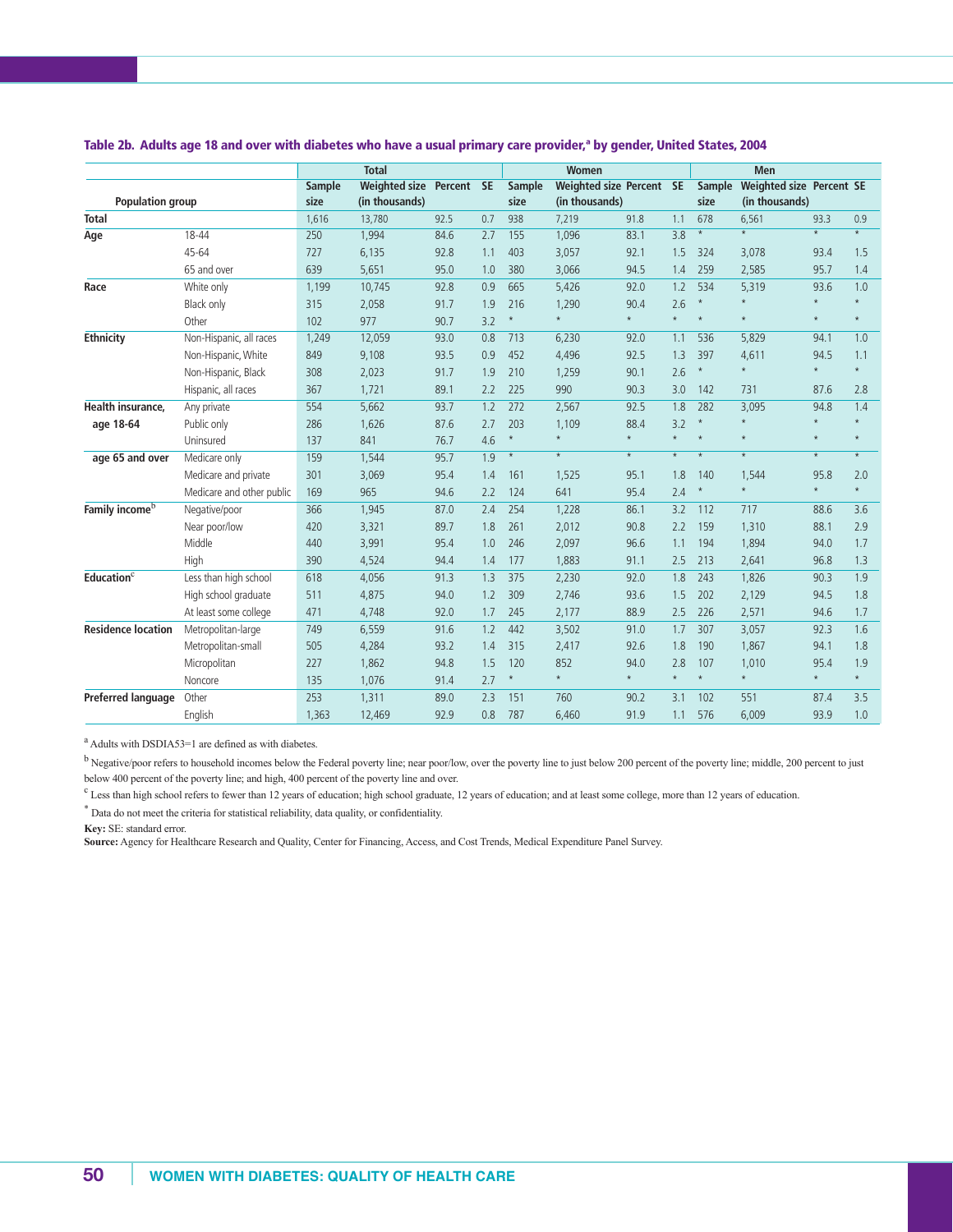|                            |                           | <b>Total</b>   |                                            |      | Women |                |                                            |                   | Men     |                |                                            |                   |         |
|----------------------------|---------------------------|----------------|--------------------------------------------|------|-------|----------------|--------------------------------------------|-------------------|---------|----------------|--------------------------------------------|-------------------|---------|
| Population group           |                           | Sample<br>size | Weighted size Percent SE<br>(in thousands) |      |       | Sample<br>size | Weighted size Percent SE<br>(in thousands) |                   |         | Sample<br>size | Weighted size Percent SE<br>(in thousands) |                   |         |
| <b>Total</b>               |                           | 1,616          | 13,780                                     | 92.5 | 0.7   | 938            | 7,219                                      | 91.8              | 1.1     | 678            | 6,561                                      | 93.3              | 0.9     |
| Age                        | 18-44                     | 250            | 1,994                                      | 84.6 | 2.7   | 155            | 1,096                                      | 83.1              | 3.8     | $\star$        | $\star$                                    | $^\star$          | $\star$ |
|                            | 45-64                     | 727            | 6,135                                      | 92.8 | 1.1   | 403            | 3,057                                      | 92.1              | 1.5     | 324            | 3,078                                      | 93.4              | 1.5     |
|                            | 65 and over               | 639            | 5,651                                      | 95.0 | 1.0   | 380            | 3,066                                      | 94.5              | 1.4     | 259            | 2,585                                      | 95.7              | 1.4     |
| Race                       | White only                | 1,199          | 10,745                                     | 92.8 | 0.9   | 665            | 5,426                                      | 92.0              | 1.2     | 534            | 5,319                                      | 93.6              | 1.0     |
|                            | Black only                | 315            | 2,058                                      | 91.7 | 1.9   | 216            | 1,290                                      | 90.4              | 2.6     | $\star$        | $\star$                                    | $\star$           | $\star$ |
|                            | Other                     | 102            | 977                                        | 90.7 | 3.2   | $\star$        | $\star$                                    | $\star$           | $\star$ | $\star$        | $\star$                                    | $\star$           | $\star$ |
| Ethnicity                  | Non-Hispanic, all races   | 1,249          | 12,059                                     | 93.0 | 0.8   | 713            | 6,230                                      | 92.0              | 1.1     | 536            | 5,829                                      | 94.1              | 1.0     |
|                            | Non-Hispanic, White       | 849            | 9,108                                      | 93.5 | 0.9   | 452            | 4,496                                      | 92.5              | 1.3     | 397            | 4,611                                      | 94.5              | 1.1     |
|                            | Non-Hispanic, Black       | 308            | 2,023                                      | 91.7 | 1.9   | 210            | 1,259                                      | 90.1              | 2.6     |                | $\star$                                    | $\star$           | $\star$ |
|                            | Hispanic, all races       | 367            | 1,721                                      | 89.1 | 2.2   | 225            | 990                                        | 90.3              | 3.0     | 142            | 731                                        | 87.6              | 2.8     |
| <b>Health insurance,</b>   | Any private               | 554            | 5,662                                      | 93.7 | 1.2   | 272            | 2,567                                      | 92.5              | 1.8     | 282            | 3,095                                      | 94.8              | 1.4     |
| age 18-64                  | Public only               | 286            | 1,626                                      | 87.6 | 2.7   | 203            | 1,109                                      | 88.4              | 3.2     | $\star$        | $\star$                                    | $\star$           | $\star$ |
|                            | Uninsured                 | 137            | 841                                        | 76.7 | 4.6   | $\star$        | $\star$                                    | $\star$           | $\star$ | $\star$        | $\star$                                    | $\star$           | $\star$ |
| age 65 and over            | Medicare only             | 159            | 1,544                                      | 95.7 | 1.9   | $\pmb{\ast}$   | $\star$                                    | $\overline{\ast}$ | $\star$ | $\star$        | $\overline{\star}$                         | $\overline{\ast}$ | $\star$ |
|                            | Medicare and private      | 301            | 3,069                                      | 95.4 | 1.4   | 161            | 1,525                                      | 95.1              | 1.8     | 140            | 1,544                                      | 95.8              | 2.0     |
|                            | Medicare and other public | 169            | 965                                        | 94.6 | 2.2   | 124            | 641                                        | 95.4              | 2.4     | $\star$        | $^\star$                                   | $\star$           | $\star$ |
| Family income <sup>b</sup> | Negative/poor             | 366            | 1,945                                      | 87.0 | 2.4   | 254            | 1,228                                      | 86.1              | 3.2     | 112            | 717                                        | 88.6              | 3.6     |
|                            | Near poor/low             | 420            | 3,321                                      | 89.7 | 1.8   | 261            | 2,012                                      | 90.8              | 2.2     | 159            | 1,310                                      | 88.1              | 2.9     |
|                            | Middle                    | 440            | 3,991                                      | 95.4 | 1.0   | 246            | 2,097                                      | 96.6              | 1.1     | 194            | 1,894                                      | 94.0              | 1.7     |
|                            | High                      | 390            | 4,524                                      | 94.4 | 1.4   | 177            | 1,883                                      | 91.1              | 2.5     | 213            | 2,641                                      | 96.8              | 1.3     |
| Education <sup>c</sup>     | Less than high school     | 618            | 4,056                                      | 91.3 | 1.3   | 375            | 2,230                                      | 92.0              | 1.8     | 243            | 1,826                                      | 90.3              | 1.9     |
|                            | High school graduate      | 511            | 4,875                                      | 94.0 | 1.2   | 309            | 2,746                                      | 93.6              | 1.5     | 202            | 2,129                                      | 94.5              | 1.8     |
|                            | At least some college     | 471            | 4,748                                      | 92.0 | 1.7   | 245            | 2,177                                      | 88.9              | 2.5     | 226            | 2,571                                      | 94.6              | 1.7     |
| <b>Residence location</b>  | Metropolitan-large        | 749            | 6,559                                      | 91.6 | 1.2   | 442            | 3,502                                      | 91.0              | 1.7     | 307            | 3,057                                      | 92.3              | 1.6     |
|                            | Metropolitan-small        | 505            | 4,284                                      | 93.2 | 1.4   | 315            | 2,417                                      | 92.6              | 1.8     | 190            | 1,867                                      | 94.1              | 1.8     |
|                            | Micropolitan              | 227            | 1,862                                      | 94.8 | 1.5   | 120            | 852                                        | 94.0              | 2.8     | 107            | 1,010                                      | 95.4              | 1.9     |
|                            | Noncore                   | 135            | 1,076                                      | 91.4 | 2.7   | $\star$        | $\star$                                    | $\star$           | $\star$ | $\star$        | $\star$                                    | $\star$           | $\star$ |
| Preferred language         | Other                     | 253            | 1,311                                      | 89.0 | 2.3   | 151            | 760                                        | 90.2              | 3.1     | 102            | 551                                        | 87.4              | 3.5     |
|                            | English                   | 1.363          | 12,469                                     | 92.9 | 0.8   | 787            | 6.460                                      | 91.9              | 1.1     | 576            | 6.009                                      | 93.9              | 1.0     |

#### **Table 2b. Adults age 18 and over with diabetes who have a usual primary care provider,ª by gender, United States, 2004**

<sup>a</sup> Adults with DSDIA53=1 are defined as with diabetes.

<sup>b</sup> Negative/poor refers to household incomes below the Federal poverty line; near poor/low, over the poverty line to just below 200 percent of the poverty line; middle, 200 percent to just below 400 percent of the poverty line; and high, 400 percent of the poverty line and over.

<sup>c</sup> Less than high school refers to fewer than 12 years of education; high school graduate, 12 years of education; and at least some college, more than 12 years of education.

\* Data do not meet the criteria for statistical reliability, data quality, or confidentiality.

**Key:** SE: standard error.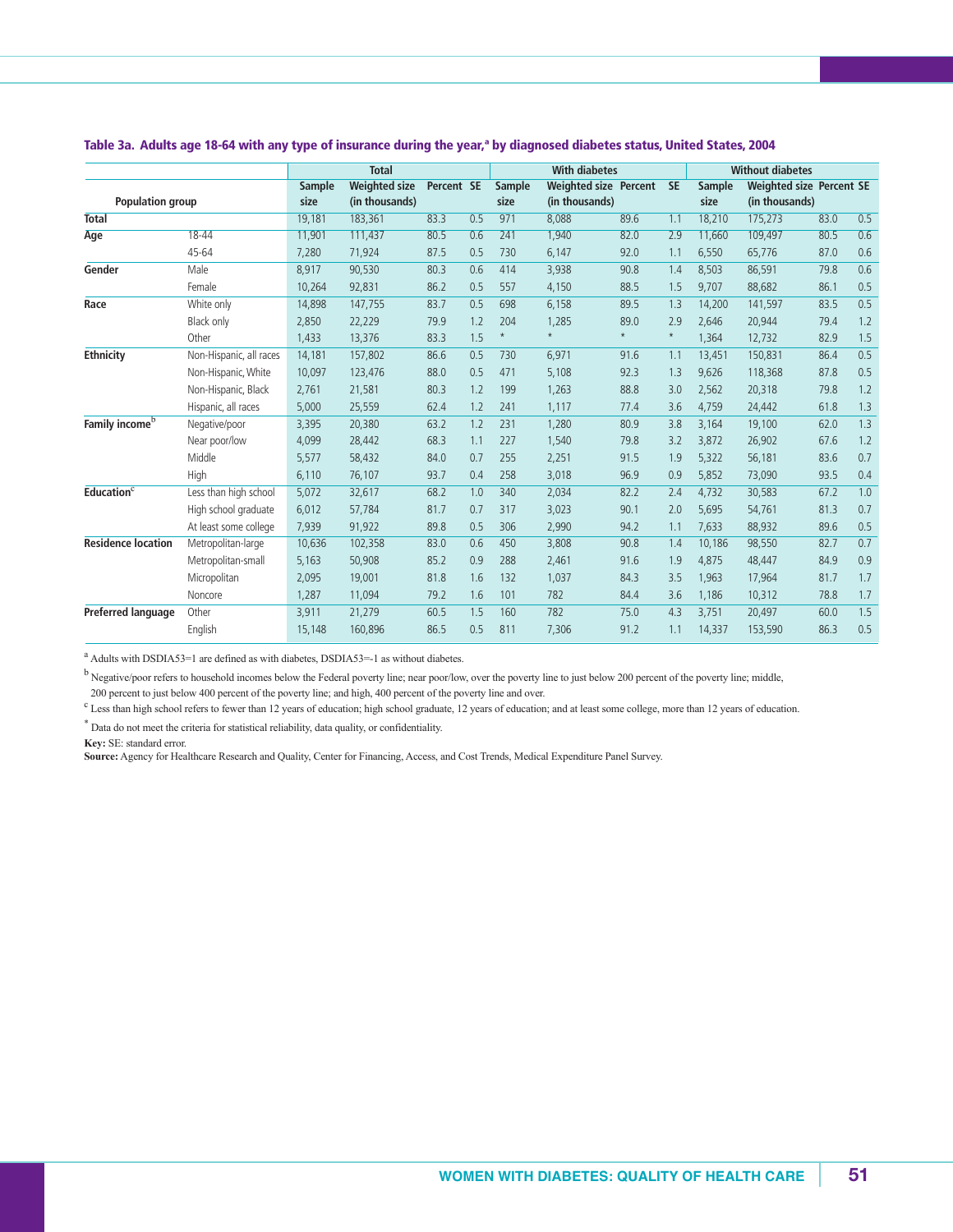|                            |                         | <b>Total</b> |                      |            | <b>With diabetes</b> |         |                              |         | <b>Without diabetes</b> |               |                                 |      |     |
|----------------------------|-------------------------|--------------|----------------------|------------|----------------------|---------|------------------------------|---------|-------------------------|---------------|---------------------------------|------|-----|
|                            |                         | Sample       | <b>Weighted size</b> | Percent SE |                      | Sample  | <b>Weighted size Percent</b> |         | <b>SE</b>               | <b>Sample</b> | <b>Weighted size Percent SE</b> |      |     |
| <b>Population group</b>    |                         | size         | (in thousands)       |            |                      | size    | (in thousands)               |         |                         | size          | (in thousands)                  |      |     |
| <b>Total</b>               |                         | 19,181       | 183,361              | 83.3       | 0.5                  | 971     | 8,088                        | 89.6    | 1.1                     | 18,210        | 175,273                         | 83.0 | 0.5 |
| Age                        | $18 - 44$               | 11,901       | 111,437              | 80.5       | 0.6                  | 241     | 1,940                        | 82.0    | 2.9                     | 11,660        | 109,497                         | 80.5 | 0.6 |
|                            | 45-64                   | 7,280        | 71,924               | 87.5       | 0.5                  | 730     | 6,147                        | 92.0    | 1.1                     | 6,550         | 65,776                          | 87.0 | 0.6 |
| Gender                     | Male                    | 8,917        | 90,530               | 80.3       | 0.6                  | 414     | 3,938                        | 90.8    | 1.4                     | 8,503         | 86,591                          | 79.8 | 0.6 |
|                            | Female                  | 10,264       | 92,831               | 86.2       | 0.5                  | 557     | 4,150                        | 88.5    | 1.5                     | 9,707         | 88,682                          | 86.1 | 0.5 |
| Race                       | White only              | 14,898       | 147,755              | 83.7       | 0.5                  | 698     | 6,158                        | 89.5    | 1.3                     | 14,200        | 141,597                         | 83.5 | 0.5 |
|                            | Black only              | 2,850        | 22,229               | 79.9       | 1.2                  | 204     | 1,285                        | 89.0    | 2.9                     | 2.646         | 20,944                          | 79.4 | 1.2 |
|                            | Other                   | 1.433        | 13,376               | 83.3       | 1.5                  | $\star$ | $^\star$                     | $\star$ | $^\star$                | 1.364         | 12,732                          | 82.9 | 1.5 |
| <b>Ethnicity</b>           | Non-Hispanic, all races | 14,181       | 157,802              | 86.6       | 0.5                  | 730     | 6,971                        | 91.6    | 1.1                     | 13,451        | 150,831                         | 86.4 | 0.5 |
|                            | Non-Hispanic, White     | 10.097       | 123,476              | 88.0       | 0.5                  | 471     | 5,108                        | 92.3    | 1.3                     | 9,626         | 118,368                         | 87.8 | 0.5 |
|                            | Non-Hispanic, Black     | 2,761        | 21,581               | 80.3       | 1.2                  | 199     | 1,263                        | 88.8    | 3.0                     | 2,562         | 20,318                          | 79.8 | 1.2 |
|                            | Hispanic, all races     | 5,000        | 25,559               | 62.4       | 1.2                  | 241     | 1,117                        | 77.4    | 3.6                     | 4,759         | 24,442                          | 61.8 | 1.3 |
| Family income <sup>b</sup> | Negative/poor           | 3,395        | 20,380               | 63.2       | 1.2                  | 231     | 1,280                        | 80.9    | 3.8                     | 3,164         | 19,100                          | 62.0 | 1.3 |
|                            | Near poor/low           | 4,099        | 28,442               | 68.3       | 1.1                  | 227     | 1,540                        | 79.8    | 3.2                     | 3,872         | 26,902                          | 67.6 | 1.2 |
|                            | Middle                  | 5,577        | 58,432               | 84.0       | 0.7                  | 255     | 2,251                        | 91.5    | 1.9                     | 5,322         | 56,181                          | 83.6 | 0.7 |
|                            | High                    | 6,110        | 76,107               | 93.7       | 0.4                  | 258     | 3,018                        | 96.9    | 0.9                     | 5,852         | 73,090                          | 93.5 | 0.4 |
| Education <sup>c</sup>     | Less than high school   | 5,072        | 32,617               | 68.2       | 1.0                  | 340     | 2,034                        | 82.2    | 2.4                     | 4,732         | 30,583                          | 67.2 | 1.0 |
|                            | High school graduate    | 6.012        | 57,784               | 81.7       | 0.7                  | 317     | 3,023                        | 90.1    | 2.0                     | 5,695         | 54,761                          | 81.3 | 0.7 |
|                            | At least some college   | 7.939        | 91,922               | 89.8       | 0.5                  | 306     | 2,990                        | 94.2    | 1.1                     | 7,633         | 88,932                          | 89.6 | 0.5 |
| <b>Residence location</b>  | Metropolitan-large      | 10,636       | 102,358              | 83.0       | 0.6                  | 450     | 3,808                        | 90.8    | 1.4                     | 10,186        | 98,550                          | 82.7 | 0.7 |
|                            | Metropolitan-small      | 5,163        | 50,908               | 85.2       | 0.9                  | 288     | 2,461                        | 91.6    | 1.9                     | 4,875         | 48,447                          | 84.9 | 0.9 |
|                            | Micropolitan            | 2,095        | 19,001               | 81.8       | 1.6                  | 132     | 1.037                        | 84.3    | 3.5                     | 1,963         | 17,964                          | 81.7 | 1.7 |
|                            | Noncore                 | 1,287        | 11,094               | 79.2       | 1.6                  | 101     | 782                          | 84.4    | 3.6                     | 1,186         | 10,312                          | 78.8 | 1.7 |
| Preferred language         | Other                   | 3,911        | 21,279               | 60.5       | 1.5                  | 160     | 782                          | 75.0    | 4.3                     | 3,751         | 20,497                          | 60.0 | 1.5 |
|                            | English                 | 15,148       | 160,896              | 86.5       | 0.5                  | 811     | 7,306                        | 91.2    | 1.1                     | 14.337        | 153,590                         | 86.3 | 0.5 |

#### **Table 3a. Adults age 18-64 with any type of insurance during the year,ª by diagnosed diabetes status, United States, 2004**

<sup>a</sup> Adults with DSDIA53=1 are defined as with diabetes, DSDIA53=-1 as without diabetes.

<sup>b</sup> Negative/poor refers to household incomes below the Federal poverty line; near poor/low, over the poverty line to just below 200 percent of the poverty line; middle,

200 percent to just below 400 percent of the poverty line; and high, 400 percent of the poverty line and over.

<sup>c</sup> Less than high school refers to fewer than 12 years of education; high school graduate, 12 years of education; and at least some college, more than 12 years of education.

\* Data do not meet the criteria for statistical reliability, data quality, or confidentiality.

**Key:** SE: standard error.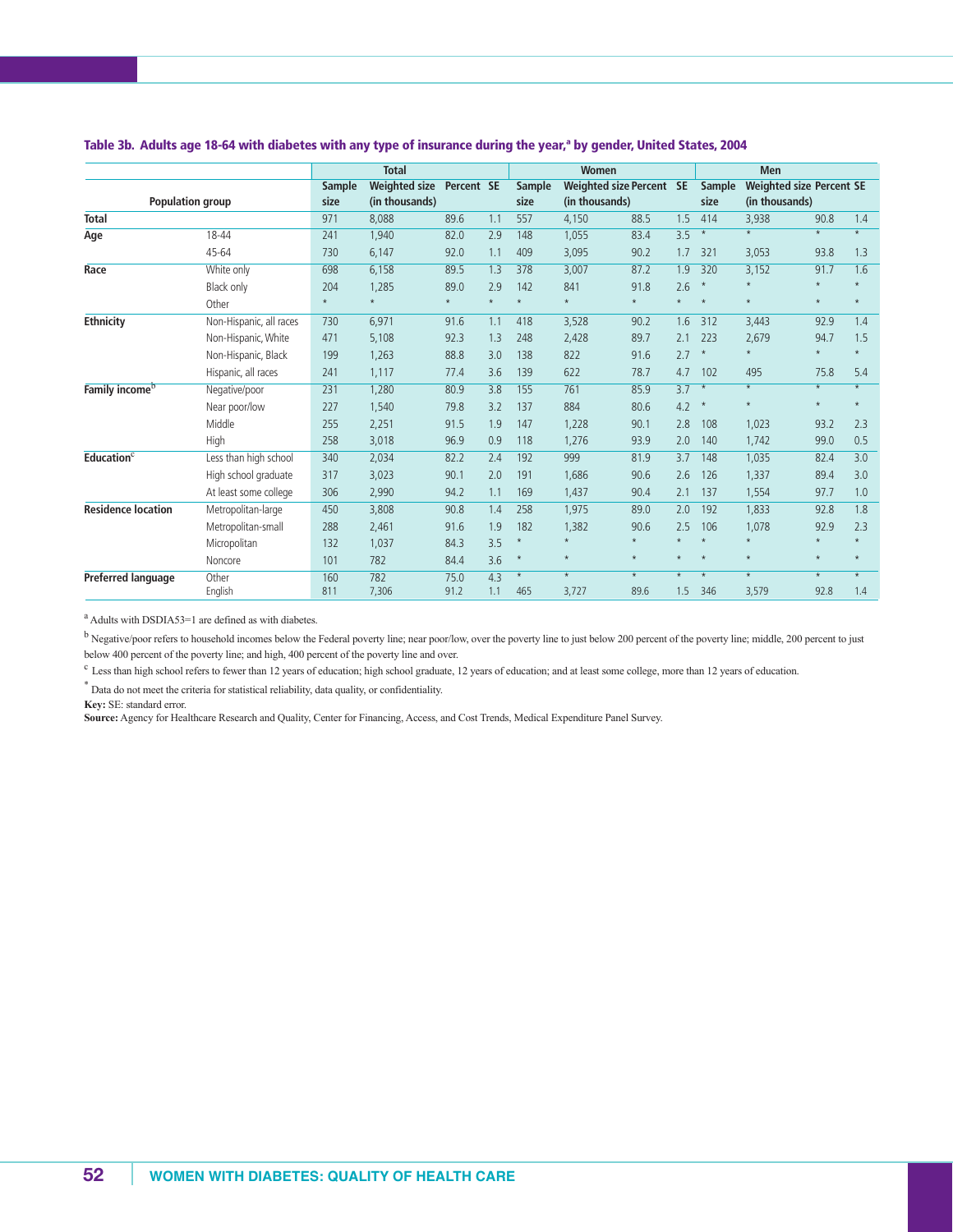|                            |                         | <b>Total</b> |                      |            |          |         | Women                           |         |         |         | <b>Men</b>                      |         |         |
|----------------------------|-------------------------|--------------|----------------------|------------|----------|---------|---------------------------------|---------|---------|---------|---------------------------------|---------|---------|
|                            |                         | Sample       | <b>Weighted size</b> | Percent SE |          | Sample  | <b>Weighted size Percent SE</b> |         |         | Sample  | <b>Weighted size Percent SE</b> |         |         |
|                            | <b>Population group</b> | size         | (in thousands)       |            |          | size    | (in thousands)                  |         |         | size    | (in thousands)                  |         |         |
| <b>Total</b>               |                         | 971          | 8,088                | 89.6       | 1.1      | 557     | 4,150                           | 88.5    | 1.5     | 414     | 3,938                           | 90.8    | 1.4     |
| Age                        | 18-44                   | 241          | 1,940                | 82.0       | 2.9      | 148     | 1,055                           | 83.4    | 3.5     | $\star$ | $\star$                         | $\star$ | $\star$ |
|                            | 45-64                   | 730          | 6,147                | 92.0       | 1.1      | 409     | 3,095                           | 90.2    | 1.7     | 321     | 3,053                           | 93.8    | 1.3     |
| Race                       | White only              | 698          | 6,158                | 89.5       | 1.3      | 378     | 3,007                           | 87.2    | 1.9     | 320     | 3,152                           | 91.7    | 1.6     |
|                            | Black only              | 204          | 1,285                | 89.0       | 2.9      | 142     | 841                             | 91.8    | 2.6     | $\star$ |                                 | $\star$ | $\star$ |
|                            | Other                   | $\star$      | $\star$              | $\star$    | $^\star$ | $\star$ | $\star$                         | $\star$ | $\star$ | $\star$ | $\star$                         | $\star$ | $\star$ |
| <b>Ethnicity</b>           | Non-Hispanic, all races | 730          | 6,971                | 91.6       | 1.1      | 418     | 3,528                           | 90.2    | 1.6     | 312     | 3,443                           | 92.9    | 1.4     |
|                            | Non-Hispanic, White     | 471          | 5,108                | 92.3       | 1.3      | 248     | 2,428                           | 89.7    | 2.1     | 223     | 2,679                           | 94.7    | 1.5     |
|                            | Non-Hispanic, Black     | 199          | 1,263                | 88.8       | 3.0      | 138     | 822                             | 91.6    | 2.7     |         | $\star$                         | $\star$ | $\star$ |
|                            | Hispanic, all races     | 241          | 1.117                | 77.4       | 3.6      | 139     | 622                             | 78.7    | 4.7     | 102     | 495                             | 75.8    | 5.4     |
| Family income <sup>b</sup> | Negative/poor           | 231          | 1,280                | 80.9       | 3.8      | 155     | 761                             | 85.9    | 3.7     | $\star$ | $\star$                         | $\star$ | $\star$ |
|                            | Near poor/low           | 227          | 1,540                | 79.8       | 3.2      | 137     | 884                             | 80.6    | 4.2     | $\star$ | $\star$                         | $\star$ | $\star$ |
|                            | Middle                  | 255          | 2,251                | 91.5       | 1.9      | 147     | 1,228                           | 90.1    | 2.8     | 108     | 1,023                           | 93.2    | 2.3     |
|                            | High                    | 258          | 3,018                | 96.9       | 0.9      | 118     | 1,276                           | 93.9    | 2.0     | 140     | 1,742                           | 99.0    | 0.5     |
| Education <sup>c</sup>     | Less than high school   | 340          | 2,034                | 82.2       | 2.4      | 192     | 999                             | 81.9    | 3.7     | 148     | 1,035                           | 82.4    | 3.0     |
|                            | High school graduate    | 317          | 3,023                | 90.1       | 2.0      | 191     | 1,686                           | 90.6    | 2.6     | 126     | 1,337                           | 89.4    | 3.0     |
|                            | At least some college   | 306          | 2,990                | 94.2       | 1.1      | 169     | 1,437                           | 90.4    | 2.1     | 137     | 1,554                           | 97.7    | 1.0     |
| <b>Residence location</b>  | Metropolitan-large      | 450          | 3,808                | 90.8       | 1.4      | 258     | 1,975                           | 89.0    | 2.0     | 192     | 1.833                           | 92.8    | 1.8     |
|                            | Metropolitan-small      | 288          | 2,461                | 91.6       | 1.9      | 182     | 1,382                           | 90.6    | 2.5     | 106     | 1,078                           | 92.9    | 2.3     |
|                            | Micropolitan            | 132          | 1,037                | 84.3       | 3.5      | $\star$ | $\star$                         | $\star$ | $\star$ | $\star$ | $\star$                         | $\star$ | $\star$ |
|                            | Noncore                 | 101          | 782                  | 84.4       | 3.6      | $\star$ | $\star$                         | $\star$ | $\star$ | $\star$ | $\star$                         | $\star$ | $\star$ |
| <b>Preferred language</b>  | Other                   | 160          | 782                  | 75.0       | 4.3      | $\star$ | $\star$                         | $\star$ | $\star$ | $\star$ | $\star$                         | $\star$ | $\star$ |
|                            | English                 | 811          | 7,306                | 91.2       | 1.1      | 465     | 3,727                           | 89.6    | 1.5     | 346     | 3,579                           | 92.8    | 1.4     |

#### **Table 3b. Adults age 18-64 with diabetes with any type of insurance during the year,ª by gender, United States, 2004**

<sup>a</sup> Adults with DSDIA53=1 are defined as with diabetes.

<sup>b</sup> Negative/poor refers to household incomes below the Federal poverty line; near poor/low, over the poverty line to just below 200 percent of the poverty line; middle, 200 percent to just below 400 percent of the poverty line; and high, 400 percent of the poverty line and over.

<sup>c</sup> Less than high school refers to fewer than 12 years of education; high school graduate, 12 years of education; and at least some college, more than 12 years of education.

 $^\ast$  Data do not meet the criteria for statistical reliability, data quality, or confidentiality.

**Key:** SE: standard error.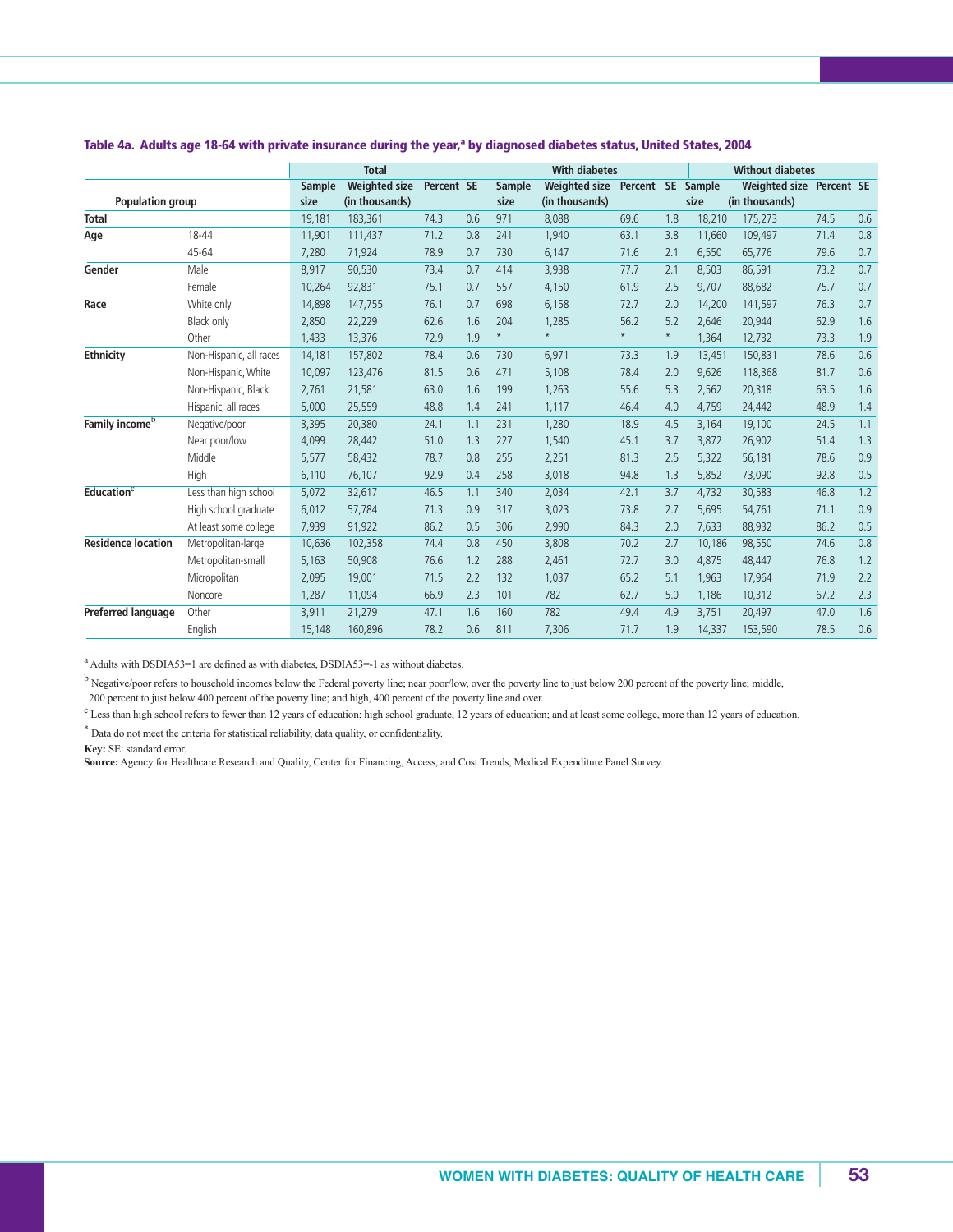|                            |                         | <b>Total</b> |                      |            |     | <b>With diabetes</b> |                      |                   |          |        | <b>Without diabetes</b>  |      |     |  |  |
|----------------------------|-------------------------|--------------|----------------------|------------|-----|----------------------|----------------------|-------------------|----------|--------|--------------------------|------|-----|--|--|
|                            |                         | Sample       | <b>Weighted size</b> | Percent SE |     | Sample               | <b>Weighted size</b> | Percent SE Sample |          |        | Weighted size Percent SE |      |     |  |  |
| <b>Population group</b>    |                         | size         | (in thousands)       |            |     | size                 | (in thousands)       |                   |          | size   | (in thousands)           |      |     |  |  |
| <b>Total</b>               |                         | 19,181       | 183,361              | 74.3       | 0.6 | 971                  | 8,088                | 69.6              | 1.8      | 18,210 | 175,273                  | 74.5 | 0.6 |  |  |
| Age                        | 18-44                   | 11,901       | 111,437              | 71.2       | 0.8 | 241                  | 1,940                | 63.1              | 3.8      | 11,660 | 109,497                  | 71.4 | 0.8 |  |  |
|                            | 45-64                   | 7,280        | 71,924               | 78.9       | 0.7 | 730                  | 6,147                | 71.6              | 2.1      | 6,550  | 65,776                   | 79.6 | 0.7 |  |  |
| Gender                     | Male                    | 8,917        | 90,530               | 73.4       | 0.7 | 414                  | 3,938                | 77.7              | 2.1      | 8,503  | 86,591                   | 73.2 | 0.7 |  |  |
|                            | Female                  | 10,264       | 92,831               | 75.1       | 0.7 | 557                  | 4,150                | 61.9              | 2.5      | 9,707  | 88,682                   | 75.7 | 0.7 |  |  |
| Race                       | White only              | 14,898       | 147,755              | 76.1       | 0.7 | 698                  | 6,158                | 72.7              | 2.0      | 14,200 | 141,597                  | 76.3 | 0.7 |  |  |
|                            | Black only              | 2.850        | 22,229               | 62.6       | 1.6 | 204                  | 1,285                | 56.2              | 5.2      | 2.646  | 20,944                   | 62.9 | 1.6 |  |  |
|                            | Other                   | 1,433        | 13,376               | 72.9       | 1.9 | $\star$              | $\star$              | $\star$           | $^\star$ | 1,364  | 12,732                   | 73.3 | 1.9 |  |  |
| <b>Ethnicity</b>           | Non-Hispanic, all races | 14.181       | 157,802              | 78.4       | 0.6 | 730                  | 6,971                | 73.3              | 1.9      | 13,451 | 150,831                  | 78.6 | 0.6 |  |  |
|                            | Non-Hispanic, White     | 10.097       | 123,476              | 81.5       | 0.6 | 471                  | 5,108                | 78.4              | 2.0      | 9,626  | 118,368                  | 81.7 | 0.6 |  |  |
|                            | Non-Hispanic, Black     | 2,761        | 21,581               | 63.0       | 1.6 | 199                  | 1,263                | 55.6              | 5.3      | 2,562  | 20,318                   | 63.5 | 1.6 |  |  |
|                            | Hispanic, all races     | 5,000        | 25,559               | 48.8       | 1.4 | 241                  | 1,117                | 46.4              | 4.0      | 4,759  | 24,442                   | 48.9 | 1.4 |  |  |
| Family income <sup>b</sup> | Negative/poor           | 3,395        | 20,380               | 24.1       | 1.1 | 231                  | 1,280                | 18.9              | 4.5      | 3,164  | 19,100                   | 24.5 | 1.1 |  |  |
|                            | Near poor/low           | 4,099        | 28,442               | 51.0       | 1.3 | 227                  | 1,540                | 45.1              | 3.7      | 3,872  | 26,902                   | 51.4 | 1.3 |  |  |
|                            | Middle                  | 5,577        | 58,432               | 78.7       | 0.8 | 255                  | 2,251                | 81.3              | 2.5      | 5,322  | 56,181                   | 78.6 | 0.9 |  |  |
|                            | High                    | 6,110        | 76,107               | 92.9       | 0.4 | 258                  | 3,018                | 94.8              | 1.3      | 5,852  | 73,090                   | 92.8 | 0.5 |  |  |
| Education <sup>c</sup>     | Less than high school   | 5,072        | 32,617               | 46.5       | 1.1 | 340                  | 2,034                | 42.1              | 3.7      | 4,732  | 30,583                   | 46.8 | 1.2 |  |  |
|                            | High school graduate    | 6,012        | 57,784               | 71.3       | 0.9 | 317                  | 3,023                | 73.8              | 2.7      | 5,695  | 54,761                   | 71.1 | 0.9 |  |  |
|                            | At least some college   | 7,939        | 91,922               | 86.2       | 0.5 | 306                  | 2,990                | 84.3              | 2.0      | 7,633  | 88,932                   | 86.2 | 0.5 |  |  |
| <b>Residence location</b>  | Metropolitan-large      | 10,636       | 102,358              | 74.4       | 0.8 | 450                  | 3,808                | 70.2              | 2.7      | 10,186 | 98,550                   | 74.6 | 0.8 |  |  |
|                            | Metropolitan-small      | 5,163        | 50,908               | 76.6       | 1.2 | 288                  | 2,461                | 72.7              | 3.0      | 4,875  | 48,447                   | 76.8 | 1.2 |  |  |
|                            | Micropolitan            | 2,095        | 19,001               | 71.5       | 2.2 | 132                  | 1,037                | 65.2              | 5.1      | 1,963  | 17,964                   | 71.9 | 2.2 |  |  |
|                            | Noncore                 | 1,287        | 11,094               | 66.9       | 2.3 | 101                  | 782                  | 62.7              | 5.0      | 1,186  | 10,312                   | 67.2 | 2.3 |  |  |
| <b>Preferred language</b>  | Other                   | 3,911        | 21,279               | 47.1       | 1.6 | 160                  | 782                  | 49.4              | 4.9      | 3,751  | 20,497                   | 47.0 | 1.6 |  |  |
|                            | English                 | 15,148       | 160.896              | 78.2       | 0.6 | 811                  | 7,306                | 71.7              | 1.9      | 14.337 | 153,590                  | 78.5 | 0.6 |  |  |

#### **Table 4a. Adults age 18-64 with private insurance during the year,ª by diagnosed diabetes status, United States, 2004**

 $a$  Adults with DSDIA53=1 are defined as with diabetes, DSDIA53=-1 as without diabetes.

<sup>b</sup> Negative/poor refers to household incomes below the Federal poverty line; near poor/low, over the poverty line to just below 200 percent of the poverty line; middle,

200 percent to just below 400 percent of the poverty line; and high, 400 percent of the poverty line and over.

<sup>c</sup> Less than high school refers to fewer than 12 years of education; high school graduate, 12 years of education; and at least some college, more than 12 years of education.

\* Data do not meet the criteria for statistical reliability, data quality, or confidentiality.

**Key:** SE: standard error.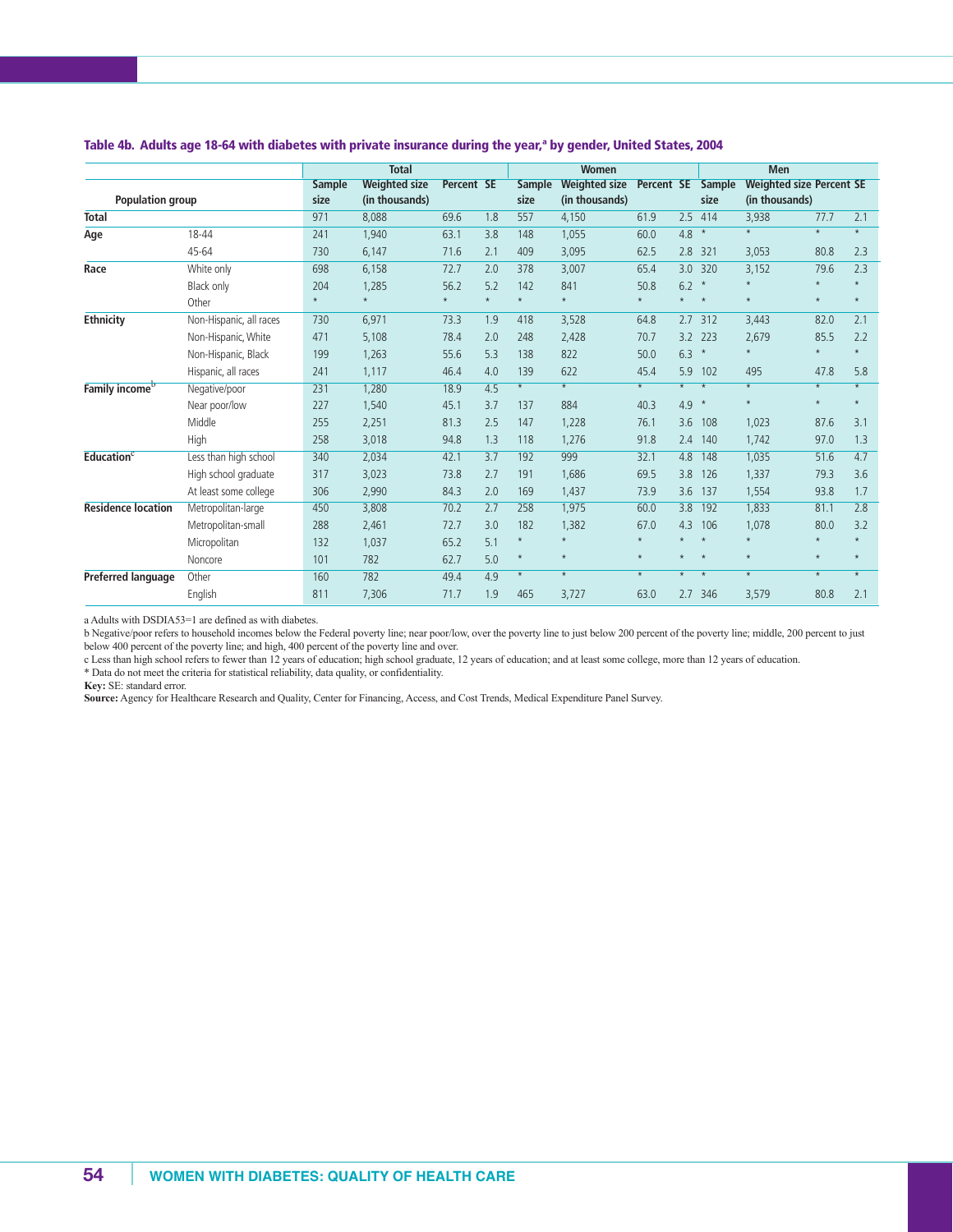|                            |                         | <b>Total</b>   |                                        |            |         |                | Women                                  |            | <b>Men</b> |                         |                                                   |         |                   |
|----------------------------|-------------------------|----------------|----------------------------------------|------------|---------|----------------|----------------------------------------|------------|------------|-------------------------|---------------------------------------------------|---------|-------------------|
| <b>Population group</b>    |                         | Sample<br>size | <b>Weighted size</b><br>(in thousands) | Percent SE |         | Sample<br>size | <b>Weighted size</b><br>(in thousands) | Percent SE |            | Sample<br>size          | <b>Weighted size Percent SE</b><br>(in thousands) |         |                   |
| <b>Total</b>               |                         | 971            | 8,088                                  | 69.6       | 1.8     | 557            | 4,150                                  | 61.9       | 2.5        | 414                     | 3,938                                             | 77.7    | 2.1               |
| Age                        | 18-44                   | 241            | 1.940                                  | 63.1       | 3.8     | 148            | 1,055                                  | 60.0       | 4.8        | $\star$                 | $\star$                                           | $\star$ | $\star$           |
|                            | 45-64                   | 730            | 6,147                                  | 71.6       | 2.1     | 409            | 3,095                                  | 62.5       | 2.8        | 321                     | 3,053                                             | 80.8    | 2.3               |
| Race                       | White only              | 698            | 6,158                                  | 72.7       | 2.0     | 378            | 3,007                                  | 65.4       | 3.0        | 320                     | 3,152                                             | 79.6    | 2.3               |
|                            | <b>Black only</b>       | 204            | 1.285                                  | 56.2       | 5.2     | 142            | 841                                    | 50.8       | 6.2        | $\star$                 |                                                   | $\star$ | $\star$           |
|                            | Other                   | $\star$        | $\star$                                | $^\star$   | $\star$ | $\star$        | $^\star$                               | $^\star$   | $^\star$   | $\star$                 | $\star$                                           | $\star$ | $^\star$          |
| <b>Ethnicity</b>           | Non-Hispanic, all races | 730            | 6,971                                  | 73.3       | 1.9     | 418            | 3,528                                  | 64.8       |            | 2.7 312                 | 3,443                                             | 82.0    | 2.1               |
|                            | Non-Hispanic, White     | 471            | 5,108                                  | 78.4       | 2.0     | 248            | 2,428                                  | 70.7       | 3.2        | 223                     | 2,679                                             | 85.5    | 2.2               |
|                            | Non-Hispanic, Black     | 199            | 1,263                                  | 55.6       | 5.3     | 138            | 822                                    | 50.0       | 6.3        | $\star$                 | $\star$                                           | $\star$ | $\star$           |
|                            | Hispanic, all races     | 241            | 1,117                                  | 46.4       | 4.0     | 139            | 622                                    | 45.4       | 5.9        | 102                     | 495                                               | 47.8    | 5.8               |
| Family income <sup>b</sup> | Negative/poor           | 231            | 1.280                                  | 18.9       | 4.5     | $\star$        | $\star$                                | $\star$    | $\star$    | $\overline{\mathbf{x}}$ | $\star$                                           | $\star$ | $\overline{\ast}$ |
|                            | Near poor/low           | 227            | 1.540                                  | 45.1       | 3.7     | 137            | 884                                    | 40.3       | 4.9        | $\star$                 | $\star$                                           | $\star$ | $\star$           |
|                            | Middle                  | 255            | 2,251                                  | 81.3       | 2.5     | 147            | 1,228                                  | 76.1       | 3.6        | 108                     | 1,023                                             | 87.6    | 3.1               |
|                            | High                    | 258            | 3,018                                  | 94.8       | 1.3     | 118            | 1,276                                  | 91.8       | 2.4        | 140                     | 1,742                                             | 97.0    | 1.3               |
| Education <sup>c</sup>     | Less than high school   | 340            | 2,034                                  | 42.1       | 3.7     | 192            | 999                                    | 32.1       | 4.8        | 148                     | 1.035                                             | 51.6    | 4.7               |
|                            | High school graduate    | 317            | 3,023                                  | 73.8       | 2.7     | 191            | 1,686                                  | 69.5       | 3.8        | 126                     | 1,337                                             | 79.3    | 3.6               |
|                            | At least some college   | 306            | 2,990                                  | 84.3       | 2.0     | 169            | 1,437                                  | 73.9       | 3.6        | 137                     | 1,554                                             | 93.8    | 1.7               |
| <b>Residence location</b>  | Metropolitan-large      | 450            | 3,808                                  | 70.2       | 2.7     | 258            | 1.975                                  | 60.0       | 3.8        | 192                     | 1.833                                             | 81.1    | 2.8               |
|                            | Metropolitan-small      | 288            | 2,461                                  | 72.7       | 3.0     | 182            | 1,382                                  | 67.0       | 4.3        | 106                     | 1,078                                             | 80.0    | 3.2               |
|                            | Micropolitan            | 132            | 1,037                                  | 65.2       | 5.1     | $\star$        | $\star$                                | $\star$    | $\star$    | $\star$                 | $\star$                                           | $\star$ | $^\star$          |
|                            | Noncore                 | 101            | 782                                    | 62.7       | 5.0     | $\star$        | $\star$                                | $^\star$   | $\star$    | $\star$                 | $\star$                                           | $\star$ | $\star$           |
| <b>Preferred language</b>  | Other                   | 160            | 782                                    | 49.4       | 4.9     | $\star$        | $\star$                                | $\star$    | $\star$    | $\star$                 | $\star$                                           | $\star$ | $\star$           |
|                            | English                 | 811            | 7,306                                  | 71.7       | 1.9     | 465            | 3,727                                  | 63.0       | 2.7        | 346                     | 3,579                                             | 80.8    | 2.1               |

#### **Table 4b. Adults age 18-64 with diabetes with private insurance during the year,ª by gender, United States, 2004**

a Adults with DSDIA53=1 are defined as with diabetes.

b Negative/poor refers to household incomes below the Federal poverty line; near poor/low, over the poverty line to just below 200 percent of the poverty line; middle, 200 percent to just below 400 percent of the poverty line; and high, 400 percent of the poverty line and over.

c Less than high school refers to fewer than 12 years of education; high school graduate, 12 years of education; and at least some college, more than 12 years of education.

\* Data do not meet the criteria for statistical reliability, data quality, or confidentiality.

**Key:** SE: standard error.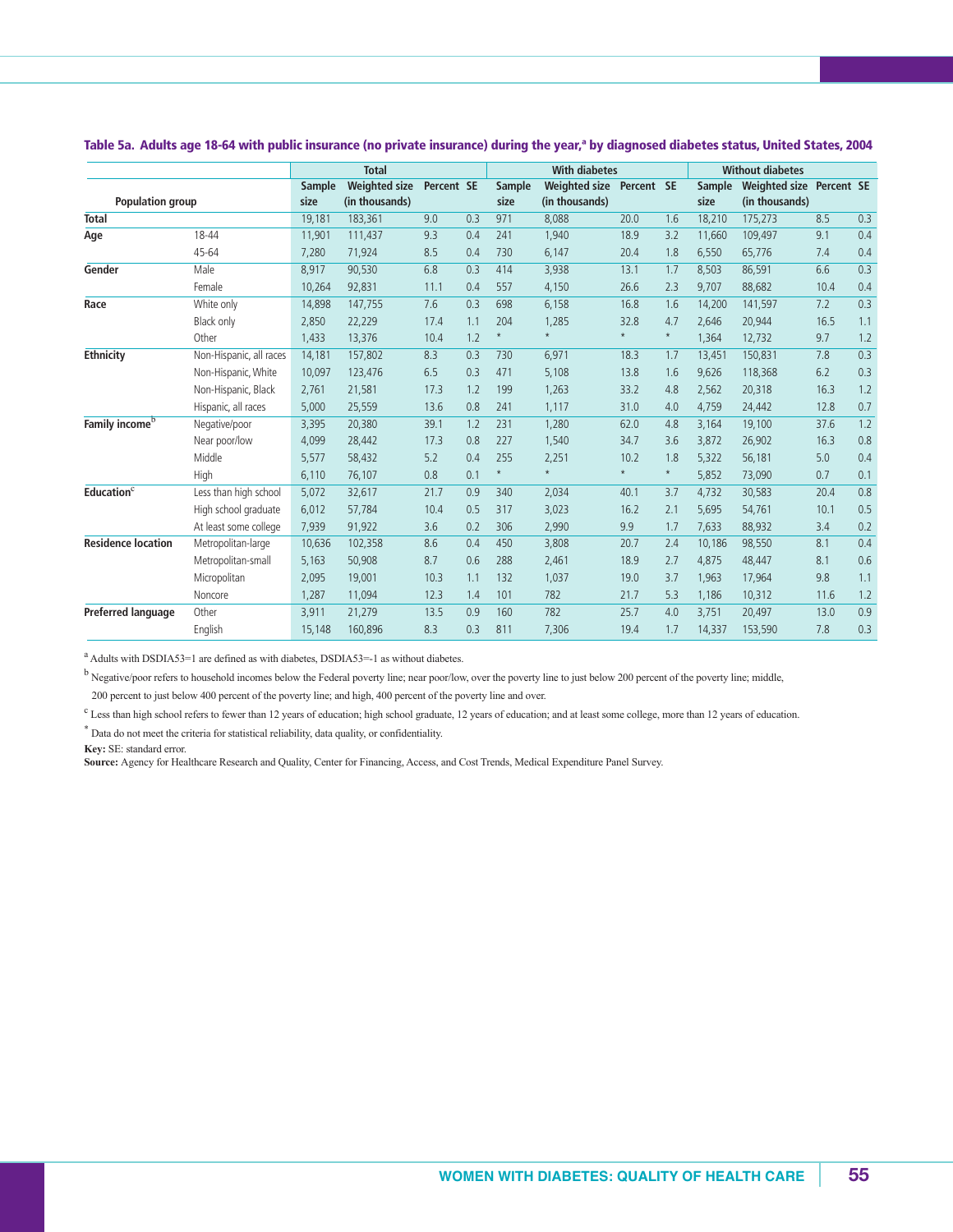|                            |                         | <b>Total</b>  |                      |            |     |            | <b>With diabetes</b> |            | <b>Without diabetes</b> |               |                          |      |     |
|----------------------------|-------------------------|---------------|----------------------|------------|-----|------------|----------------------|------------|-------------------------|---------------|--------------------------|------|-----|
|                            |                         | <b>Sample</b> | <b>Weighted size</b> | Percent SE |     | Sample     | <b>Weighted size</b> | Percent SE |                         | <b>Sample</b> | Weighted size Percent SE |      |     |
| <b>Population group</b>    |                         | size          | (in thousands)       |            |     | size       | (in thousands)       |            |                         | size          | (in thousands)           |      |     |
| <b>Total</b>               |                         | 19,181        | 183,361              | 9.0        | 0.3 | 971        | 8,088                | 20.0       | 1.6                     | 18,210        | 175,273                  | 8.5  | 0.3 |
| Age                        | 18-44                   | 11,901        | 111,437              | 9.3        | 0.4 | 241        | 1,940                | 18.9       | 3.2                     | 11,660        | 109,497                  | 9.1  | 0.4 |
|                            | 45-64                   | 7,280         | 71,924               | 8.5        | 0.4 | 730        | 6,147                | 20.4       | 1.8                     | 6,550         | 65,776                   | 7.4  | 0.4 |
| Gender                     | Male                    | 8,917         | 90,530               | 6.8        | 0.3 | 414        | 3,938                | 13.1       | 1.7                     | 8,503         | 86,591                   | 6.6  | 0.3 |
|                            | Female                  | 10,264        | 92,831               | 11.1       | 0.4 | 557        | 4,150                | 26.6       | 2.3                     | 9,707         | 88,682                   | 10.4 | 0.4 |
| Race                       | White only              | 14.898        | 147,755              | 7.6        | 0.3 | 698        | 6,158                | 16.8       | 1.6                     | 14,200        | 141,597                  | 7.2  | 0.3 |
|                            | Black only              | 2.850         | 22,229               | 17.4       | 1.1 | 204        | 1,285                | 32.8       | 4.7                     | 2.646         | 20,944                   | 16.5 | 1.1 |
|                            | Other                   | 1,433         | 13,376               | 10.4       | 1.2 | $\star$    | $\star$              | $\star$    | $^\star$                | 1,364         | 12,732                   | 9.7  | 1.2 |
| <b>Ethnicity</b>           | Non-Hispanic, all races | 14,181        | 157,802              | 8.3        | 0.3 | 730        | 6,971                | 18.3       | 1.7                     | 13,451        | 150,831                  | 7.8  | 0.3 |
|                            | Non-Hispanic, White     | 10.097        | 123,476              | 6.5        | 0.3 | 471        | 5,108                | 13.8       | 1.6                     | 9,626         | 118,368                  | 6.2  | 0.3 |
|                            | Non-Hispanic, Black     | 2,761         | 21,581               | 17.3       | 1.2 | 199        | 1,263                | 33.2       | 4.8                     | 2,562         | 20,318                   | 16.3 | 1.2 |
|                            | Hispanic, all races     | 5,000         | 25,559               | 13.6       | 0.8 | 241        | 1,117                | 31.0       | 4.0                     | 4,759         | 24,442                   | 12.8 | 0.7 |
| Family income <sup>b</sup> | Negative/poor           | 3,395         | 20,380               | 39.1       | 1.2 | 231        | 1,280                | 62.0       | 4.8                     | 3,164         | 19,100                   | 37.6 | 1.2 |
|                            | Near poor/low           | 4,099         | 28,442               | 17.3       | 0.8 | 227        | 1,540                | 34.7       | 3.6                     | 3,872         | 26,902                   | 16.3 | 0.8 |
|                            | Middle                  | 5,577         | 58,432               | 5.2        | 0.4 | 255        | 2,251                | 10.2       | 1.8                     | 5,322         | 56,181                   | 5.0  | 0.4 |
|                            | High                    | 6,110         | 76,107               | 0.8        | 0.1 | $^{\star}$ | $\star$              | $\star$    | $\star$                 | 5,852         | 73,090                   | 0.7  | 0.1 |
| Education <sup>c</sup>     | Less than high school   | 5,072         | 32,617               | 21.7       | 0.9 | 340        | 2,034                | 40.1       | 3.7                     | 4,732         | 30,583                   | 20.4 | 0.8 |
|                            | High school graduate    | 6.012         | 57,784               | 10.4       | 0.5 | 317        | 3,023                | 16.2       | 2.1                     | 5,695         | 54,761                   | 10.1 | 0.5 |
|                            | At least some college   | 7.939         | 91,922               | 3.6        | 0.2 | 306        | 2,990                | 9.9        | 1.7                     | 7,633         | 88,932                   | 3.4  | 0.2 |
| <b>Residence location</b>  | Metropolitan-large      | 10,636        | 102,358              | 8.6        | 0.4 | 450        | 3,808                | 20.7       | 2.4                     | 10,186        | 98,550                   | 8.1  | 0.4 |
|                            | Metropolitan-small      | 5,163         | 50,908               | 8.7        | 0.6 | 288        | 2,461                | 18.9       | 2.7                     | 4,875         | 48,447                   | 8.1  | 0.6 |
|                            | Micropolitan            | 2.095         | 19,001               | 10.3       | 1.1 | 132        | 1,037                | 19.0       | 3.7                     | 1,963         | 17,964                   | 9.8  | 1.1 |
|                            | Noncore                 | 1,287         | 11,094               | 12.3       | 1.4 | 101        | 782                  | 21.7       | 5.3                     | 1,186         | 10,312                   | 11.6 | 1.2 |
| Preferred language         | Other                   | 3,911         | 21,279               | 13.5       | 0.9 | 160        | 782                  | 25.7       | 4.0                     | 3,751         | 20,497                   | 13.0 | 0.9 |
|                            | English                 | 15,148        | 160,896              | 8.3        | 0.3 | 811        | 7,306                | 19.4       | 1.7                     | 14.337        | 153.590                  | 7.8  | 0.3 |

#### **Table 5a. Adults age 18-64 with public insurance (no private insurance) during the year,ª by diagnosed diabetes status, United States, 2004**

<sup>a</sup> Adults with DSDIA53=1 are defined as with diabetes, DSDIA53=-1 as without diabetes.

<sup>b</sup> Negative/poor refers to household incomes below the Federal poverty line; near poor/low, over the poverty line to just below 200 percent of the poverty line; middle,

200 percent to just below 400 percent of the poverty line; and high, 400 percent of the poverty line and over.

<sup>c</sup> Less than high school refers to fewer than 12 years of education; high school graduate, 12 years of education; and at least some college, more than 12 years of education.

\* Data do not meet the criteria for statistical reliability, data quality, or confidentiality.

**Key:** SE: standard error.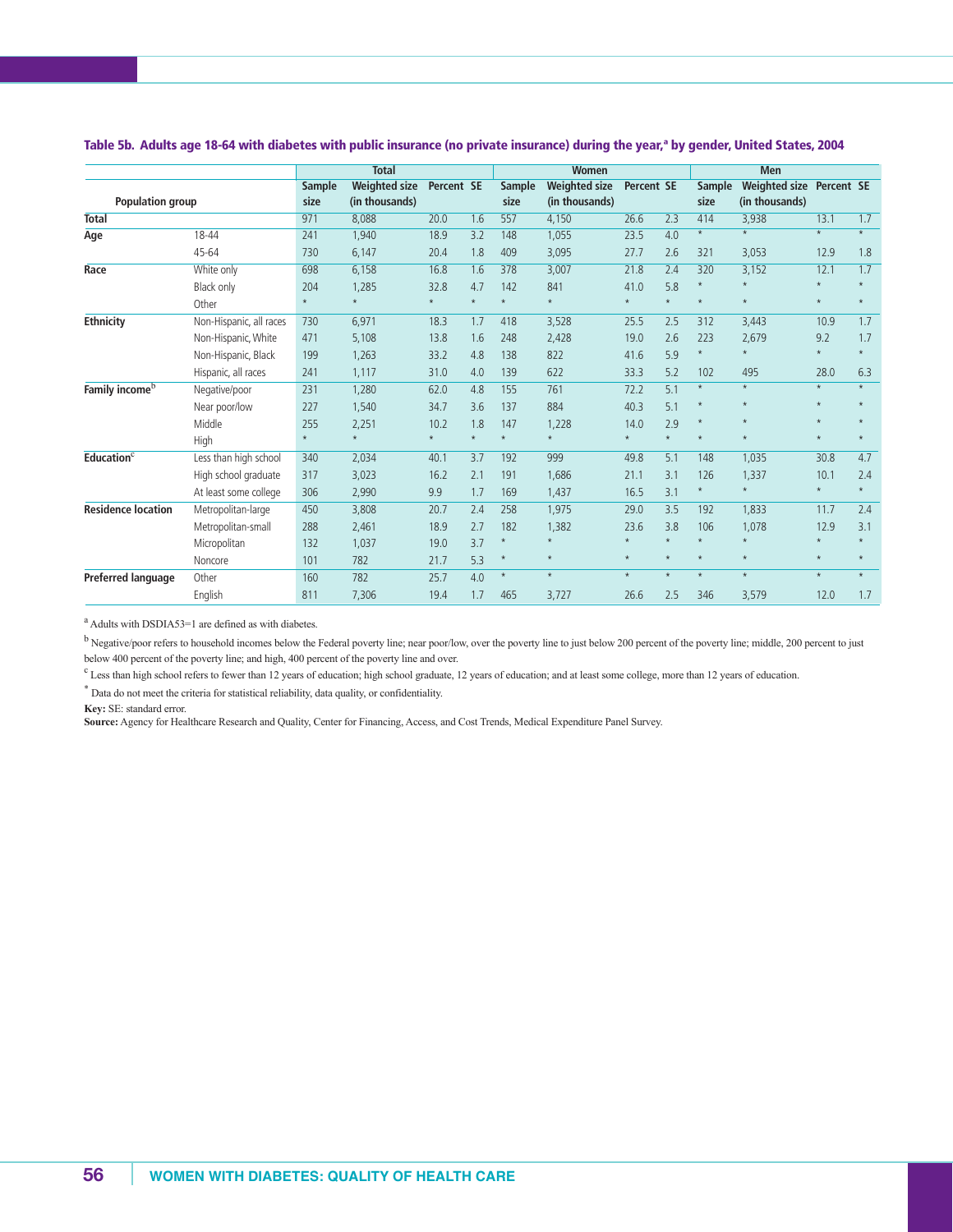|                            |                         | <b>Total</b>   |                                        |            | <b>Women</b> |                |                                        |                   | <b>Men</b> |                |                                        |            |          |
|----------------------------|-------------------------|----------------|----------------------------------------|------------|--------------|----------------|----------------------------------------|-------------------|------------|----------------|----------------------------------------|------------|----------|
| Population group           |                         | Sample<br>size | <b>Weighted size</b><br>(in thousands) | Percent SE |              | Sample<br>size | <b>Weighted size</b><br>(in thousands) | <b>Percent SE</b> |            | Sample<br>size | <b>Weighted size</b><br>(in thousands) | Percent SE |          |
| <b>Total</b>               |                         | 971            | 8,088                                  | 20.0       | 1.6          | 557            | 4,150                                  | 26.6              | 2.3        | 414            | 3,938                                  | 13.1       | 1.7      |
| Age                        | 18-44                   | 241            | 1,940                                  | 18.9       | 3.2          | 148            | 1,055                                  | 23.5              | 4.0        | $\star$        | $\star$                                | $\star$    | $\star$  |
|                            | 45-64                   | 730            | 6,147                                  | 20.4       | 1.8          | 409            | 3,095                                  | 27.7              | 2.6        | 321            | 3,053                                  | 12.9       | 1.8      |
| Race                       | White only              | 698            | 6.158                                  | 16.8       | 1.6          | 378            | 3,007                                  | 21.8              | 2.4        | 320            | 3,152                                  | 12.1       | 1.7      |
|                            | Black only              | 204            | 1,285                                  | 32.8       | 4.7          | 142            | 841                                    | 41.0              | 5.8        |                | $\star$                                | $\star$    | $\star$  |
|                            | Other                   | $\star$        | $\star$                                | $\star$    | $\star$      | $\star$        | $^\star$                               | $\star$           | $\star$    | $\star$        | $\star$                                | $\star$    | $\star$  |
| Ethnicity                  | Non-Hispanic, all races | 730            | 6,971                                  | 18.3       | 1.7          | 418            | 3,528                                  | 25.5              | 2.5        | 312            | 3,443                                  | 10.9       | 1.7      |
|                            | Non-Hispanic, White     | 471            | 5,108                                  | 13.8       | 1.6          | 248            | 2,428                                  | 19.0              | 2.6        | 223            | 2,679                                  | 9.2        | 1.7      |
|                            | Non-Hispanic, Black     | 199            | 1,263                                  | 33.2       | 4.8          | 138            | 822                                    | 41.6              | 5.9        | $^\star$       | $\star$                                | $^\star$   | $\star$  |
|                            | Hispanic, all races     | 241            | 1,117                                  | 31.0       | 4.0          | 139            | 622                                    | 33.3              | 5.2        | 102            | 495                                    | 28.0       | 6.3      |
| Family income <sup>b</sup> | Negative/poor           | 231            | 1,280                                  | 62.0       | 4.8          | 155            | 761                                    | 72.2              | 5.1        | $\star$        | $\star$                                | $\star$    | $^\star$ |
|                            | Near poor/low           | 227            | 1,540                                  | 34.7       | 3.6          | 137            | 884                                    | 40.3              | 5.1        | $\star$        | $\star$                                | $\star$    | $\star$  |
|                            | Middle                  | 255            | 2,251                                  | 10.2       | 1.8          | 147            | 1,228                                  | 14.0              | 2.9        | $\star$        | $\star$                                | $\star$    | $\star$  |
|                            | High                    | $\star$        | $\star$                                | $\star$    | $\star$      | $\star$        | $\star$                                | $\star$           | $\star$    | $\star$        | $\star$                                | $\star$    | $\star$  |
| Education <sup>c</sup>     | Less than high school   | 340            | 2,034                                  | 40.1       | 3.7          | 192            | 999                                    | 49.8              | 5.1        | 148            | 1,035                                  | 30.8       | 4.7      |
|                            | High school graduate    | 317            | 3.023                                  | 16.2       | 2.1          | 191            | 1.686                                  | 21.1              | 3.1        | 126            | 1,337                                  | 10.1       | 2.4      |
|                            | At least some college   | 306            | 2,990                                  | 9.9        | 1.7          | 169            | 1,437                                  | 16.5              | 3.1        | $\star$        | $^\star$                               | $\star$    | $\star$  |
| <b>Residence location</b>  | Metropolitan-large      | 450            | 3,808                                  | 20.7       | 2.4          | 258            | 1.975                                  | 29.0              | 3.5        | 192            | 1,833                                  | 11.7       | 2.4      |
|                            | Metropolitan-small      | 288            | 2.461                                  | 18.9       | 2.7          | 182            | 1,382                                  | 23.6              | 3.8        | 106            | 1,078                                  | 12.9       | 3.1      |
|                            | Micropolitan            | 132            | 1,037                                  | 19.0       | 3.7          | $\star$        |                                        | $\star$           | ÷          | $\star$        |                                        | $\star$    | $\star$  |
|                            | Noncore                 | 101            | 782                                    | 21.7       | 5.3          | $\star$        | $\star$                                | $\star$           | $\star$    | $\star$        | $\star$                                | $\star$    | $\star$  |
| Preferred language         | Other                   | 160            | 782                                    | 25.7       | 4.0          | $\star$        | $\star$                                | $\star$           | $\star$    | $\star$        | $\star$                                | $\star$    | $\star$  |
|                            | English                 | 811            | 7,306                                  | 19.4       | 1.7          | 465            | 3,727                                  | 26.6              | 2.5        | 346            | 3,579                                  | 12.0       | 1.7      |

#### **Table 5b. Adults age 18-64 with diabetes with public insurance (no private insurance) during the year,ª by gender, United States, 2004**

<sup>a</sup> Adults with DSDIA53=1 are defined as with diabetes.

<sup>b</sup> Negative/poor refers to household incomes below the Federal poverty line; near poor/low, over the poverty line to just below 200 percent of the poverty line; middle, 200 percent to just below 400 percent of the poverty line; and high, 400 percent of the poverty line and over.

 $c$  Less than high school refers to fewer than 12 years of education; high school graduate, 12 years of education; and at least some college, more than 12 years of education.

\* Data do not meet the criteria for statistical reliability, data quality, or confidentiality.

**Key:** SE: standard error.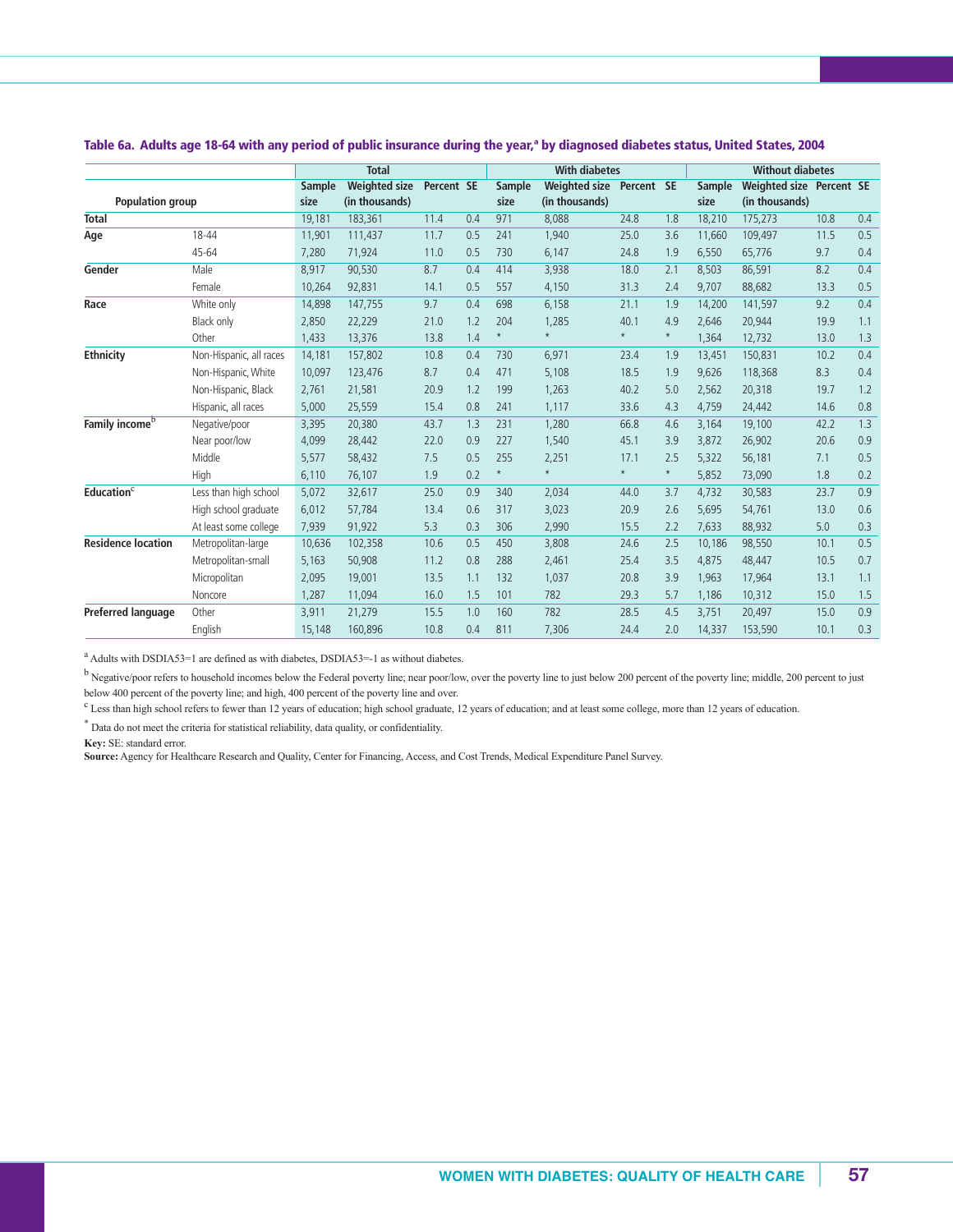|                            |                         | <b>Total</b>  |                      |            |     |            | <b>With diabetes</b> |            |          |        | <b>Without diabetes</b>  |      |     |
|----------------------------|-------------------------|---------------|----------------------|------------|-----|------------|----------------------|------------|----------|--------|--------------------------|------|-----|
|                            |                         | <b>Sample</b> | <b>Weighted size</b> | Percent SE |     | Sample     | <b>Weighted size</b> | Percent SE |          | Sample | Weighted size Percent SE |      |     |
| <b>Population group</b>    |                         | size          | (in thousands)       |            |     | size       | (in thousands)       |            |          | size   | (in thousands)           |      |     |
| <b>Total</b>               |                         | 19.181        | 183,361              | 11.4       | 0.4 | 971        | 8,088                | 24.8       | 1.8      | 18,210 | 175,273                  | 10.8 | 0.4 |
| Age                        | 18-44                   | 11,901        | 111,437              | 11.7       | 0.5 | 241        | 1,940                | 25.0       | 3.6      | 11,660 | 109,497                  | 11.5 | 0.5 |
|                            | 45-64                   | 7,280         | 71,924               | 11.0       | 0.5 | 730        | 6,147                | 24.8       | 1.9      | 6,550  | 65,776                   | 9.7  | 0.4 |
| Gender                     | Male                    | 8.917         | 90,530               | 8.7        | 0.4 | 414        | 3,938                | 18.0       | 2.1      | 8,503  | 86,591                   | 8.2  | 0.4 |
|                            | Female                  | 10,264        | 92,831               | 14.1       | 0.5 | 557        | 4,150                | 31.3       | 2.4      | 9,707  | 88,682                   | 13.3 | 0.5 |
| Race                       | White only              | 14,898        | 147,755              | 9.7        | 0.4 | 698        | 6,158                | 21.1       | 1.9      | 14,200 | 141,597                  | 9.2  | 0.4 |
|                            | Black only              | 2,850         | 22,229               | 21.0       | 1.2 | 204        | 1,285                | 40.1       | 4.9      | 2,646  | 20,944                   | 19.9 | 1.1 |
|                            | Other                   | 1,433         | 13,376               | 13.8       | 1.4 | $\star$    | $\star$              | $\star$    | $^\star$ | 1,364  | 12,732                   | 13.0 | 1.3 |
| <b>Ethnicity</b>           | Non-Hispanic, all races | 14,181        | 157,802              | 10.8       | 0.4 | 730        | 6,971                | 23.4       | 1.9      | 13,451 | 150,831                  | 10.2 | 0.4 |
|                            | Non-Hispanic, White     | 10,097        | 123,476              | 8.7        | 0.4 | 471        | 5,108                | 18.5       | 1.9      | 9,626  | 118,368                  | 8.3  | 0.4 |
|                            | Non-Hispanic, Black     | 2,761         | 21,581               | 20.9       | 1.2 | 199        | 1,263                | 40.2       | 5.0      | 2,562  | 20,318                   | 19.7 | 1.2 |
|                            | Hispanic, all races     | 5,000         | 25,559               | 15.4       | 0.8 | 241        | 1,117                | 33.6       | 4.3      | 4,759  | 24,442                   | 14.6 | 0.8 |
| Family income <sup>b</sup> | Negative/poor           | 3,395         | 20,380               | 43.7       | 1.3 | 231        | 1,280                | 66.8       | 4.6      | 3,164  | 19,100                   | 42.2 | 1.3 |
|                            | Near poor/low           | 4,099         | 28,442               | 22.0       | 0.9 | 227        | 1,540                | 45.1       | 3.9      | 3,872  | 26,902                   | 20.6 | 0.9 |
|                            | Middle                  | 5,577         | 58,432               | 7.5        | 0.5 | 255        | 2,251                | 17.1       | 2.5      | 5,322  | 56,181                   | 7.1  | 0.5 |
|                            | High                    | 6,110         | 76,107               | 1.9        | 0.2 | $^{\star}$ | $\star$              | $\star$    | $^\star$ | 5,852  | 73,090                   | 1.8  | 0.2 |
| Education <sup>c</sup>     | Less than high school   | 5,072         | 32,617               | 25.0       | 0.9 | 340        | 2,034                | 44.0       | 3.7      | 4,732  | 30,583                   | 23.7 | 0.9 |
|                            | High school graduate    | 6,012         | 57,784               | 13.4       | 0.6 | 317        | 3,023                | 20.9       | 2.6      | 5,695  | 54,761                   | 13.0 | 0.6 |
|                            | At least some college   | 7,939         | 91,922               | 5.3        | 0.3 | 306        | 2,990                | 15.5       | 2.2      | 7,633  | 88,932                   | 5.0  | 0.3 |
| <b>Residence location</b>  | Metropolitan-large      | 10.636        | 102,358              | 10.6       | 0.5 | 450        | 3,808                | 24.6       | 2.5      | 10,186 | 98,550                   | 10.1 | 0.5 |
|                            | Metropolitan-small      | 5,163         | 50,908               | 11.2       | 0.8 | 288        | 2,461                | 25.4       | 3.5      | 4,875  | 48,447                   | 10.5 | 0.7 |
|                            | Micropolitan            | 2,095         | 19,001               | 13.5       | 1.1 | 132        | 1,037                | 20.8       | 3.9      | 1,963  | 17,964                   | 13.1 | 1.1 |
|                            | Noncore                 | 1,287         | 11,094               | 16.0       | 1.5 | 101        | 782                  | 29.3       | 5.7      | 1,186  | 10,312                   | 15.0 | 1.5 |
| <b>Preferred language</b>  | Other                   | 3,911         | 21,279               | 15.5       | 1.0 | 160        | 782                  | 28.5       | 4.5      | 3,751  | 20,497                   | 15.0 | 0.9 |
|                            | English                 | 15,148        | 160.896              | 10.8       | 0.4 | 811        | 7,306                | 24.4       | 2.0      | 14.337 | 153,590                  | 10.1 | 0.3 |

#### **Table 6a. Adults age 18-64 with any period of public insurance during the year,ª by diagnosed diabetes status, United States, 2004**

 $a$  Adults with DSDIA53=1 are defined as with diabetes, DSDIA53=-1 as without diabetes.

<sup>b</sup> Negative/poor refers to household incomes below the Federal poverty line; near poor/low, over the poverty line to just below 200 percent of the poverty line; middle, 200 percent to just below 400 percent of the poverty line; and high, 400 percent of the poverty line and over.

<sup>c</sup> Less than high school refers to fewer than 12 years of education; high school graduate, 12 years of education; and at least some college, more than 12 years of education.

\* Data do not meet the criteria for statistical reliability, data quality, or confidentiality.

**Key:** SE: standard error.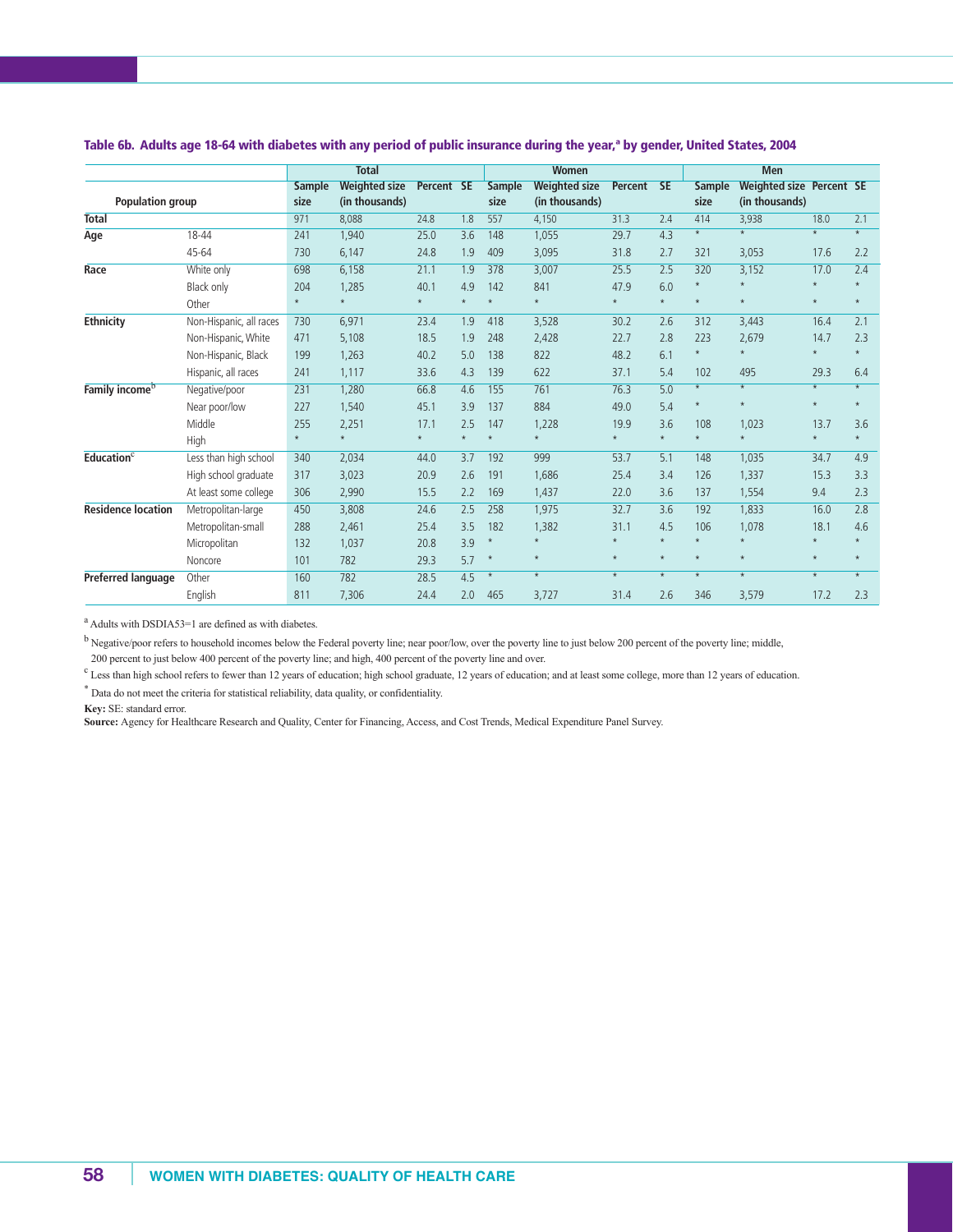|                            |                         | <b>Total</b>   |                                        |            |         |                       | <b>Women</b>                           |         |         |                       | <b>Men</b>                                        |          |                   |
|----------------------------|-------------------------|----------------|----------------------------------------|------------|---------|-----------------------|----------------------------------------|---------|---------|-----------------------|---------------------------------------------------|----------|-------------------|
| <b>Population group</b>    |                         | Sample<br>size | <b>Weighted size</b><br>(in thousands) | Percent SE |         | <b>Sample</b><br>size | <b>Weighted size</b><br>(in thousands) | Percent | SE      | <b>Sample</b><br>size | <b>Weighted size Percent SE</b><br>(in thousands) |          |                   |
| <b>Total</b>               |                         | 971            | 8,088                                  | 24.8       | 1.8     | 557                   | 4,150                                  | 31.3    | 2.4     | 414                   | 3,938                                             | 18.0     | 2.1               |
| Age                        | 18-44                   | 241            | 1,940                                  | 25.0       | 3.6     | 148                   | 1,055                                  | 29.7    | 4.3     | $\star$               | $\star$                                           | $\star$  | $\overline{\ast}$ |
|                            | 45-64                   | 730            | 6,147                                  | 24.8       | 1.9     | 409                   | 3,095                                  | 31.8    | 2.7     | 321                   | 3,053                                             | 17.6     | 2.2               |
| Race                       | White only              | 698            | 6,158                                  | 21.1       | 1.9     | 378                   | 3,007                                  | 25.5    | 2.5     | 320                   | 3,152                                             | 17.0     | 2.4               |
|                            | Black only              | 204            | 1.285                                  | 40.1       | 4.9     | 142                   | 841                                    | 47.9    | 6.0     | $\star$               | $\star$                                           | $\star$  | $\star$           |
|                            | Other                   | $^\star$       | $\star$                                | $\star$    | $\star$ | $\star$               | $\star$                                | $\star$ | $\star$ | $\star$               | $\star$                                           | $\star$  | $^\star$          |
| <b>Ethnicity</b>           | Non-Hispanic, all races | 730            | 6,971                                  | 23.4       | 1.9     | 418                   | 3,528                                  | 30.2    | 2.6     | 312                   | 3,443                                             | 16.4     | 2.1               |
|                            | Non-Hispanic, White     | 471            | 5,108                                  | 18.5       | 1.9     | 248                   | 2,428                                  | 22.7    | 2.8     | 223                   | 2,679                                             | 14.7     | 2.3               |
|                            | Non-Hispanic, Black     | 199            | 1,263                                  | 40.2       | 5.0     | 138                   | 822                                    | 48.2    | 6.1     | $\star$               | $\star$                                           | $\star$  | $\star$           |
|                            | Hispanic, all races     | 241            | 1.117                                  | 33.6       | 4.3     | 139                   | 622                                    | 37.1    | 5.4     | 102                   | 495                                               | 29.3     | 6.4               |
| Family income <sup>b</sup> | Negative/poor           | 231            | 1,280                                  | 66.8       | 4.6     | 155                   | 761                                    | 76.3    | 5.0     | $\star$               | $\overline{\ast}$                                 | $\star$  | $\star$           |
|                            | Near poor/low           | 227            | 1.540                                  | 45.1       | 3.9     | 137                   | 884                                    | 49.0    | 5.4     | $\star$               | $\star$                                           | $^\star$ | $\star$           |
|                            | Middle                  | 255            | 2.251                                  | 17.1       | 2.5     | 147                   | 1.228                                  | 19.9    | 3.6     | 108                   | 1.023                                             | 13.7     | 3.6               |
|                            | High                    | $^\star$       | $\star$                                | $\star$    | $\star$ | $\star$               | $\star$                                | $\star$ | $\star$ | $^\star$              | $\star$                                           | $\star$  | $\star$           |
| Education <sup>c</sup>     | Less than high school   | 340            | 2,034                                  | 44.0       | 3.7     | 192                   | 999                                    | 53.7    | 5.1     | 148                   | 1,035                                             | 34.7     | 4.9               |
|                            | High school graduate    | 317            | 3,023                                  | 20.9       | 2.6     | 191                   | 1,686                                  | 25.4    | 3.4     | 126                   | 1,337                                             | 15.3     | 3.3               |
|                            | At least some college   | 306            | 2,990                                  | 15.5       | 2.2     | 169                   | 1,437                                  | 22.0    | 3.6     | 137                   | 1,554                                             | 9.4      | 2.3               |
| <b>Residence location</b>  | Metropolitan-large      | 450            | 3,808                                  | 24.6       | 2.5     | 258                   | 1,975                                  | 32.7    | 3.6     | 192                   | 1.833                                             | 16.0     | 2.8               |
|                            | Metropolitan-small      | 288            | 2,461                                  | 25.4       | 3.5     | 182                   | 1,382                                  | 31.1    | 4.5     | 106                   | 1,078                                             | 18.1     | 4.6               |
|                            | Micropolitan            | 132            | 1.037                                  | 20.8       | 3.9     |                       | $\star$                                |         | $\star$ | $\star$               |                                                   |          | $\star$           |
|                            | Noncore                 | 101            | 782                                    | 29.3       | 5.7     | $\star$               | $\star$                                | $\star$ | $\star$ | $\star$               | $\star$                                           | $\star$  | $\star$           |
| <b>Preferred language</b>  | Other                   | 160            | 782                                    | 28.5       | 4.5     | $\star$               | $\star$                                | $\star$ | $\star$ | $\star$               | $\star$                                           | $\star$  | $\star$           |
|                            | English                 | 811            | 7,306                                  | 24.4       | 2.0     | 465                   | 3,727                                  | 31.4    | 2.6     | 346                   | 3,579                                             | 17.2     | 2.3               |

#### **Table 6b. Adults age 18-64 with diabetes with any period of public insurance during the year,ª by gender, United States, 2004**

<sup>a</sup> Adults with DSDIA53=1 are defined as with diabetes.

<sup>b</sup> Negative/poor refers to household incomes below the Federal poverty line; near poor/low, over the poverty line to just below 200 percent of the poverty line; middle, 200 percent to just below 400 percent of the poverty line; and high, 400 percent of the poverty line and over.

<sup>c</sup> Less than high school refers to fewer than 12 years of education; high school graduate, 12 years of education; and at least some college, more than 12 years of education.

\* Data do not meet the criteria for statistical reliability, data quality, or confidentiality.

**Key:** SE: standard error.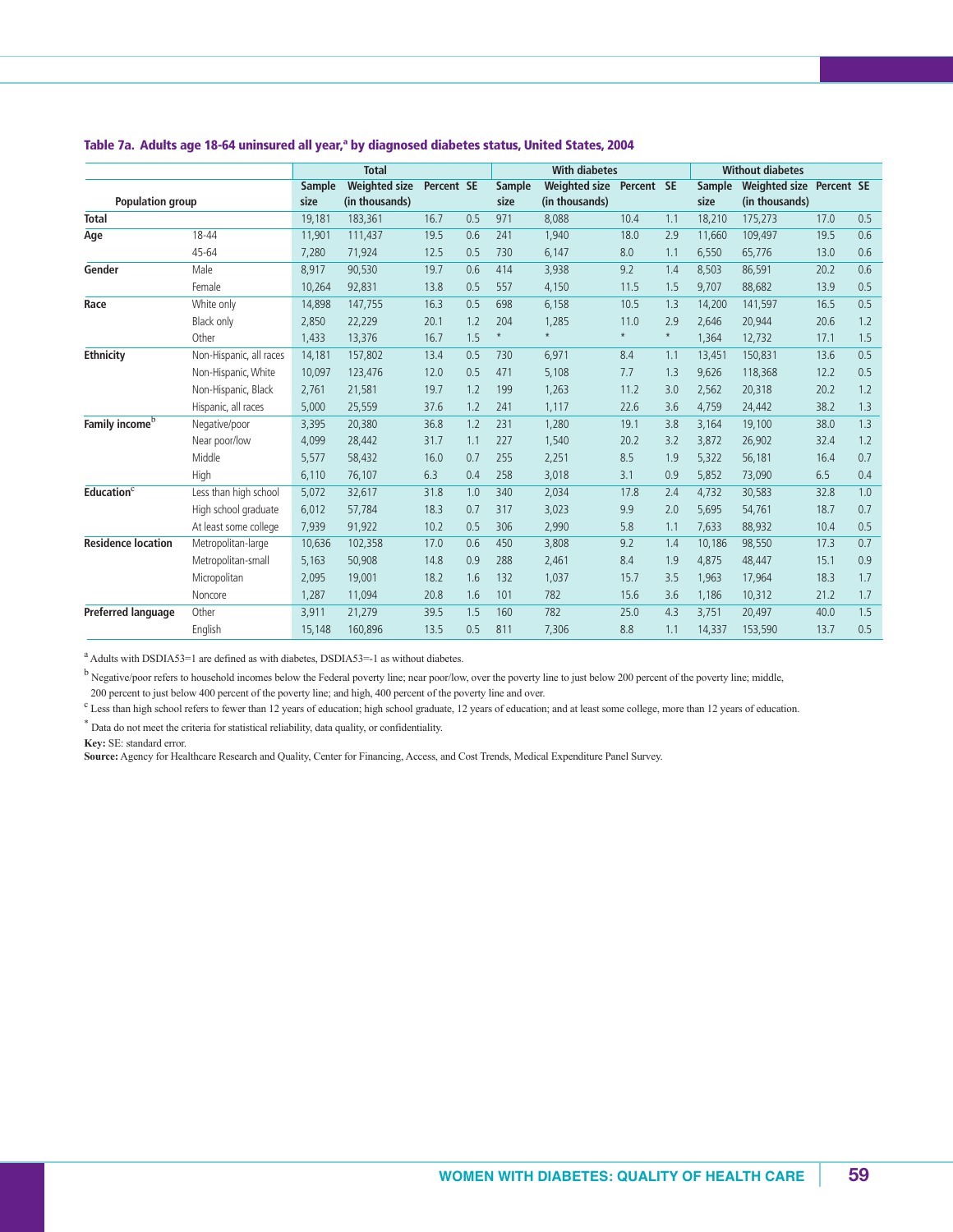|                            |                         | <b>Total</b> |                      |            |     |         | <b>With diabetes</b>     |          |          |               | <b>Without diabetes</b>  |      |     |
|----------------------------|-------------------------|--------------|----------------------|------------|-----|---------|--------------------------|----------|----------|---------------|--------------------------|------|-----|
|                            |                         | Sample       | <b>Weighted size</b> | Percent SE |     | Sample  | Weighted size Percent SE |          |          | <b>Sample</b> | Weighted size Percent SE |      |     |
| Population group           |                         | size         | (in thousands)       |            |     | size    | (in thousands)           |          |          | size          | (in thousands)           |      |     |
| <b>Total</b>               |                         | 19,181       | 183,361              | 16.7       | 0.5 | 971     | 8,088                    | 10.4     | 1.1      | 18,210        | 175,273                  | 17.0 | 0.5 |
| Age                        | 18-44                   | 11,901       | 111,437              | 19.5       | 0.6 | 241     | 1,940                    | 18.0     | 2.9      | 11,660        | 109,497                  | 19.5 | 0.6 |
|                            | 45-64                   | 7,280        | 71,924               | 12.5       | 0.5 | 730     | 6,147                    | 8.0      | 1.1      | 6,550         | 65,776                   | 13.0 | 0.6 |
| Gender                     | Male                    | 8,917        | 90,530               | 19.7       | 0.6 | 414     | 3,938                    | 9.2      | 1.4      | 8,503         | 86,591                   | 20.2 | 0.6 |
|                            | Female                  | 10,264       | 92,831               | 13.8       | 0.5 | 557     | 4,150                    | 11.5     | 1.5      | 9,707         | 88,682                   | 13.9 | 0.5 |
| Race                       | White only              | 14,898       | 147,755              | 16.3       | 0.5 | 698     | 6,158                    | 10.5     | 1.3      | 14,200        | 141,597                  | 16.5 | 0.5 |
|                            | Black only              | 2.850        | 22,229               | 20.1       | 1.2 | 204     | 1,285                    | 11.0     | 2.9      | 2,646         | 20,944                   | 20.6 | 1.2 |
|                            | Other                   | 1,433        | 13,376               | 16.7       | 1.5 | $\star$ | $^\star$                 | $^\star$ | $^\star$ | 1,364         | 12,732                   | 17.1 | 1.5 |
| <b>Ethnicity</b>           | Non-Hispanic, all races | 14,181       | 157,802              | 13.4       | 0.5 | 730     | 6,971                    | 8.4      | 1.1      | 13,451        | 150,831                  | 13.6 | 0.5 |
|                            | Non-Hispanic, White     | 10,097       | 123,476              | 12.0       | 0.5 | 471     | 5,108                    | 7.7      | 1.3      | 9,626         | 118,368                  | 12.2 | 0.5 |
|                            | Non-Hispanic, Black     | 2.761        | 21,581               | 19.7       | 1.2 | 199     | 1,263                    | 11.2     | 3.0      | 2,562         | 20,318                   | 20.2 | 1.2 |
|                            | Hispanic, all races     | 5,000        | 25,559               | 37.6       | 1.2 | 241     | 1,117                    | 22.6     | 3.6      | 4,759         | 24,442                   | 38.2 | 1.3 |
| Family income <sup>b</sup> | Negative/poor           | 3,395        | 20,380               | 36.8       | 1.2 | 231     | 1,280                    | 19.1     | 3.8      | 3,164         | 19,100                   | 38.0 | 1.3 |
|                            | Near poor/low           | 4,099        | 28,442               | 31.7       | 1.1 | 227     | 1,540                    | 20.2     | 3.2      | 3,872         | 26,902                   | 32.4 | 1.2 |
|                            | Middle                  | 5,577        | 58,432               | 16.0       | 0.7 | 255     | 2,251                    | 8.5      | 1.9      | 5,322         | 56,181                   | 16.4 | 0.7 |
|                            | High                    | 6,110        | 76.107               | 6.3        | 0.4 | 258     | 3,018                    | 3.1      | 0.9      | 5,852         | 73,090                   | 6.5  | 0.4 |
| Education <sup>c</sup>     | Less than high school   | 5,072        | 32,617               | 31.8       | 1.0 | 340     | 2,034                    | 17.8     | 2.4      | 4,732         | 30,583                   | 32.8 | 1.0 |
|                            | High school graduate    | 6,012        | 57,784               | 18.3       | 0.7 | 317     | 3,023                    | 9.9      | 2.0      | 5,695         | 54,761                   | 18.7 | 0.7 |
|                            | At least some college   | 7,939        | 91,922               | 10.2       | 0.5 | 306     | 2,990                    | 5.8      | 1.1      | 7,633         | 88,932                   | 10.4 | 0.5 |
| <b>Residence location</b>  | Metropolitan-large      | 10.636       | 102,358              | 17.0       | 0.6 | 450     | 3,808                    | 9.2      | 1.4      | 10,186        | 98,550                   | 17.3 | 0.7 |
|                            | Metropolitan-small      | 5,163        | 50,908               | 14.8       | 0.9 | 288     | 2,461                    | 8.4      | 1.9      | 4,875         | 48,447                   | 15.1 | 0.9 |
|                            | Micropolitan            | 2,095        | 19,001               | 18.2       | 1.6 | 132     | 1,037                    | 15.7     | 3.5      | 1,963         | 17,964                   | 18.3 | 1.7 |
|                            | Noncore                 | 1,287        | 11,094               | 20.8       | 1.6 | 101     | 782                      | 15.6     | 3.6      | 1,186         | 10,312                   | 21.2 | 1.7 |
| Preferred language         | Other                   | 3,911        | 21,279               | 39.5       | 1.5 | 160     | 782                      | 25.0     | 4.3      | 3,751         | 20,497                   | 40.0 | 1.5 |
|                            | English                 | 15,148       | 160.896              | 13.5       | 0.5 | 811     | 7.306                    | 8.8      | 1.1      | 14,337        | 153,590                  | 13.7 | 0.5 |

#### **Table 7a. Adults age 18-64 uninsured all year,ª by diagnosed diabetes status, United States, 2004**

 $a$  Adults with DSDIA53=1 are defined as with diabetes, DSDIA53=-1 as without diabetes.

<sup>b</sup> Negative/poor refers to household incomes below the Federal poverty line; near poor/low, over the poverty line to just below 200 percent of the poverty line; middle,

200 percent to just below 400 percent of the poverty line; and high, 400 percent of the poverty line and over.

<sup>c</sup> Less than high school refers to fewer than 12 years of education; high school graduate, 12 years of education; and at least some college, more than 12 years of education.

\* Data do not meet the criteria for statistical reliability, data quality, or confidentiality.

**Key:** SE: standard error.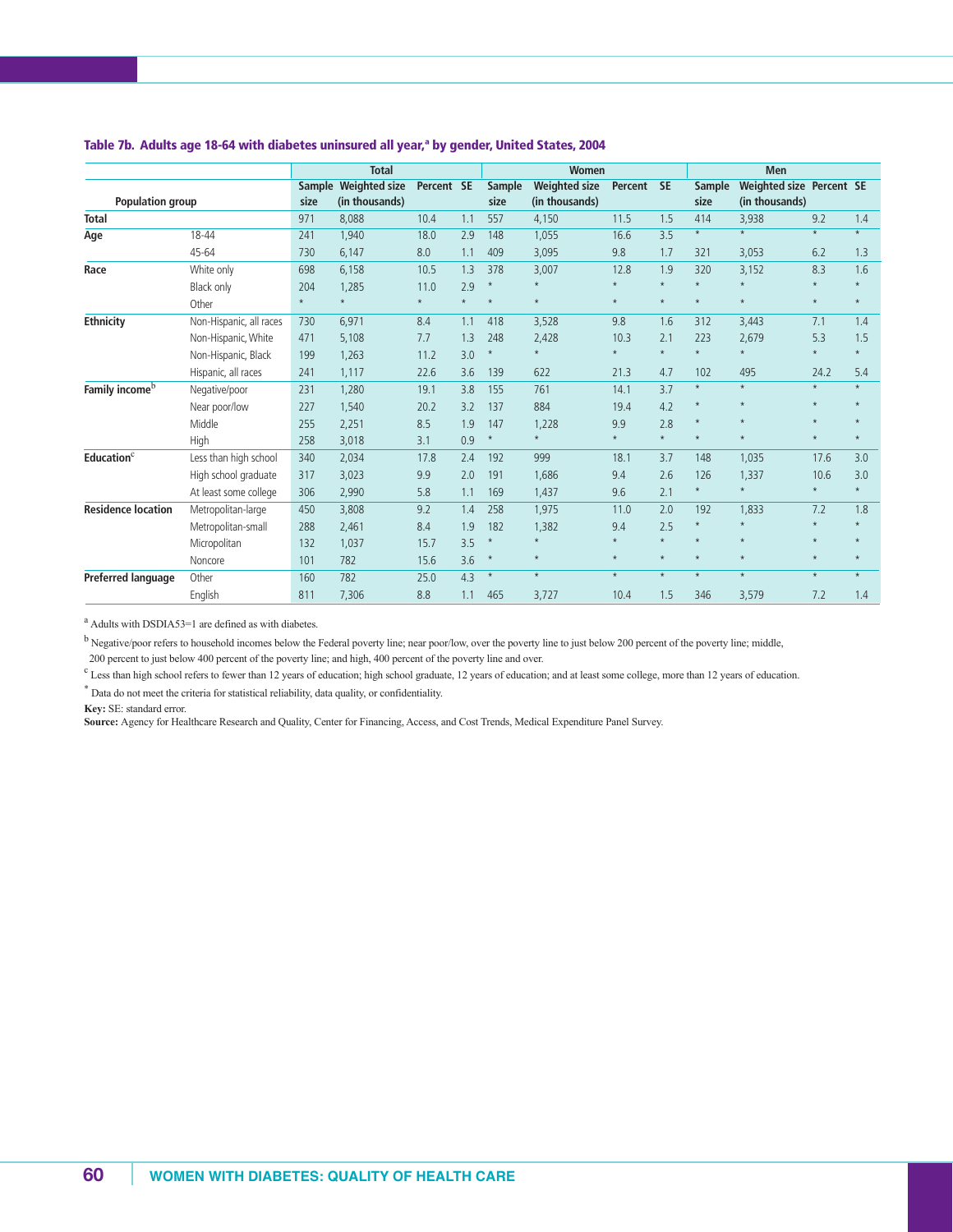|                            |                         | <b>Total</b> |                                        |            |         |                | Women                                  |            |         |                | Men                                        |         |          |
|----------------------------|-------------------------|--------------|----------------------------------------|------------|---------|----------------|----------------------------------------|------------|---------|----------------|--------------------------------------------|---------|----------|
| Population group           |                         | size         | Sample Weighted size<br>(in thousands) | Percent SE |         | Sample<br>size | <b>Weighted size</b><br>(in thousands) | Percent SE |         | Sample<br>size | Weighted size Percent SE<br>(in thousands) |         |          |
| <b>Total</b>               |                         | 971          | 8,088                                  | 10.4       | 1.1     | 557            | 4,150                                  | 11.5       | 1.5     | 414            | 3,938                                      | 9.2     | 1.4      |
| Age                        | 18-44                   | 241          | 1,940                                  | 18.0       | 2.9     | 148            | 1,055                                  | 16.6       | 3.5     | $\star$        | $\star$                                    | $\star$ | $\star$  |
|                            | 45-64                   | 730          | 6,147                                  | 8.0        | 1.1     | 409            | 3,095                                  | 9.8        | 1.7     | 321            | 3,053                                      | 6.2     | 1.3      |
| Race                       | White only              | 698          | 6,158                                  | 10.5       | 1.3     | 378            | 3,007                                  | 12.8       | 1.9     | 320            | 3,152                                      | 8.3     | 1.6      |
|                            | Black only              | 204          | 1,285                                  | 11.0       | 2.9     | $\star$        | $\star$                                | $\star$    | $\star$ | $\star$        |                                            | $\star$ | $\star$  |
|                            | Other                   | $^\star$     | $\star$                                | $\star$    | $\star$ | $\star$        | $\star$                                | $\star$    | $\star$ | $\star$        | $\star$                                    | $\star$ | $\star$  |
| Ethnicity                  | Non-Hispanic, all races | 730          | 6,971                                  | 8.4        | 1.1     | 418            | 3,528                                  | 9.8        | 1.6     | 312            | 3,443                                      | 7.1     | 1.4      |
|                            | Non-Hispanic, White     | 471          | 5,108                                  | 7.7        | 1.3     | 248            | 2,428                                  | 10.3       | 2.1     | 223            | 2,679                                      | 5.3     | 1.5      |
|                            | Non-Hispanic, Black     | 199          | 1,263                                  | 11.2       | 3.0     | $\star$        | $\star$                                | $\star$    | $\star$ | $\star$        | $\star$                                    | $\star$ | $\star$  |
|                            | Hispanic, all races     | 241          | 1,117                                  | 22.6       | 3.6     | 139            | 622                                    | 21.3       | 4.7     | 102            | 495                                        | 24.2    | 5.4      |
| Family income <sup>b</sup> | Negative/poor           | 231          | 1,280                                  | 19.1       | 3.8     | 155            | 761                                    | 14.1       | 3.7     | $\star$        | $\star$                                    | $\star$ | $\star$  |
|                            | Near poor/low           | 227          | 1,540                                  | 20.2       | 3.2     | 137            | 884                                    | 19.4       | 4.2     | $\star$        | $\star$                                    | $\star$ | $\star$  |
|                            | Middle                  | 255          | 2,251                                  | 8.5        | 1.9     | 147            | 1,228                                  | 9.9        | 2.8     | $\star$        | $\star$                                    | $\star$ | $\star$  |
|                            | High                    | 258          | 3,018                                  | 3.1        | 0.9     | $\star$        | $\star$                                | $^\star$   | $\star$ | $\star$        | $\star$                                    | $\star$ | $\star$  |
| Education <sup>c</sup>     | Less than high school   | 340          | 2,034                                  | 17.8       | 2.4     | 192            | 999                                    | 18.1       | 3.7     | 148            | 1,035                                      | 17.6    | 3.0      |
|                            | High school graduate    | 317          | 3,023                                  | 9.9        | 2.0     | 191            | 1.686                                  | 9.4        | 2.6     | 126            | 1,337                                      | 10.6    | 3.0      |
|                            | At least some college   | 306          | 2,990                                  | 5.8        | 1.1     | 169            | 1,437                                  | 9.6        | 2.1     | $^\star$       | $\star$                                    | $\star$ | $\star$  |
| <b>Residence location</b>  | Metropolitan-large      | 450          | 3,808                                  | 9.2        | 1.4     | 258            | 1,975                                  | 11.0       | 2.0     | 192            | 1,833                                      | 7.2     | 1.8      |
|                            | Metropolitan-small      | 288          | 2,461                                  | 8.4        | 1.9     | 182            | 1,382                                  | 9.4        | 2.5     | $\star$        | $\star$                                    | $\star$ | $^\star$ |
|                            | Micropolitan            | 132          | 1,037                                  | 15.7       | 3.5     |                | $\star$                                | $\star$    | $\star$ | $\star$        | $\star$                                    | $\star$ | $\star$  |
|                            | Noncore                 | 101          | 782                                    | 15.6       | 3.6     | $\star$        | $\star$                                | $\star$    | $\star$ | $\star$        | $\star$                                    | $\star$ | $\star$  |
| <b>Preferred language</b>  | Other                   | 160          | 782                                    | 25.0       | 4.3     | $\star$        | $\star$                                | $\star$    | $\star$ | $\star$        | $\star$                                    | $\star$ | $\star$  |
|                            | English                 | 811          | 7,306                                  | 8.8        | 1.1     | 465            | 3,727                                  | 10.4       | 1.5     | 346            | 3,579                                      | 7.2     | 1.4      |

#### **Table 7b. Adults age 18-64 with diabetes uninsured all year,ª by gender, United States, 2004**

<sup>a</sup> Adults with DSDIA53=1 are defined as with diabetes.

<sup>b</sup> Negative/poor refers to household incomes below the Federal poverty line; near poor/low, over the poverty line to just below 200 percent of the poverty line; middle, 200 percent to just below 400 percent of the poverty line; and high, 400 percent of the poverty line and over.

<sup>c</sup> Less than high school refers to fewer than 12 years of education; high school graduate, 12 years of education; and at least some college, more than 12 years of education.

\* Data do not meet the criteria for statistical reliability, data quality, or confidentiality.

**Key:** SE: standard error.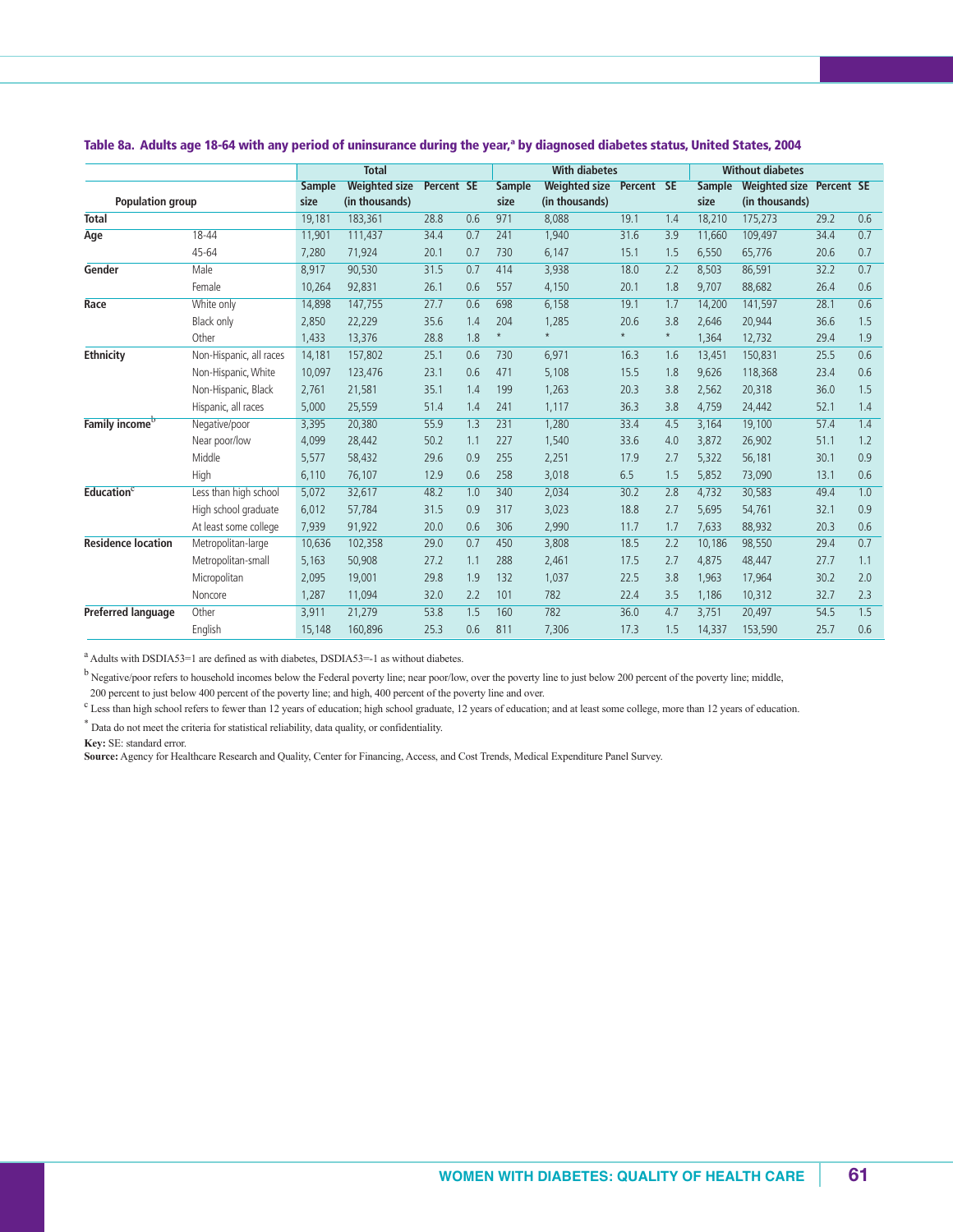|                            |                         | <b>Total</b> |                      |            |     | <b>With diabetes</b> |                      |            |          | <b>Without diabetes</b> |                      |            |     |
|----------------------------|-------------------------|--------------|----------------------|------------|-----|----------------------|----------------------|------------|----------|-------------------------|----------------------|------------|-----|
|                            |                         | Sample       | <b>Weighted size</b> | Percent SE |     | Sample               | <b>Weighted size</b> | Percent SE |          | Sample                  | <b>Weighted size</b> | Percent SE |     |
| Population group           |                         | size         | (in thousands)       |            |     | size                 | (in thousands)       |            |          | size                    | (in thousands)       |            |     |
| <b>Total</b>               |                         | 19,181       | 183,361              | 28.8       | 0.6 | 971                  | 8,088                | 19.1       | 1.4      | 18,210                  | 175,273              | 29.2       | 0.6 |
| Age                        | 18-44                   | 11,901       | 111,437              | 34.4       | 0.7 | 241                  | 1,940                | 31.6       | 3.9      | 11,660                  | 109,497              | 34.4       | 0.7 |
|                            | 45-64                   | 7,280        | 71,924               | 20.1       | 0.7 | 730                  | 6,147                | 15.1       | 1.5      | 6,550                   | 65,776               | 20.6       | 0.7 |
| Gender                     | Male                    | 8,917        | 90,530               | 31.5       | 0.7 | 414                  | 3,938                | 18.0       | 2.2      | 8,503                   | 86,591               | 32.2       | 0.7 |
|                            | Female                  | 10.264       | 92,831               | 26.1       | 0.6 | 557                  | 4,150                | 20.1       | 1.8      | 9,707                   | 88,682               | 26.4       | 0.6 |
| Race                       | White only              | 14,898       | 147,755              | 27.7       | 0.6 | 698                  | 6,158                | 19.1       | 1.7      | 14,200                  | 141,597              | 28.1       | 0.6 |
|                            | Black only              | 2,850        | 22,229               | 35.6       | 1.4 | 204                  | 1,285                | 20.6       | 3.8      | 2,646                   | 20,944               | 36.6       | 1.5 |
|                            | Other                   | 1,433        | 13,376               | 28.8       | 1.8 | $\star$              | $\star$              | $^\star$   | $^\star$ | 1,364                   | 12,732               | 29.4       | 1.9 |
| <b>Ethnicity</b>           | Non-Hispanic, all races | 14.181       | 157,802              | 25.1       | 0.6 | 730                  | 6,971                | 16.3       | 1.6      | 13,451                  | 150,831              | 25.5       | 0.6 |
|                            | Non-Hispanic, White     | 10.097       | 123,476              | 23.1       | 0.6 | 471                  | 5,108                | 15.5       | 1.8      | 9,626                   | 118,368              | 23.4       | 0.6 |
|                            | Non-Hispanic, Black     | 2,761        | 21,581               | 35.1       | 1.4 | 199                  | 1,263                | 20.3       | 3.8      | 2,562                   | 20,318               | 36.0       | 1.5 |
|                            | Hispanic, all races     | 5,000        | 25,559               | 51.4       | 1.4 | 241                  | 1,117                | 36.3       | 3.8      | 4,759                   | 24,442               | 52.1       | 1.4 |
| Family income <sup>b</sup> | Negative/poor           | 3,395        | 20,380               | 55.9       | 1.3 | 231                  | 1.280                | 33.4       | 4.5      | 3,164                   | 19,100               | 57.4       | 1.4 |
|                            | Near poor/low           | 4,099        | 28,442               | 50.2       | 1.1 | 227                  | 1,540                | 33.6       | 4.0      | 3,872                   | 26,902               | 51.1       | 1.2 |
|                            | Middle                  | 5,577        | 58,432               | 29.6       | 0.9 | 255                  | 2,251                | 17.9       | 2.7      | 5,322                   | 56,181               | 30.1       | 0.9 |
|                            | High                    | 6,110        | 76,107               | 12.9       | 0.6 | 258                  | 3,018                | 6.5        | 1.5      | 5,852                   | 73,090               | 13.1       | 0.6 |
| Education <sup>c</sup>     | Less than high school   | 5,072        | 32,617               | 48.2       | 1.0 | 340                  | 2,034                | 30.2       | 2.8      | 4,732                   | 30,583               | 49.4       | 1.0 |
|                            | High school graduate    | 6,012        | 57,784               | 31.5       | 0.9 | 317                  | 3,023                | 18.8       | 2.7      | 5,695                   | 54,761               | 32.1       | 0.9 |
|                            | At least some college   | 7.939        | 91,922               | 20.0       | 0.6 | 306                  | 2,990                | 11.7       | 1.7      | 7,633                   | 88,932               | 20.3       | 0.6 |
| <b>Residence location</b>  | Metropolitan-large      | 10.636       | 102,358              | 29.0       | 0.7 | 450                  | 3,808                | 18.5       | 2.2      | 10,186                  | 98,550               | 29.4       | 0.7 |
|                            | Metropolitan-small      | 5,163        | 50,908               | 27.2       | 1.1 | 288                  | 2,461                | 17.5       | 2.7      | 4,875                   | 48,447               | 27.7       | 1.1 |
|                            | Micropolitan            | 2,095        | 19,001               | 29.8       | 1.9 | 132                  | 1,037                | 22.5       | 3.8      | 1,963                   | 17,964               | 30.2       | 2.0 |
|                            | Noncore                 | 1,287        | 11,094               | 32.0       | 2.2 | 101                  | 782                  | 22.4       | 3.5      | 1,186                   | 10,312               | 32.7       | 2.3 |
| Preferred language         | Other                   | 3,911        | 21,279               | 53.8       | 1.5 | 160                  | 782                  | 36.0       | 4.7      | 3,751                   | 20,497               | 54.5       | 1.5 |
|                            | English                 | 15,148       | 160.896              | 25.3       | 0.6 | 811                  | 7.306                | 17.3       | 1.5      | 14,337                  | 153,590              | 25.7       | 0.6 |

#### **Table 8a. Adults age 18-64 with any period of uninsurance during the year,ª by diagnosed diabetes status, United States, 2004**

<sup>a</sup> Adults with DSDIA53=1 are defined as with diabetes, DSDIA53=-1 as without diabetes.

<sup>b</sup> Negative/poor refers to household incomes below the Federal poverty line; near poor/low, over the poverty line to just below 200 percent of the poverty line; middle,

200 percent to just below 400 percent of the poverty line; and high, 400 percent of the poverty line and over.

<sup>c</sup> Less than high school refers to fewer than 12 years of education; high school graduate, 12 years of education; and at least some college, more than 12 years of education.

\* Data do not meet the criteria for statistical reliability, data quality, or confidentiality.

**Key:** SE: standard error.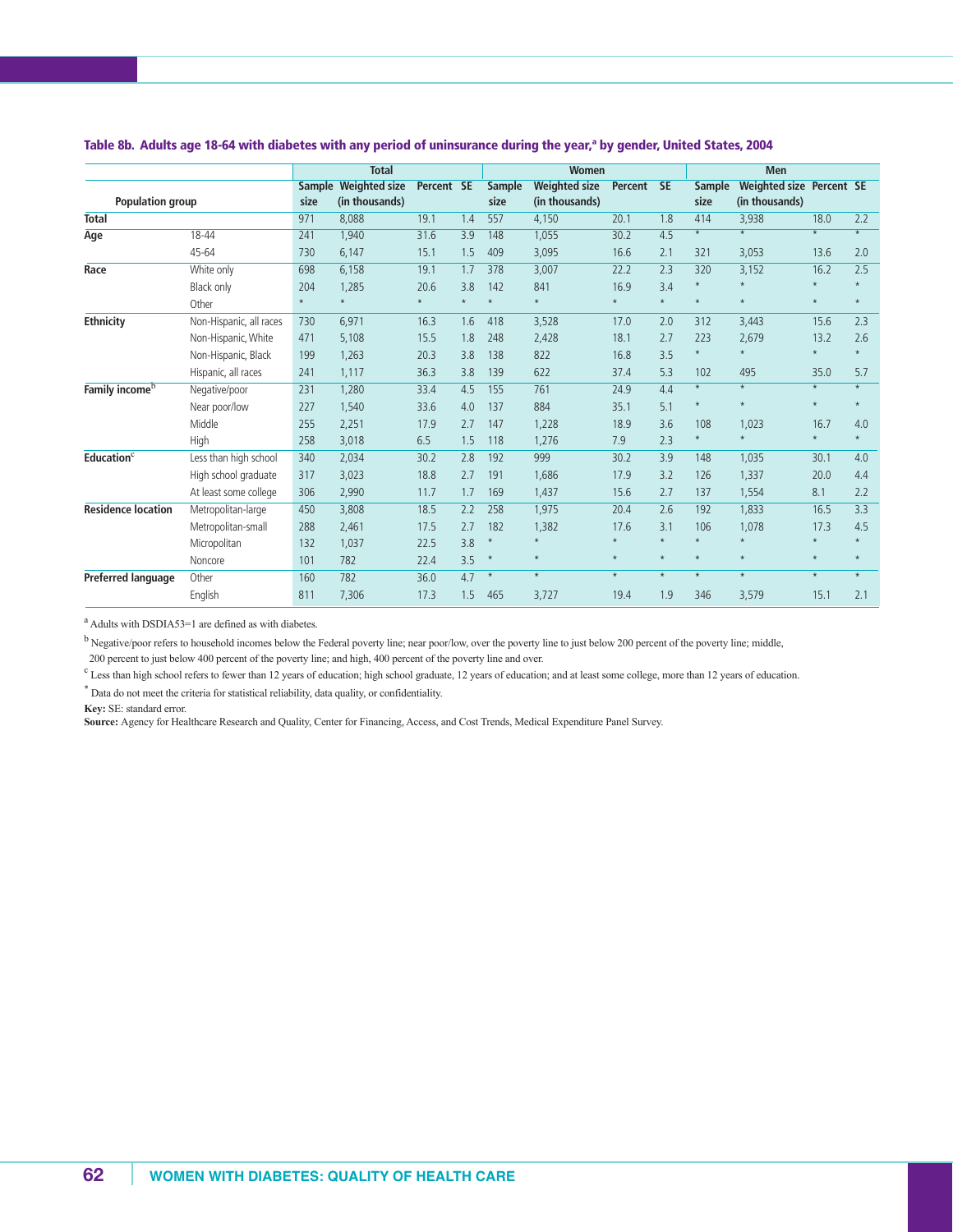|                            |                         | <b>Total</b>          |                                        |            |         | Women          |                                        |            |         | <b>Men</b>     |                                                   |          |         |
|----------------------------|-------------------------|-----------------------|----------------------------------------|------------|---------|----------------|----------------------------------------|------------|---------|----------------|---------------------------------------------------|----------|---------|
| <b>Population group</b>    |                         | <b>Sample</b><br>size | <b>Weighted size</b><br>(in thousands) | Percent SE |         | Sample<br>size | <b>Weighted size</b><br>(in thousands) | Percent SE |         | Sample<br>size | <b>Weighted size Percent SE</b><br>(in thousands) |          |         |
| <b>Total</b>               |                         | 971                   | 8,088                                  | 19.1       | 1.4     | 557            | 4,150                                  | 20.1       | 1.8     | 414            | 3,938                                             | 18.0     | 2.2     |
| Age                        | 18-44                   | 241                   | 1,940                                  | 31.6       | 3.9     | 148            | 1,055                                  | 30.2       | 4.5     | $\star$        | $\star$                                           | $\star$  | $\star$ |
|                            | 45-64                   | 730                   | 6,147                                  | 15.1       | 1.5     | 409            | 3,095                                  | 16.6       | 2.1     | 321            | 3,053                                             | 13.6     | 2.0     |
| Race                       | White only              | 698                   | 6,158                                  | 19.1       | 1.7     | 378            | 3,007                                  | 22.2       | 2.3     | 320            | 3.152                                             | 16.2     | 2.5     |
|                            | Black only              | 204                   | 1,285                                  | 20.6       | 3.8     | 142            | 841                                    | 16.9       | 3.4     |                | $\star$                                           | $\star$  | $\star$ |
|                            | Other                   | $\star$               | $\star$                                | $\star$    | $\star$ | $\star$        | $\star$                                | $\star$    | $\star$ | $^\star$       | $\star$                                           | $^\star$ | $\star$ |
| <b>Ethnicity</b>           | Non-Hispanic, all races | 730                   | 6.971                                  | 16.3       | 1.6     | 418            | 3,528                                  | 17.0       | 2.0     | 312            | 3.443                                             | 15.6     | 2.3     |
|                            | Non-Hispanic, White     | 471                   | 5,108                                  | 15.5       | 1.8     | 248            | 2,428                                  | 18.1       | 2.7     | 223            | 2,679                                             | 13.2     | 2.6     |
|                            | Non-Hispanic, Black     | 199                   | 1.263                                  | 20.3       | 3.8     | 138            | 822                                    | 16.8       | 3.5     | $\star$        | $\star$                                           | $\star$  | $\star$ |
|                            | Hispanic, all races     | 241                   | 1.117                                  | 36.3       | 3.8     | 139            | 622                                    | 37.4       | 5.3     | 102            | 495                                               | 35.0     | 5.7     |
| Family income <sup>b</sup> | Negative/poor           | 231                   | 1,280                                  | 33.4       | 4.5     | 155            | 761                                    | 24.9       | 4.4     | $^\star$       | $\star$                                           | $\star$  | $\star$ |
|                            | Near poor/low           | 227                   | 1,540                                  | 33.6       | 4.0     | 137            | 884                                    | 35.1       | 5.1     | $\star$        | $\star$                                           | $^\star$ | $\star$ |
|                            | Middle                  | 255                   | 2,251                                  | 17.9       | 2.7     | 147            | 1,228                                  | 18.9       | 3.6     | 108            | 1,023                                             | 16.7     | 4.0     |
|                            | High                    | 258                   | 3,018                                  | 6.5        | 1.5     | 118            | 1,276                                  | 7.9        | 2.3     | $\star$        | $\star$                                           | $\star$  | $\star$ |
| Education <sup>c</sup>     | Less than high school   | 340                   | 2,034                                  | 30.2       | 2.8     | 192            | 999                                    | 30.2       | 3.9     | 148            | 1,035                                             | 30.1     | 4.0     |
|                            | High school graduate    | 317                   | 3,023                                  | 18.8       | 2.7     | 191            | 1,686                                  | 17.9       | 3.2     | 126            | 1,337                                             | 20.0     | 4.4     |
|                            | At least some college   | 306                   | 2,990                                  | 11.7       | 1.7     | 169            | 1,437                                  | 15.6       | 2.7     | 137            | 1,554                                             | 8.1      | 2.2     |
| <b>Residence location</b>  | Metropolitan-large      | 450                   | 3,808                                  | 18.5       | 2.2     | 258            | 1,975                                  | 20.4       | 2.6     | 192            | 1.833                                             | 16.5     | 3.3     |
|                            | Metropolitan-small      | 288                   | 2,461                                  | 17.5       | 2.7     | 182            | 1,382                                  | 17.6       | 3.1     | 106            | 1,078                                             | 17.3     | 4.5     |
|                            | Micropolitan            | 132                   | 1.037                                  | 22.5       | 3.8     |                | $\star$                                | $\star$    | $\star$ | $\star$        | ÷                                                 | ÷        | $\star$ |
|                            | Noncore                 | 101                   | 782                                    | 22.4       | 3.5     | $\star$        | $\star$                                | $\star$    | $\star$ | $\star$        | $\star$                                           | $^\star$ | $\star$ |
| Preferred language         | Other                   | 160                   | 782                                    | 36.0       | 4.7     | $\star$        | $\star$                                | $\star$    | $\star$ | $\star$        | $\star$                                           | $^\star$ | $\star$ |
|                            | English                 | 811                   | 7,306                                  | 17.3       | 1.5     | 465            | 3,727                                  | 19.4       | 1.9     | 346            | 3,579                                             | 15.1     | 2.1     |

#### **Table 8b. Adults age 18-64 with diabetes with any period of uninsurance during the year,ª by gender, United States, 2004**

<sup>a</sup> Adults with DSDIA53=1 are defined as with diabetes.

<sup>b</sup> Negative/poor refers to household incomes below the Federal poverty line; near poor/low, over the poverty line to just below 200 percent of the poverty line; middle, 200 percent to just below 400 percent of the poverty line; and high, 400 percent of the poverty line and over.

 $c$  Less than high school refers to fewer than 12 years of education; high school graduate, 12 years of education; and at least some college, more than 12 years of education.

\* Data do not meet the criteria for statistical reliability, data quality, or confidentiality.

**Key:** SE: standard error.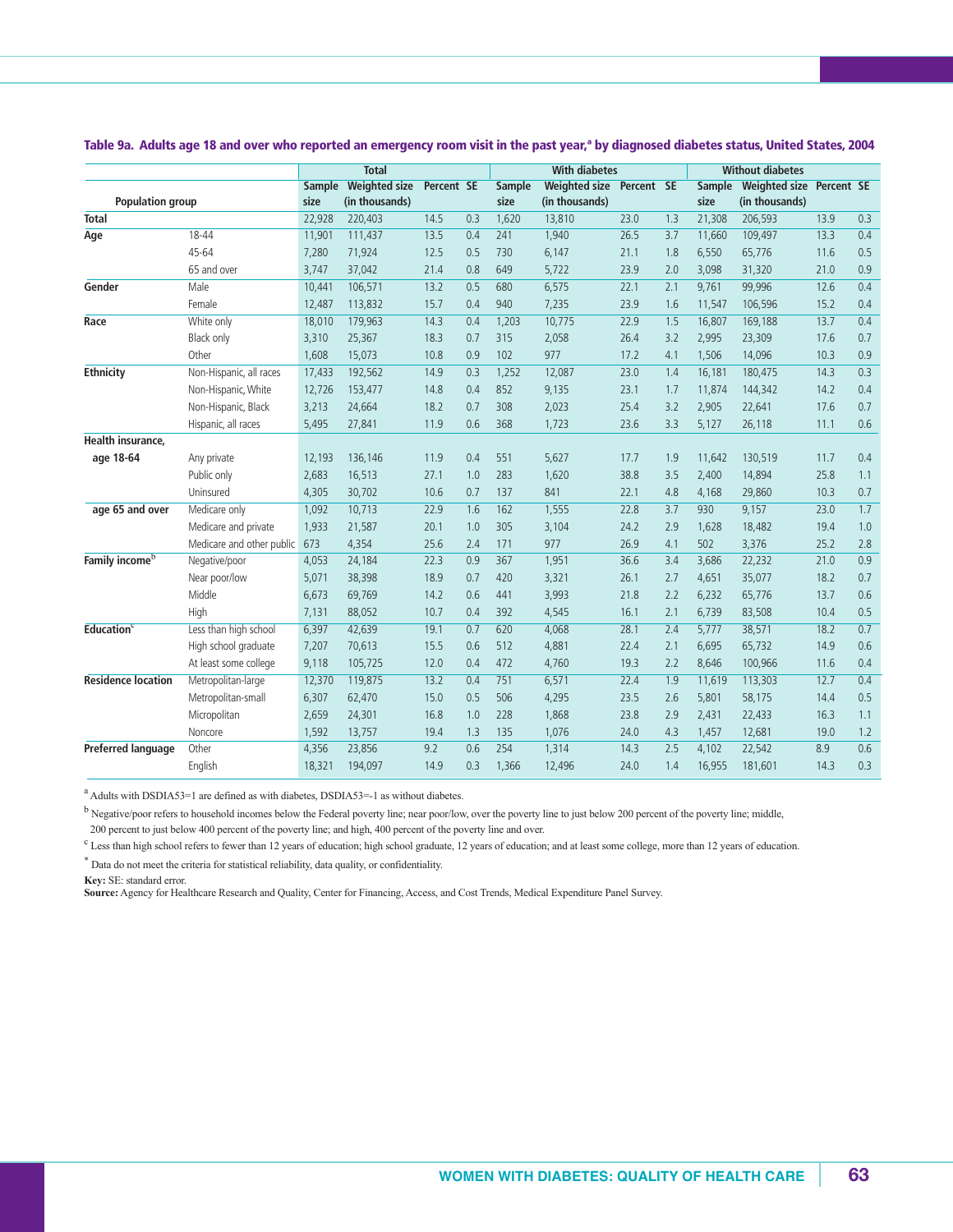|                            |                           | <b>Total</b>   |                                        |            |     | <b>With diabetes</b> |                                            |      |     | <b>Without diabetes</b> |                                            |      |     |
|----------------------------|---------------------------|----------------|----------------------------------------|------------|-----|----------------------|--------------------------------------------|------|-----|-------------------------|--------------------------------------------|------|-----|
| Population group           |                           | Sample<br>size | <b>Weighted size</b><br>(in thousands) | Percent SE |     | Sample<br>size       | Weighted size Percent SE<br>(in thousands) |      |     | <b>Sample</b><br>size   | Weighted size Percent SE<br>(in thousands) |      |     |
| <b>Total</b>               |                           | 22.928         | 220,403                                | 14.5       | 0.3 | 1,620                | 13,810                                     | 23.0 | 1.3 | 21,308                  | 206,593                                    | 13.9 | 0.3 |
| Age                        | 18-44                     | 11,901         | 111,437                                | 13.5       | 0.4 | 241                  | 1,940                                      | 26.5 | 3.7 | 11,660                  | 109,497                                    | 13.3 | 0.4 |
|                            | 45-64                     | 7,280          | 71,924                                 | 12.5       | 0.5 | 730                  | 6,147                                      | 21.1 | 1.8 | 6,550                   | 65,776                                     | 11.6 | 0.5 |
|                            | 65 and over               | 3.747          | 37,042                                 | 21.4       | 0.8 | 649                  | 5,722                                      | 23.9 | 2.0 | 3.098                   | 31,320                                     | 21.0 | 0.9 |
| Gender                     | Male                      | 10,441         | 106,571                                | 13.2       | 0.5 | 680                  | 6,575                                      | 22.1 | 2.1 | 9,761                   | 99,996                                     | 12.6 | 0.4 |
|                            | Female                    | 12,487         | 113,832                                | 15.7       | 0.4 | 940                  | 7,235                                      | 23.9 | 1.6 | 11,547                  | 106,596                                    | 15.2 | 0.4 |
| Race                       | White only                | 18,010         | 179,963                                | 14.3       | 0.4 | 1,203                | 10,775                                     | 22.9 | 1.5 | 16,807                  | 169,188                                    | 13.7 | 0.4 |
|                            | Black only                | 3,310          | 25,367                                 | 18.3       | 0.7 | 315                  | 2,058                                      | 26.4 | 3.2 | 2,995                   | 23,309                                     | 17.6 | 0.7 |
|                            | Other                     | 1,608          | 15,073                                 | 10.8       | 0.9 | 102                  | 977                                        | 17.2 | 4.1 | 1,506                   | 14,096                                     | 10.3 | 0.9 |
| Ethnicity                  | Non-Hispanic, all races   | 17,433         | 192,562                                | 14.9       | 0.3 | 1,252                | 12,087                                     | 23.0 | 1.4 | 16,181                  | 180,475                                    | 14.3 | 0.3 |
|                            | Non-Hispanic, White       | 12,726         | 153,477                                | 14.8       | 0.4 | 852                  | 9,135                                      | 23.1 | 1.7 | 11,874                  | 144,342                                    | 14.2 | 0.4 |
|                            | Non-Hispanic, Black       | 3,213          | 24,664                                 | 18.2       | 0.7 | 308                  | 2,023                                      | 25.4 | 3.2 | 2,905                   | 22,641                                     | 17.6 | 0.7 |
|                            | Hispanic, all races       | 5,495          | 27,841                                 | 11.9       | 0.6 | 368                  | 1,723                                      | 23.6 | 3.3 | 5,127                   | 26,118                                     | 11.1 | 0.6 |
| <b>Health insurance,</b>   |                           |                |                                        |            |     |                      |                                            |      |     |                         |                                            |      |     |
| age 18-64                  | Any private               | 12,193         | 136,146                                | 11.9       | 0.4 | 551                  | 5,627                                      | 17.7 | 1.9 | 11,642                  | 130,519                                    | 11.7 | 0.4 |
|                            | Public only               | 2,683          | 16,513                                 | 27.1       | 1.0 | 283                  | 1,620                                      | 38.8 | 3.5 | 2,400                   | 14,894                                     | 25.8 | 1.1 |
|                            | Uninsured                 | 4,305          | 30,702                                 | 10.6       | 0.7 | 137                  | 841                                        | 22.1 | 4.8 | 4,168                   | 29,860                                     | 10.3 | 0.7 |
| age 65 and over            | Medicare only             | 1,092          | 10,713                                 | 22.9       | 1.6 | 162                  | 1,555                                      | 22.8 | 3.7 | 930                     | 9,157                                      | 23.0 | 1.7 |
|                            | Medicare and private      | 1,933          | 21,587                                 | 20.1       | 1.0 | 305                  | 3,104                                      | 24.2 | 2.9 | 1,628                   | 18,482                                     | 19.4 | 1.0 |
|                            | Medicare and other public | 673            | 4,354                                  | 25.6       | 2.4 | 171                  | 977                                        | 26.9 | 4.1 | 502                     | 3,376                                      | 25.2 | 2.8 |
| Family income <sup>b</sup> | Negative/poor             | 4,053          | 24,184                                 | 22.3       | 0.9 | 367                  | 1,951                                      | 36.6 | 3.4 | 3,686                   | 22,232                                     | 21.0 | 0.9 |
|                            | Near poor/low             | 5,071          | 38,398                                 | 18.9       | 0.7 | 420                  | 3,321                                      | 26.1 | 2.7 | 4,651                   | 35,077                                     | 18.2 | 0.7 |
|                            | Middle                    | 6,673          | 69,769                                 | 14.2       | 0.6 | 441                  | 3,993                                      | 21.8 | 2.2 | 6,232                   | 65,776                                     | 13.7 | 0.6 |
|                            | High                      | 7,131          | 88,052                                 | 10.7       | 0.4 | 392                  | 4,545                                      | 16.1 | 2.1 | 6,739                   | 83,508                                     | 10.4 | 0.5 |
| Education <sup>c</sup>     | Less than high school     | 6,397          | 42,639                                 | 19.1       | 0.7 | 620                  | 4,068                                      | 28.1 | 2.4 | 5,777                   | 38,571                                     | 18.2 | 0.7 |
|                            | High school graduate      | 7,207          | 70,613                                 | 15.5       | 0.6 | 512                  | 4,881                                      | 22.4 | 2.1 | 6,695                   | 65,732                                     | 14.9 | 0.6 |
|                            | At least some college     | 9,118          | 105,725                                | 12.0       | 0.4 | 472                  | 4,760                                      | 19.3 | 2.2 | 8,646                   | 100,966                                    | 11.6 | 0.4 |
| <b>Residence location</b>  | Metropolitan-large        | 12,370         | 119,875                                | 13.2       | 0.4 | 751                  | 6,571                                      | 22.4 | 1.9 | 11,619                  | 113,303                                    | 12.7 | 0.4 |
|                            | Metropolitan-small        | 6,307          | 62,470                                 | 15.0       | 0.5 | 506                  | 4,295                                      | 23.5 | 2.6 | 5,801                   | 58,175                                     | 14.4 | 0.5 |
|                            | Micropolitan              | 2,659          | 24,301                                 | 16.8       | 1.0 | 228                  | 1,868                                      | 23.8 | 2.9 | 2,431                   | 22,433                                     | 16.3 | 1.1 |
|                            | Noncore                   | 1,592          | 13,757                                 | 19.4       | 1.3 | 135                  | 1,076                                      | 24.0 | 4.3 | 1,457                   | 12,681                                     | 19.0 | 1.2 |
| <b>Preferred language</b>  | Other                     | 4,356          | 23,856                                 | 9.2        | 0.6 | 254                  | 1,314                                      | 14.3 | 2.5 | 4,102                   | 22,542                                     | 8.9  | 0.6 |
|                            | English                   | 18,321         | 194,097                                | 14.9       | 0.3 | 1.366                | 12,496                                     | 24.0 | 1.4 | 16.955                  | 181,601                                    | 14.3 | 0.3 |

#### **Table 9a. Adults age 18 and over who reported an emergency room visit in the past year,ª by diagnosed diabetes status, United States, 2004**

 $a$  Adults with DSDIA53=1 are defined as with diabetes, DSDIA53=-1 as without diabetes.

<sup>b</sup> Negative/poor refers to household incomes below the Federal poverty line; near poor/low, over the poverty line to just below 200 percent of the poverty line; middle,

200 percent to just below 400 percent of the poverty line; and high, 400 percent of the poverty line and over.

<sup>c</sup> Less than high school refers to fewer than 12 years of education; high school graduate, 12 years of education; and at least some college, more than 12 years of education.

\* Data do not meet the criteria for statistical reliability, data quality, or confidentiality.

**Key:** SE: standard error.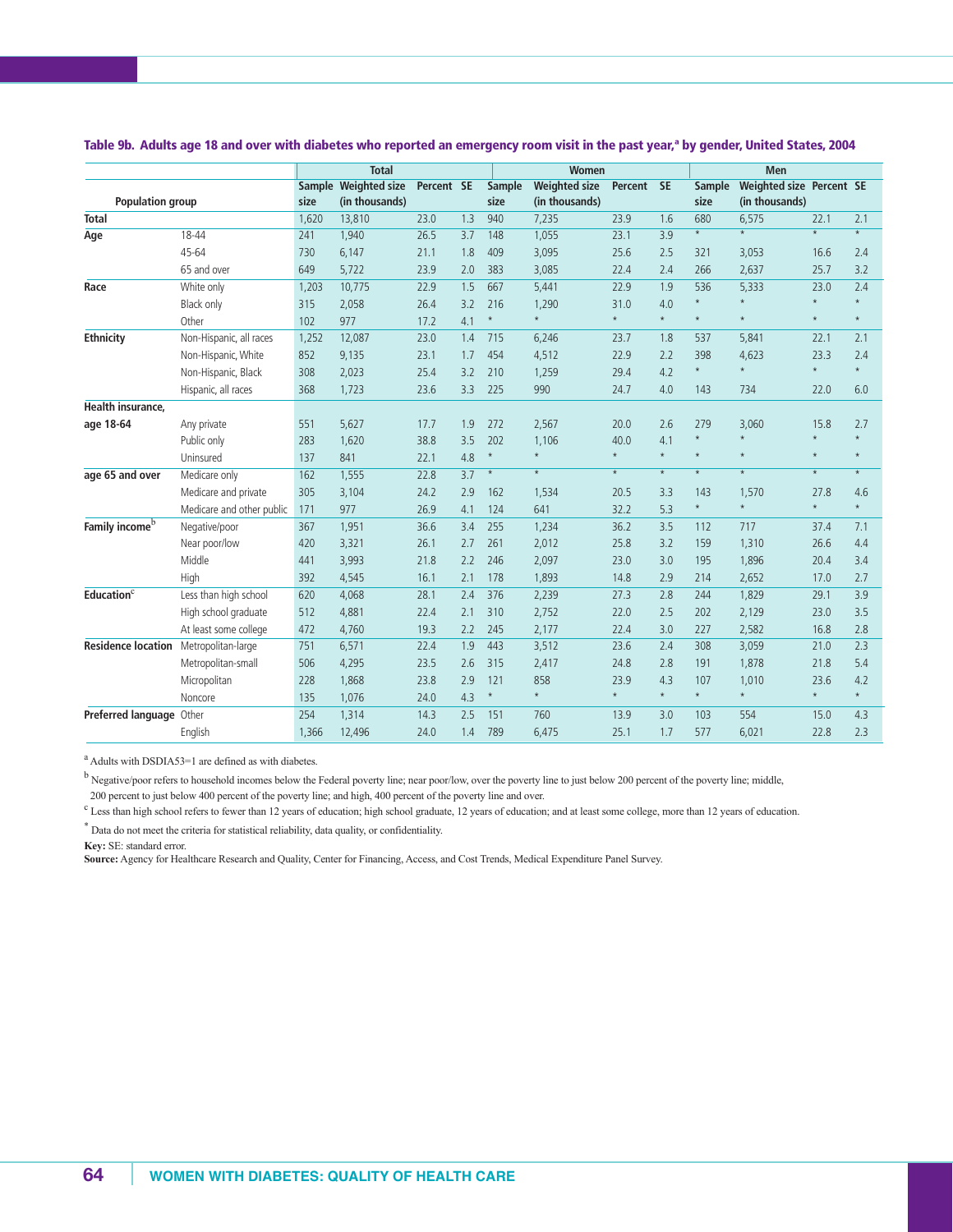|                                       |                           | <b>Total</b><br>Women |                                        |            |     |                |                                        | Men        |          |                |                                            |         |          |
|---------------------------------------|---------------------------|-----------------------|----------------------------------------|------------|-----|----------------|----------------------------------------|------------|----------|----------------|--------------------------------------------|---------|----------|
| Population group                      |                           | size                  | Sample Weighted size<br>(in thousands) | Percent SE |     | Sample<br>size | <b>Weighted size</b><br>(in thousands) | Percent SE |          | Sample<br>size | Weighted size Percent SE<br>(in thousands) |         |          |
| <b>Total</b>                          |                           | 1,620                 | 13,810                                 | 23.0       | 1.3 | 940            | 7,235                                  | 23.9       | 1.6      | 680            | 6,575                                      | 22.1    | 2.1      |
| Age                                   | $18 - 44$                 | 241                   | 1,940                                  | 26.5       | 3.7 | 148            | 1,055                                  | 23.1       | 3.9      | $^\star$       | $\star$                                    | $\star$ | $\star$  |
|                                       | 45-64                     | 730                   | 6,147                                  | 21.1       | 1.8 | 409            | 3,095                                  | 25.6       | 2.5      | 321            | 3,053                                      | 16.6    | 2.4      |
|                                       | 65 and over               | 649                   | 5.722                                  | 23.9       | 2.0 | 383            | 3,085                                  | 22.4       | 2.4      | 266            | 2.637                                      | 25.7    | 3.2      |
| Race                                  | White only                | 1,203                 | 10,775                                 | 22.9       | 1.5 | 667            | 5,441                                  | 22.9       | 1.9      | 536            | 5,333                                      | 23.0    | 2.4      |
|                                       | Black only                | 315                   | 2,058                                  | 26.4       | 3.2 | 216            | 1,290                                  | 31.0       | 4.0      | $\star$        | $\star$                                    | $\star$ | $^\star$ |
|                                       | Other                     | 102                   | 977                                    | 17.2       | 4.1 | $\star$        | $\star$                                | $\star$    | $\star$  | $^\star$       | $\star$                                    | $\star$ | $\star$  |
| Ethnicity                             | Non-Hispanic, all races   | 1,252                 | 12,087                                 | 23.0       | 1.4 | 715            | 6,246                                  | 23.7       | 1.8      | 537            | 5,841                                      | 22.1    | 2.1      |
|                                       | Non-Hispanic, White       | 852                   | 9,135                                  | 23.1       | 1.7 | 454            | 4,512                                  | 22.9       | 2.2      | 398            | 4,623                                      | 23.3    | 2.4      |
|                                       | Non-Hispanic, Black       | 308                   | 2,023                                  | 25.4       | 3.2 | 210            | 1,259                                  | 29.4       | 4.2      | $\star$        | $\star$                                    | $\star$ | $\star$  |
|                                       | Hispanic, all races       | 368                   | 1,723                                  | 23.6       | 3.3 | 225            | 990                                    | 24.7       | 4.0      | 143            | 734                                        | 22.0    | 6.0      |
| <b>Health insurance,</b>              |                           |                       |                                        |            |     |                |                                        |            |          |                |                                            |         |          |
| age 18-64                             | Any private               | 551                   | 5,627                                  | 17.7       | 1.9 | 272            | 2,567                                  | 20.0       | 2.6      | 279            | 3,060                                      | 15.8    | 2.7      |
|                                       | Public only               | 283                   | 1,620                                  | 38.8       | 3.5 | 202            | 1,106                                  | 40.0       | 4.1      | $\star$        | ÷                                          | ÷       | $\star$  |
|                                       | Uninsured                 | 137                   | 841                                    | 22.1       | 4.8 | $\star$        | $\star$                                | $\star$    | $\star$  | $\star$        | $\Phi$                                     | $\star$ | $\star$  |
| age 65 and over                       | Medicare only             | 162                   | 1,555                                  | 22.8       | 3.7 | $\star$        | $\star$                                | $\star$    | $\star$  | $\star$        | $\star$                                    | $\star$ | $\star$  |
|                                       | Medicare and private      | 305                   | 3,104                                  | 24.2       | 2.9 | 162            | 1,534                                  | 20.5       | 3.3      | 143            | 1,570                                      | 27.8    | 4.6      |
|                                       | Medicare and other public | 171                   | 977                                    | 26.9       | 4.1 | 124            | 641                                    | 32.2       | 5.3      | $^\star$       | $\star$                                    | $\star$ | $\star$  |
| Family income <sup>b</sup>            | Negative/poor             | 367                   | 1,951                                  | 36.6       | 3.4 | 255            | 1,234                                  | 36.2       | 3.5      | 112            | 717                                        | 37.4    | 7.1      |
|                                       | Near poor/low             | 420                   | 3,321                                  | 26.1       | 2.7 | 261            | 2,012                                  | 25.8       | 3.2      | 159            | 1,310                                      | 26.6    | 4.4      |
|                                       | Middle                    | 441                   | 3,993                                  | 21.8       | 2.2 | 246            | 2,097                                  | 23.0       | 3.0      | 195            | 1,896                                      | 20.4    | 3.4      |
|                                       | High                      | 392                   | 4,545                                  | 16.1       | 2.1 | 178            | 1,893                                  | 14.8       | 2.9      | 214            | 2,652                                      | 17.0    | 2.7      |
| Education <sup>c</sup>                | Less than high school     | 620                   | 4,068                                  | 28.1       | 2.4 | 376            | 2,239                                  | 27.3       | 2.8      | 244            | 1,829                                      | 29.1    | 3.9      |
|                                       | High school graduate      | 512                   | 4,881                                  | 22.4       | 2.1 | 310            | 2,752                                  | 22.0       | 2.5      | 202            | 2,129                                      | 23.0    | 3.5      |
|                                       | At least some college     | 472                   | 4,760                                  | 19.3       | 2.2 | 245            | 2,177                                  | 22.4       | 3.0      | 227            | 2,582                                      | 16.8    | 2.8      |
| Residence location Metropolitan-large |                           | 751                   | 6,571                                  | 22.4       | 1.9 | 443            | 3,512                                  | 23.6       | 2.4      | 308            | 3,059                                      | 21.0    | 2.3      |
|                                       | Metropolitan-small        | 506                   | 4,295                                  | 23.5       | 2.6 | 315            | 2,417                                  | 24.8       | 2.8      | 191            | 1,878                                      | 21.8    | 5.4      |
|                                       | Micropolitan              | 228                   | 1,868                                  | 23.8       | 2.9 | 121            | 858                                    | 23.9       | 4.3      | 107            | 1,010                                      | 23.6    | 4.2      |
|                                       | Noncore                   | 135                   | 1,076                                  | 24.0       | 4.3 | $\star$        | $\star$                                | $^\star$   | $^\star$ | $\star$        | $^\star$                                   | $\star$ | $\star$  |
| Preferred language Other              |                           | 254                   | 1,314                                  | 14.3       | 2.5 | 151            | 760                                    | 13.9       | 3.0      | 103            | 554                                        | 15.0    | 4.3      |
|                                       | English                   | 1,366                 | 12,496                                 | 24.0       | 1.4 | 789            | 6.475                                  | 25.1       | 1.7      | 577            | 6,021                                      | 22.8    | 2.3      |

#### **Table 9b. Adults age 18 and over with diabetes who reported an emergency room visit in the past year,ª by gender, United States, 2004**

<sup>a</sup> Adults with DSDIA53=1 are defined as with diabetes.

<sup>b</sup> Negative/poor refers to household incomes below the Federal poverty line; near poor/low, over the poverty line to just below 200 percent of the poverty line; middle,

200 percent to just below 400 percent of the poverty line; and high, 400 percent of the poverty line and over.

 $c$  Less than high school refers to fewer than 12 years of education; high school graduate, 12 years of education; and at least some college, more than 12 years of education.

\* Data do not meet the criteria for statistical reliability, data quality, or confidentiality.

**Key:** SE: standard error.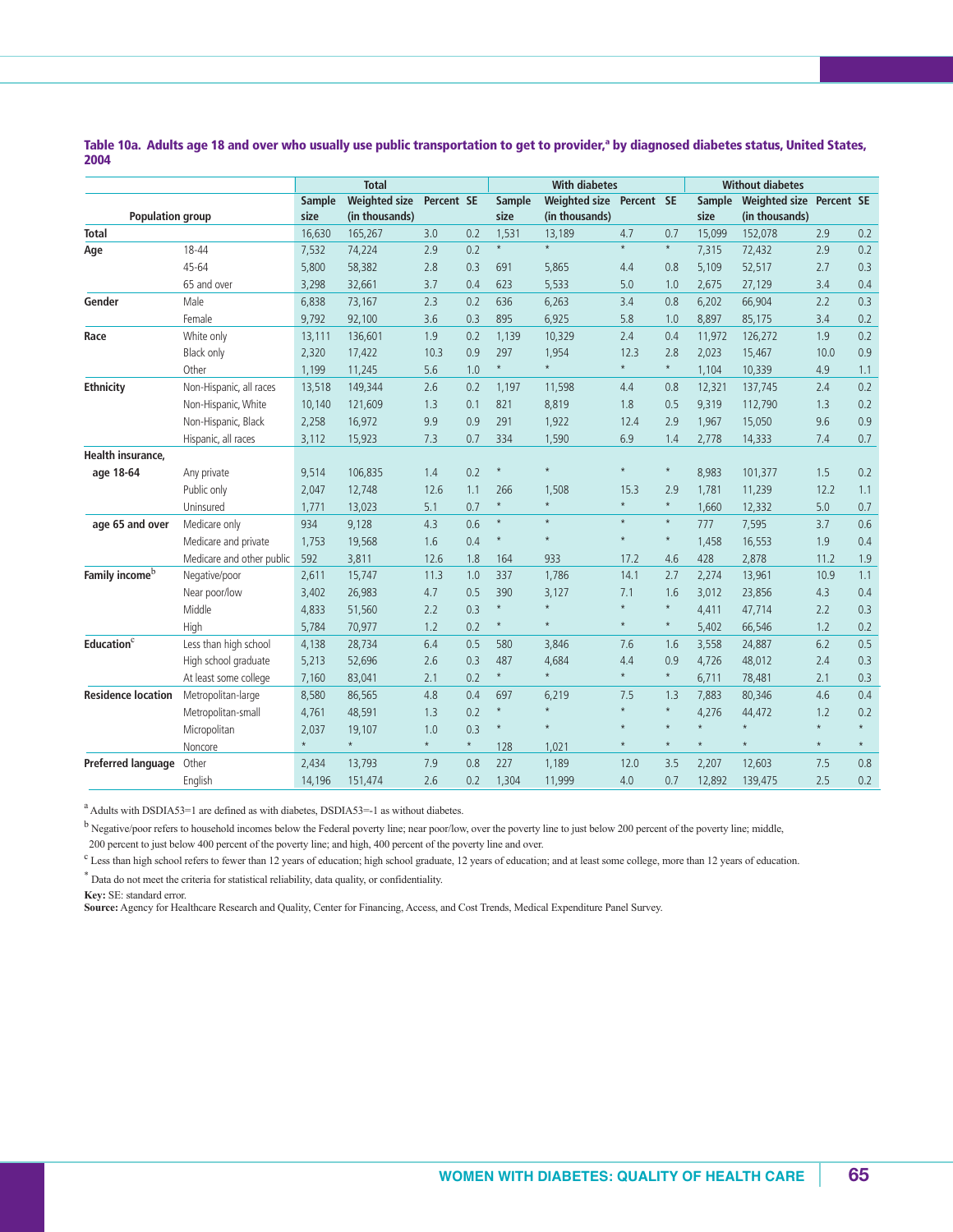|                            |                           | <b>Total</b>   |                                        |            | <b>With diabetes</b> |                |                                            |          | <b>Without diabetes</b> |                |                                            |         |          |
|----------------------------|---------------------------|----------------|----------------------------------------|------------|----------------------|----------------|--------------------------------------------|----------|-------------------------|----------------|--------------------------------------------|---------|----------|
| <b>Population group</b>    |                           | Sample<br>size | <b>Weighted size</b><br>(in thousands) | Percent SE |                      | Sample<br>size | Weighted size Percent SE<br>(in thousands) |          |                         | Sample<br>size | Weighted size Percent SE<br>(in thousands) |         |          |
| Total                      |                           | 16,630         | 165,267                                | 3.0        | 0.2                  | 1,531          | 13,189                                     | 4.7      | 0.7                     | 15,099         | 152,078                                    | 2.9     | 0.2      |
| Age                        | 18-44                     | 7,532          | 74,224                                 | 2.9        | 0.2                  | $^\star$       | $\star$                                    | $\star$  | $^\star$                | 7,315          | 72,432                                     | 2.9     | 0.2      |
|                            | 45-64                     | 5,800          | 58,382                                 | 2.8        | 0.3                  | 691            | 5,865                                      | 4.4      | 0.8                     | 5,109          | 52,517                                     | 2.7     | 0.3      |
|                            | 65 and over               | 3,298          | 32,661                                 | 3.7        | 0.4                  | 623            | 5,533                                      | 5.0      | 1.0                     | 2,675          | 27,129                                     | 3.4     | 0.4      |
| Gender                     | Male                      | 6,838          | 73,167                                 | 2.3        | 0.2                  | 636            | 6,263                                      | 3.4      | 0.8                     | 6,202          | 66,904                                     | 2.2     | 0.3      |
|                            | Female                    | 9,792          | 92,100                                 | 3.6        | 0.3                  | 895            | 6,925                                      | 5.8      | 1.0                     | 8,897          | 85,175                                     | 3.4     | 0.2      |
| Race                       | White only                | 13,111         | 136,601                                | 1.9        | 0.2                  | 1,139          | 10,329                                     | 2.4      | 0.4                     | 11,972         | 126,272                                    | 1.9     | 0.2      |
|                            | Black only                | 2,320          | 17,422                                 | 10.3       | 0.9                  | 297            | 1,954                                      | 12.3     | 2.8                     | 2,023          | 15,467                                     | 10.0    | 0.9      |
|                            | Other                     | 1,199          | 11,245                                 | 5.6        | 1.0                  | $^\star$       | $\star$                                    | $^\star$ | $^\star$                | 1,104          | 10,339                                     | 4.9     | 1.1      |
| <b>Ethnicity</b>           | Non-Hispanic, all races   | 13,518         | 149,344                                | 2.6        | 0.2                  | 1,197          | 11,598                                     | 4.4      | 0.8                     | 12,321         | 137,745                                    | 2.4     | 0.2      |
|                            | Non-Hispanic, White       | 10,140         | 121,609                                | 1.3        | 0.1                  | 821            | 8,819                                      | 1.8      | 0.5                     | 9,319          | 112,790                                    | 1.3     | 0.2      |
|                            | Non-Hispanic, Black       | 2,258          | 16,972                                 | 9.9        | 0.9                  | 291            | 1,922                                      | 12.4     | 2.9                     | 1,967          | 15,050                                     | 9.6     | 0.9      |
|                            | Hispanic, all races       | 3,112          | 15,923                                 | 7.3        | 0.7                  | 334            | 1,590                                      | 6.9      | 1.4                     | 2,778          | 14,333                                     | 7.4     | 0.7      |
| <b>Health insurance.</b>   |                           |                |                                        |            |                      |                |                                            |          |                         |                |                                            |         |          |
| age 18-64                  | Any private               | 9,514          | 106,835                                | 1.4        | 0.2                  |                |                                            |          | $\star$                 | 8,983          | 101,377                                    | 1.5     | 0.2      |
|                            | Public only               | 2,047          | 12,748                                 | 12.6       | 1.1                  | 266            | 1,508                                      | 15.3     | 2.9                     | 1,781          | 11,239                                     | 12.2    | 1.1      |
|                            | Uninsured                 | 1,771          | 13,023                                 | 5.1        | 0.7                  | $\star$        | $\star$                                    | $\star$  | $^\star$                | 1,660          | 12,332                                     | 5.0     | 0.7      |
| age 65 and over            | Medicare only             | 934            | 9,128                                  | 4.3        | 0.6                  | $\star$        | $\star$                                    | $\star$  | $\star$                 | 777            | 7,595                                      | 3.7     | 0.6      |
|                            | Medicare and private      | 1,753          | 19,568                                 | 1.6        | 0.4                  | $\star$        | $\star$                                    |          | $^\star$                | 1,458          | 16,553                                     | 1.9     | 0.4      |
|                            | Medicare and other public | 592            | 3,811                                  | 12.6       | 1.8                  | 164            | 933                                        | 17.2     | 4.6                     | 428            | 2,878                                      | 11.2    | 1.9      |
| Family income <sup>b</sup> | Negative/poor             | 2,611          | 15,747                                 | 11.3       | 1.0                  | 337            | 1,786                                      | 14.1     | 2.7                     | 2,274          | 13,961                                     | 10.9    | 1.1      |
|                            | Near poor/low             | 3,402          | 26,983                                 | 4.7        | 0.5                  | 390            | 3,127                                      | 7.1      | 1.6                     | 3,012          | 23,856                                     | 4.3     | 0.4      |
|                            | Middle                    | 4,833          | 51,560                                 | 2.2        | 0.3                  | $\star$        | $\star$                                    | $\star$  | $^\star$                | 4,411          | 47,714                                     | 2.2     | 0.3      |
|                            | High                      | 5,784          | 70,977                                 | 1.2        | 0.2                  | $\star$        | $\star$                                    | $\star$  | $\star$                 | 5,402          | 66,546                                     | 1.2     | 0.2      |
| Education <sup>c</sup>     | Less than high school     | 4,138          | 28,734                                 | 6.4        | 0.5                  | 580            | 3,846                                      | 7.6      | 1.6                     | 3,558          | 24,887                                     | 6.2     | 0.5      |
|                            | High school graduate      | 5,213          | 52,696                                 | 2.6        | 0.3                  | 487            | 4,684                                      | 4.4      | 0.9                     | 4,726          | 48,012                                     | 2.4     | 0.3      |
|                            | At least some college     | 7,160          | 83,041                                 | 2.1        | 0.2                  | $^\star$       | $\star$                                    | $\star$  | $^\star$                | 6,711          | 78,481                                     | 2.1     | 0.3      |
| <b>Residence location</b>  | Metropolitan-large        | 8,580          | 86,565                                 | 4.8        | 0.4                  | 697            | 6,219                                      | 7.5      | 1.3                     | 7,883          | 80,346                                     | 4.6     | 0.4      |
|                            | Metropolitan-small        | 4,761          | 48,591                                 | 1.3        | 0.2                  | $\star$        | $\star$                                    | $\star$  | $\star$                 | 4,276          | 44,472                                     | 1.2     | 0.2      |
|                            | Micropolitan              | 2,037          | 19,107                                 | 1.0        | 0.3                  | $\ast$         |                                            |          | $\star$                 | $\star$        |                                            | $\star$ | $^\star$ |
|                            | Noncore                   | $^\star$       | $^\star$                               | $^\star$   | $^\star$             | 128            | 1,021                                      | $\star$  | $^\star$                | $\star$        | $\star$                                    | $\star$ | $^\star$ |
| Preferred language         | Other                     | 2,434          | 13,793                                 | 7.9        | 0.8                  | 227            | 1,189                                      | 12.0     | 3.5                     | 2,207          | 12,603                                     | 7.5     | 0.8      |
|                            | English                   | 14.196         | 151,474                                | 2.6        | 0.2                  | 1,304          | 11,999                                     | 4.0      | 0.7                     | 12,892         | 139,475                                    | 2.5     | 0.2      |

#### **Table 10a. Adults age 18 and over who usually use public transportation to get to provider,ª by diagnosed diabetes status, United States, 2004**

 $a$  Adults with DSDIA53=1 are defined as with diabetes, DSDIA53=-1 as without diabetes.

<sup>b</sup> Negative/poor refers to household incomes below the Federal poverty line; near poor/low, over the poverty line to just below 200 percent of the poverty line; middle,

200 percent to just below 400 percent of the poverty line; and high, 400 percent of the poverty line and over.

 $c$  Less than high school refers to fewer than 12 years of education; high school graduate, 12 years of education; and at least some college, more than 12 years of education.

\* Data do not meet the criteria for statistical reliability, data quality, or confidentiality.

**Key:** SE: standard error.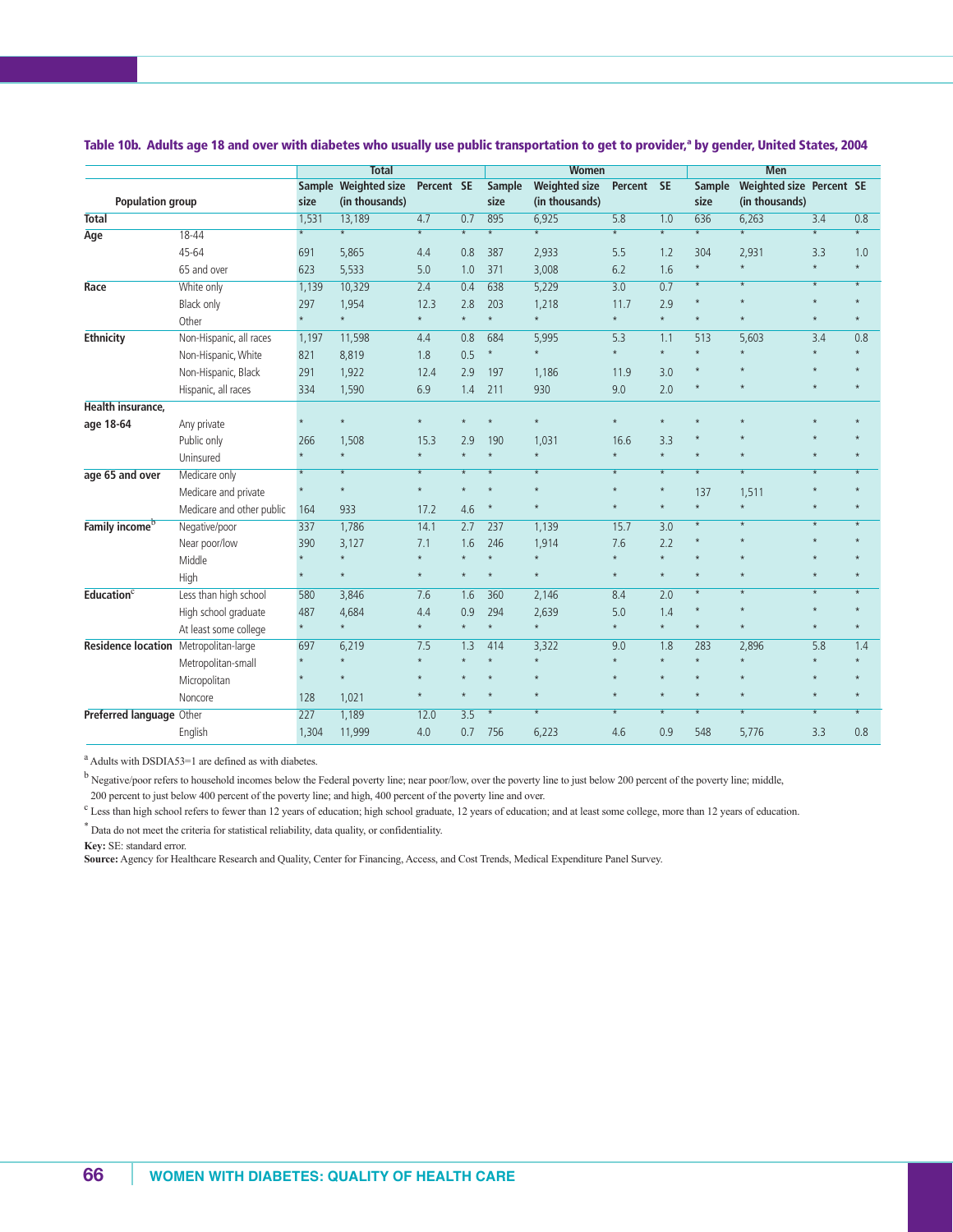|                                              |                           |          | <b>Total</b>                           |            | <b>Women</b>        |                       |                                        |            |           |                   | <b>Men</b>                                 |                         |                         |
|----------------------------------------------|---------------------------|----------|----------------------------------------|------------|---------------------|-----------------------|----------------------------------------|------------|-----------|-------------------|--------------------------------------------|-------------------------|-------------------------|
| <b>Population group</b>                      |                           | size     | Sample Weighted size<br>(in thousands) | Percent SE |                     | <b>Sample</b><br>size | <b>Weighted size</b><br>(in thousands) | Percent SE |           | Sample<br>size    | Weighted size Percent SE<br>(in thousands) |                         |                         |
| <b>Total</b>                                 |                           | 1,531    | 13,189                                 | 4.7        | 0.7                 | 895                   | 6,925                                  | 5.8        | 1.0       | 636               | 6,263                                      | 3.4                     | 0.8                     |
| Age                                          | 18-44                     | $^\star$ | $\star$                                | $\star$    | $\star$             | $\star$               | $\star$                                | $\star$    | $\star$   | $\star$           | $\star$                                    | $\star$                 | $\star$                 |
|                                              | 45-64                     | 691      | 5,865                                  | 4.4        | 0.8                 | 387                   | 2,933                                  | 5.5        | 1.2       | 304               | 2,931                                      | 3.3                     | 1.0                     |
|                                              | 65 and over               | 623      | 5,533                                  | 5.0        | 1.0                 | 371                   | 3,008                                  | 6.2        | 1.6       | $^\star$          | $\star$                                    | $\star$                 | $\star$                 |
| Race                                         | White only                | 1,139    | 10,329                                 | 2.4        | 0.4                 | 638                   | 5,229                                  | 3.0        | 0.7       | $\overline{\ast}$ | $\overline{\ast}$                          | $\overline{\mathbf{x}}$ | $\overline{\mathbf{x}}$ |
|                                              | Black only                | 297      | 1,954                                  | 12.3       | 2.8                 | 203                   | 1,218                                  | 11.7       | 2.9       | $\star$           |                                            |                         | $\star$                 |
|                                              | Other                     | $\star$  | $\star$                                | $^\star$   | $\star$             | $\star$               | $\star$                                | $\star$    | $\star$   | $\star$           | $\star$                                    | $\star$                 | $\star$                 |
| Ethnicity                                    | Non-Hispanic, all races   | 1,197    | 11,598                                 | 4.4        | 0.8                 | 684                   | 5,995                                  | 5.3        | 1.1       | 513               | 5.603                                      | 3.4                     | 0.8                     |
|                                              | Non-Hispanic, White       | 821      | 8,819                                  | 1.8        | 0.5                 |                       | $\star$                                | $\star$    | $\star$   | $\star$           | $\star$                                    | $\star$                 |                         |
|                                              | Non-Hispanic, Black       | 291      | 1,922                                  | 12.4       | 2.9                 | 197                   | 1,186                                  | 11.9       | 3.0       | $\star$           |                                            |                         |                         |
|                                              | Hispanic, all races       | 334      | 1,590                                  | 6.9        | 1.4                 | 211                   | 930                                    | 9.0        | 2.0       |                   |                                            |                         |                         |
| Health insurance,                            |                           |          |                                        |            |                     |                       |                                        |            |           |                   |                                            |                         |                         |
| age 18-64                                    | Any private               | $\star$  | $\star$                                | $\star$    | $\star$             |                       | $\star$                                | $\star$    |           |                   |                                            |                         |                         |
|                                              | Public only               | 266      | 1,508                                  | 15.3       | 2.9                 | 190                   | 1,031                                  | 16.6       | 3.3       |                   |                                            |                         |                         |
|                                              | Uninsured                 | $\star$  | $\star$                                | $\star$    | $\star$             | $\star$               | $\star$                                | $\star$    | $\star$   | $\star$           | $\star$                                    |                         |                         |
| age 65 and over                              | Medicare only             | $\star$  | $\star$                                | $\star$    |                     | $\star$               | $\star$                                | $\star$    | $\star$   | $\star$           | $\star$                                    | $\star$                 | $\overline{\mathbf{x}}$ |
|                                              | Medicare and private      |          | $\star$                                |            |                     |                       | 4                                      | $\star$    | $\star$   | 137               | 1.511                                      |                         |                         |
|                                              | Medicare and other public | 164      | 933                                    | 17.2       | 4.6                 | $\ast$                |                                        | $\star$    | $\star$   | $\star$           | $\star$                                    | ÷                       |                         |
| Family income <sup>b</sup>                   | Negative/poor             | 337      | 1,786                                  | 14.1       | 2.7                 | 237                   | 1,139                                  | 15.7       | 3.0       | $\star$           | $\star$                                    | $\ddot{\textbf{x}}$     | ÷                       |
|                                              | Near poor/low             | 390      | 3,127                                  | 7.1        | 1.6                 | 246                   | 1,914                                  | 7.6        | 2.2       | $\star$           | $\star$                                    |                         |                         |
|                                              | Middle                    |          | $\star$                                | $\star$    | $\ddot{\textbf{r}}$ | $\star$               | $\star$                                | $\star$    | $\star$   | $\star$           |                                            |                         |                         |
|                                              | High                      | $\star$  | $\star$                                | $^\star$   | $\star$             | $\star$               | $\star$                                | $\star$    | $\star$   | $\star$           | $\star$                                    | $\star$                 | ÷                       |
| Education <sup>c</sup>                       | Less than high school     | 580      | 3,846                                  | 7.6        | 1.6                 | 360                   | 2,146                                  | 8.4        | 2.0       | $\star$           | $\star$                                    | $\star$                 | $\overline{\mathbf{r}}$ |
|                                              | High school graduate      | 487      | 4,684                                  | 4.4        | 0.9                 | 294                   | 2,639                                  | 5.0        | 1.4       | $\star$           |                                            |                         |                         |
|                                              | At least some college     | $\star$  | $\star$                                | $^\star$   | $\star$             | $\star$               | $\star$                                | $\star$    | $^\star$  | $^\star$          | $\star$                                    | $\star$                 | $\star$                 |
| <b>Residence location</b> Metropolitan-large |                           | 697      | 6,219                                  | 7.5        | 1.3                 | 414                   | 3,322                                  | 9.0        | 1.8       | 283               | 2,896                                      | 5.8                     | 1.4                     |
|                                              | Metropolitan-small        | $\star$  | $\star$                                | $\star$    |                     |                       | $\star$                                | $\star$    | $\star$   | $\star$           | $\ddot{\star}$                             | ÷                       |                         |
|                                              | Micropolitan              | $\star$  |                                        |            |                     |                       |                                        |            | $\bullet$ |                   |                                            |                         |                         |
|                                              | Noncore                   | 128      | 1,021                                  | $\star$    |                     |                       |                                        | $\star$    | $\star$   | $\star$           | $\star$                                    | $\star$                 |                         |
| Preferred language Other                     |                           | 227      | 1,189                                  | 12.0       | 3.5                 | $\star$               | $\star$                                | $\star$    | $\star$   | $\overline{\ast}$ | $\overline{\ast}$                          | $\star$                 |                         |
|                                              | English                   | 1,304    | 11,999                                 | 4.0        | 0.7                 | 756                   | 6,223                                  | 4.6        | 0.9       | 548               | 5,776                                      | 3.3                     | 0.8                     |

#### **Table 10b. Adults age 18 and over with diabetes who usually use public transportation to get to provider,ª by gender, United States, 2004**

<sup>a</sup> Adults with DSDIA53=1 are defined as with diabetes.

<sup>b</sup> Negative/poor refers to household incomes below the Federal poverty line; near poor/low, over the poverty line to just below 200 percent of the poverty line; middle,

200 percent to just below 400 percent of the poverty line; and high, 400 percent of the poverty line and over.

 $c$  Less than high school refers to fewer than 12 years of education; high school graduate, 12 years of education; and at least some college, more than 12 years of education.

\* Data do not meet the criteria for statistical reliability, data quality, or confidentiality.

**Key:** SE: standard error.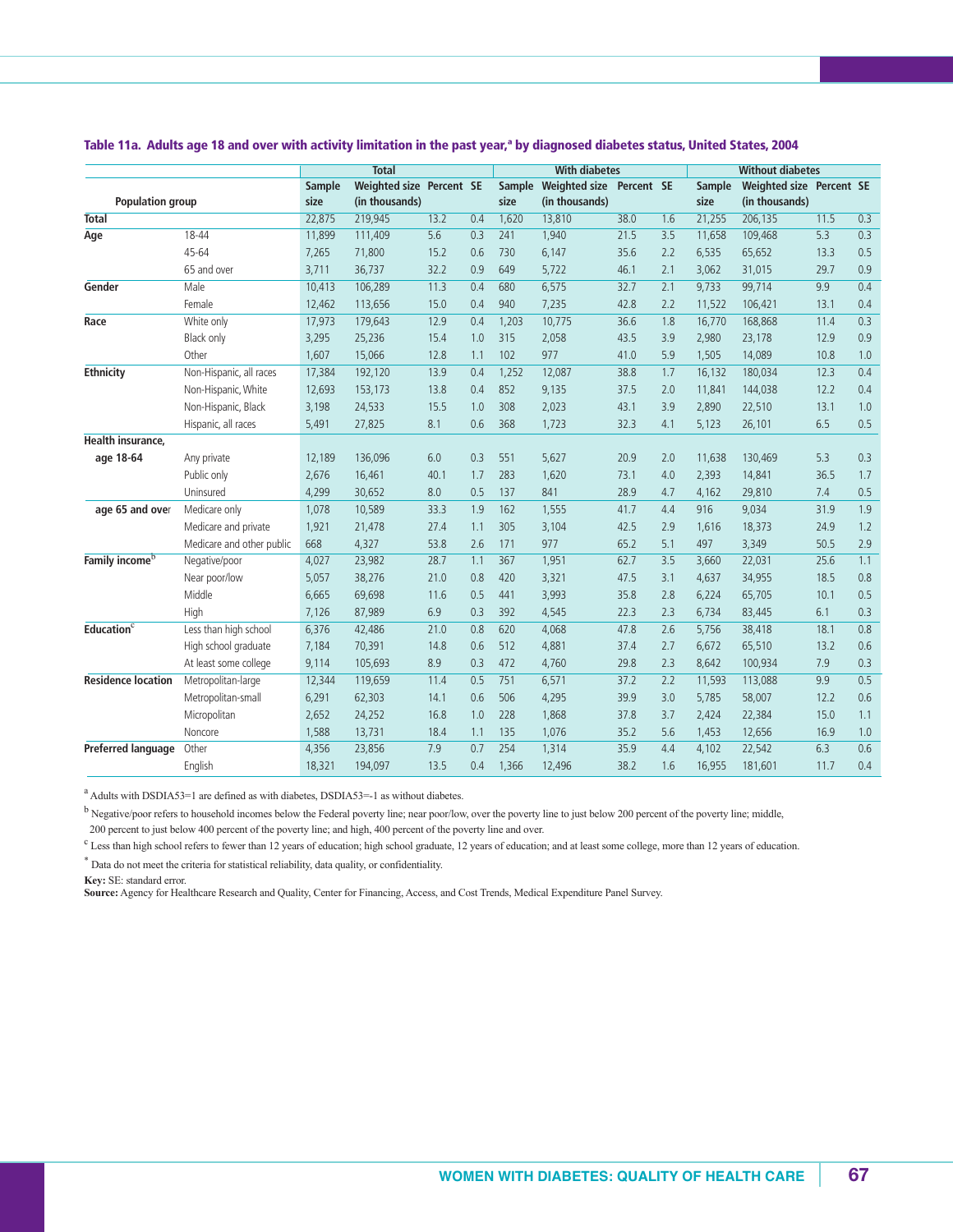|                               |                           | <b>Total</b>   |                                            |      |     |                | <b>With diabetes</b>                       |      |     |                | <b>Without diabetes</b>                    |      |         |
|-------------------------------|---------------------------|----------------|--------------------------------------------|------|-----|----------------|--------------------------------------------|------|-----|----------------|--------------------------------------------|------|---------|
| <b>Population group</b>       |                           | Sample<br>size | Weighted size Percent SE<br>(in thousands) |      |     | Sample<br>size | Weighted size Percent SE<br>(in thousands) |      |     | Sample<br>size | Weighted size Percent SE<br>(in thousands) |      |         |
| <b>Total</b>                  |                           | 22,875         | 219,945                                    | 13.2 | 0.4 | 1,620          | 13,810                                     | 38.0 | 1.6 | 21,255         | 206,135                                    | 11.5 | 0.3     |
| Age                           | 18-44                     | 11,899         | 111,409                                    | 5.6  | 0.3 | 241            | 1,940                                      | 21.5 | 3.5 | 11,658         | 109,468                                    | 5.3  | 0.3     |
|                               | 45-64                     | 7,265          | 71,800                                     | 15.2 | 0.6 | 730            | 6,147                                      | 35.6 | 2.2 | 6,535          | 65,652                                     | 13.3 | 0.5     |
|                               | 65 and over               | 3,711          | 36,737                                     | 32.2 | 0.9 | 649            | 5,722                                      | 46.1 | 2.1 | 3,062          | 31,015                                     | 29.7 | 0.9     |
| Gender                        | Male                      | 10,413         | 106,289                                    | 11.3 | 0.4 | 680            | 6,575                                      | 32.7 | 2.1 | 9,733          | 99,714                                     | 9.9  | 0.4     |
|                               | Female                    | 12,462         | 113,656                                    | 15.0 | 0.4 | 940            | 7,235                                      | 42.8 | 2.2 | 11,522         | 106,421                                    | 13.1 | 0.4     |
| Race                          | White only                | 17,973         | 179,643                                    | 12.9 | 0.4 | 1,203          | 10,775                                     | 36.6 | 1.8 | 16,770         | 168,868                                    | 11.4 | 0.3     |
|                               | Black only                | 3,295          | 25,236                                     | 15.4 | 1.0 | 315            | 2,058                                      | 43.5 | 3.9 | 2,980          | 23,178                                     | 12.9 | 0.9     |
|                               | Other                     | 1,607          | 15,066                                     | 12.8 | 1.1 | 102            | 977                                        | 41.0 | 5.9 | 1,505          | 14,089                                     | 10.8 | 1.0     |
| <b>Ethnicity</b>              | Non-Hispanic, all races   | 17,384         | 192,120                                    | 13.9 | 0.4 | 1,252          | 12,087                                     | 38.8 | 1.7 | 16,132         | 180,034                                    | 12.3 | 0.4     |
|                               | Non-Hispanic, White       | 12,693         | 153,173                                    | 13.8 | 0.4 | 852            | 9,135                                      | 37.5 | 2.0 | 11,841         | 144,038                                    | 12.2 | 0.4     |
|                               | Non-Hispanic, Black       | 3,198          | 24,533                                     | 15.5 | 1.0 | 308            | 2,023                                      | 43.1 | 3.9 | 2,890          | 22,510                                     | 13.1 | 1.0     |
|                               | Hispanic, all races       | 5,491          | 27,825                                     | 8.1  | 0.6 | 368            | 1,723                                      | 32.3 | 4.1 | 5,123          | 26,101                                     | 6.5  | 0.5     |
| <b>Health insurance,</b>      |                           |                |                                            |      |     |                |                                            |      |     |                |                                            |      |         |
| age 18-64                     | Any private               | 12,189         | 136,096                                    | 6.0  | 0.3 | 551            | 5,627                                      | 20.9 | 2.0 | 11,638         | 130,469                                    | 5.3  | 0.3     |
|                               | Public only               | 2,676          | 16,461                                     | 40.1 | 1.7 | 283            | 1,620                                      | 73.1 | 4.0 | 2,393          | 14,841                                     | 36.5 | 1.7     |
|                               | Uninsured                 | 4,299          | 30,652                                     | 8.0  | 0.5 | 137            | 841                                        | 28.9 | 4.7 | 4,162          | 29,810                                     | 7.4  | 0.5     |
| age 65 and over               | Medicare only             | 1,078          | 10,589                                     | 33.3 | 1.9 | 162            | 1,555                                      | 41.7 | 4.4 | 916            | 9,034                                      | 31.9 | 1.9     |
|                               | Medicare and private      | 1,921          | 21,478                                     | 27.4 | 1.1 | 305            | 3,104                                      | 42.5 | 2.9 | 1,616          | 18,373                                     | 24.9 | 1.2     |
|                               | Medicare and other public | 668            | 4,327                                      | 53.8 | 2.6 | 171            | 977                                        | 65.2 | 5.1 | 497            | 3,349                                      | 50.5 | 2.9     |
| Family income <sup>b</sup>    | Negative/poor             | 4,027          | 23,982                                     | 28.7 | 1.1 | 367            | 1,951                                      | 62.7 | 3.5 | 3,660          | 22,031                                     | 25.6 | 1.1     |
|                               | Near poor/low             | 5,057          | 38,276                                     | 21.0 | 0.8 | 420            | 3,321                                      | 47.5 | 3.1 | 4,637          | 34,955                                     | 18.5 | 0.8     |
|                               | Middle                    | 6,665          | 69,698                                     | 11.6 | 0.5 | 441            | 3,993                                      | 35.8 | 2.8 | 6,224          | 65,705                                     | 10.1 | 0.5     |
|                               | High                      | 7,126          | 87,989                                     | 6.9  | 0.3 | 392            | 4,545                                      | 22.3 | 2.3 | 6,734          | 83,445                                     | 6.1  | 0.3     |
| <b>Education</b> <sup>c</sup> | Less than high school     | 6,376          | 42,486                                     | 21.0 | 0.8 | 620            | 4,068                                      | 47.8 | 2.6 | 5,756          | 38,418                                     | 18.1 | 0.8     |
|                               | High school graduate      | 7,184          | 70,391                                     | 14.8 | 0.6 | 512            | 4,881                                      | 37.4 | 2.7 | 6,672          | 65,510                                     | 13.2 | $0.6\,$ |
|                               | At least some college     | 9,114          | 105,693                                    | 8.9  | 0.3 | 472            | 4,760                                      | 29.8 | 2.3 | 8,642          | 100,934                                    | 7.9  | 0.3     |
| <b>Residence location</b>     | Metropolitan-large        | 12,344         | 119,659                                    | 11.4 | 0.5 | 751            | 6,571                                      | 37.2 | 2.2 | 11,593         | 113,088                                    | 9.9  | 0.5     |
|                               | Metropolitan-small        | 6,291          | 62,303                                     | 14.1 | 0.6 | 506            | 4,295                                      | 39.9 | 3.0 | 5,785          | 58,007                                     | 12.2 | 0.6     |
|                               | Micropolitan              | 2,652          | 24,252                                     | 16.8 | 1.0 | 228            | 1,868                                      | 37.8 | 3.7 | 2,424          | 22,384                                     | 15.0 | 1.1     |
|                               | Noncore                   | 1,588          | 13,731                                     | 18.4 | 1.1 | 135            | 1,076                                      | 35.2 | 5.6 | 1,453          | 12,656                                     | 16.9 | 1.0     |
| <b>Preferred language</b>     | Other                     | 4,356          | 23,856                                     | 7.9  | 0.7 | 254            | 1,314                                      | 35.9 | 4.4 | 4,102          | 22,542                                     | 6.3  | 0.6     |
|                               | English                   | 18,321         | 194,097                                    | 13.5 | 0.4 | 1,366          | 12,496                                     | 38.2 | 1.6 | 16,955         | 181,601                                    | 11.7 | 0.4     |

#### **Table 11a. Adults age 18 and over with activity limitation in the past year,ª by diagnosed diabetes status, United States, 2004**

 $a$  Adults with DSDIA53=1 are defined as with diabetes, DSDIA53=-1 as without diabetes.

<sup>b</sup> Negative/poor refers to household incomes below the Federal poverty line; near poor/low, over the poverty line to just below 200 percent of the poverty line; middle,

200 percent to just below 400 percent of the poverty line; and high, 400 percent of the poverty line and over.

<sup>c</sup> Less than high school refers to fewer than 12 years of education; high school graduate, 12 years of education; and at least some college, more than 12 years of education.

\* Data do not meet the criteria for statistical reliability, data quality, or confidentiality.

**Key:** SE: standard error.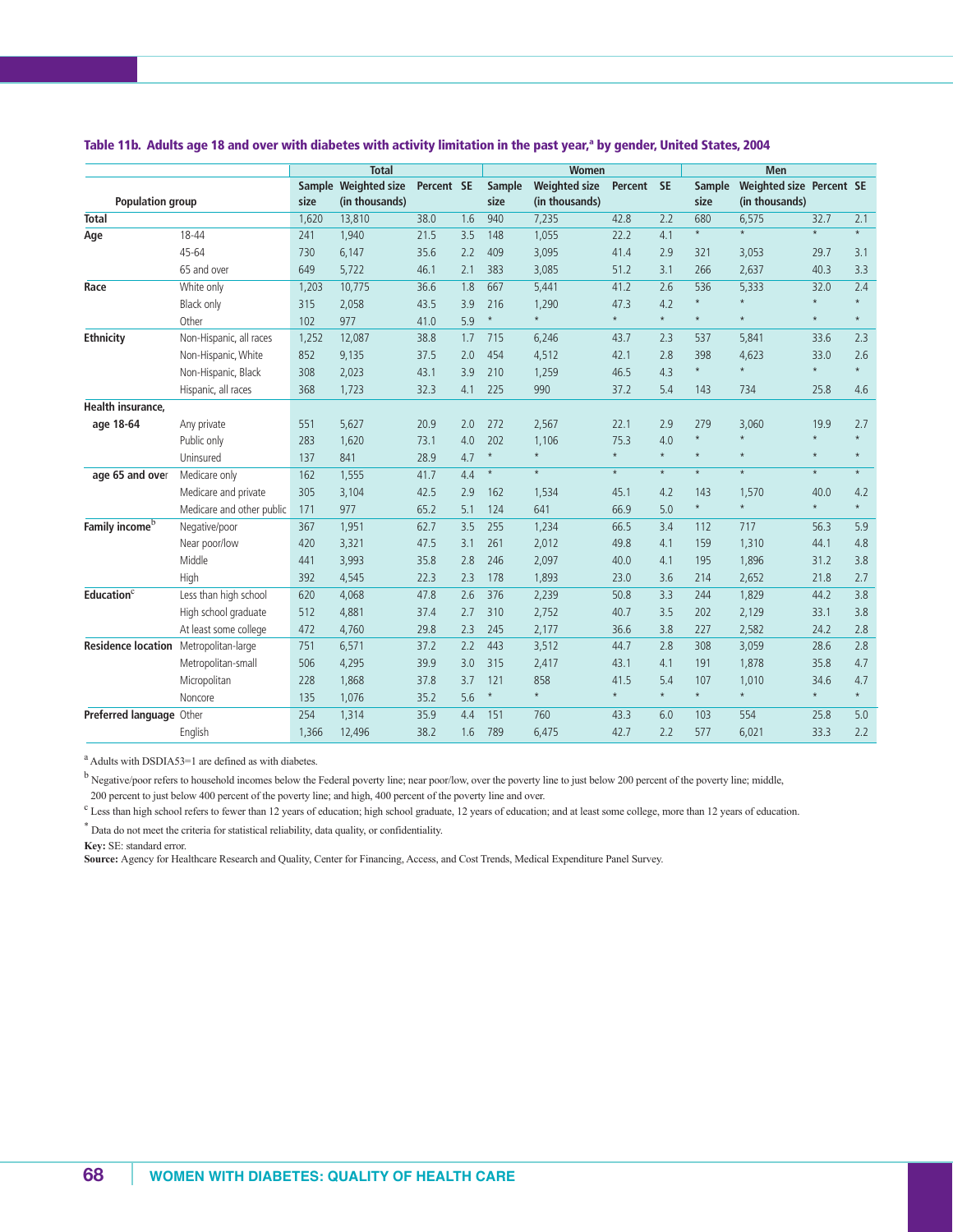|                                       |                           |       | <b>Total</b>                           |            |     |                | Women                                  |            |          |                | Men                                        |          |          |
|---------------------------------------|---------------------------|-------|----------------------------------------|------------|-----|----------------|----------------------------------------|------------|----------|----------------|--------------------------------------------|----------|----------|
| <b>Population group</b>               |                           | size  | Sample Weighted size<br>(in thousands) | Percent SE |     | Sample<br>size | <b>Weighted size</b><br>(in thousands) | Percent SE |          | Sample<br>size | Weighted size Percent SE<br>(in thousands) |          |          |
| <b>Total</b>                          |                           | 1,620 | 13,810                                 | 38.0       | 1.6 | 940            | 7,235                                  | 42.8       | 2.2      | 680            | 6,575                                      | 32.7     | 2.1      |
| Age                                   | 18-44                     | 241   | 1,940                                  | 21.5       | 3.5 | 148            | 1,055                                  | 22.2       | 4.1      | *              | $\star$                                    | $^\star$ | $\star$  |
|                                       | 45-64                     | 730   | 6,147                                  | 35.6       | 2.2 | 409            | 3,095                                  | 41.4       | 2.9      | 321            | 3,053                                      | 29.7     | 3.1      |
|                                       | 65 and over               | 649   | 5,722                                  | 46.1       | 2.1 | 383            | 3,085                                  | 51.2       | 3.1      | 266            | 2,637                                      | 40.3     | 3.3      |
| Race                                  | White only                | 1,203 | 10,775                                 | 36.6       | 1.8 | 667            | 5,441                                  | 41.2       | 2.6      | 536            | 5,333                                      | 32.0     | 2.4      |
|                                       | Black only                | 315   | 2,058                                  | 43.5       | 3.9 | 216            | 1,290                                  | 47.3       | 4.2      | $\star$        | $\star$                                    | $^\star$ | $^\star$ |
|                                       | Other                     | 102   | 977                                    | 41.0       | 5.9 | $^{\star}$     | $^\star$                               | $\star$    | $^\star$ | $\star$        | $\star$                                    | $^\star$ | $\star$  |
| <b>Ethnicity</b>                      | Non-Hispanic, all races   | 1,252 | 12,087                                 | 38.8       | 1.7 | 715            | 6,246                                  | 43.7       | 2.3      | 537            | 5,841                                      | 33.6     | 2.3      |
|                                       | Non-Hispanic, White       | 852   | 9,135                                  | 37.5       | 2.0 | 454            | 4,512                                  | 42.1       | 2.8      | 398            | 4,623                                      | 33.0     | 2.6      |
|                                       | Non-Hispanic, Black       | 308   | 2,023                                  | 43.1       | 3.9 | 210            | 1,259                                  | 46.5       | 4.3      | $\star$        | $^\star$                                   | $^\star$ | $\star$  |
|                                       | Hispanic, all races       | 368   | 1,723                                  | 32.3       | 4.1 | 225            | 990                                    | 37.2       | 5.4      | 143            | 734                                        | 25.8     | 4.6      |
| <b>Health insurance,</b>              |                           |       |                                        |            |     |                |                                        |            |          |                |                                            |          |          |
| age 18-64                             | Any private               | 551   | 5,627                                  | 20.9       | 2.0 | 272            | 2,567                                  | 22.1       | 2.9      | 279            | 3,060                                      | 19.9     | 2.7      |
|                                       | Public only               | 283   | 1,620                                  | 73.1       | 4.0 | 202            | 1,106                                  | 75.3       | 4.0      | $\star$        | $\star$                                    | $\star$  | $^\star$ |
|                                       | Uninsured                 | 137   | 841                                    | 28.9       | 4.7 | $\star$        | $\star$                                | $\star$    | $\star$  | $\star$        | $\star$                                    | $\star$  | $\star$  |
| age 65 and over                       | Medicare only             | 162   | 1,555                                  | 41.7       | 4.4 | $\star$        | $\star$                                | $\star$    | $\star$  | $\star$        | $\star$                                    | $\star$  | $^\star$ |
|                                       | Medicare and private      | 305   | 3,104                                  | 42.5       | 2.9 | 162            | 1,534                                  | 45.1       | 4.2      | 143            | 1,570                                      | 40.0     | 4.2      |
|                                       | Medicare and other public | 171   | 977                                    | 65.2       | 5.1 | 124            | 641                                    | 66.9       | 5.0      | $\star$        | $\star$                                    | $\star$  | $^\star$ |
| Family income <sup>b</sup>            | Negative/poor             | 367   | 1,951                                  | 62.7       | 3.5 | 255            | 1,234                                  | 66.5       | 3.4      | 112            | 717                                        | 56.3     | 5.9      |
|                                       | Near poor/low             | 420   | 3,321                                  | 47.5       | 3.1 | 261            | 2,012                                  | 49.8       | 4.1      | 159            | 1,310                                      | 44.1     | 4.8      |
|                                       | Middle                    | 441   | 3,993                                  | 35.8       | 2.8 | 246            | 2.097                                  | 40.0       | 4.1      | 195            | 1.896                                      | 31.2     | 3.8      |
|                                       | High                      | 392   | 4,545                                  | 22.3       | 2.3 | 178            | 1,893                                  | 23.0       | 3.6      | 214            | 2,652                                      | 21.8     | 2.7      |
| Education <sup>c</sup>                | Less than high school     | 620   | 4,068                                  | 47.8       | 2.6 | 376            | 2,239                                  | 50.8       | 3.3      | 244            | 1,829                                      | 44.2     | 3.8      |
|                                       | High school graduate      | 512   | 4,881                                  | 37.4       | 2.7 | 310            | 2,752                                  | 40.7       | 3.5      | 202            | 2,129                                      | 33.1     | 3.8      |
|                                       | At least some college     | 472   | 4,760                                  | 29.8       | 2.3 | 245            | 2,177                                  | 36.6       | 3.8      | 227            | 2,582                                      | 24.2     | 2.8      |
| Residence location Metropolitan-large |                           | 751   | 6,571                                  | 37.2       | 2.2 | 443            | 3,512                                  | 44.7       | 2.8      | 308            | 3,059                                      | 28.6     | 2.8      |
|                                       | Metropolitan-small        | 506   | 4,295                                  | 39.9       | 3.0 | 315            | 2,417                                  | 43.1       | 4.1      | 191            | 1,878                                      | 35.8     | 4.7      |
|                                       | Micropolitan              | 228   | 1,868                                  | 37.8       | 3.7 | 121            | 858                                    | 41.5       | 5.4      | 107            | 1,010                                      | 34.6     | 4.7      |
|                                       | Noncore                   | 135   | 1,076                                  | 35.2       | 5.6 | $\star$        | $\star$                                | $\star$    | $^\star$ | $^\star$       | $\star$                                    | $^\star$ | $^\star$ |
| Preferred language Other              |                           | 254   | 1,314                                  | 35.9       | 4.4 | 151            | 760                                    | 43.3       | 6.0      | 103            | 554                                        | 25.8     | 5.0      |
|                                       | English                   | 1,366 | 12,496                                 | 38.2       | 1.6 | 789            | 6.475                                  | 42.7       | 2.2      | 577            | 6,021                                      | 33.3     | 2.2      |

## **Table 11b. Adults age 18 and over with diabetes with activity limitation in the past year,ª by gender, United States, 2004**

<sup>a</sup> Adults with DSDIA53=1 are defined as with diabetes.

<sup>b</sup> Negative/poor refers to household incomes below the Federal poverty line; near poor/low, over the poverty line to just below 200 percent of the poverty line; middle,

200 percent to just below 400 percent of the poverty line; and high, 400 percent of the poverty line and over.

<sup>c</sup> Less than high school refers to fewer than 12 years of education; high school graduate, 12 years of education; and at least some college, more than 12 years of education.

\* Data do not meet the criteria for statistical reliability, data quality, or confidentiality.

**Key:** SE: standard error.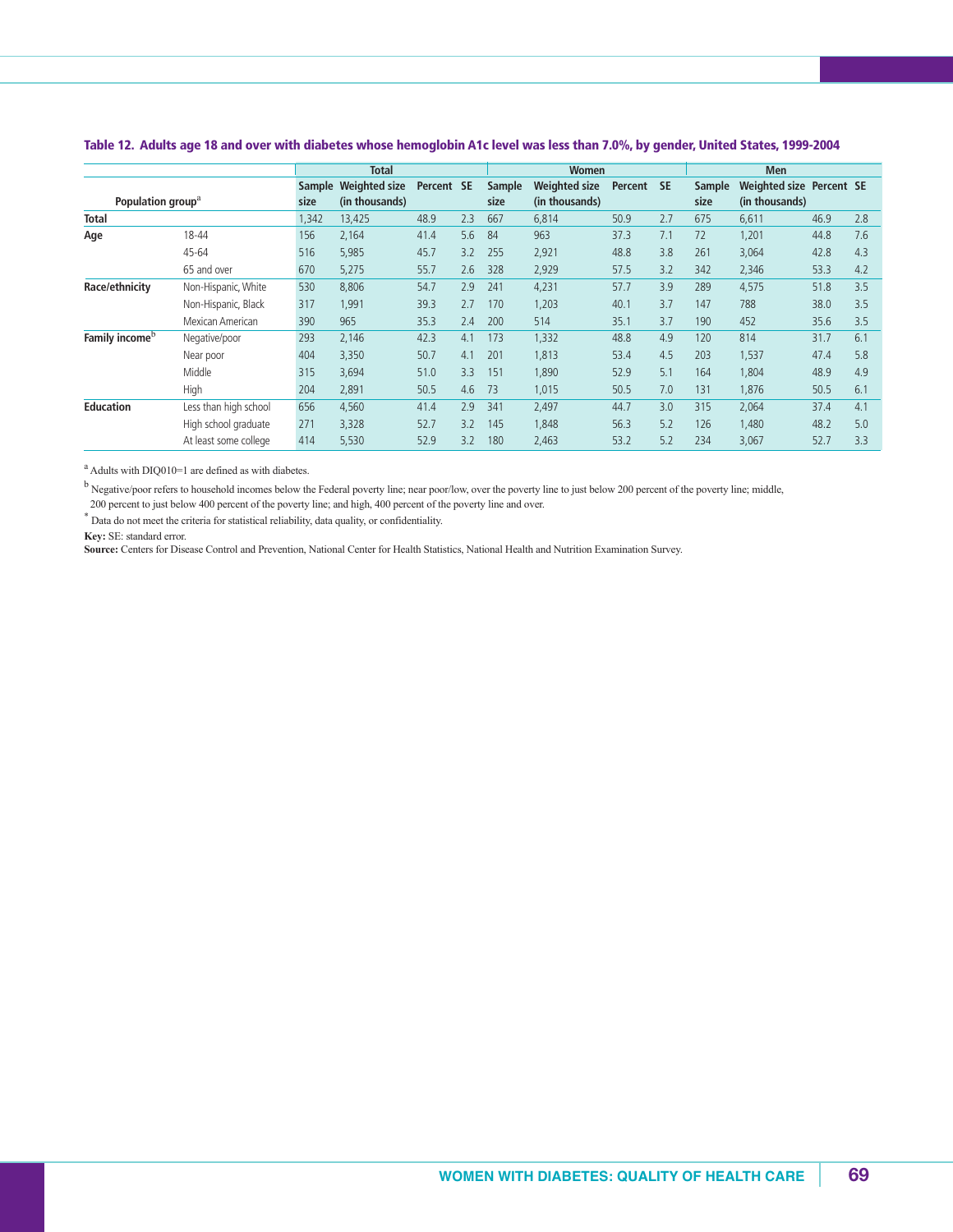|                               |                       |       | <b>Total</b>         |            |     |               | <b>Women</b>         |            |     |               | <b>Men</b>               |      |     |
|-------------------------------|-----------------------|-------|----------------------|------------|-----|---------------|----------------------|------------|-----|---------------|--------------------------|------|-----|
|                               |                       |       | Sample Weighted size | Percent SE |     | <b>Sample</b> | <b>Weighted size</b> | Percent SE |     | <b>Sample</b> | Weighted size Percent SE |      |     |
| Population group <sup>a</sup> |                       | size  | (in thousands)       |            |     | size          | (in thousands)       |            |     | size          | (in thousands)           |      |     |
| Total                         |                       | 1,342 | 13,425               | 48.9       | 2.3 | 667           | 6,814                | 50.9       | 2.7 | 675           | 6,611                    | 46.9 | 2.8 |
| Age                           | 18-44                 | 156   | 2,164                | 41.4       | 5.6 | 84            | 963                  | 37.3       | 7.1 | 72            | 1,201                    | 44.8 | 7.6 |
|                               | 45-64                 | 516   | 5,985                | 45.7       | 3.2 | 255           | 2,921                | 48.8       | 3.8 | 261           | 3,064                    | 42.8 | 4.3 |
|                               | 65 and over           | 670   | 5,275                | 55.7       | 2.6 | 328           | 2,929                | 57.5       | 3.2 | 342           | 2,346                    | 53.3 | 4.2 |
| Race/ethnicity                | Non-Hispanic, White   | 530   | 8,806                | 54.7       | 2.9 | 241           | 4,231                | 57.7       | 3.9 | 289           | 4,575                    | 51.8 | 3.5 |
|                               | Non-Hispanic, Black   | 317   | 1,991                | 39.3       | 2.7 | 170           | 1,203                | 40.1       | 3.7 | 147           | 788                      | 38.0 | 3.5 |
|                               | Mexican American      | 390   | 965                  | 35.3       | 2.4 | 200           | 514                  | 35.1       | 3.7 | 190           | 452                      | 35.6 | 3.5 |
| Family income <sup>b</sup>    | Negative/poor         | 293   | 2,146                | 42.3       | 4.1 | 173           | 1,332                | 48.8       | 4.9 | 120           | 814                      | 31.7 | 6.1 |
|                               | Near poor             | 404   | 3,350                | 50.7       | 4.1 | 201           | 1,813                | 53.4       | 4.5 | 203           | 1,537                    | 47.4 | 5.8 |
|                               | Middle                | 315   | 3,694                | 51.0       | 3.3 | 151           | 1,890                | 52.9       | 5.1 | 164           | 1,804                    | 48.9 | 4.9 |
|                               | High                  | 204   | 2,891                | 50.5       | 4.6 | 73            | 1,015                | 50.5       | 7.0 | 131           | 1,876                    | 50.5 | 6.1 |
| <b>Education</b>              | Less than high school | 656   | 4,560                | 41.4       | 2.9 | 341           | 2,497                | 44.7       | 3.0 | 315           | 2,064                    | 37.4 | 4.1 |
|                               | High school graduate  | 271   | 3,328                | 52.7       | 3.2 | 145           | 1,848                | 56.3       | 5.2 | 126           | 1,480                    | 48.2 | 5.0 |
|                               | At least some college | 414   | 5,530                | 52.9       | 3.2 | 180           | 2,463                | 53.2       | 5.2 | 234           | 3,067                    | 52.7 | 3.3 |

# **Table 12. Adults age 18 and over with diabetes whose hemoglobin A1c level was less than 7.0%, by gender, United States, 1999-2004**

<sup>a</sup> Adults with DIQ010=1 are defined as with diabetes.

<sup>b</sup> Negative/poor refers to household incomes below the Federal poverty line; near poor/low, over the poverty line to just below 200 percent of the poverty line; middle,

200 percent to just below 400 percent of the poverty line; and high, 400 percent of the poverty line and over.

\* Data do not meet the criteria for statistical reliability, data quality, or confidentiality.

**Key:** SE: standard error.

**Source:** Centers for Disease Control and Prevention, National Center for Health Statistics, National Health and Nutrition Examination Survey.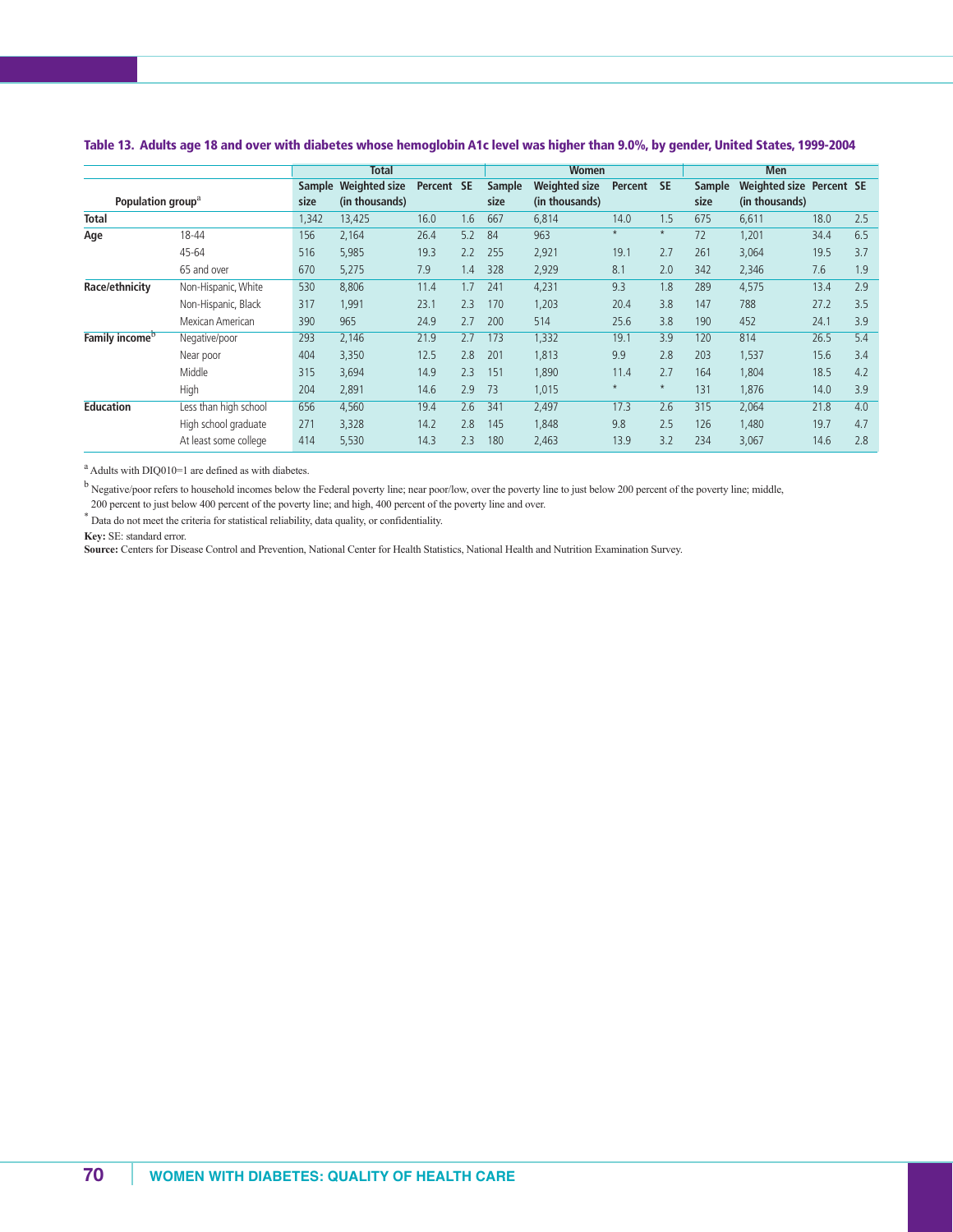|                               |                       |               | <b>Total</b>         |            |     |               | <b>Women</b>         |            |         |        | <b>Men</b>               |      |     |
|-------------------------------|-----------------------|---------------|----------------------|------------|-----|---------------|----------------------|------------|---------|--------|--------------------------|------|-----|
|                               |                       | <b>Sample</b> | <b>Weighted size</b> | Percent SE |     | <b>Sample</b> | <b>Weighted size</b> | Percent SE |         | Sample | Weighted size Percent SE |      |     |
| Population group <sup>a</sup> |                       | size          | (in thousands)       |            |     | size          | (in thousands)       |            |         | size   | (in thousands)           |      |     |
| <b>Total</b>                  |                       | 1,342         | 13,425               | 16.0       | 1.6 | 667           | 6,814                | 14.0       | 1.5     | 675    | 6,611                    | 18.0 | 2.5 |
| Age                           | 18-44                 | 156           | 2,164                | 26.4       | 5.2 | 84            | 963                  | $\star$    | $\star$ | 72     | 1,201                    | 34.4 | 6.5 |
|                               | 45-64                 | 516           | 5,985                | 19.3       | 2.2 | 255           | 2,921                | 19.1       | 2.7     | 261    | 3,064                    | 19.5 | 3.7 |
|                               | 65 and over           | 670           | 5,275                | 7.9        | 1.4 | 328           | 2,929                | 8.1        | 2.0     | 342    | 2,346                    | 7.6  | 1.9 |
| Race/ethnicity                | Non-Hispanic, White   | 530           | 8.806                | 11.4       | 1.7 | 241           | 4,231                | 9.3        | 1.8     | 289    | 4.575                    | 13.4 | 2.9 |
|                               | Non-Hispanic, Black   | 317           | 1,991                | 23.1       | 2.3 | 170           | 1,203                | 20.4       | 3.8     | 147    | 788                      | 27.2 | 3.5 |
|                               | Mexican American      | 390           | 965                  | 24.9       | 2.7 | 200           | 514                  | 25.6       | 3.8     | 190    | 452                      | 24.1 | 3.9 |
| Family income <sup>b</sup>    | Negative/poor         | 293           | 2,146                | 21.9       | 2.7 | 173           | 1,332                | 19.1       | 3.9     | 120    | 814                      | 26.5 | 5.4 |
|                               | Near poor             | 404           | 3,350                | 12.5       | 2.8 | 201           | 1,813                | 9.9        | 2.8     | 203    | 1,537                    | 15.6 | 3.4 |
|                               | Middle                | 315           | 3.694                | 14.9       | 2.3 | 151           | 1,890                | 11.4       | 2.7     | 164    | 1.804                    | 18.5 | 4.2 |
|                               | High                  | 204           | 2,891                | 14.6       | 2.9 | 73            | 1,015                | $\star$    | $\star$ | 131    | 1,876                    | 14.0 | 3.9 |
| <b>Education</b>              | Less than high school | 656           | 4,560                | 19.4       | 2.6 | 341           | 2,497                | 17.3       | 2.6     | 315    | 2,064                    | 21.8 | 4.0 |
|                               | High school graduate  | 271           | 3,328                | 14.2       | 2.8 | 145           | 1,848                | 9.8        | 2.5     | 126    | 1,480                    | 19.7 | 4.7 |
|                               | At least some college | 414           | 5,530                | 14.3       | 2.3 | 180           | 2.463                | 13.9       | 3.2     | 234    | 3.067                    | 14.6 | 2.8 |

# **Table 13. Adults age 18 and over with diabetes whose hemoglobin A1c level was higher than 9.0%, by gender, United States, 1999-2004**

 $a$  Adults with DIQ010=1 are defined as with diabetes.

<sup>b</sup> Negative/poor refers to household incomes below the Federal poverty line; near poor/low, over the poverty line to just below 200 percent of the poverty line; middle,

200 percent to just below 400 percent of the poverty line; and high, 400 percent of the poverty line and over.

\* Data do not meet the criteria for statistical reliability, data quality, or confidentiality.

**Key:** SE: standard error.

**Source:** Centers for Disease Control and Prevention, National Center for Health Statistics, National Health and Nutrition Examination Survey.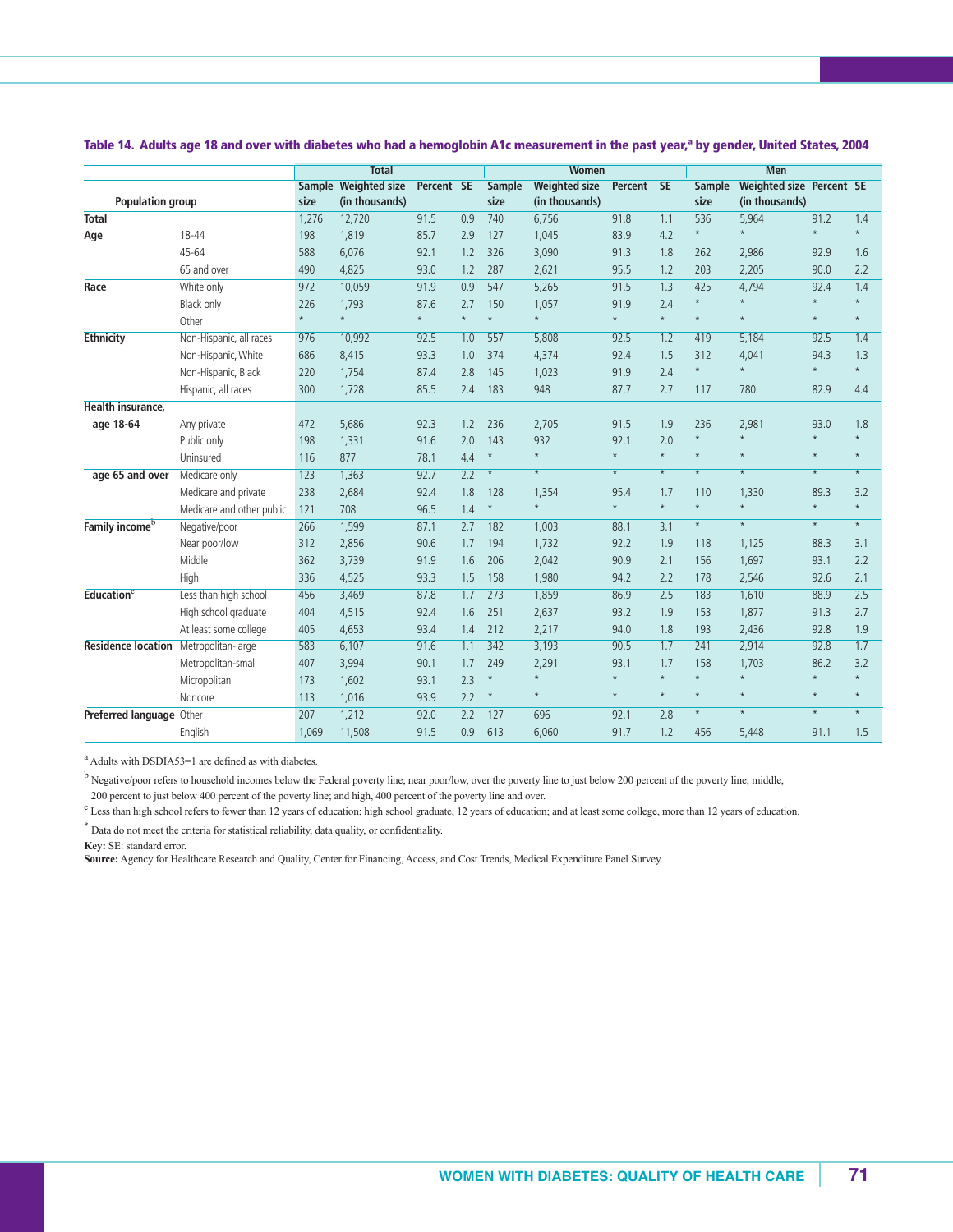|                                       |                           |         | <b>Total</b>                           |            |         |                | <b>Women</b>                           |            |          |                | <b>Men</b>                                        |          |          |
|---------------------------------------|---------------------------|---------|----------------------------------------|------------|---------|----------------|----------------------------------------|------------|----------|----------------|---------------------------------------------------|----------|----------|
| <b>Population group</b>               |                           | size    | Sample Weighted size<br>(in thousands) | Percent SE |         | Sample<br>size | <b>Weighted size</b><br>(in thousands) | Percent SE |          | Sample<br>size | <b>Weighted size Percent SE</b><br>(in thousands) |          |          |
| <b>Total</b>                          |                           | 1,276   | 12,720                                 | 91.5       | 0.9     | 740            | 6,756                                  | 91.8       | 1.1      | 536            | 5,964                                             | 91.2     | 1.4      |
| Age                                   | 18-44                     | 198     | 1,819                                  | 85.7       | 2.9     | 127            | 1,045                                  | 83.9       | 4.2      | $^\star$       | $^\star$                                          | $^\star$ | $\star$  |
|                                       | 45-64                     | 588     | 6,076                                  | 92.1       | 1.2     | 326            | 3,090                                  | 91.3       | 1.8      | 262            | 2,986                                             | 92.9     | 1.6      |
|                                       | 65 and over               | 490     | 4,825                                  | 93.0       | 1.2     | 287            | 2,621                                  | 95.5       | 1.2      | 203            | 2,205                                             | 90.0     | 2.2      |
| Race                                  | White only                | 972     | 10,059                                 | 91.9       | 0.9     | 547            | 5,265                                  | 91.5       | 1.3      | 425            | 4,794                                             | 92.4     | 1.4      |
|                                       | Black only                | 226     | 1,793                                  | 87.6       | 2.7     | 150            | 1,057                                  | 91.9       | 2.4      | $\star$        | $\star$                                           | $\star$  | $\star$  |
|                                       | Other                     | $\star$ | $\star$                                | $^\star$   | $\star$ | $\star$        | $\star$                                | $\star$    | $^\star$ | $^\star$       | $\star$                                           | $^\star$ | $^\star$ |
| <b>Ethnicity</b>                      | Non-Hispanic, all races   | 976     | 10,992                                 | 92.5       | 1.0     | 557            | 5,808                                  | 92.5       | 1.2      | 419            | 5,184                                             | 92.5     | 1.4      |
|                                       | Non-Hispanic, White       | 686     | 8,415                                  | 93.3       | 1.0     | 374            | 4,374                                  | 92.4       | 1.5      | 312            | 4,041                                             | 94.3     | 1.3      |
|                                       | Non-Hispanic, Black       | 220     | 1,754                                  | 87.4       | 2.8     | 145            | 1,023                                  | 91.9       | 2.4      | $^\star$       | $^\star$                                          | $^\star$ | $\star$  |
|                                       | Hispanic, all races       | 300     | 1,728                                  | 85.5       | 2.4     | 183            | 948                                    | 87.7       | 2.7      | 117            | 780                                               | 82.9     | 4.4      |
| Health insurance,                     |                           |         |                                        |            |         |                |                                        |            |          |                |                                                   |          |          |
| age 18-64                             | Any private               | 472     | 5,686                                  | 92.3       | 1.2     | 236            | 2,705                                  | 91.5       | 1.9      | 236            | 2,981                                             | 93.0     | 1.8      |
|                                       | Public only               | 198     | 1,331                                  | 91.6       | 2.0     | 143            | 932                                    | 92.1       | 2.0      | $^\star$       | $\star$                                           |          | $\star$  |
|                                       | Uninsured                 | 116     | 877                                    | 78.1       | 4.4     | $\star$        | $\star$                                | $\star$    | $\star$  | $^\star$       | $\star$                                           |          | $\star$  |
| age 65 and over                       | Medicare only             | 123     | 1,363                                  | 92.7       | 2.2     | $\star$        | $\star$                                | $\star$    | $\star$  | $\star$        | $\star$                                           | $\star$  | $\star$  |
|                                       | Medicare and private      | 238     | 2,684                                  | 92.4       | 1.8     | 128            | 1,354                                  | 95.4       | 1.7      | 110            | 1.330                                             | 89.3     | 3.2      |
|                                       | Medicare and other public | 121     | 708                                    | 96.5       | 1.4     |                | $\star$                                | $\star$    | $^\star$ | $^\star$       | $\star$                                           | $\star$  | $\star$  |
| Family income <sup>b</sup>            | Negative/poor             | 266     | 1,599                                  | 87.1       | 2.7     | 182            | 1,003                                  | 88.1       | 3.1      | $^\star$       | $^\star$                                          | $\star$  | $\star$  |
|                                       | Near poor/low             | 312     | 2,856                                  | 90.6       | 1.7     | 194            | 1,732                                  | 92.2       | 1.9      | 118            | 1,125                                             | 88.3     | 3.1      |
|                                       | Middle                    | 362     | 3,739                                  | 91.9       | 1.6     | 206            | 2,042                                  | 90.9       | 2.1      | 156            | 1,697                                             | 93.1     | 2.2      |
|                                       | High                      | 336     | 4,525                                  | 93.3       | 1.5     | 158            | 1,980                                  | 94.2       | 2.2      | 178            | 2,546                                             | 92.6     | 2.1      |
| Education <sup>c</sup>                | Less than high school     | 456     | 3,469                                  | 87.8       | 1.7     | 273            | 1,859                                  | 86.9       | 2.5      | 183            | 1,610                                             | 88.9     | 2.5      |
|                                       | High school graduate      | 404     | 4,515                                  | 92.4       | 1.6     | 251            | 2,637                                  | 93.2       | 1.9      | 153            | 1,877                                             | 91.3     | 2.7      |
|                                       | At least some college     | 405     | 4,653                                  | 93.4       | 1.4     | 212            | 2,217                                  | 94.0       | 1.8      | 193            | 2,436                                             | 92.8     | 1.9      |
| Residence location Metropolitan-large |                           | 583     | 6,107                                  | 91.6       | 1.1     | 342            | 3,193                                  | 90.5       | 1.7      | 241            | 2,914                                             | 92.8     | 1.7      |
|                                       | Metropolitan-small        | 407     | 3,994                                  | 90.1       | 1.7     | 249            | 2,291                                  | 93.1       | 1.7      | 158            | 1,703                                             | 86.2     | 3.2      |
|                                       | Micropolitan              | 173     | 1,602                                  | 93.1       | 2.3     | $\star$        | $\star$                                | $\star$    | $^\star$ | $\star$        | $\star$                                           | $\star$  | $\star$  |
|                                       | Noncore                   | 113     | 1,016                                  | 93.9       | 2.2     | $\star$        | $\star$                                | $\star$    | $^\star$ | $^\star$       | $\star$                                           | $\star$  | $\star$  |
| Preferred language Other              |                           | 207     | 1,212                                  | 92.0       | 2.2     | 127            | 696                                    | 92.1       | 2.8      | $\star$        | $\star$                                           | $\star$  | $\star$  |
|                                       | English                   | 1,069   | 11,508                                 | 91.5       | 0.9     | 613            | 6,060                                  | 91.7       | 1.2      | 456            | 5,448                                             | 91.1     | 1.5      |

## **Table 14. Adults age 18 and over with diabetes who had a hemoglobin A1c measurement in the past year,ª by gender, United States, 2004**

<sup>a</sup> Adults with DSDIA53=1 are defined as with diabetes.

<sup>b</sup> Negative/poor refers to household incomes below the Federal poverty line; near poor/low, over the poverty line to just below 200 percent of the poverty line; middle,

200 percent to just below 400 percent of the poverty line; and high, 400 percent of the poverty line and over.

<sup>c</sup> Less than high school refers to fewer than 12 years of education; high school graduate, 12 years of education; and at least some college, more than 12 years of education.

\* Data do not meet the criteria for statistical reliability, data quality, or confidentiality.

**Key:** SE: standard error.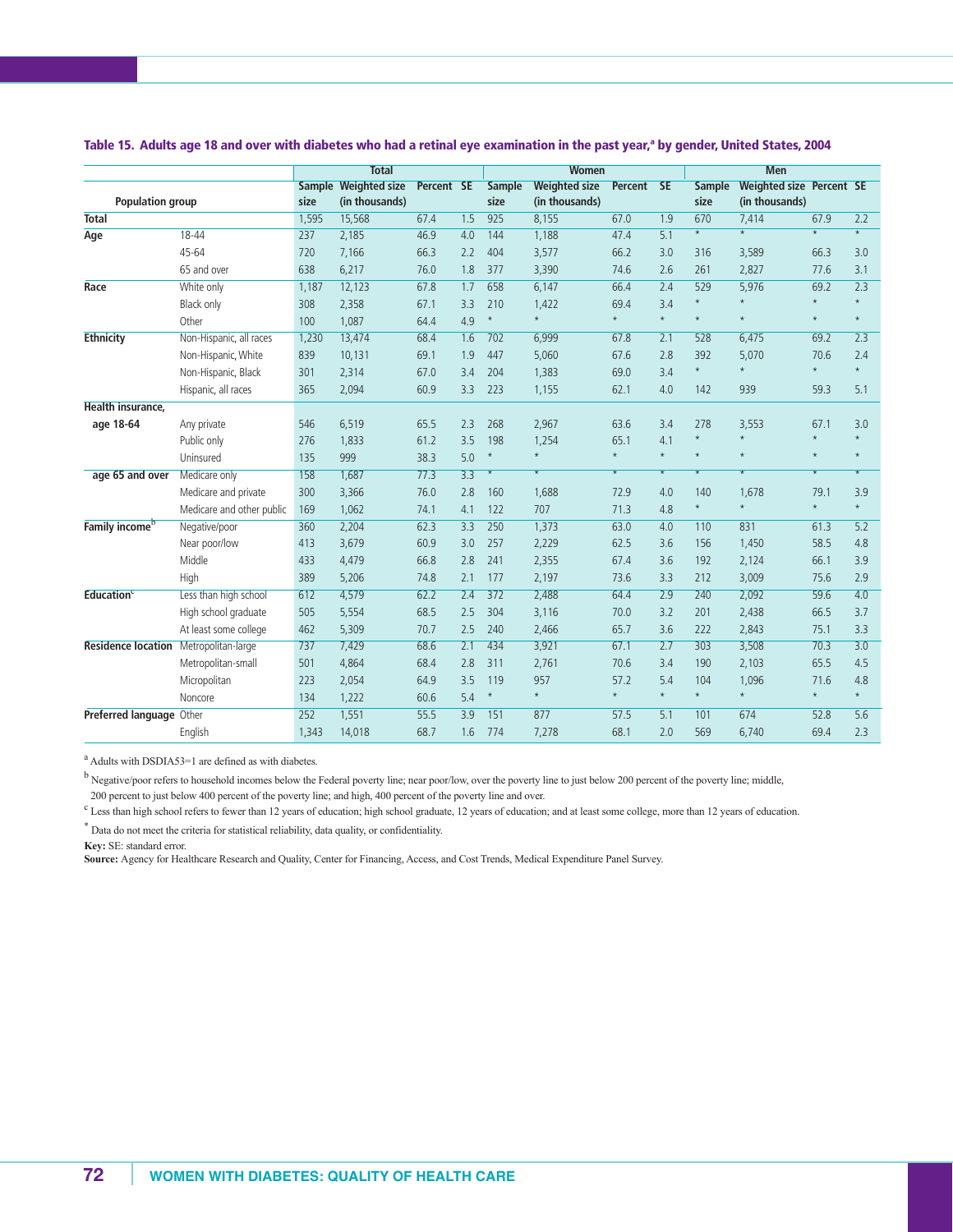|                                              |                           |       | <b>Total</b>                           |            |     |                       | <b>Women</b>                           |            |                   |                       | <b>Men</b>                                        |                   |                   |
|----------------------------------------------|---------------------------|-------|----------------------------------------|------------|-----|-----------------------|----------------------------------------|------------|-------------------|-----------------------|---------------------------------------------------|-------------------|-------------------|
| <b>Population group</b>                      |                           | size  | Sample Weighted size<br>(in thousands) | Percent SE |     | <b>Sample</b><br>size | <b>Weighted size</b><br>(in thousands) | Percent SE |                   | <b>Sample</b><br>size | <b>Weighted size Percent SE</b><br>(in thousands) |                   |                   |
| <b>Total</b>                                 |                           | 1,595 | 15,568                                 | 67.4       | 1.5 | 925                   | 8.155                                  | 67.0       | 1.9               | 670                   | 7.414                                             | 67.9              | 2.2               |
| Age                                          | 18-44                     | 237   | 2,185                                  | 46.9       | 4.0 | 144                   | 1,188                                  | 47.4       | 5.1               | $\star$               | $\star$                                           | $\star$           | $\star$           |
|                                              | 45-64                     | 720   | 7,166                                  | 66.3       | 2.2 | 404                   | 3,577                                  | 66.2       | 3.0               | 316                   | 3,589                                             | 66.3              | 3.0               |
|                                              | 65 and over               | 638   | 6,217                                  | 76.0       | 1.8 | 377                   | 3,390                                  | 74.6       | 2.6               | 261                   | 2,827                                             | 77.6              | 3.1               |
| Race                                         | White only                | 1,187 | 12,123                                 | 67.8       | 1.7 | 658                   | 6,147                                  | 66.4       | 2.4               | 529                   | 5,976                                             | 69.2              | 2.3               |
|                                              | Black only                | 308   | 2,358                                  | 67.1       | 3.3 | 210                   | 1,422                                  | 69.4       | 3.4               | $\star$               | $\star$                                           | $\star$           | $\star$           |
|                                              | Other                     | 100   | 1,087                                  | 64.4       | 4.9 | $\star$               | $\star$                                | $\star$    | $\star$           | $\star$               | $\star$                                           | $\star$           | $\star$           |
| <b>Ethnicity</b>                             | Non-Hispanic, all races   | 1,230 | 13,474                                 | 68.4       | 1.6 | 702                   | 6,999                                  | 67.8       | 2.1               | 528                   | 6,475                                             | 69.2              | 2.3               |
|                                              | Non-Hispanic, White       | 839   | 10,131                                 | 69.1       | 1.9 | 447                   | 5,060                                  | 67.6       | 2.8               | 392                   | 5,070                                             | 70.6              | 2.4               |
|                                              | Non-Hispanic, Black       | 301   | 2,314                                  | 67.0       | 3.4 | 204                   | 1,383                                  | 69.0       | 3.4               | $\star$               | $\star$                                           | $^\star$          | $\star$           |
|                                              | Hispanic, all races       | 365   | 2,094                                  | 60.9       | 3.3 | 223                   | 1,155                                  | 62.1       | 4.0               | 142                   | 939                                               | 59.3              | 5.1               |
| <b>Health insurance.</b>                     |                           |       |                                        |            |     |                       |                                        |            |                   |                       |                                                   |                   |                   |
| age 18-64                                    | Any private               | 546   | 6,519                                  | 65.5       | 2.3 | 268                   | 2,967                                  | 63.6       | 3.4               | 278                   | 3,553                                             | 67.1              | 3.0               |
|                                              | Public only               | 276   | 1,833                                  | 61.2       | 3.5 | 198                   | 1,254                                  | 65.1       | 4.1               | $\star$               | ÷                                                 | ÷                 | $\star$           |
|                                              | Uninsured                 | 135   | 999                                    | 38.3       | 5.0 | $\star$               | $\star$                                | $\star$    | $\star$           | $\star$               | $\star$                                           | $\star$           | $\star$           |
| age 65 and over                              | Medicare only             | 158   | 1.687                                  | 77.3       | 3.3 | $\ast$                | $\star$                                | $\star$    | $\overline{\ast}$ | $\overline{\ast}$     | $\overline{\ast}$                                 | $\overline{\ast}$ | $\overline{\ast}$ |
|                                              | Medicare and private      | 300   | 3,366                                  | 76.0       | 2.8 | 160                   | 1,688                                  | 72.9       | 4.0               | 140                   | 1,678                                             | 79.1              | 3.9               |
|                                              | Medicare and other public | 169   | 1,062                                  | 74.1       | 4.1 | 122                   | 707                                    | 71.3       | 4.8               | $\star$               | $\star$                                           | $^\star$          | $\star$           |
| Family income <sup>b</sup>                   | Negative/poor             | 360   | 2,204                                  | 62.3       | 3.3 | 250                   | 1,373                                  | 63.0       | 4.0               | 110                   | 831                                               | 61.3              | 5.2               |
|                                              | Near poor/low             | 413   | 3,679                                  | 60.9       | 3.0 | 257                   | 2,229                                  | 62.5       | 3.6               | 156                   | 1,450                                             | 58.5              | 4.8               |
|                                              | Middle                    | 433   | 4,479                                  | 66.8       | 2.8 | 241                   | 2,355                                  | 67.4       | 3.6               | 192                   | 2,124                                             | 66.1              | 3.9               |
|                                              | High                      | 389   | 5,206                                  | 74.8       | 2.1 | 177                   | 2,197                                  | 73.6       | 3.3               | 212                   | 3,009                                             | 75.6              | 2.9               |
| Education <sup>c</sup>                       | Less than high school     | 612   | 4,579                                  | 62.2       | 2.4 | 372                   | 2,488                                  | 64.4       | 2.9               | 240                   | 2,092                                             | 59.6              | 4.0               |
|                                              | High school graduate      | 505   | 5,554                                  | 68.5       | 2.5 | 304                   | 3,116                                  | 70.0       | 3.2               | 201                   | 2,438                                             | 66.5              | 3.7               |
|                                              | At least some college     | 462   | 5,309                                  | 70.7       | 2.5 | 240                   | 2,466                                  | 65.7       | 3.6               | 222                   | 2,843                                             | 75.1              | 3.3               |
| <b>Residence location</b> Metropolitan-large |                           | 737   | 7,429                                  | 68.6       | 2.1 | 434                   | 3,921                                  | 67.1       | 2.7               | 303                   | 3,508                                             | 70.3              | 3.0               |
|                                              | Metropolitan-small        | 501   | 4,864                                  | 68.4       | 2.8 | 311                   | 2,761                                  | 70.6       | 3.4               | 190                   | 2,103                                             | 65.5              | 4.5               |
|                                              | Micropolitan              | 223   | 2,054                                  | 64.9       | 3.5 | 119                   | 957                                    | 57.2       | 5.4               | 104                   | 1,096                                             | 71.6              | 4.8               |
|                                              | Noncore                   | 134   | 1,222                                  | 60.6       | 5.4 | $\star$               | $\star$                                | $\star$    | $^\star$          | $^\star$              | $^\star$                                          | $^\star$          | $^\star$          |
| Preferred language Other                     |                           | 252   | 1,551                                  | 55.5       | 3.9 | 151                   | 877                                    | 57.5       | 5.1               | 101                   | 674                                               | 52.8              | 5.6               |
|                                              | English                   | 1,343 | 14,018                                 | 68.7       | 1.6 | 774                   | 7,278                                  | 68.1       | 2.0               | 569                   | 6.740                                             | 69.4              | 2.3               |

## **Table 15. Adults age 18 and over with diabetes who had a retinal eye examination in the past year,ª by gender, United States, 2004**

<sup>a</sup> Adults with DSDIA53=1 are defined as with diabetes.

<sup>b</sup> Negative/poor refers to household incomes below the Federal poverty line; near poor/low, over the poverty line to just below 200 percent of the poverty line; middle,

200 percent to just below 400 percent of the poverty line; and high, 400 percent of the poverty line and over.

 $c$  Less than high school refers to fewer than 12 years of education; high school graduate, 12 years of education; and at least some college, more than 12 years of education.

\* Data do not meet the criteria for statistical reliability, data quality, or confidentiality.

**Key:** SE: standard error.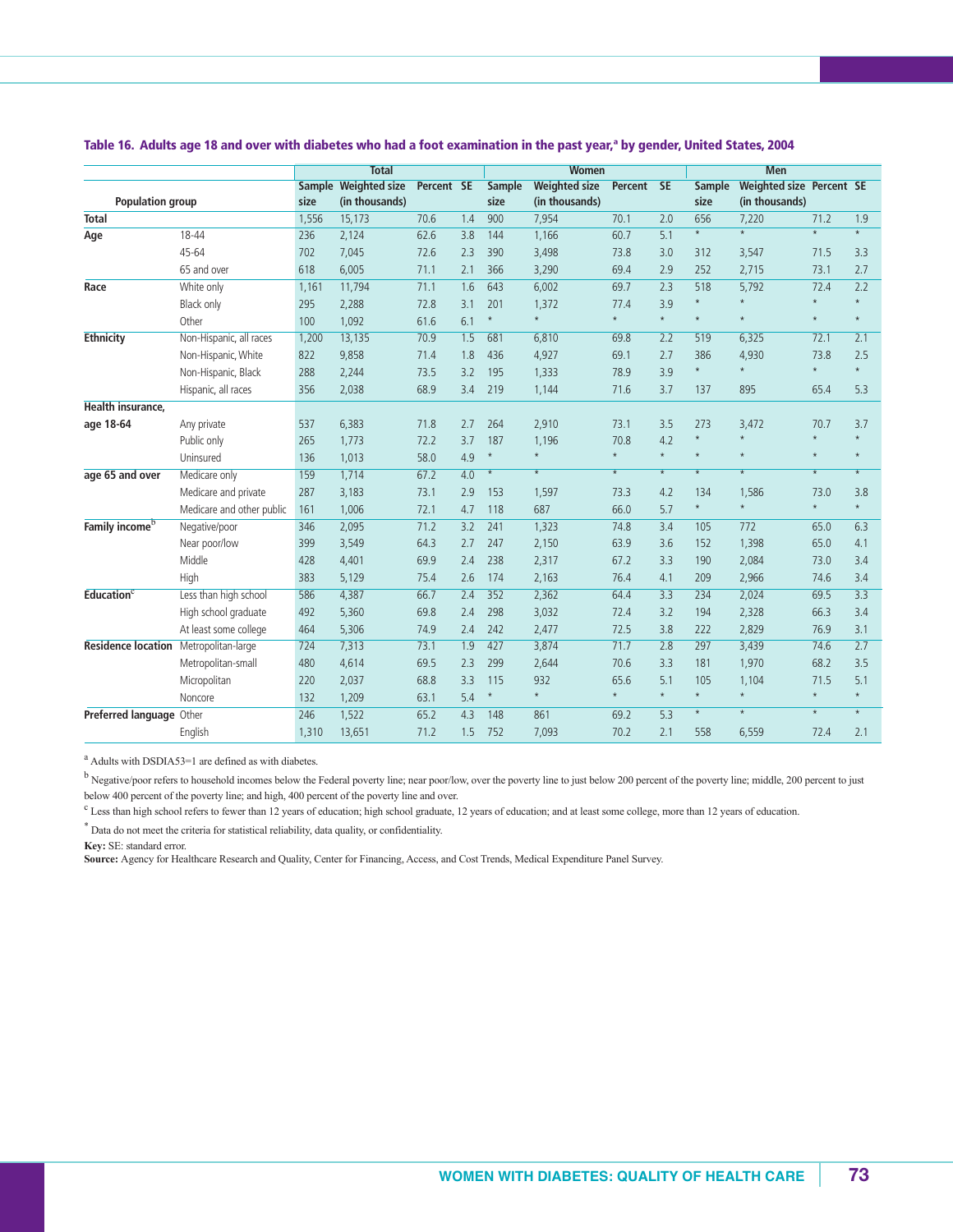|                                              |                           |       | <b>Total</b>                           |            |     |                | <b>Women</b>                           |         |           |                | <b>Men</b>                                        |          |          |
|----------------------------------------------|---------------------------|-------|----------------------------------------|------------|-----|----------------|----------------------------------------|---------|-----------|----------------|---------------------------------------------------|----------|----------|
| <b>Population group</b>                      |                           | size  | Sample Weighted size<br>(in thousands) | Percent SE |     | Sample<br>size | <b>Weighted size</b><br>(in thousands) | Percent | <b>SE</b> | Sample<br>size | <b>Weighted size Percent SE</b><br>(in thousands) |          |          |
| <b>Total</b>                                 |                           | 1,556 | 15,173                                 | 70.6       | 1.4 | 900            | 7,954                                  | 70.1    | 2.0       | 656            | 7,220                                             | 71.2     | 1.9      |
| Age                                          | 18-44                     | 236   | 2,124                                  | 62.6       | 3.8 | 144            | 1,166                                  | 60.7    | 5.1       | $^\star$       | $\star$                                           | $\star$  | $\star$  |
|                                              | 45-64                     | 702   | 7,045                                  | 72.6       | 2.3 | 390            | 3,498                                  | 73.8    | 3.0       | 312            | 3,547                                             | 71.5     | 3.3      |
|                                              | 65 and over               | 618   | 6,005                                  | 71.1       | 2.1 | 366            | 3,290                                  | 69.4    | 2.9       | 252            | 2,715                                             | 73.1     | 2.7      |
| Race                                         | White only                | 1,161 | 11,794                                 | 71.1       | 1.6 | 643            | 6,002                                  | 69.7    | 2.3       | 518            | 5,792                                             | 72.4     | 2.2      |
|                                              | Black only                | 295   | 2,288                                  | 72.8       | 3.1 | 201            | 1,372                                  | 77.4    | 3.9       | $\star$        | $\star$                                           | $\star$  | $^\star$ |
|                                              | Other                     | 100   | 1,092                                  | 61.6       | 6.1 |                | $\star$                                | $\star$ | $^\star$  | $^\star$       | $\star$                                           | $\star$  | $\star$  |
| Ethnicity                                    | Non-Hispanic, all races   | 1,200 | 13,135                                 | 70.9       | 1.5 | 681            | 6,810                                  | 69.8    | 2.2       | 519            | 6,325                                             | 72.1     | 2.1      |
|                                              | Non-Hispanic, White       | 822   | 9,858                                  | 71.4       | 1.8 | 436            | 4,927                                  | 69.1    | 2.7       | 386            | 4,930                                             | 73.8     | 2.5      |
|                                              | Non-Hispanic, Black       | 288   | 2,244                                  | 73.5       | 3.2 | 195            | 1,333                                  | 78.9    | 3.9       | $^\star$       | $^\star$                                          | $\star$  | $\star$  |
|                                              | Hispanic, all races       | 356   | 2,038                                  | 68.9       | 3.4 | 219            | 1,144                                  | 71.6    | 3.7       | 137            | 895                                               | 65.4     | 5.3      |
| Health insurance,                            |                           |       |                                        |            |     |                |                                        |         |           |                |                                                   |          |          |
| age 18-64                                    | Any private               | 537   | 6,383                                  | 71.8       | 2.7 | 264            | 2,910                                  | 73.1    | 3.5       | 273            | 3,472                                             | 70.7     | 3.7      |
|                                              | Public only               | 265   | 1,773                                  | 72.2       | 3.7 | 187            | 1,196                                  | 70.8    | 4.2       | $^\star$       | $\star$                                           |          | $\star$  |
|                                              | Uninsured                 | 136   | 1,013                                  | 58.0       | 4.9 | $\star$        | $\star$                                | $\star$ | $^\star$  | $\star$        | $\star$                                           | $\star$  | $\star$  |
| age 65 and over                              | Medicare only             | 159   | 1.714                                  | 67.2       | 4.0 | $\star$        | $\star$                                | $\star$ | $\star$   | $\star$        | $\star$                                           | $\star$  | $\star$  |
|                                              | Medicare and private      | 287   | 3,183                                  | 73.1       | 2.9 | 153            | 1,597                                  | 73.3    | 4.2       | 134            | 1,586                                             | 73.0     | 3.8      |
|                                              | Medicare and other public | 161   | 1,006                                  | 72.1       | 4.7 | 118            | 687                                    | 66.0    | 5.7       | $^\star$       | $\star$                                           | $^\star$ | $\star$  |
| Family income <sup>b</sup>                   | Negative/poor             | 346   | 2,095                                  | 71.2       | 3.2 | 241            | 1,323                                  | 74.8    | 3.4       | 105            | 772                                               | 65.0     | 6.3      |
|                                              | Near poor/low             | 399   | 3,549                                  | 64.3       | 2.7 | 247            | 2,150                                  | 63.9    | 3.6       | 152            | 1,398                                             | 65.0     | 4.1      |
|                                              | Middle                    | 428   | 4,401                                  | 69.9       | 2.4 | 238            | 2,317                                  | 67.2    | 3.3       | 190            | 2,084                                             | 73.0     | 3.4      |
|                                              | High                      | 383   | 5,129                                  | 75.4       | 2.6 | 174            | 2,163                                  | 76.4    | 4.1       | 209            | 2,966                                             | 74.6     | 3.4      |
| Education <sup>c</sup>                       | Less than high school     | 586   | 4,387                                  | 66.7       | 2.4 | 352            | 2,362                                  | 64.4    | 3.3       | 234            | 2,024                                             | 69.5     | 3.3      |
|                                              | High school graduate      | 492   | 5,360                                  | 69.8       | 2.4 | 298            | 3,032                                  | 72.4    | 3.2       | 194            | 2,328                                             | 66.3     | 3.4      |
|                                              | At least some college     | 464   | 5,306                                  | 74.9       | 2.4 | 242            | 2,477                                  | 72.5    | 3.8       | 222            | 2,829                                             | 76.9     | 3.1      |
| <b>Residence location</b> Metropolitan-large |                           | 724   | 7,313                                  | 73.1       | 1.9 | 427            | 3,874                                  | 71.7    | 2.8       | 297            | 3,439                                             | 74.6     | 2.7      |
|                                              | Metropolitan-small        | 480   | 4,614                                  | 69.5       | 2.3 | 299            | 2,644                                  | 70.6    | 3.3       | 181            | 1,970                                             | 68.2     | 3.5      |
|                                              | Micropolitan              | 220   | 2,037                                  | 68.8       | 3.3 | 115            | 932                                    | 65.6    | 5.1       | 105            | 1,104                                             | 71.5     | 5.1      |
|                                              | Noncore                   | 132   | 1,209                                  | 63.1       | 5.4 | $\star$        | $\star$                                | $\star$ | $^\star$  | $^\star$       | $^\star$                                          | $^\star$ | $\star$  |
| Preferred language Other                     |                           | 246   | 1,522                                  | 65.2       | 4.3 | 148            | 861                                    | 69.2    | 5.3       | $^\star$       | $\star$                                           | $\star$  | $\star$  |
|                                              | English                   | 1,310 | 13,651                                 | 71.2       | 1.5 | 752            | 7.093                                  | 70.2    | 2.1       | 558            | 6,559                                             | 72.4     | 2.1      |

# **Table 16. Adults age 18 and over with diabetes who had a foot examination in the past year,ª by gender, United States, 2004**

<sup>a</sup> Adults with DSDIA53=1 are defined as with diabetes.

<sup>b</sup> Negative/poor refers to household incomes below the Federal poverty line; near poor/low, over the poverty line to just below 200 percent of the poverty line; middle, 200 percent to just below 400 percent of the poverty line; and high, 400 percent of the poverty line and over.

<sup>c</sup> Less than high school refers to fewer than 12 years of education; high school graduate, 12 years of education; and at least some college, more than 12 years of education.

\* Data do not meet the criteria for statistical reliability, data quality, or confidentiality.

**Key:** SE: standard error.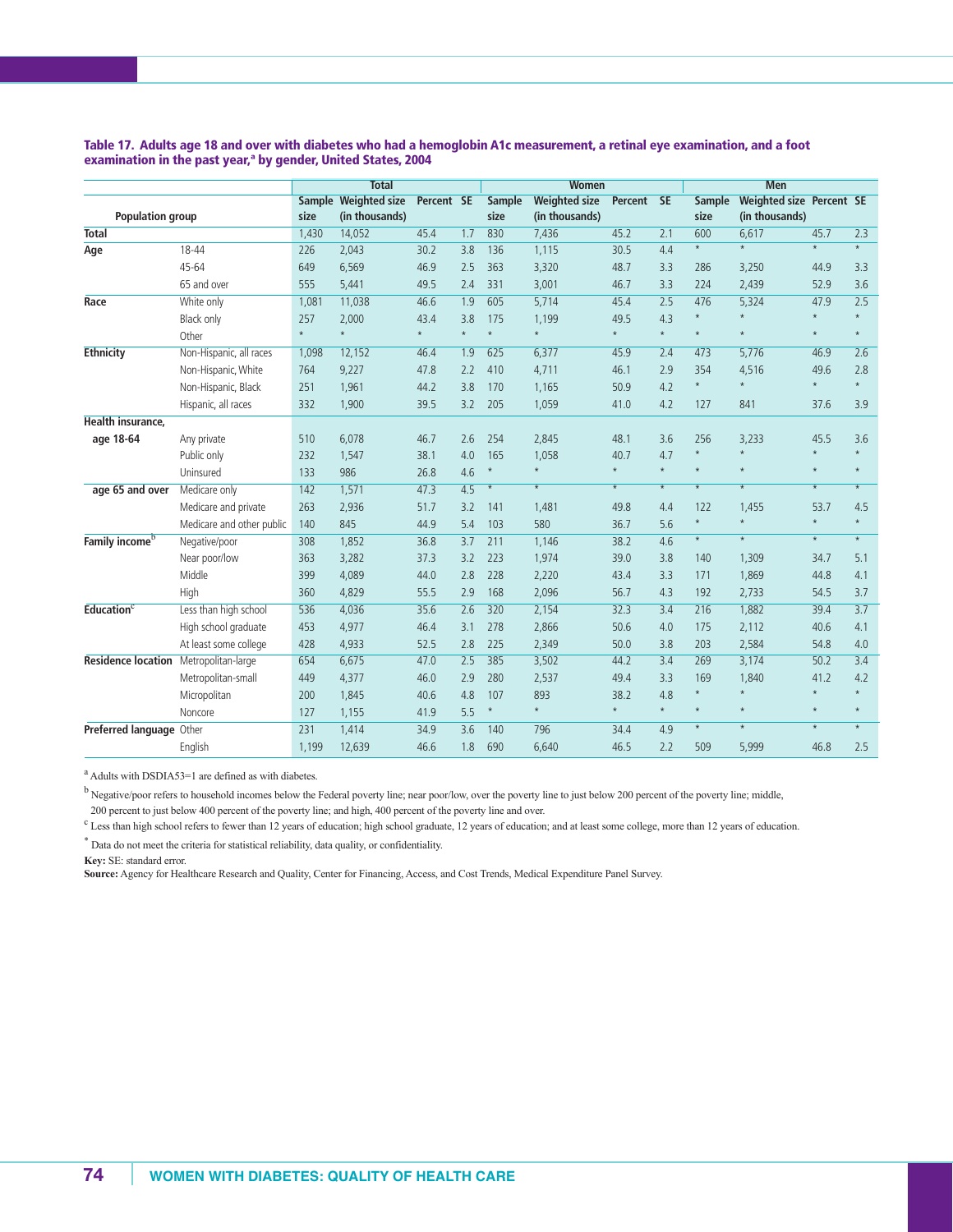#### **Table 17. Adults age 18 and over with diabetes who had a hemoglobin A1c measurement, a retinal eye examination, and a foot examination in the past year,ª by gender, United States, 2004**

|                                       |                           | <b>Total</b><br>Sample Weighted size<br>Percent SE |                |          | <b>Women</b> |                       |                                        |         | <b>Men</b>        |                       |                                                   |                   |                   |
|---------------------------------------|---------------------------|----------------------------------------------------|----------------|----------|--------------|-----------------------|----------------------------------------|---------|-------------------|-----------------------|---------------------------------------------------|-------------------|-------------------|
| <b>Population group</b>               |                           | size                                               | (in thousands) |          |              | <b>Sample</b><br>size | <b>Weighted size</b><br>(in thousands) | Percent | -SE               | <b>Sample</b><br>size | <b>Weighted size Percent SE</b><br>(in thousands) |                   |                   |
| <b>Total</b>                          |                           | 1,430                                              | 14,052         | 45.4     | 1.7          | 830                   | 7,436                                  | 45.2    | 2.1               | 600                   | 6,617                                             | 45.7              | 2.3               |
| Age                                   | 18-44                     | 226                                                | 2,043          | 30.2     | 3.8          | 136                   | 1,115                                  | 30.5    | 4.4               | $\star$               | $^\star$                                          | $^\star$          | $\star$           |
|                                       | 45-64                     | 649                                                | 6,569          | 46.9     | 2.5          | 363                   | 3,320                                  | 48.7    | 3.3               | 286                   | 3,250                                             | 44.9              | 3.3               |
|                                       | 65 and over               | 555                                                | 5,441          | 49.5     | 2.4          | 331                   | 3,001                                  | 46.7    | 3.3               | 224                   | 2,439                                             | 52.9              | 3.6               |
| Race                                  | White only                | 1,081                                              | 11,038         | 46.6     | 1.9          | 605                   | 5,714                                  | 45.4    | 2.5               | 476                   | 5,324                                             | 47.9              | 2.5               |
|                                       | Black only                | 257                                                | 2,000          | 43.4     | 3.8          | 175                   | 1,199                                  | 49.5    | 4.3               | $\star$               | $\star$                                           | $^\star$          | $\star$           |
|                                       | Other                     | $^\star$                                           | $\star$        | $^\star$ | $\star$      |                       | $\star$                                | $\star$ | $\star$           | $^\star$              | $\star$                                           | $^\star$          | $^\star$          |
| Ethnicity                             | Non-Hispanic, all races   | 1,098                                              | 12,152         | 46.4     | 1.9          | 625                   | 6,377                                  | 45.9    | 2.4               | 473                   | 5,776                                             | 46.9              | 2.6               |
|                                       | Non-Hispanic, White       | 764                                                | 9,227          | 47.8     | 2.2          | 410                   | 4,711                                  | 46.1    | 2.9               | 354                   | 4,516                                             | 49.6              | 2.8               |
|                                       | Non-Hispanic, Black       | 251                                                | 1,961          | 44.2     | 3.8          | 170                   | 1,165                                  | 50.9    | 4.2               | $^\star$              | $\star$                                           | $^\star$          | $\star$           |
|                                       | Hispanic, all races       | 332                                                | 1,900          | 39.5     | 3.2          | 205                   | 1,059                                  | 41.0    | 4.2               | 127                   | 841                                               | 37.6              | 3.9               |
| <b>Health insurance.</b>              |                           |                                                    |                |          |              |                       |                                        |         |                   |                       |                                                   |                   |                   |
| age 18-64                             | Any private               | 510                                                | 6,078          | 46.7     | 2.6          | 254                   | 2,845                                  | 48.1    | 3.6               | 256                   | 3,233                                             | 45.5              | 3.6               |
|                                       | Public only               | 232                                                | 1,547          | 38.1     | 4.0          | 165                   | 1,058                                  | 40.7    | 4.7               | $\star$               | $\star$                                           | $\star$           | $\star$           |
|                                       | Uninsured                 | 133                                                | 986            | 26.8     | 4.6          | $\star$               | $\star$                                | $\star$ | $\star$           | $^\star$              | $\star$                                           | $^\star$          | $^\star$          |
| age 65 and over                       | Medicare only             | 142                                                | 1,571          | 47.3     | 4.5          | $\star$               | $\star$                                | $\star$ | $\overline{\ast}$ | $\overline{\ast}$     | $\star$                                           | $\overline{\ast}$ | $\overline{\ast}$ |
|                                       | Medicare and private      | 263                                                | 2,936          | 51.7     | 3.2          | 141                   | 1,481                                  | 49.8    | 4.4               | 122                   | 1,455                                             | 53.7              | 4.5               |
|                                       | Medicare and other public | 140                                                | 845            | 44.9     | 5.4          | 103                   | 580                                    | 36.7    | 5.6               | $\star$               | $\star$                                           | $^\star$          | $^\star$          |
| Family income <sup>b</sup>            | Negative/poor             | 308                                                | 1,852          | 36.8     | 3.7          | 211                   | 1,146                                  | 38.2    | 4.6               | $\star$               | $\star$                                           | $\star$           | $\star$           |
|                                       | Near poor/low             | 363                                                | 3,282          | 37.3     | 3.2          | 223                   | 1,974                                  | 39.0    | 3.8               | 140                   | 1,309                                             | 34.7              | 5.1               |
|                                       | Middle                    | 399                                                | 4,089          | 44.0     | 2.8          | 228                   | 2,220                                  | 43.4    | 3.3               | 171                   | 1,869                                             | 44.8              | 4.1               |
|                                       | High                      | 360                                                | 4,829          | 55.5     | 2.9          | 168                   | 2,096                                  | 56.7    | 4.3               | 192                   | 2,733                                             | 54.5              | 3.7               |
| Education <sup>c</sup>                | Less than high school     | 536                                                | 4,036          | 35.6     | 2.6          | 320                   | 2,154                                  | 32.3    | 3.4               | 216                   | 1,882                                             | 39.4              | $\overline{3.7}$  |
|                                       | High school graduate      | 453                                                | 4,977          | 46.4     | 3.1          | 278                   | 2,866                                  | 50.6    | 4.0               | 175                   | 2.112                                             | 40.6              | 4.1               |
|                                       | At least some college     | 428                                                | 4,933          | 52.5     | 2.8          | 225                   | 2,349                                  | 50.0    | 3.8               | 203                   | 2,584                                             | 54.8              | 4.0               |
| Residence location Metropolitan-large |                           | 654                                                | 6,675          | 47.0     | 2.5          | 385                   | 3,502                                  | 44.2    | 3.4               | 269                   | 3,174                                             | 50.2              | 3.4               |
|                                       | Metropolitan-small        | 449                                                | 4,377          | 46.0     | 2.9          | 280                   | 2,537                                  | 49.4    | 3.3               | 169                   | 1,840                                             | 41.2              | 4.2               |
|                                       | Micropolitan              | 200                                                | 1,845          | 40.6     | 4.8          | 107                   | 893                                    | 38.2    | 4.8               | $\star$               | $\star$                                           | $\star$           | $\star$           |
|                                       | Noncore                   | 127                                                | 1,155          | 41.9     | 5.5          | $\star$               | $\star$                                | $\star$ | $\star$           | $^\star$              | $\star$                                           | $\star$           | $\star$           |
| Preferred language Other              |                           | 231                                                | 1,414          | 34.9     | 3.6          | 140                   | 796                                    | 34.4    | 4.9               | $^\star$              | $\star$                                           | $^\star$          | $\star$           |
|                                       | English                   | 1,199                                              | 12,639         | 46.6     | 1.8          | 690                   | 6,640                                  | 46.5    | 2.2               | 509                   | 5,999                                             | 46.8              | 2.5               |

<sup>a</sup> Adults with DSDIA53=1 are defined as with diabetes.

<sup>b</sup> Negative/poor refers to household incomes below the Federal poverty line; near poor/low, over the poverty line to just below 200 percent of the poverty line; middle,

200 percent to just below 400 percent of the poverty line; and high, 400 percent of the poverty line and over.

<sup>c</sup> Less than high school refers to fewer than 12 years of education; high school graduate, 12 years of education; and at least some college, more than 12 years of education.

\* Data do not meet the criteria for statistical reliability, data quality, or confidentiality.

**Key:** SE: standard error.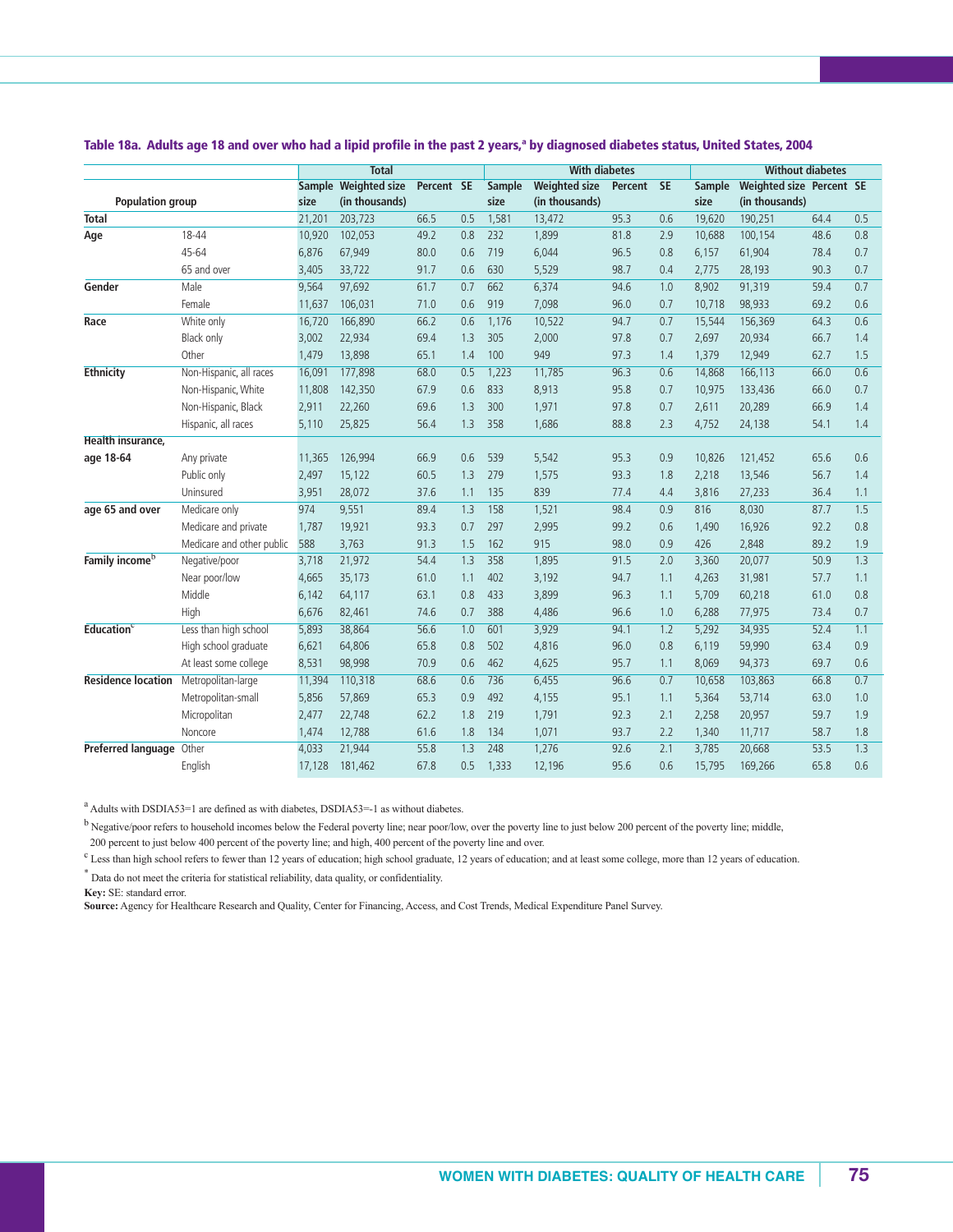|                                       |                           |        | <b>Total</b>                           |            |     |                | <b>With diabetes</b>                   |            |     |                       | <b>Without diabetes</b>                    |      |     |
|---------------------------------------|---------------------------|--------|----------------------------------------|------------|-----|----------------|----------------------------------------|------------|-----|-----------------------|--------------------------------------------|------|-----|
| Population group                      |                           | size   | Sample Weighted size<br>(in thousands) | Percent SE |     | Sample<br>size | <b>Weighted size</b><br>(in thousands) | Percent SE |     | <b>Sample</b><br>size | Weighted size Percent SE<br>(in thousands) |      |     |
| <b>Total</b>                          |                           | 21,201 | 203,723                                | 66.5       | 0.5 | 1,581          | 13,472                                 | 95.3       | 0.6 | 19,620                | 190,251                                    | 64.4 | 0.5 |
| Age                                   | 18-44                     | 10,920 | 102,053                                | 49.2       | 0.8 | 232            | 1,899                                  | 81.8       | 2.9 | 10,688                | 100,154                                    | 48.6 | 0.8 |
|                                       | 45-64                     | 6,876  | 67,949                                 | 80.0       | 0.6 | 719            | 6,044                                  | 96.5       | 0.8 | 6,157                 | 61,904                                     | 78.4 | 0.7 |
|                                       | 65 and over               | 3,405  | 33,722                                 | 91.7       | 0.6 | 630            | 5,529                                  | 98.7       | 0.4 | 2,775                 | 28,193                                     | 90.3 | 0.7 |
| Gender                                | Male                      | 9,564  | 97,692                                 | 61.7       | 0.7 | 662            | 6,374                                  | 94.6       | 1.0 | 8,902                 | 91,319                                     | 59.4 | 0.7 |
|                                       | Female                    | 11,637 | 106,031                                | 71.0       | 0.6 | 919            | 7,098                                  | 96.0       | 0.7 | 10,718                | 98,933                                     | 69.2 | 0.6 |
| Race                                  | White only                | 16,720 | 166,890                                | 66.2       | 0.6 | 1,176          | 10,522                                 | 94.7       | 0.7 | 15,544                | 156,369                                    | 64.3 | 0.6 |
|                                       | Black only                | 3,002  | 22,934                                 | 69.4       | 1.3 | 305            | 2,000                                  | 97.8       | 0.7 | 2,697                 | 20,934                                     | 66.7 | 1.4 |
|                                       | Other                     | 1,479  | 13,898                                 | 65.1       | 1.4 | 100            | 949                                    | 97.3       | 1.4 | 1,379                 | 12,949                                     | 62.7 | 1.5 |
| Ethnicity                             | Non-Hispanic, all races   | 16,091 | 177,898                                | 68.0       | 0.5 | 1,223          | 11,785                                 | 96.3       | 0.6 | 14,868                | 166,113                                    | 66.0 | 0.6 |
|                                       | Non-Hispanic, White       | 11,808 | 142,350                                | 67.9       | 0.6 | 833            | 8,913                                  | 95.8       | 0.7 | 10,975                | 133,436                                    | 66.0 | 0.7 |
|                                       | Non-Hispanic, Black       | 2,911  | 22,260                                 | 69.6       | 1.3 | 300            | 1,971                                  | 97.8       | 0.7 | 2,611                 | 20,289                                     | 66.9 | 1.4 |
|                                       | Hispanic, all races       | 5,110  | 25,825                                 | 56.4       | 1.3 | 358            | 1,686                                  | 88.8       | 2.3 | 4,752                 | 24,138                                     | 54.1 | 1.4 |
| <b>Health insurance,</b>              |                           |        |                                        |            |     |                |                                        |            |     |                       |                                            |      |     |
| age 18-64                             | Any private               | 11,365 | 126,994                                | 66.9       | 0.6 | 539            | 5,542                                  | 95.3       | 0.9 | 10,826                | 121,452                                    | 65.6 | 0.6 |
|                                       | Public only               | 2,497  | 15,122                                 | 60.5       | 1.3 | 279            | 1,575                                  | 93.3       | 1.8 | 2,218                 | 13,546                                     | 56.7 | 1.4 |
|                                       | Uninsured                 | 3,951  | 28,072                                 | 37.6       | 1.1 | 135            | 839                                    | 77.4       | 4.4 | 3,816                 | 27,233                                     | 36.4 | 1.1 |
| age 65 and over                       | Medicare only             | 974    | 9,551                                  | 89.4       | 1.3 | 158            | 1,521                                  | 98.4       | 0.9 | 816                   | 8,030                                      | 87.7 | 1.5 |
|                                       | Medicare and private      | 1,787  | 19,921                                 | 93.3       | 0.7 | 297            | 2,995                                  | 99.2       | 0.6 | 1,490                 | 16,926                                     | 92.2 | 0.8 |
|                                       | Medicare and other public | 588    | 3,763                                  | 91.3       | 1.5 | 162            | 915                                    | 98.0       | 0.9 | 426                   | 2,848                                      | 89.2 | 1.9 |
| Family income <sup>b</sup>            | Negative/poor             | 3,718  | 21,972                                 | 54.4       | 1.3 | 358            | 1,895                                  | 91.5       | 2.0 | 3,360                 | 20,077                                     | 50.9 | 1.3 |
|                                       | Near poor/low             | 4,665  | 35,173                                 | 61.0       | 1.1 | 402            | 3,192                                  | 94.7       | 1.1 | 4,263                 | 31,981                                     | 57.7 | 1.1 |
|                                       | Middle                    | 6,142  | 64,117                                 | 63.1       | 0.8 | 433            | 3,899                                  | 96.3       | 1.1 | 5,709                 | 60,218                                     | 61.0 | 0.8 |
|                                       | High                      | 6,676  | 82,461                                 | 74.6       | 0.7 | 388            | 4,486                                  | 96.6       | 1.0 | 6,288                 | 77,975                                     | 73.4 | 0.7 |
| Education                             | Less than high school     | 5,893  | 38,864                                 | 56.6       | 1.0 | 601            | 3,929                                  | 94.1       | 1.2 | 5,292                 | 34,935                                     | 52.4 | 1.1 |
|                                       | High school graduate      | 6,621  | 64,806                                 | 65.8       | 0.8 | 502            | 4,816                                  | 96.0       | 0.8 | 6,119                 | 59,990                                     | 63.4 | 0.9 |
|                                       | At least some college     | 8,531  | 98,998                                 | 70.9       | 0.6 | 462            | 4,625                                  | 95.7       | 1.1 | 8,069                 | 94,373                                     | 69.7 | 0.6 |
| Residence location Metropolitan-large |                           | 11,394 | 110,318                                | 68.6       | 0.6 | 736            | 6,455                                  | 96.6       | 0.7 | 10,658                | 103,863                                    | 66.8 | 0.7 |
|                                       | Metropolitan-small        | 5,856  | 57,869                                 | 65.3       | 0.9 | 492            | 4,155                                  | 95.1       | 1.1 | 5,364                 | 53,714                                     | 63.0 | 1.0 |
|                                       | Micropolitan              | 2,477  | 22,748                                 | 62.2       | 1.8 | 219            | 1,791                                  | 92.3       | 2.1 | 2,258                 | 20,957                                     | 59.7 | 1.9 |
|                                       | Noncore                   | 1,474  | 12,788                                 | 61.6       | 1.8 | 134            | 1,071                                  | 93.7       | 2.2 | 1,340                 | 11,717                                     | 58.7 | 1.8 |
| Preferred language Other              |                           | 4,033  | 21,944                                 | 55.8       | 1.3 | 248            | 1,276                                  | 92.6       | 2.1 | 3,785                 | 20,668                                     | 53.5 | 1.3 |
|                                       | English                   | 17,128 | 181,462                                | 67.8       | 0.5 | 1,333          | 12,196                                 | 95.6       | 0.6 | 15,795                | 169,266                                    | 65.8 | 0.6 |

## **Table 18a. Adults age 18 and over who had a lipid profile in the past 2 years,ª by diagnosed diabetes status, United States, 2004**

<sup>a</sup> Adults with DSDIA53=1 are defined as with diabetes, DSDIA53=-1 as without diabetes.

<sup>b</sup> Negative/poor refers to household incomes below the Federal poverty line; near poor/low, over the poverty line to just below 200 percent of the poverty line; middle,

200 percent to just below 400 percent of the poverty line; and high, 400 percent of the poverty line and over.

 $\text{c}$  Less than high school refers to fewer than 12 years of education; high school graduate, 12 years of education; and at least some college, more than 12 years of education.

 $^*$  Data do not meet the criteria for statistical reliability, data quality, or confidentiality.

**Key:** SE: standard error.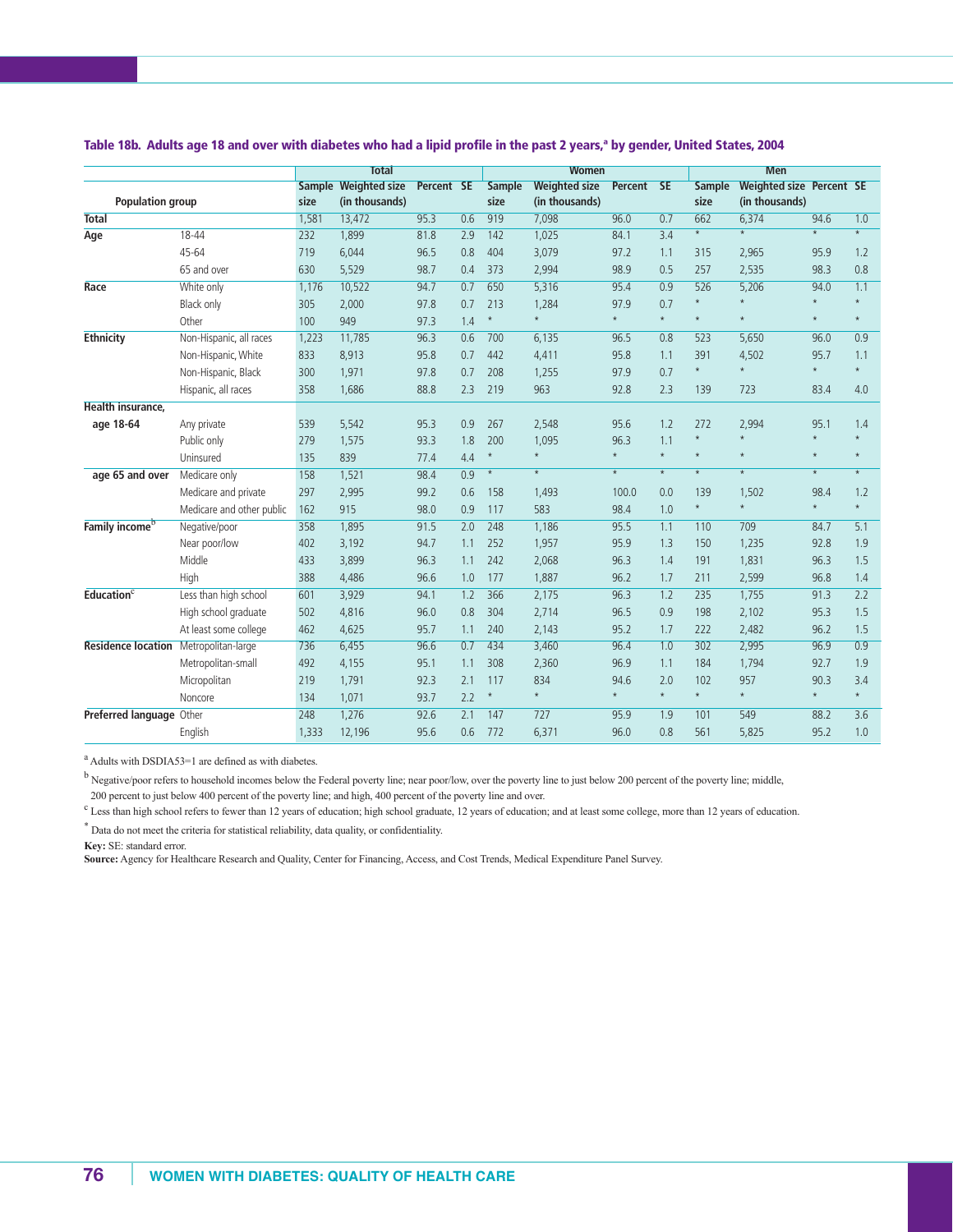|                                              |                           |       | <b>Total</b>                           |            |     |                       | <b>Women</b>                           |            |          |                       | <b>Men</b>                                        |          |          |
|----------------------------------------------|---------------------------|-------|----------------------------------------|------------|-----|-----------------------|----------------------------------------|------------|----------|-----------------------|---------------------------------------------------|----------|----------|
| <b>Population group</b>                      |                           | size  | Sample Weighted size<br>(in thousands) | Percent SE |     | <b>Sample</b><br>size | <b>Weighted size</b><br>(in thousands) | Percent SE |          | <b>Sample</b><br>size | <b>Weighted size Percent SE</b><br>(in thousands) |          |          |
| <b>Total</b>                                 |                           | 1,581 | 13,472                                 | 95.3       | 0.6 | 919                   | 7,098                                  | 96.0       | 0.7      | 662                   | 6,374                                             | 94.6     | 1.0      |
| Age                                          | 18-44                     | 232   | 1,899                                  | 81.8       | 2.9 | 142                   | 1,025                                  | 84.1       | 3.4      | $\star$               | $\star$                                           | $\star$  | $\star$  |
|                                              | 45-64                     | 719   | 6,044                                  | 96.5       | 0.8 | 404                   | 3,079                                  | 97.2       | 1.1      | 315                   | 2,965                                             | 95.9     | 1.2      |
|                                              | 65 and over               | 630   | 5,529                                  | 98.7       | 0.4 | 373                   | 2,994                                  | 98.9       | 0.5      | 257                   | 2,535                                             | 98.3     | 0.8      |
| Race                                         | White only                | 1,176 | 10,522                                 | 94.7       | 0.7 | 650                   | 5,316                                  | 95.4       | 0.9      | 526                   | 5,206                                             | 94.0     | 1.1      |
|                                              | Black only                | 305   | 2,000                                  | 97.8       | 0.7 | 213                   | 1,284                                  | 97.9       | 0.7      | $\star$               | $\star$                                           | $\star$  | $\star$  |
|                                              | Other                     | 100   | 949                                    | 97.3       | 1.4 |                       | $\star$                                | $\star$    | $\star$  | $\star$               | $\star$                                           | $\star$  | $\star$  |
| <b>Ethnicity</b>                             | Non-Hispanic, all races   | 1,223 | 11,785                                 | 96.3       | 0.6 | 700                   | 6,135                                  | 96.5       | 0.8      | 523                   | 5,650                                             | 96.0     | 0.9      |
|                                              | Non-Hispanic, White       | 833   | 8,913                                  | 95.8       | 0.7 | 442                   | 4,411                                  | 95.8       | 1.1      | 391                   | 4,502                                             | 95.7     | 1.1      |
|                                              | Non-Hispanic, Black       | 300   | 1,971                                  | 97.8       | 0.7 | 208                   | 1,255                                  | 97.9       | 0.7      | $\star$               | $^\star$                                          | $^\star$ | $\star$  |
|                                              | Hispanic, all races       | 358   | 1,686                                  | 88.8       | 2.3 | 219                   | 963                                    | 92.8       | 2.3      | 139                   | 723                                               | 83.4     | 4.0      |
| <b>Health insurance,</b>                     |                           |       |                                        |            |     |                       |                                        |            |          |                       |                                                   |          |          |
| age 18-64                                    | Any private               | 539   | 5,542                                  | 95.3       | 0.9 | 267                   | 2,548                                  | 95.6       | 1.2      | 272                   | 2,994                                             | 95.1     | 1.4      |
|                                              | Public only               | 279   | 1,575                                  | 93.3       | 1.8 | 200                   | 1,095                                  | 96.3       | 1.1      | $\star$               | $\star$                                           | $\star$  | $\star$  |
|                                              | Uninsured                 | 135   | 839                                    | 77.4       | 4.4 | $\star$               | $\star$                                | $\star$    | $^\star$ | $\star$               | $\star$                                           | $\star$  | $\star$  |
| age 65 and over                              | Medicare only             | 158   | 1,521                                  | 98.4       | 0.9 | $\star$               | $\star$                                | $\star$    | $\star$  | $\star$               | $\star$                                           | $\star$  | $^\star$ |
|                                              | Medicare and private      | 297   | 2,995                                  | 99.2       | 0.6 | 158                   | 1,493                                  | 100.0      | 0.0      | 139                   | 1.502                                             | 98.4     | 1.2      |
|                                              | Medicare and other public | 162   | 915                                    | 98.0       | 0.9 | 117                   | 583                                    | 98.4       | 1.0      | ×                     | $\star$                                           | $\star$  | $\star$  |
| Family income <sup>b</sup>                   | Negative/poor             | 358   | 1,895                                  | 91.5       | 2.0 | 248                   | 1,186                                  | 95.5       | 1.1      | 110                   | 709                                               | 84.7     | 5.1      |
|                                              | Near poor/low             | 402   | 3,192                                  | 94.7       | 1.1 | 252                   | 1,957                                  | 95.9       | 1.3      | 150                   | 1,235                                             | 92.8     | 1.9      |
|                                              | Middle                    | 433   | 3,899                                  | 96.3       | 1.1 | 242                   | 2,068                                  | 96.3       | 1.4      | 191                   | 1,831                                             | 96.3     | 1.5      |
|                                              | High                      | 388   | 4,486                                  | 96.6       | 1.0 | 177                   | 1,887                                  | 96.2       | 1.7      | 211                   | 2,599                                             | 96.8     | 1.4      |
| Education <sup>c</sup>                       | Less than high school     | 601   | 3,929                                  | 94.1       | 1.2 | 366                   | 2,175                                  | 96.3       | 1.2      | 235                   | 1,755                                             | 91.3     | 2.2      |
|                                              | High school graduate      | 502   | 4,816                                  | 96.0       | 0.8 | 304                   | 2,714                                  | 96.5       | 0.9      | 198                   | 2,102                                             | 95.3     | 1.5      |
|                                              | At least some college     | 462   | 4,625                                  | 95.7       | 1.1 | 240                   | 2,143                                  | 95.2       | 1.7      | 222                   | 2,482                                             | 96.2     | 1.5      |
| <b>Residence location</b> Metropolitan-large |                           | 736   | 6,455                                  | 96.6       | 0.7 | 434                   | 3,460                                  | 96.4       | 1.0      | 302                   | 2,995                                             | 96.9     | 0.9      |
|                                              | Metropolitan-small        | 492   | 4,155                                  | 95.1       | 1.1 | 308                   | 2,360                                  | 96.9       | 1.1      | 184                   | 1,794                                             | 92.7     | 1.9      |
|                                              | Micropolitan              | 219   | 1,791                                  | 92.3       | 2.1 | 117                   | 834                                    | 94.6       | 2.0      | 102                   | 957                                               | 90.3     | 3.4      |
|                                              | Noncore                   | 134   | 1,071                                  | 93.7       | 2.2 | $\star$               | $^\star$                               | $\star$    | $\star$  | $^\star$              | $^\star$                                          | $\star$  | $\star$  |
| Preferred language Other                     |                           | 248   | 1,276                                  | 92.6       | 2.1 | 147                   | 727                                    | 95.9       | 1.9      | 101                   | 549                                               | 88.2     | 3.6      |
|                                              | English                   | 1,333 | 12,196                                 | 95.6       | 0.6 | 772                   | 6,371                                  | 96.0       | 0.8      | 561                   | 5,825                                             | 95.2     | 1.0      |

## **Table 18b. Adults age 18 and over with diabetes who had a lipid profile in the past 2 years,ª by gender, United States, 2004**

<sup>a</sup> Adults with DSDIA53=1 are defined as with diabetes.

<sup>b</sup> Negative/poor refers to household incomes below the Federal poverty line; near poor/low, over the poverty line to just below 200 percent of the poverty line; middle,

200 percent to just below 400 percent of the poverty line; and high, 400 percent of the poverty line and over.

 $c$  Less than high school refers to fewer than 12 years of education; high school graduate, 12 years of education; and at least some college, more than 12 years of education.

\* Data do not meet the criteria for statistical reliability, data quality, or confidentiality.

**Key:** SE: standard error.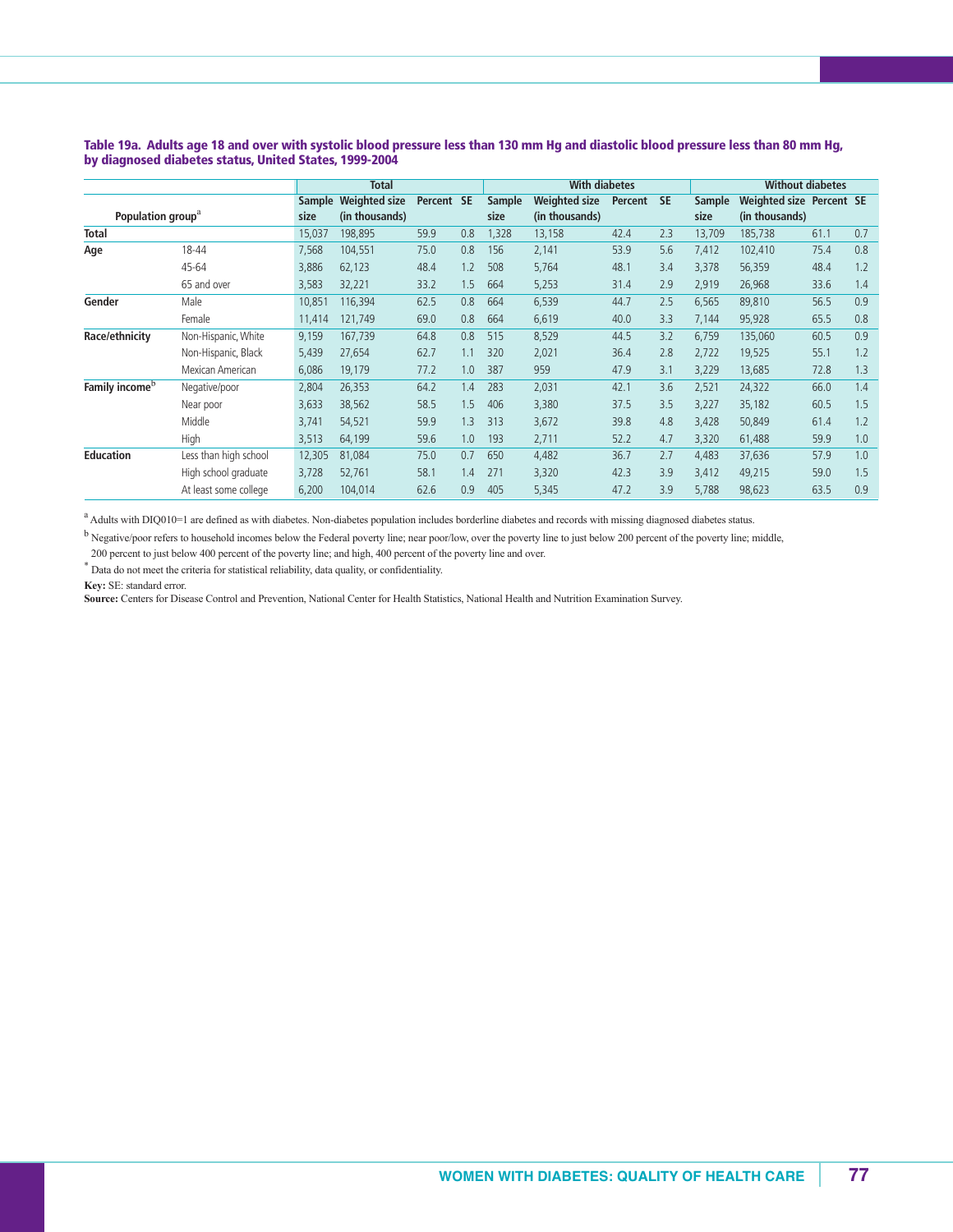|                               |                       |        | <b>Total</b>         |            |     |        | <b>With diabetes</b> |         |           |               | <b>Without diabetes</b>         |      |     |
|-------------------------------|-----------------------|--------|----------------------|------------|-----|--------|----------------------|---------|-----------|---------------|---------------------------------|------|-----|
|                               |                       |        | Sample Weighted size | Percent SE |     | Sample | <b>Weighted size</b> | Percent | <b>SE</b> | <b>Sample</b> | <b>Weighted size Percent SE</b> |      |     |
| Population group <sup>a</sup> |                       | size   | (in thousands)       |            |     | size   | (in thousands)       |         |           | size          | (in thousands)                  |      |     |
| <b>Total</b>                  |                       | 15,037 | 198,895              | 59.9       | 0.8 | 1,328  | 13,158               | 42.4    | 2.3       | 13,709        | 185,738                         | 61.1 | 0.7 |
| Age                           | 18-44                 | 7,568  | 104,551              | 75.0       | 0.8 | 156    | 2,141                | 53.9    | 5.6       | 7,412         | 102,410                         | 75.4 | 0.8 |
|                               | 45-64                 | 3,886  | 62,123               | 48.4       | 1.2 | 508    | 5,764                | 48.1    | 3.4       | 3,378         | 56,359                          | 48.4 | 1.2 |
|                               | 65 and over           | 3,583  | 32,221               | 33.2       | 1.5 | 664    | 5,253                | 31.4    | 2.9       | 2,919         | 26,968                          | 33.6 | 1.4 |
| Gender                        | Male                  | 10,851 | 116,394              | 62.5       | 0.8 | 664    | 6,539                | 44.7    | 2.5       | 6,565         | 89,810                          | 56.5 | 0.9 |
|                               | Female                | 11,414 | 121,749              | 69.0       | 0.8 | 664    | 6,619                | 40.0    | 3.3       | 7,144         | 95,928                          | 65.5 | 0.8 |
| Race/ethnicity                | Non-Hispanic, White   | 9,159  | 167,739              | 64.8       | 0.8 | 515    | 8,529                | 44.5    | 3.2       | 6,759         | 135,060                         | 60.5 | 0.9 |
|                               | Non-Hispanic, Black   | 5,439  | 27,654               | 62.7       |     | 320    | 2,021                | 36.4    | 2.8       | 2,722         | 19,525                          | 55.1 | 1.2 |
|                               | Mexican American      | 6,086  | 19,179               | 77.2       | 1.0 | 387    | 959                  | 47.9    | 3.1       | 3,229         | 13,685                          | 72.8 | 1.3 |
| Family income <sup>b</sup>    | Negative/poor         | 2,804  | 26,353               | 64.2       | 1.4 | 283    | 2,031                | 42.1    | 3.6       | 2,521         | 24,322                          | 66.0 | 1.4 |
|                               | Near poor             | 3,633  | 38,562               | 58.5       | 1.5 | 406    | 3,380                | 37.5    | 3.5       | 3,227         | 35,182                          | 60.5 | 1.5 |
|                               | Middle                | 3,741  | 54,521               | 59.9       | 1.3 | 313    | 3,672                | 39.8    | 4.8       | 3,428         | 50,849                          | 61.4 | 1.2 |
|                               | High                  | 3,513  | 64,199               | 59.6       | 1.0 | 193    | 2,711                | 52.2    | 4.7       | 3,320         | 61,488                          | 59.9 | 1.0 |
| <b>Education</b>              | Less than high school | 12,305 | 81.084               | 75.0       | 0.7 | 650    | 4,482                | 36.7    | 2.7       | 4,483         | 37,636                          | 57.9 | 1.0 |
|                               | High school graduate  | 3,728  | 52,761               | 58.1       | 1.4 | 271    | 3,320                | 42.3    | 3.9       | 3,412         | 49,215                          | 59.0 | 1.5 |
|                               | At least some college | 6,200  | 104,014              | 62.6       | 0.9 | 405    | 5,345                | 47.2    | 3.9       | 5,788         | 98,623                          | 63.5 | 0.9 |

#### **Table 19a. Adults age 18 and over with systolic blood pressure less than 130 mm Hg and diastolic blood pressure less than 80 mm Hg, by diagnosed diabetes status, United States, 1999-2004**

a Adults with DIQ010=1 are defined as with diabetes. Non-diabetes population includes borderline diabetes and records with missing diagnosed diabetes status.

<sup>b</sup> Negative/poor refers to household incomes below the Federal poverty line; near poor/low, over the poverty line to just below 200 percent of the poverty line; middle,

200 percent to just below 400 percent of the poverty line; and high, 400 percent of the poverty line and over.

\* Data do not meet the criteria for statistical reliability, data quality, or confidentiality.

**Key:** SE: standard error.

**Source:** Centers for Disease Control and Prevention, National Center for Health Statistics, National Health and Nutrition Examination Survey.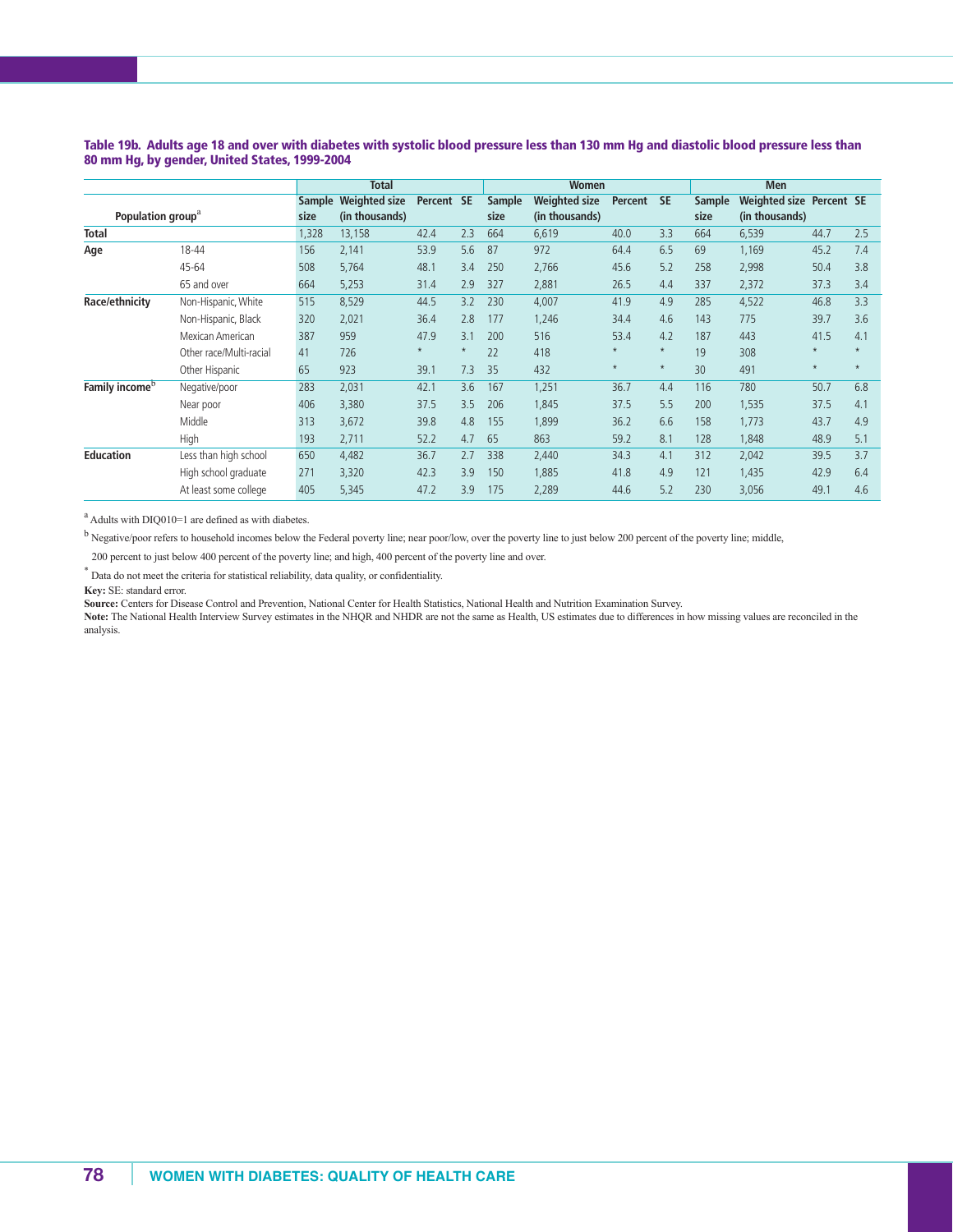#### **Table 19b. Adults age 18 and over with diabetes with systolic blood pressure less than 130 mm Hg and diastolic blood pressure less than 80 mm Hg, by gender, United States, 1999-2004**

|                               |                         |       | <b>Total</b>         |            |         |               | <b>Women</b>         |         |           |               | Men                             |         |         |
|-------------------------------|-------------------------|-------|----------------------|------------|---------|---------------|----------------------|---------|-----------|---------------|---------------------------------|---------|---------|
|                               |                         |       | Sample Weighted size | Percent SE |         | <b>Sample</b> | <b>Weighted size</b> | Percent | <b>SE</b> | <b>Sample</b> | <b>Weighted size Percent SE</b> |         |         |
| Population group <sup>a</sup> |                         | size  | (in thousands)       |            |         | size          | (in thousands)       |         |           | size          | (in thousands)                  |         |         |
| <b>Total</b>                  |                         | 1,328 | 13,158               | 42.4       | 2.3     | 664           | 6,619                | 40.0    | 3.3       | 664           | 6,539                           | 44.7    | 2.5     |
| Age                           | 18-44                   | 156   | 2,141                | 53.9       | 5.6     | 87            | 972                  | 64.4    | 6.5       | 69            | 1,169                           | 45.2    | 7.4     |
|                               | 45-64                   | 508   | 5,764                | 48.1       | 3.4     | 250           | 2,766                | 45.6    | 5.2       | 258           | 2,998                           | 50.4    | 3.8     |
|                               | 65 and over             | 664   | 5,253                | 31.4       | 2.9     | 327           | 2,881                | 26.5    | 4.4       | 337           | 2,372                           | 37.3    | 3.4     |
| Race/ethnicity                | Non-Hispanic, White     | 515   | 8,529                | 44.5       | 3.2     | 230           | 4,007                | 41.9    | 4.9       | 285           | 4,522                           | 46.8    | 3.3     |
|                               | Non-Hispanic, Black     | 320   | 2,021                | 36.4       | 2.8     | 177           | 1,246                | 34.4    | 4.6       | 143           | 775                             | 39.7    | 3.6     |
|                               | Mexican American        | 387   | 959                  | 47.9       | 3.1     | 200           | 516                  | 53.4    | 4.2       | 187           | 443                             | 41.5    | 4.1     |
|                               | Other race/Multi-racial | 41    | 726                  | $\star$    | $\star$ | 22            | 418                  | $\star$ | $\star$   | 19            | 308                             | $\star$ | $\star$ |
|                               | Other Hispanic          | 65    | 923                  | 39.1       | 7.3     | 35            | 432                  | $\star$ | $\star$   | 30            | 491                             | $\star$ | $\star$ |
| Family income <sup>b</sup>    | Negative/poor           | 283   | 2,031                | 42.1       | 3.6     | 167           | 1,251                | 36.7    | 4.4       | 116           | 780                             | 50.7    | 6.8     |
|                               | Near poor               | 406   | 3,380                | 37.5       | 3.5     | 206           | 1,845                | 37.5    | 5.5       | 200           | 1,535                           | 37.5    | 4.1     |
|                               | Middle                  | 313   | 3,672                | 39.8       | 4.8     | 155           | 1,899                | 36.2    | 6.6       | 158           | 1,773                           | 43.7    | 4.9     |
|                               | High                    | 193   | 2,711                | 52.2       | 4.7     | 65            | 863                  | 59.2    | 8.1       | 128           | 1,848                           | 48.9    | 5.1     |
| <b>Education</b>              | Less than high school   | 650   | 4,482                | 36.7       | 2.7     | 338           | 2,440                | 34.3    | 4.1       | 312           | 2,042                           | 39.5    | 3.7     |
|                               | High school graduate    | 271   | 3,320                | 42.3       | 3.9     | 150           | 1,885                | 41.8    | 4.9       | 121           | 1,435                           | 42.9    | 6.4     |
|                               | At least some college   | 405   | 5,345                | 47.2       | 3.9     | 175           | 2,289                | 44.6    | 5.2       | 230           | 3,056                           | 49.1    | 4.6     |

<sup>a</sup> Adults with DIQ010=1 are defined as with diabetes.

<sup>b</sup> Negative/poor refers to household incomes below the Federal poverty line; near poor/low, over the poverty line to just below 200 percent of the poverty line; middle,

200 percent to just below 400 percent of the poverty line; and high, 400 percent of the poverty line and over.

\* Data do not meet the criteria for statistical reliability, data quality, or confidentiality.

**Key:** SE: standard error.

**Source:** Centers for Disease Control and Prevention, National Center for Health Statistics, National Health and Nutrition Examination Survey.

**Note:** The National Health Interview Survey estimates in the NHQR and NHDR are not the same as Health, US estimates due to differences in how missing values are reconciled in the analysis.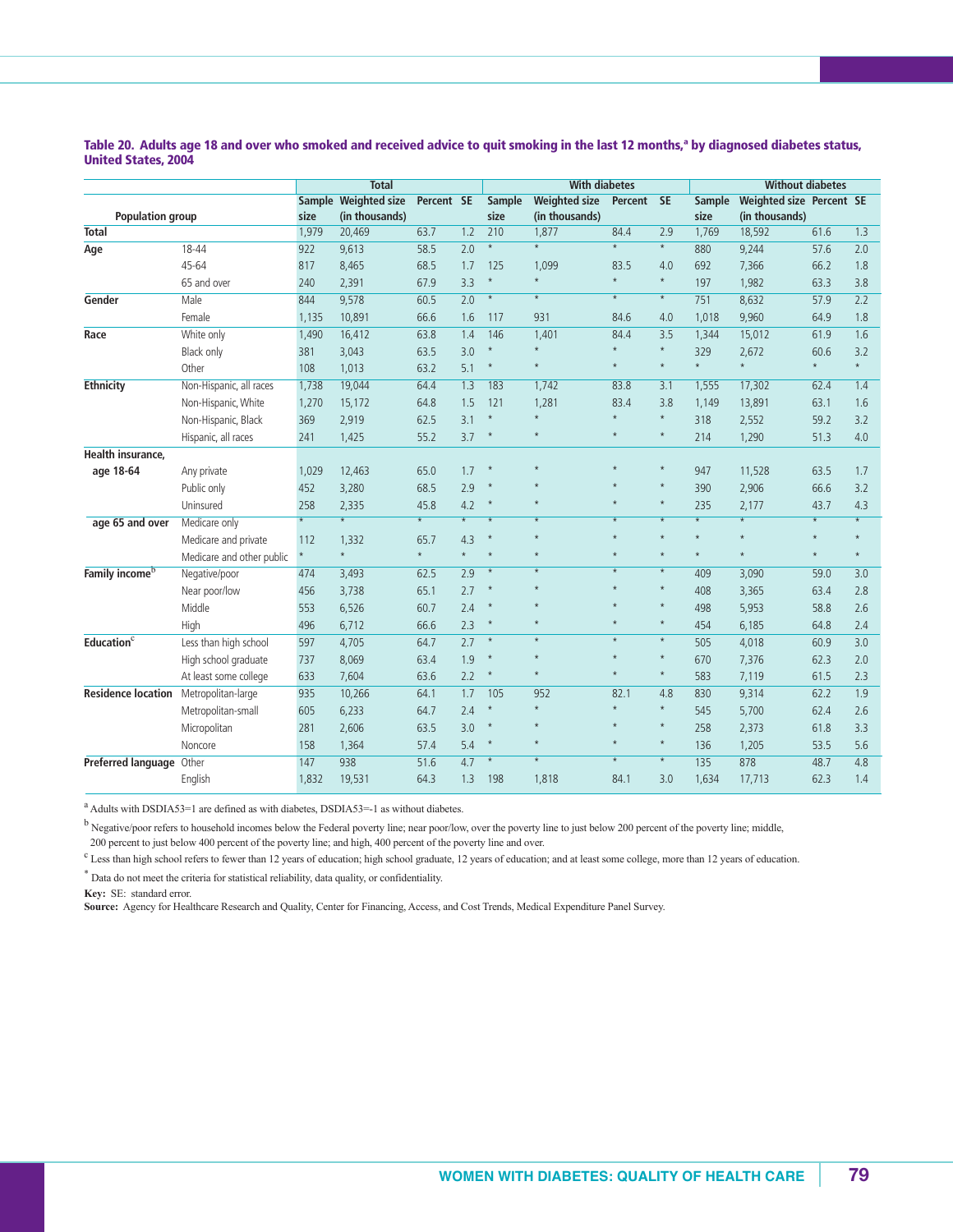#### **Table 20. Adults age 18 and over who smoked and received advice to quit smoking in the last 12 months,ª by diagnosed diabetes status, United States, 2004**

|                                       |                           |               | <b>Total</b>             |            |         |             | <b>With diabetes</b>    |                   |         |                     | <b>Without diabetes</b>  |         |                     |
|---------------------------------------|---------------------------|---------------|--------------------------|------------|---------|-------------|-------------------------|-------------------|---------|---------------------|--------------------------|---------|---------------------|
|                                       |                           |               | Sample Weighted size     | Percent SE |         | Sample      | <b>Weighted size</b>    | Percent SE        |         | Sample              | Weighted size Percent SE |         |                     |
| Population group<br><b>Total</b>      |                           | size<br>1,979 | (in thousands)<br>20,469 | 63.7       | 1.2     | size<br>210 | (in thousands)<br>1,877 | 84.4              | 2.9     | size<br>1,769       | (in thousands)<br>18,592 | 61.6    | 1.3                 |
| Age                                   | 18-44                     | 922           | 9,613                    | 58.5       | 2.0     | $\star$     | $\star$                 | $\star$           | $\star$ | 880                 | 9,244                    | 57.6    | 2.0                 |
|                                       | 45-64                     | 817           | 8,465                    | 68.5       | 1.7     | 125         | 1,099                   | 83.5              | 4.0     | 692                 | 7,366                    | 66.2    | 1.8                 |
|                                       | 65 and over               | 240           | 2,391                    | 67.9       | 3.3     | $\star$     | $\star$                 | $^\star$          | $\star$ | 197                 | 1,982                    | 63.3    | 3.8                 |
| Gender                                | Male                      | 844           | 9,578                    | 60.5       | 2.0     | $\star$     | $\star$                 | $\star$           | $\star$ | 751                 | 8,632                    | 57.9    | 2.2                 |
|                                       | Female                    | 1,135         | 10,891                   | 66.6       | 1.6     | 117         | 931                     | 84.6              | 4.0     | 1,018               | 9,960                    | 64.9    | 1.8                 |
| Race                                  | White only                | 1,490         | 16,412                   | 63.8       | 1.4     | 146         | 1,401                   | 84.4              | 3.5     | 1,344               | 15,012                   | 61.9    | 1.6                 |
|                                       | Black only                | 381           | 3.043                    | 63.5       | 3.0     |             | $\star$                 | $\star$           | $\star$ | 329                 | 2.672                    | 60.6    | 3.2                 |
|                                       | Other                     | 108           | 1.013                    | 63.2       | 5.1     | $\star$     | $\star$                 | $\star$           | $\star$ | $^\star$            | $\star$                  | $\star$ | $\star$             |
| Ethnicity                             | Non-Hispanic, all races   | 1,738         | 19,044                   | 64.4       | 1.3     | 183         | 1,742                   | 83.8              | 3.1     | 1,555               | 17,302                   | 62.4    | 1.4                 |
|                                       | Non-Hispanic, White       | 1,270         | 15,172                   | 64.8       | 1.5     | 121         | 1,281                   | 83.4              | 3.8     | 1,149               | 13,891                   | 63.1    | 1.6                 |
|                                       | Non-Hispanic, Black       | 369           | 2,919                    | 62.5       | 3.1     | $\star$     | $\star$                 | ×                 | $\star$ | 318                 | 2,552                    | 59.2    | 3.2                 |
|                                       | Hispanic, all races       | 241           | 1,425                    | 55.2       | 3.7     | $\star$     |                         | $\star$           | $\star$ | 214                 | 1,290                    | 51.3    | 4.0                 |
| <b>Health insurance,</b>              |                           |               |                          |            |         |             |                         |                   |         |                     |                          |         |                     |
| age 18-64                             | Any private               | 1,029         | 12,463                   | 65.0       | 1.7     | $\star$     |                         | $\star$           | $\star$ | 947                 | 11,528                   | 63.5    | 1.7                 |
|                                       | Public only               | 452           | 3,280                    | 68.5       | 2.9     | $\star$     |                         | ×                 | $\star$ | 390                 | 2,906                    | 66.6    | 3.2                 |
|                                       | Uninsured                 | 258           | 2,335                    | 45.8       | 4.2     | $\star$     | $\star$                 | $\star$           | $\star$ | 235                 | 2,177                    | 43.7    | 4.3                 |
| age 65 and over                       | Medicare only             | $\star$       | $\overline{\ast}$        | $\star$    | $\star$ | $\star$     | $\star$                 | $\star$           | $\star$ | $\pmb{\ast}$        | $\overline{\ast}$        | $\star$ | $\star$             |
|                                       | Medicare and private      | 112           | 1,332                    | 65.7       | 4.3     | $\star$     |                         |                   | $\star$ | $\star$             |                          |         | $\star$             |
|                                       | Medicare and other public | $^{\star}$    | $\star$                  | $\star$    | $\star$ | $\star$     | $\star$                 | ÷                 | ÷       | $\ddot{\textbf{x}}$ | ÷                        | $\star$ | $\ddot{\textbf{x}}$ |
| Family income <sup>b</sup>            | Negative/poor             | 474           | 3,493                    | 62.5       | 2.9     | $\star$     | $\star$                 | $\star$           | $\star$ | 409                 | 3,090                    | 59.0    | 3.0                 |
|                                       | Near poor/low             | 456           | 3,738                    | 65.1       | 2.7     |             | $\star$                 |                   | $\star$ | 408                 | 3,365                    | 63.4    | 2.8                 |
|                                       | Middle                    | 553           | 6,526                    | 60.7       | 2.4     |             |                         | ÷                 | $\star$ | 498                 | 5,953                    | 58.8    | 2.6                 |
|                                       | High                      | 496           | 6,712                    | 66.6       | 2.3     | $\ast$      | $\star$                 | $\star$           | $\star$ | 454                 | 6,185                    | 64.8    | 2.4                 |
| Education <sup>c</sup>                | Less than high school     | 597           | 4,705                    | 64.7       | 2.7     | $\star$     | $\star$                 | $\star$           | $\star$ | 505                 | 4,018                    | 60.9    | 3.0                 |
|                                       | High school graduate      | 737           | 8,069                    | 63.4       | 1.9     | $\star$     | $\star$                 | $\star$           | $\star$ | 670                 | 7,376                    | 62.3    | 2.0                 |
|                                       | At least some college     | 633           | 7,604                    | 63.6       | 2.2     | $\star$     | $\star$                 | $\star$           | $\star$ | 583                 | 7,119                    | 61.5    | 2.3                 |
| Residence location Metropolitan-large |                           | 935           | 10,266                   | 64.1       | 1.7     | 105         | 952                     | 82.1              | 4.8     | 830                 | 9,314                    | 62.2    | 1.9                 |
|                                       | Metropolitan-small        | 605           | 6,233                    | 64.7       | 2.4     |             | $\ddot{\ast}$           | $\star$           | $\star$ | 545                 | 5,700                    | 62.4    | 2.6                 |
|                                       | Micropolitan              | 281           | 2,606                    | 63.5       | 3.0     |             |                         | $\star$           | $\star$ | 258                 | 2,373                    | 61.8    | 3.3                 |
|                                       | Noncore                   | 158           | 1,364                    | 57.4       | 5.4     | $\star$     | $\star$                 | $\star$           | $\star$ | 136                 | 1,205                    | 53.5    | 5.6                 |
| Preferred language Other              |                           | 147           | 938                      | 51.6       | 4.7     | $\star$     | $\overline{\ast}$       | $\overline{\ast}$ | $\star$ | 135                 | 878                      | 48.7    | 4.8                 |
|                                       | English                   | 1,832         | 19,531                   | 64.3       | 1.3     | 198         | 1,818                   | 84.1              | 3.0     | 1,634               | 17,713                   | 62.3    | 1.4                 |

<sup>a</sup> Adults with DSDIA53=1 are defined as with diabetes, DSDIA53=-1 as without diabetes.

<sup>b</sup> Negative/poor refers to household incomes below the Federal poverty line; near poor/low, over the poverty line to just below 200 percent of the poverty line; middle,

200 percent to just below 400 percent of the poverty line; and high, 400 percent of the poverty line and over.

<sup>c</sup> Less than high school refers to fewer than 12 years of education; high school graduate, 12 years of education; and at least some college, more than 12 years of education.

\* Data do not meet the criteria for statistical reliability, data quality, or confidentiality.

**Key:** SE: standard error.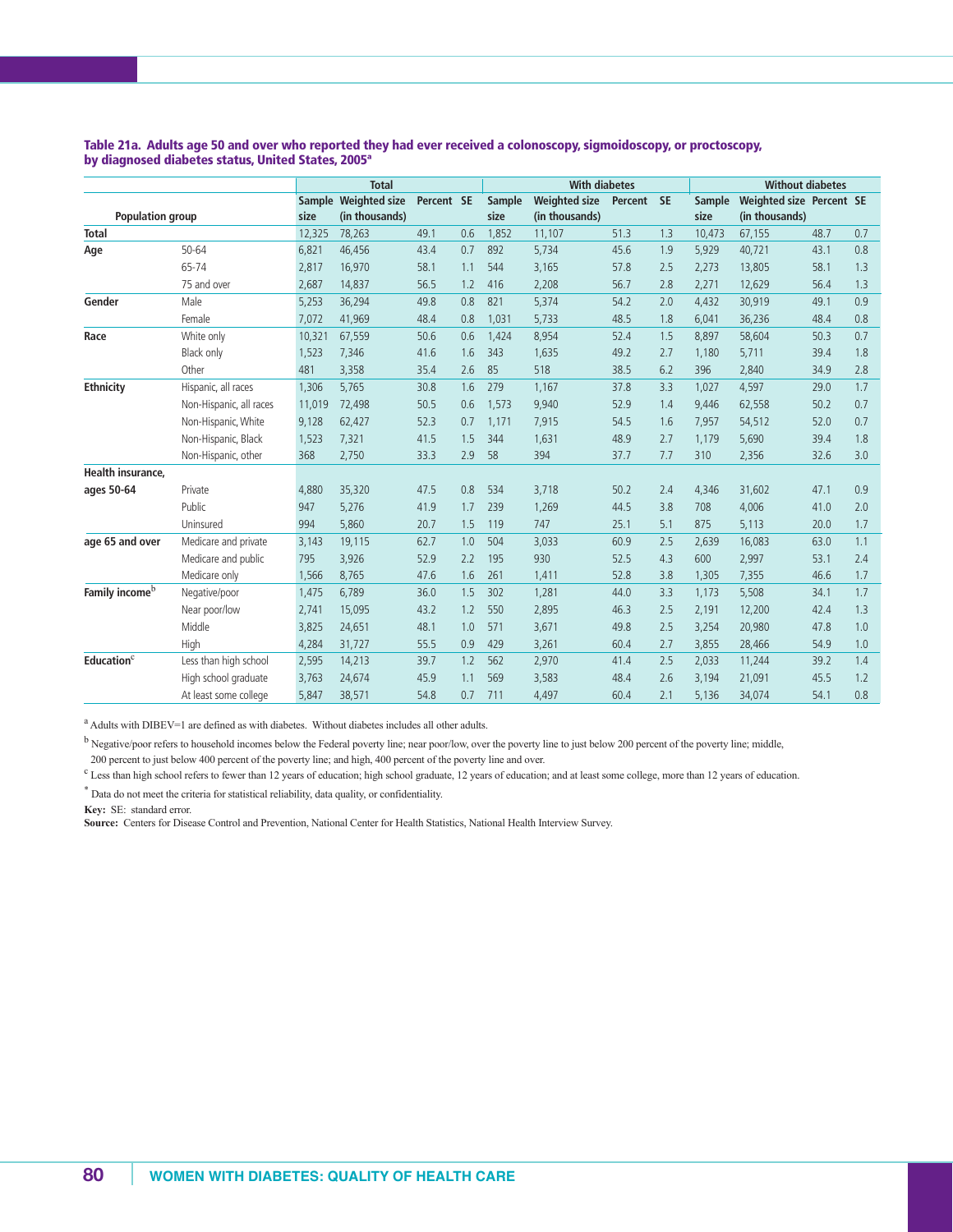#### **Table 21a. Adults age 50 and over who reported they had ever received a colonoscopy, sigmoidoscopy, or proctoscopy, by diagnosed diabetes status, United States, 2005ª**

|                            |                         | <b>Total</b> |                      |            |     |        | <b>With diabetes</b> |            |     |               | <b>Without diabetes</b>  |      |     |
|----------------------------|-------------------------|--------------|----------------------|------------|-----|--------|----------------------|------------|-----|---------------|--------------------------|------|-----|
|                            |                         |              | Sample Weighted size | Percent SE |     | Sample | <b>Weighted size</b> | Percent SE |     | <b>Sample</b> | Weighted size Percent SE |      |     |
| Population group           |                         | size         | (in thousands)       |            |     | size   | (in thousands)       |            |     | size          | (in thousands)           |      |     |
| <b>Total</b>               |                         | 12,325       | 78,263               | 49.1       | 0.6 | 1,852  | 11,107               | 51.3       | 1.3 | 10,473        | 67,155                   | 48.7 | 0.7 |
| Age                        | 50-64                   | 6,821        | 46,456               | 43.4       | 0.7 | 892    | 5,734                | 45.6       | 1.9 | 5,929         | 40,721                   | 43.1 | 0.8 |
|                            | 65-74                   | 2,817        | 16,970               | 58.1       | 1.1 | 544    | 3,165                | 57.8       | 2.5 | 2,273         | 13,805                   | 58.1 | 1.3 |
|                            | 75 and over             | 2,687        | 14,837               | 56.5       | 1.2 | 416    | 2,208                | 56.7       | 2.8 | 2,271         | 12,629                   | 56.4 | 1.3 |
| Gender                     | Male                    | 5,253        | 36,294               | 49.8       | 0.8 | 821    | 5,374                | 54.2       | 2.0 | 4,432         | 30,919                   | 49.1 | 0.9 |
|                            | Female                  | 7,072        | 41,969               | 48.4       | 0.8 | 1,031  | 5,733                | 48.5       | 1.8 | 6,041         | 36,236                   | 48.4 | 0.8 |
| Race                       | White only              | 10,321       | 67,559               | 50.6       | 0.6 | 1,424  | 8,954                | 52.4       | 1.5 | 8,897         | 58,604                   | 50.3 | 0.7 |
|                            | Black only              | 1,523        | 7,346                | 41.6       | 1.6 | 343    | 1,635                | 49.2       | 2.7 | 1,180         | 5,711                    | 39.4 | 1.8 |
|                            | Other                   | 481          | 3,358                | 35.4       | 2.6 | 85     | 518                  | 38.5       | 6.2 | 396           | 2,840                    | 34.9 | 2.8 |
| Ethnicity                  | Hispanic, all races     | 1,306        | 5,765                | 30.8       | 1.6 | 279    | 1,167                | 37.8       | 3.3 | 1,027         | 4,597                    | 29.0 | 1.7 |
|                            | Non-Hispanic, all races | 11,019       | 72,498               | 50.5       | 0.6 | 1,573  | 9,940                | 52.9       | 1.4 | 9,446         | 62,558                   | 50.2 | 0.7 |
|                            | Non-Hispanic, White     | 9,128        | 62,427               | 52.3       | 0.7 | 1,171  | 7,915                | 54.5       | 1.6 | 7,957         | 54,512                   | 52.0 | 0.7 |
|                            | Non-Hispanic, Black     | 1,523        | 7,321                | 41.5       | 1.5 | 344    | 1,631                | 48.9       | 2.7 | 1,179         | 5,690                    | 39.4 | 1.8 |
|                            | Non-Hispanic, other     | 368          | 2,750                | 33.3       | 2.9 | 58     | 394                  | 37.7       | 7.7 | 310           | 2,356                    | 32.6 | 3.0 |
| Health insurance,          |                         |              |                      |            |     |        |                      |            |     |               |                          |      |     |
| ages 50-64                 | Private                 | 4,880        | 35,320               | 47.5       | 0.8 | 534    | 3,718                | 50.2       | 2.4 | 4,346         | 31,602                   | 47.1 | 0.9 |
|                            | Public                  | 947          | 5,276                | 41.9       | 1.7 | 239    | 1,269                | 44.5       | 3.8 | 708           | 4,006                    | 41.0 | 2.0 |
|                            | Uninsured               | 994          | 5,860                | 20.7       | 1.5 | 119    | 747                  | 25.1       | 5.1 | 875           | 5,113                    | 20.0 | 1.7 |
| age 65 and over            | Medicare and private    | 3,143        | 19,115               | 62.7       | 1.0 | 504    | 3,033                | 60.9       | 2.5 | 2,639         | 16,083                   | 63.0 | 1.1 |
|                            | Medicare and public     | 795          | 3,926                | 52.9       | 2.2 | 195    | 930                  | 52.5       | 4.3 | 600           | 2,997                    | 53.1 | 2.4 |
|                            | Medicare only           | 1,566        | 8,765                | 47.6       | 1.6 | 261    | 1,411                | 52.8       | 3.8 | 1,305         | 7,355                    | 46.6 | 1.7 |
| Family income <sup>b</sup> | Negative/poor           | 1,475        | 6,789                | 36.0       | 1.5 | 302    | 1,281                | 44.0       | 3.3 | 1,173         | 5,508                    | 34.1 | 1.7 |
|                            | Near poor/low           | 2,741        | 15,095               | 43.2       | 1.2 | 550    | 2,895                | 46.3       | 2.5 | 2,191         | 12,200                   | 42.4 | 1.3 |
|                            | Middle                  | 3,825        | 24,651               | 48.1       | 1.0 | 571    | 3,671                | 49.8       | 2.5 | 3,254         | 20,980                   | 47.8 | 1.0 |
|                            | High                    | 4,284        | 31,727               | 55.5       | 0.9 | 429    | 3,261                | 60.4       | 2.7 | 3,855         | 28,466                   | 54.9 | 1.0 |
| Education <sup>c</sup>     | Less than high school   | 2,595        | 14,213               | 39.7       | 1.2 | 562    | 2,970                | 41.4       | 2.5 | 2,033         | 11,244                   | 39.2 | 1.4 |
|                            | High school graduate    | 3,763        | 24,674               | 45.9       | 1.1 | 569    | 3,583                | 48.4       | 2.6 | 3,194         | 21,091                   | 45.5 | 1.2 |
|                            | At least some college   | 5,847        | 38,571               | 54.8       | 0.7 | 711    | 4,497                | 60.4       | 2.1 | 5,136         | 34,074                   | 54.1 | 0.8 |

 $^{\rm a}$  Adults with DIBEV=1 are defined as with diabetes. Without diabetes includes all other adults.

<sup>b</sup> Negative/poor refers to household incomes below the Federal poverty line; near poor/low, over the poverty line to just below 200 percent of the poverty line; middle, 200 percent to just below 400 percent of the poverty line; and high, 400 percent of the poverty line and over.

<sup>c</sup> Less than high school refers to fewer than 12 years of education; high school graduate, 12 years of education; and at least some college, more than 12 years of education.

\* Data do not meet the criteria for statistical reliability, data quality, or confidentiality.

**Key:** SE: standard error.

**Source:** Centers for Disease Control and Prevention, National Center for Health Statistics, National Health Interview Survey.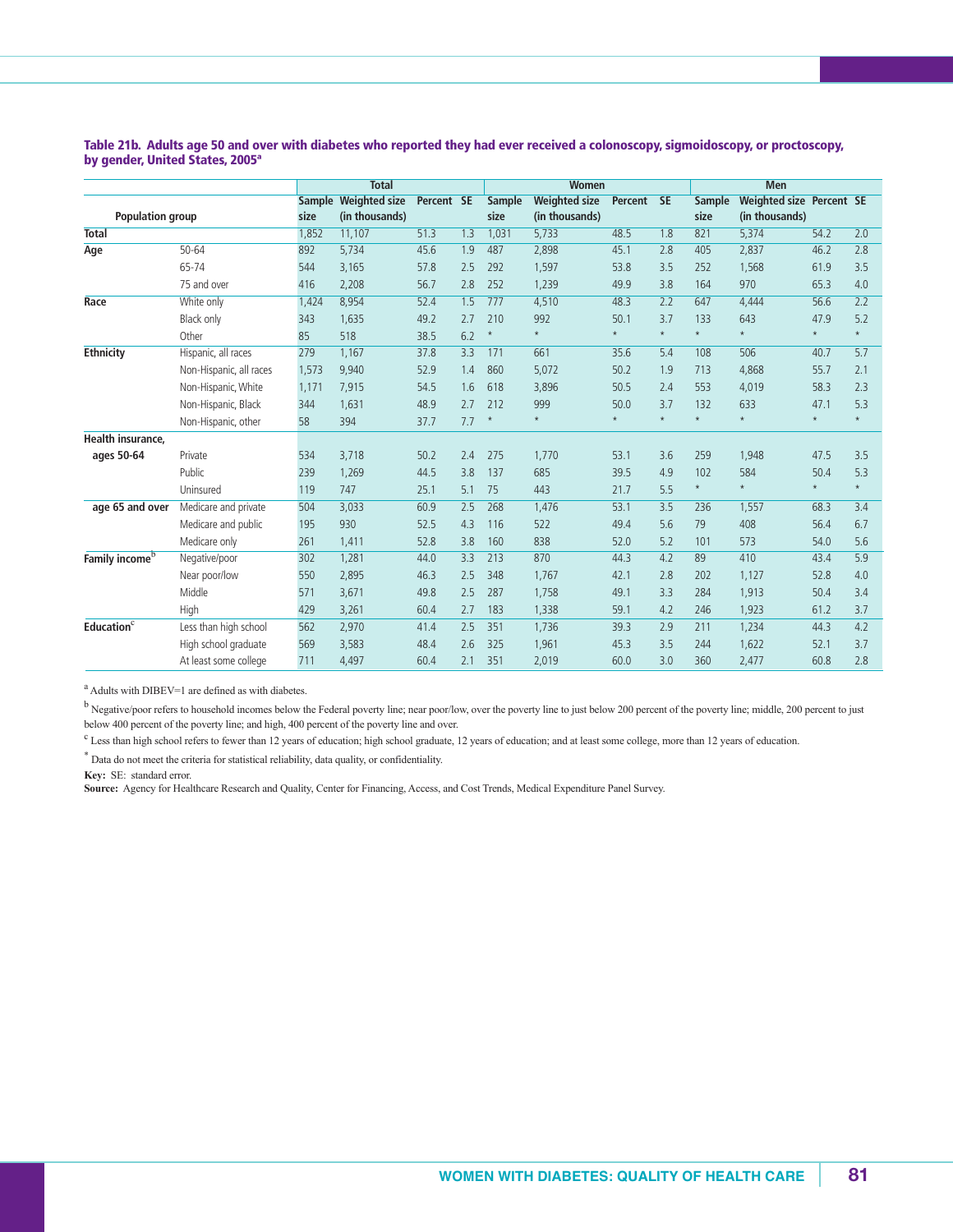|                            |                         | <b>Total</b> |                      |            |     |         | <b>Women</b>         |            |          |         | <b>Men</b>               |          |          |
|----------------------------|-------------------------|--------------|----------------------|------------|-----|---------|----------------------|------------|----------|---------|--------------------------|----------|----------|
|                            |                         |              | Sample Weighted size | Percent SE |     | Sample  | <b>Weighted size</b> | Percent SE |          | Sample  | Weighted size Percent SE |          |          |
| Population group           |                         | size         | (in thousands)       |            |     | size    | (in thousands)       |            |          | size    | (in thousands)           |          |          |
| <b>Total</b>               |                         | 1,852        | 11,107               | 51.3       | 1.3 | 1,031   | 5,733                | 48.5       | 1.8      | 821     | 5,374                    | 54.2     | 2.0      |
| Age                        | $50 - 64$               | 892          | 5,734                | 45.6       | 1.9 | 487     | 2,898                | 45.1       | 2.8      | 405     | 2,837                    | 46.2     | 2.8      |
|                            | 65-74                   | 544          | 3,165                | 57.8       | 2.5 | 292     | 1,597                | 53.8       | 3.5      | 252     | 1,568                    | 61.9     | 3.5      |
|                            | 75 and over             | 416          | 2,208                | 56.7       | 2.8 | 252     | 1,239                | 49.9       | 3.8      | 164     | 970                      | 65.3     | 4.0      |
| Race                       | White only              | 1,424        | 8,954                | 52.4       | 1.5 | 777     | 4,510                | 48.3       | 2.2      | 647     | 4,444                    | 56.6     | 2.2      |
|                            | Black only              | 343          | 1.635                | 49.2       | 2.7 | 210     | 992                  | 50.1       | 3.7      | 133     | 643                      | 47.9     | 5.2      |
|                            | Other                   | 85           | 518                  | 38.5       | 6.2 | $\star$ | $\star$              | $\star$    | $^\star$ | $\star$ | $\star$                  | $\star$  | $\star$  |
| Ethnicity                  | Hispanic, all races     | 279          | 1,167                | 37.8       | 3.3 | 171     | 661                  | 35.6       | 5.4      | 108     | 506                      | 40.7     | 5.7      |
|                            | Non-Hispanic, all races | 1,573        | 9,940                | 52.9       | 1.4 | 860     | 5,072                | 50.2       | 1.9      | 713     | 4.868                    | 55.7     | 2.1      |
|                            | Non-Hispanic, White     | 1,171        | 7,915                | 54.5       | 1.6 | 618     | 3,896                | 50.5       | 2.4      | 553     | 4,019                    | 58.3     | 2.3      |
|                            | Non-Hispanic, Black     | 344          | 1,631                | 48.9       | 2.7 | 212     | 999                  | 50.0       | 3.7      | 132     | 633                      | 47.1     | 5.3      |
|                            | Non-Hispanic, other     | 58           | 394                  | 37.7       | 7.7 | $\star$ | $\star$              | $\star$    | $\star$  | $\star$ | $\star$                  | $^\star$ | $\star$  |
| <b>Health insurance,</b>   |                         |              |                      |            |     |         |                      |            |          |         |                          |          |          |
| ages 50-64                 | Private                 | 534          | 3,718                | 50.2       | 2.4 | 275     | 1,770                | 53.1       | 3.6      | 259     | 1,948                    | 47.5     | 3.5      |
|                            | Public                  | 239          | 1,269                | 44.5       | 3.8 | 137     | 685                  | 39.5       | 4.9      | 102     | 584                      | 50.4     | 5.3      |
|                            | Uninsured               | 119          | 747                  | 25.1       | 5.1 | 75      | 443                  | 21.7       | 5.5      | $\star$ | $\star$                  | $\star$  | $^\star$ |
| age 65 and over            | Medicare and private    | 504          | 3,033                | 60.9       | 2.5 | 268     | 1,476                | 53.1       | 3.5      | 236     | 1,557                    | 68.3     | 3.4      |
|                            | Medicare and public     | 195          | 930                  | 52.5       | 4.3 | 116     | 522                  | 49.4       | 5.6      | 79      | 408                      | 56.4     | 6.7      |
|                            | Medicare only           | 261          | 1.411                | 52.8       | 3.8 | 160     | 838                  | 52.0       | 5.2      | 101     | 573                      | 54.0     | 5.6      |
| Family income <sup>b</sup> | Negative/poor           | 302          | 1,281                | 44.0       | 3.3 | 213     | 870                  | 44.3       | 4.2      | 89      | 410                      | 43.4     | 5.9      |
|                            | Near poor/low           | 550          | 2,895                | 46.3       | 2.5 | 348     | 1,767                | 42.1       | 2.8      | 202     | 1,127                    | 52.8     | 4.0      |
|                            | Middle                  | 571          | 3,671                | 49.8       | 2.5 | 287     | 1,758                | 49.1       | 3.3      | 284     | 1,913                    | 50.4     | 3.4      |
|                            | High                    | 429          | 3,261                | 60.4       | 2.7 | 183     | 1,338                | 59.1       | 4.2      | 246     | 1,923                    | 61.2     | 3.7      |
| Education <sup>c</sup>     | Less than high school   | 562          | 2,970                | 41.4       | 2.5 | 351     | 1,736                | 39.3       | 2.9      | 211     | 1,234                    | 44.3     | 4.2      |
|                            | High school graduate    | 569          | 3,583                | 48.4       | 2.6 | 325     | 1,961                | 45.3       | 3.5      | 244     | 1,622                    | 52.1     | 3.7      |
|                            | At least some college   | 711          | 4.497                | 60.4       | 2.1 | 351     | 2,019                | 60.0       | 3.0      | 360     | 2.477                    | 60.8     | 2.8      |

#### **Table 21b. Adults age 50 and over with diabetes who reported they had ever received a colonoscopy, sigmoidoscopy, or proctoscopy, by gender, United States, 2005ª**

<sup>a</sup> Adults with DIBEV=1 are defined as with diabetes.

<sup>b</sup> Negative/poor refers to household incomes below the Federal poverty line; near poor/low, over the poverty line to just below 200 percent of the poverty line; middle, 200 percent to just below 400 percent of the poverty line; and high, 400 percent of the poverty line and over.

<sup>c</sup> Less than high school refers to fewer than 12 years of education; high school graduate, 12 years of education; and at least some college, more than 12 years of education.

\* Data do not meet the criteria for statistical reliability, data quality, or confidentiality.

**Key:** SE: standard error.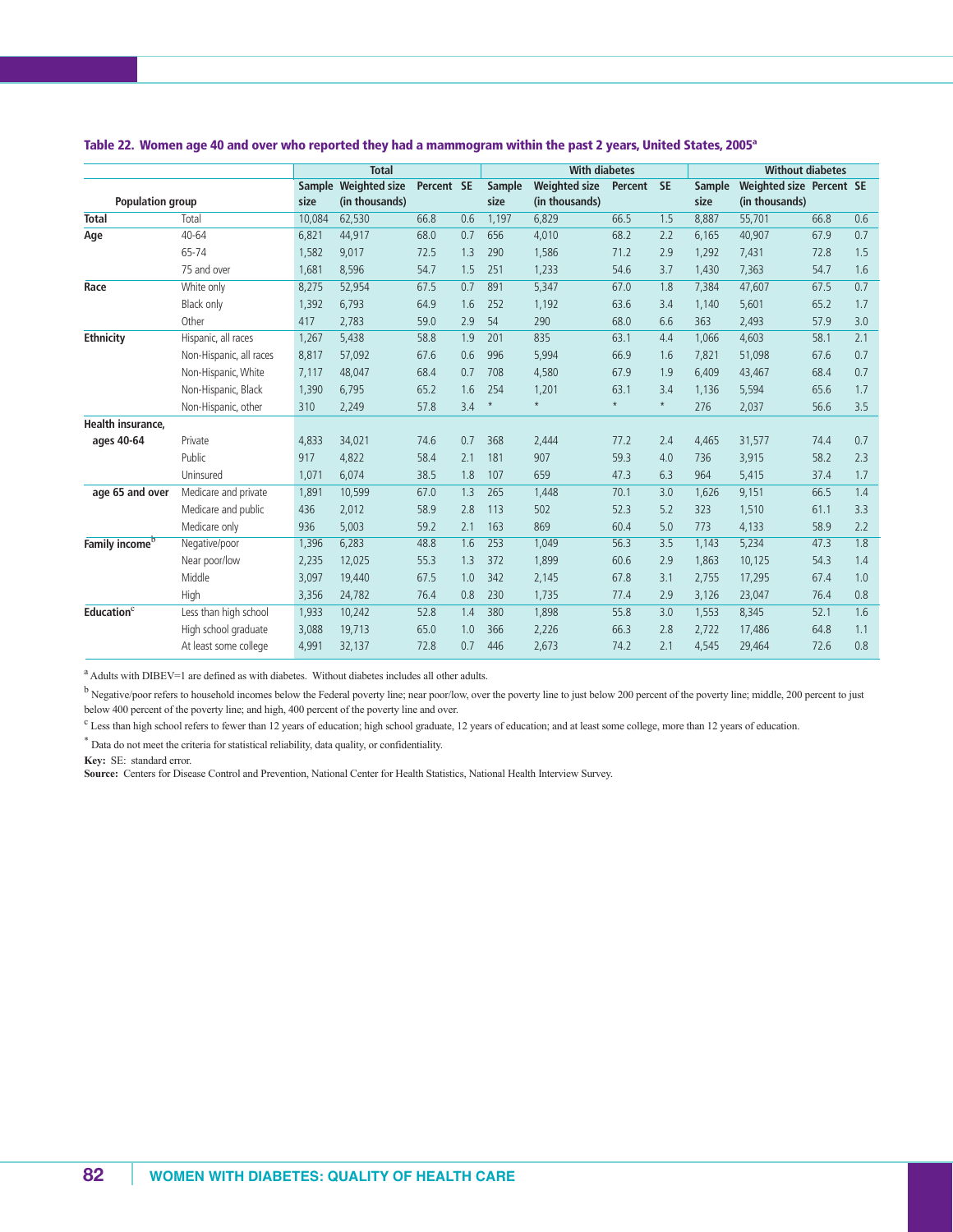|                            |                         | <b>Total</b> |                      |            |     |        | <b>With diabetes</b> |            |         |        | <b>Without diabetes</b>         |      |     |
|----------------------------|-------------------------|--------------|----------------------|------------|-----|--------|----------------------|------------|---------|--------|---------------------------------|------|-----|
|                            |                         |              | Sample Weighted size | Percent SE |     | Sample | <b>Weighted size</b> | Percent SE |         | Sample | <b>Weighted size Percent SE</b> |      |     |
| <b>Population group</b>    |                         | size         | (in thousands)       |            |     | size   | (in thousands)       |            |         | size   | (in thousands)                  |      |     |
| <b>Total</b>               | Total                   | 10,084       | 62,530               | 66.8       | 0.6 | 1,197  | 6,829                | 66.5       | 1.5     | 8,887  | 55,701                          | 66.8 | 0.6 |
| Age                        | 40-64                   | 6,821        | 44,917               | 68.0       | 0.7 | 656    | 4,010                | 68.2       | 2.2     | 6,165  | 40,907                          | 67.9 | 0.7 |
|                            | 65-74                   | 1,582        | 9,017                | 72.5       | 1.3 | 290    | 1,586                | 71.2       | 2.9     | 1,292  | 7,431                           | 72.8 | 1.5 |
|                            | 75 and over             | 1,681        | 8.596                | 54.7       | 1.5 | 251    | 1,233                | 54.6       | 3.7     | 1,430  | 7.363                           | 54.7 | 1.6 |
| Race                       | White only              | 8,275        | 52,954               | 67.5       | 0.7 | 891    | 5,347                | 67.0       | 1.8     | 7,384  | 47,607                          | 67.5 | 0.7 |
|                            | Black only              | 1,392        | 6,793                | 64.9       | 1.6 | 252    | 1,192                | 63.6       | 3.4     | 1,140  | 5,601                           | 65.2 | 1.7 |
|                            | Other                   | 417          | 2.783                | 59.0       | 2.9 | 54     | 290                  | 68.0       | 6.6     | 363    | 2,493                           | 57.9 | 3.0 |
| Ethnicity                  | Hispanic, all races     | 1,267        | 5,438                | 58.8       | 1.9 | 201    | 835                  | 63.1       | 4.4     | 1,066  | 4,603                           | 58.1 | 2.1 |
|                            | Non-Hispanic, all races | 8,817        | 57,092               | 67.6       | 0.6 | 996    | 5,994                | 66.9       | 1.6     | 7,821  | 51,098                          | 67.6 | 0.7 |
|                            | Non-Hispanic, White     | 7,117        | 48,047               | 68.4       | 0.7 | 708    | 4,580                | 67.9       | 1.9     | 6,409  | 43,467                          | 68.4 | 0.7 |
|                            | Non-Hispanic, Black     | 1,390        | 6.795                | 65.2       | 1.6 | 254    | 1,201                | 63.1       | 3.4     | 1.136  | 5,594                           | 65.6 | 1.7 |
|                            | Non-Hispanic, other     | 310          | 2,249                | 57.8       | 3.4 |        | $\star$              | $\star$    | $\star$ | 276    | 2,037                           | 56.6 | 3.5 |
| Health insurance.          |                         |              |                      |            |     |        |                      |            |         |        |                                 |      |     |
| ages 40-64                 | Private                 | 4,833        | 34,021               | 74.6       | 0.7 | 368    | 2,444                | 77.2       | 2.4     | 4,465  | 31,577                          | 74.4 | 0.7 |
|                            | Public                  | 917          | 4,822                | 58.4       | 2.1 | 181    | 907                  | 59.3       | 4.0     | 736    | 3,915                           | 58.2 | 2.3 |
|                            | Uninsured               | 1,071        | 6.074                | 38.5       | 1.8 | 107    | 659                  | 47.3       | 6.3     | 964    | 5,415                           | 37.4 | 1.7 |
| age 65 and over            | Medicare and private    | 1,891        | 10,599               | 67.0       | 1.3 | 265    | 1,448                | 70.1       | 3.0     | 1,626  | 9,151                           | 66.5 | 1.4 |
|                            | Medicare and public     | 436          | 2,012                | 58.9       | 2.8 | 113    | 502                  | 52.3       | 5.2     | 323    | 1,510                           | 61.1 | 3.3 |
|                            | Medicare only           | 936          | 5,003                | 59.2       | 2.1 | 163    | 869                  | 60.4       | 5.0     | 773    | 4,133                           | 58.9 | 2.2 |
| Family income <sup>b</sup> | Negative/poor           | 1,396        | 6,283                | 48.8       | 1.6 | 253    | 1,049                | 56.3       | 3.5     | 1,143  | 5,234                           | 47.3 | 1.8 |
|                            | Near poor/low           | 2,235        | 12,025               | 55.3       | 1.3 | 372    | 1,899                | 60.6       | 2.9     | 1,863  | 10,125                          | 54.3 | 1.4 |
|                            | Middle                  | 3,097        | 19,440               | 67.5       | 1.0 | 342    | 2,145                | 67.8       | 3.1     | 2,755  | 17,295                          | 67.4 | 1.0 |
|                            | High                    | 3,356        | 24,782               | 76.4       | 0.8 | 230    | 1,735                | 77.4       | 2.9     | 3,126  | 23,047                          | 76.4 | 0.8 |
| Education <sup>c</sup>     | Less than high school   | 1,933        | 10,242               | 52.8       | 1.4 | 380    | 1,898                | 55.8       | 3.0     | 1,553  | 8,345                           | 52.1 | 1.6 |
|                            | High school graduate    | 3,088        | 19,713               | 65.0       | 1.0 | 366    | 2,226                | 66.3       | 2.8     | 2,722  | 17,486                          | 64.8 | 1.1 |
|                            | At least some college   | 4,991        | 32,137               | 72.8       | 0.7 | 446    | 2,673                | 74.2       | 2.1     | 4,545  | 29,464                          | 72.6 | 0.8 |

## **Table 22. Women age 40 and over who reported they had a mammogram within the past 2 years, United States, 2005ª**

<sup>a</sup> Adults with DIBEV=1 are defined as with diabetes. Without diabetes includes all other adults.

<sup>b</sup> Negative/poor refers to household incomes below the Federal poverty line; near poor/low, over the poverty line to just below 200 percent of the poverty line; middle, 200 percent to just below 400 percent of the poverty line; and high, 400 percent of the poverty line and over.

<sup>c</sup> Less than high school refers to fewer than 12 years of education; high school graduate, 12 years of education; and at least some college, more than 12 years of education.

\* Data do not meet the criteria for statistical reliability, data quality, or confidentiality.

**Key:** SE: standard error.

**Source:** Centers for Disease Control and Prevention, National Center for Health Statistics, National Health Interview Survey.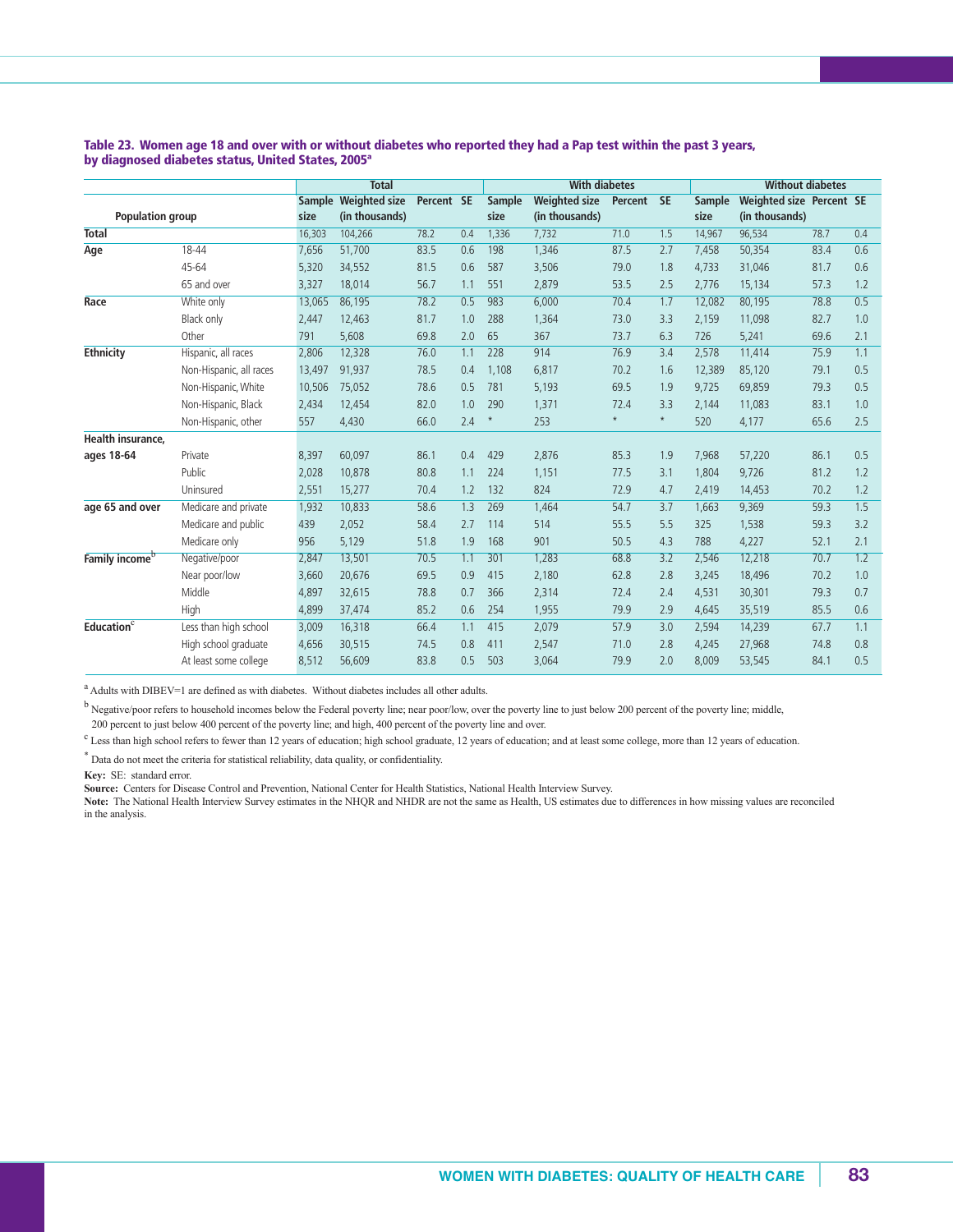|                            |                         | <b>Total</b> |                      |            |     |        | <b>With diabetes</b> |            |         |        | <b>Without diabetes</b>  |      |     |
|----------------------------|-------------------------|--------------|----------------------|------------|-----|--------|----------------------|------------|---------|--------|--------------------------|------|-----|
|                            |                         |              | Sample Weighted size | Percent SE |     | Sample | <b>Weighted size</b> | Percent SE |         | Sample | Weighted size Percent SE |      |     |
| Population group           |                         | size         | (in thousands)       |            |     | size   | (in thousands)       |            |         | size   | (in thousands)           |      |     |
| <b>Total</b>               |                         | 16,303       | 104,266              | 78.2       | 0.4 | 1,336  | 7,732                | 71.0       | 1.5     | 14,967 | 96,534                   | 78.7 | 0.4 |
| Age                        | 18-44                   | 7,656        | 51,700               | 83.5       | 0.6 | 198    | 1,346                | 87.5       | 2.7     | 7,458  | 50,354                   | 83.4 | 0.6 |
|                            | 45-64                   | 5,320        | 34,552               | 81.5       | 0.6 | 587    | 3,506                | 79.0       | 1.8     | 4,733  | 31,046                   | 81.7 | 0.6 |
|                            | 65 and over             | 3,327        | 18,014               | 56.7       | 1.1 | 551    | 2,879                | 53.5       | 2.5     | 2,776  | 15,134                   | 57.3 | 1.2 |
| Race                       | White only              | 13,065       | 86,195               | 78.2       | 0.5 | 983    | 6,000                | 70.4       | 1.7     | 12,082 | 80,195                   | 78.8 | 0.5 |
|                            | Black only              | 2,447        | 12.463               | 81.7       | 1.0 | 288    | 1,364                | 73.0       | 3.3     | 2,159  | 11.098                   | 82.7 | 1.0 |
|                            | Other                   | 791          | 5.608                | 69.8       | 2.0 | 65     | 367                  | 73.7       | 6.3     | 726    | 5,241                    | 69.6 | 2.1 |
| Ethnicity                  | Hispanic, all races     | 2,806        | 12,328               | 76.0       | 1.1 | 228    | 914                  | 76.9       | 3.4     | 2,578  | 11,414                   | 75.9 | 1.1 |
|                            | Non-Hispanic, all races | 13,497       | 91,937               | 78.5       | 0.4 | 1,108  | 6,817                | 70.2       | 1.6     | 12,389 | 85,120                   | 79.1 | 0.5 |
|                            | Non-Hispanic, White     | 10,506       | 75,052               | 78.6       | 0.5 | 781    | 5,193                | 69.5       | 1.9     | 9,725  | 69,859                   | 79.3 | 0.5 |
|                            | Non-Hispanic, Black     | 2,434        | 12.454               | 82.0       | 1.0 | 290    | 1,371                | 72.4       | 3.3     | 2,144  | 11,083                   | 83.1 | 1.0 |
|                            | Non-Hispanic, other     | 557          | 4,430                | 66.0       | 2.4 | ×      | 253                  | $\star$    | $\star$ | 520    | 4,177                    | 65.6 | 2.5 |
| Health insurance,          |                         |              |                      |            |     |        |                      |            |         |        |                          |      |     |
| ages 18-64                 | Private                 | 8,397        | 60,097               | 86.1       | 0.4 | 429    | 2,876                | 85.3       | 1.9     | 7,968  | 57,220                   | 86.1 | 0.5 |
|                            | Public                  | 2,028        | 10,878               | 80.8       | 1.1 | 224    | 1,151                | 77.5       | 3.1     | 1,804  | 9,726                    | 81.2 | 1.2 |
|                            | Uninsured               | 2,551        | 15,277               | 70.4       | 1.2 | 132    | 824                  | 72.9       | 4.7     | 2,419  | 14,453                   | 70.2 | 1.2 |
| age 65 and over            | Medicare and private    | 1,932        | 10,833               | 58.6       | 1.3 | 269    | 1,464                | 54.7       | 3.7     | 1,663  | 9,369                    | 59.3 | 1.5 |
|                            | Medicare and public     | 439          | 2.052                | 58.4       | 2.7 | 114    | 514                  | 55.5       | 5.5     | 325    | 1,538                    | 59.3 | 3.2 |
|                            | Medicare only           | 956          | 5,129                | 51.8       | 1.9 | 168    | 901                  | 50.5       | 4.3     | 788    | 4,227                    | 52.1 | 2.1 |
| Family income <sup>b</sup> | Negative/poor           | 2,847        | 13,501               | 70.5       | 1.1 | 301    | 1,283                | 68.8       | 3.2     | 2,546  | 12,218                   | 70.7 | 1.2 |
|                            | Near poor/low           | 3,660        | 20,676               | 69.5       | 0.9 | 415    | 2,180                | 62.8       | 2.8     | 3,245  | 18,496                   | 70.2 | 1.0 |
|                            | Middle                  | 4,897        | 32,615               | 78.8       | 0.7 | 366    | 2,314                | 72.4       | 2.4     | 4,531  | 30,301                   | 79.3 | 0.7 |
|                            | High                    | 4,899        | 37,474               | 85.2       | 0.6 | 254    | 1,955                | 79.9       | 2.9     | 4,645  | 35,519                   | 85.5 | 0.6 |
| Education <sup>c</sup>     | Less than high school   | 3,009        | 16,318               | 66.4       | 1.1 | 415    | 2,079                | 57.9       | 3.0     | 2,594  | 14,239                   | 67.7 | 1.1 |
|                            | High school graduate    | 4,656        | 30,515               | 74.5       | 0.8 | 411    | 2,547                | 71.0       | 2.8     | 4,245  | 27,968                   | 74.8 | 0.8 |
|                            | At least some college   | 8,512        | 56,609               | 83.8       | 0.5 | 503    | 3,064                | 79.9       | 2.0     | 8,009  | 53,545                   | 84.1 | 0.5 |

#### **Table 23. Women age 18 and over with or without diabetes who reported they had a Pap test within the past 3 years, by diagnosed diabetes status, United States, 2005ª**

<sup>a</sup> Adults with DIBEV=1 are defined as with diabetes. Without diabetes includes all other adults.

<sup>b</sup> Negative/poor refers to household incomes below the Federal poverty line; near poor/low, over the poverty line to just below 200 percent of the poverty line; middle,

200 percent to just below 400 percent of the poverty line; and high, 400 percent of the poverty line and over.

<sup>c</sup> Less than high school refers to fewer than 12 years of education; high school graduate, 12 years of education; and at least some college, more than 12 years of education.

\* Data do not meet the criteria for statistical reliability, data quality, or confidentiality.

**Key:** SE: standard error.

**Source:** Centers for Disease Control and Prevention, National Center for Health Statistics, National Health Interview Survey.

**Note:** The National Health Interview Survey estimates in the NHQR and NHDR are not the same as Health, US estimates due to differences in how missing values are reconciled in the analysis.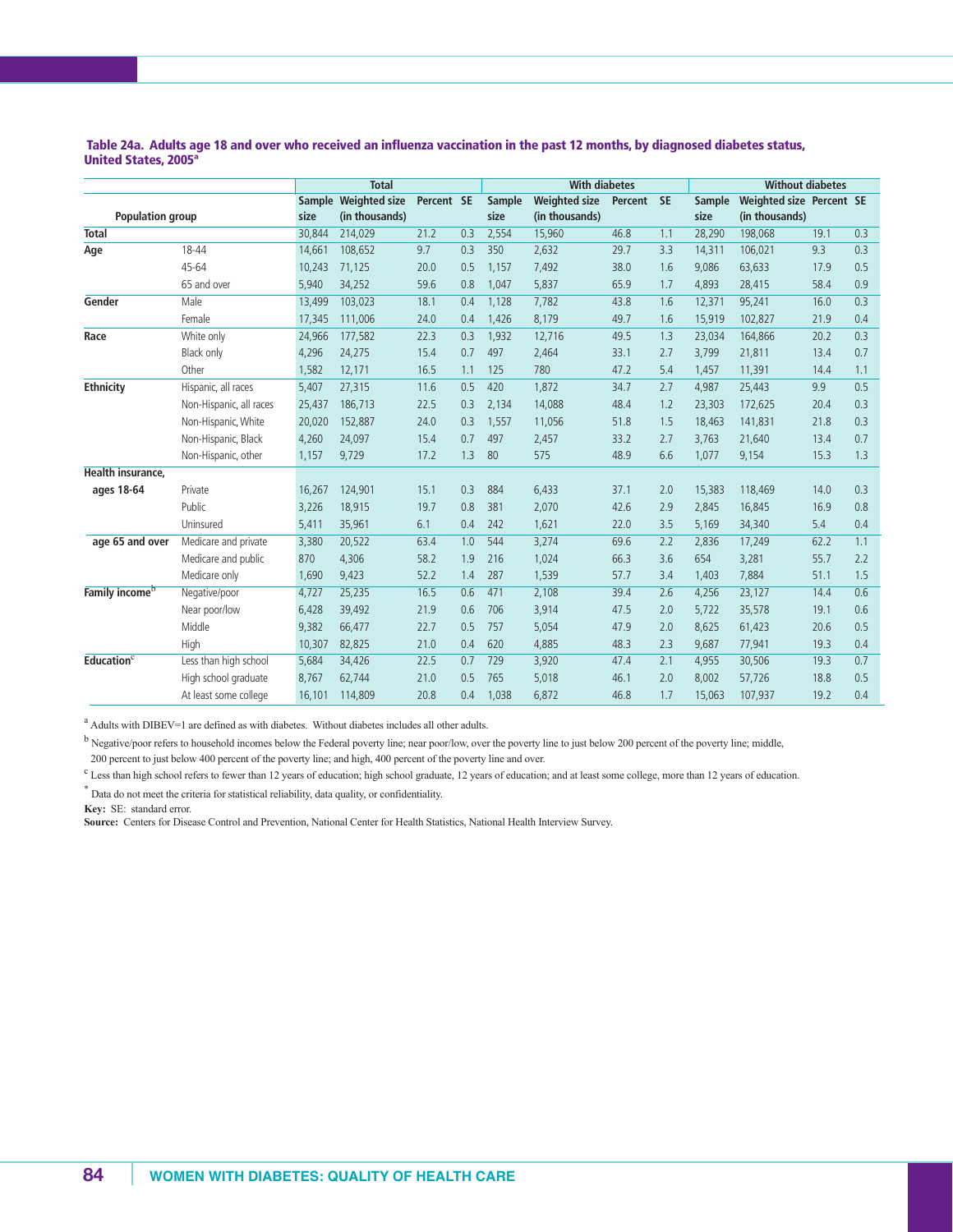#### **Table 24a. Adults age 18 and over who received an influenza vaccination in the past 12 months, by diagnosed diabetes status, United States, 2005ª**

|                            |                         | <b>Total</b> |                      |            |     |        | <b>With diabetes</b> |            |     |        | <b>Without diabetes</b>  |      |     |
|----------------------------|-------------------------|--------------|----------------------|------------|-----|--------|----------------------|------------|-----|--------|--------------------------|------|-----|
|                            |                         |              | Sample Weighted size | Percent SE |     | Sample | <b>Weighted size</b> | Percent SE |     | Sample | Weighted size Percent SE |      |     |
| <b>Population group</b>    |                         | size         | (in thousands)       |            |     | size   | (in thousands)       |            |     | size   | (in thousands)           |      |     |
| <b>Total</b>               |                         | 30,844       | 214,029              | 21.2       | 0.3 | 2,554  | 15,960               | 46.8       | 1.1 | 28,290 | 198,068                  | 19.1 | 0.3 |
| Age                        | 18-44                   | 14,661       | 108.652              | 9.7        | 0.3 | 350    | 2,632                | 29.7       | 3.3 | 14,311 | 106,021                  | 9.3  | 0.3 |
|                            | 45-64                   | 10,243       | 71,125               | 20.0       | 0.5 | 1,157  | 7,492                | 38.0       | 1.6 | 9,086  | 63,633                   | 17.9 | 0.5 |
|                            | 65 and over             | 5,940        | 34,252               | 59.6       | 0.8 | 1,047  | 5,837                | 65.9       | 1.7 | 4,893  | 28,415                   | 58.4 | 0.9 |
| Gender                     | Male                    | 13,499       | 103.023              | 18.1       | 0.4 | 1.128  | 7,782                | 43.8       | 1.6 | 12,371 | 95,241                   | 16.0 | 0.3 |
|                            | Female                  | 17,345       | 111,006              | 24.0       | 0.4 | 1,426  | 8,179                | 49.7       | 1.6 | 15,919 | 102,827                  | 21.9 | 0.4 |
| Race                       | White only              | 24,966       | 177,582              | 22.3       | 0.3 | 1,932  | 12,716               | 49.5       | 1.3 | 23,034 | 164,866                  | 20.2 | 0.3 |
|                            | Black only              | 4,296        | 24,275               | 15.4       | 0.7 | 497    | 2,464                | 33.1       | 2.7 | 3,799  | 21,811                   | 13.4 | 0.7 |
|                            | Other                   | 1,582        | 12,171               | 16.5       | 1.1 | 125    | 780                  | 47.2       | 5.4 | 1,457  | 11,391                   | 14.4 | 1.1 |
| <b>Ethnicity</b>           | Hispanic, all races     | 5,407        | 27,315               | 11.6       | 0.5 | 420    | 1,872                | 34.7       | 2.7 | 4,987  | 25,443                   | 9.9  | 0.5 |
|                            | Non-Hispanic, all races | 25,437       | 186,713              | 22.5       | 0.3 | 2,134  | 14,088               | 48.4       | 1.2 | 23,303 | 172,625                  | 20.4 | 0.3 |
|                            | Non-Hispanic, White     | 20,020       | 152.887              | 24.0       | 0.3 | 1,557  | 11,056               | 51.8       | 1.5 | 18,463 | 141,831                  | 21.8 | 0.3 |
|                            | Non-Hispanic, Black     | 4,260        | 24,097               | 15.4       | 0.7 | 497    | 2,457                | 33.2       | 2.7 | 3,763  | 21,640                   | 13.4 | 0.7 |
|                            | Non-Hispanic, other     | 1,157        | 9,729                | 17.2       | 1.3 | 80     | 575                  | 48.9       | 6.6 | 1,077  | 9,154                    | 15.3 | 1.3 |
| Health insurance,          |                         |              |                      |            |     |        |                      |            |     |        |                          |      |     |
| ages 18-64                 | Private                 | 16,267       | 124,901              | 15.1       | 0.3 | 884    | 6,433                | 37.1       | 2.0 | 15,383 | 118,469                  | 14.0 | 0.3 |
|                            | Public                  | 3,226        | 18,915               | 19.7       | 0.8 | 381    | 2,070                | 42.6       | 2.9 | 2,845  | 16,845                   | 16.9 | 0.8 |
|                            | Uninsured               | 5,411        | 35,961               | 6.1        | 0.4 | 242    | 1,621                | 22.0       | 3.5 | 5,169  | 34,340                   | 5.4  | 0.4 |
| age 65 and over            | Medicare and private    | 3,380        | 20,522               | 63.4       | 1.0 | 544    | 3,274                | 69.6       | 2.2 | 2,836  | 17,249                   | 62.2 | 1.1 |
|                            | Medicare and public     | 870          | 4,306                | 58.2       | 1.9 | 216    | 1,024                | 66.3       | 3.6 | 654    | 3,281                    | 55.7 | 2.2 |
|                            | Medicare only           | 1,690        | 9,423                | 52.2       | 1.4 | 287    | 1,539                | 57.7       | 3.4 | 1,403  | 7,884                    | 51.1 | 1.5 |
| Family income <sup>b</sup> | Negative/poor           | 4,727        | 25,235               | 16.5       | 0.6 | 471    | 2,108                | 39.4       | 2.6 | 4,256  | 23,127                   | 14.4 | 0.6 |
|                            | Near poor/low           | 6,428        | 39,492               | 21.9       | 0.6 | 706    | 3,914                | 47.5       | 2.0 | 5,722  | 35,578                   | 19.1 | 0.6 |
|                            | Middle                  | 9,382        | 66,477               | 22.7       | 0.5 | 757    | 5,054                | 47.9       | 2.0 | 8,625  | 61,423                   | 20.6 | 0.5 |
|                            | High                    | 10,307       | 82,825               | 21.0       | 0.4 | 620    | 4,885                | 48.3       | 2.3 | 9,687  | 77,941                   | 19.3 | 0.4 |
| Education <sup>c</sup>     | Less than high school   | 5,684        | 34,426               | 22.5       | 0.7 | 729    | 3,920                | 47.4       | 2.1 | 4,955  | 30,506                   | 19.3 | 0.7 |
|                            | High school graduate    | 8,767        | 62,744               | 21.0       | 0.5 | 765    | 5,018                | 46.1       | 2.0 | 8,002  | 57,726                   | 18.8 | 0.5 |
|                            | At least some college   | 16,101       | 114,809              | 20.8       | 0.4 | 1.038  | 6,872                | 46.8       | 1.7 | 15,063 | 107,937                  | 19.2 | 0.4 |

<sup>a</sup> Adults with DIBEV=1 are defined as with diabetes. Without diabetes includes all other adults.

<sup>b</sup> Negative/poor refers to household incomes below the Federal poverty line; near poor/low, over the poverty line to just below 200 percent of the poverty line; middle,

200 percent to just below 400 percent of the poverty line; and high, 400 percent of the poverty line and over.

<sup>c</sup> Less than high school refers to fewer than 12 years of education; high school graduate, 12 years of education; and at least some college, more than 12 years of education.

\* Data do not meet the criteria for statistical reliability, data quality, or confidentiality.

**Key:** SE: standard error.

**Source:** Centers for Disease Control and Prevention, National Center for Health Statistics, National Health Interview Survey.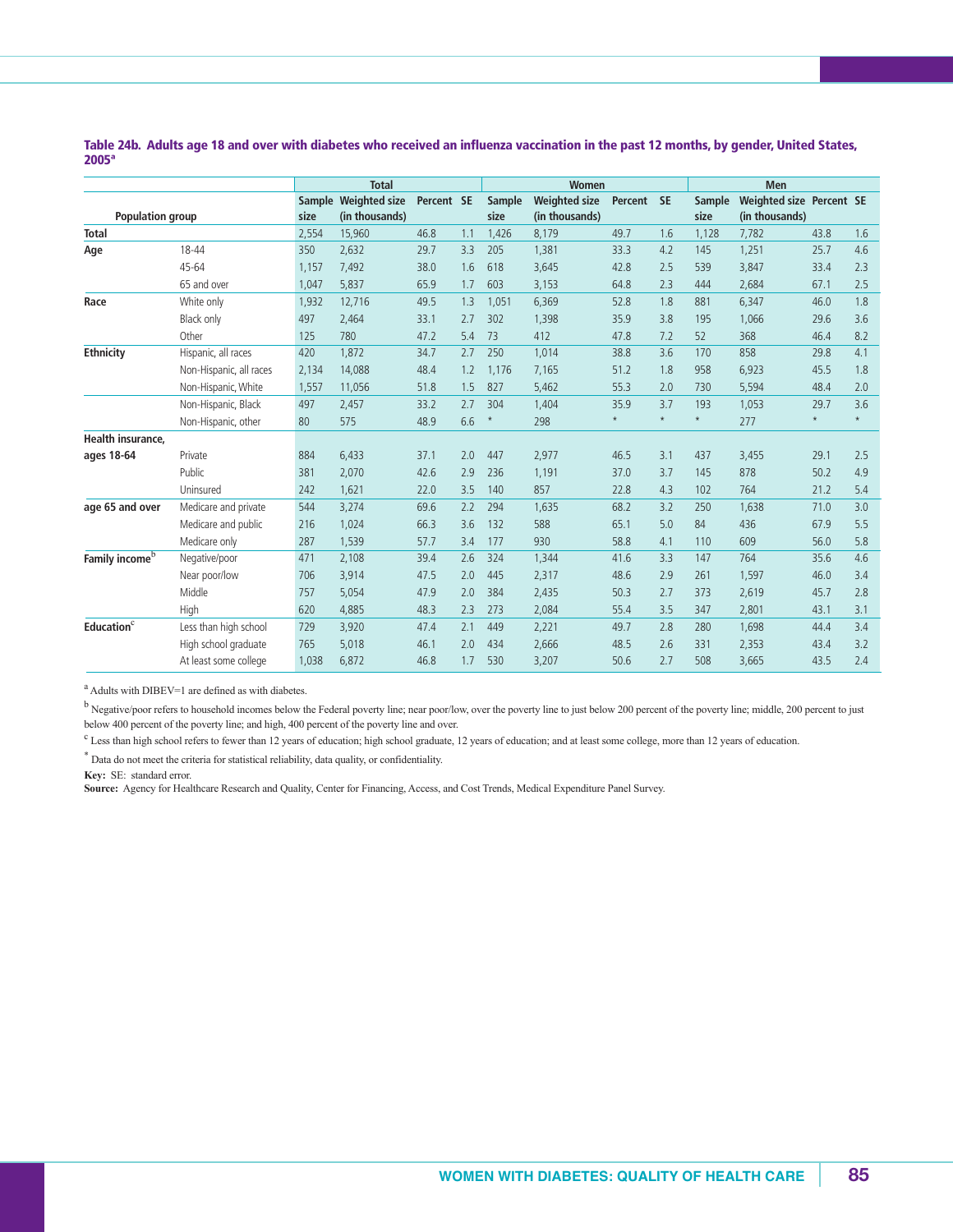|                   |  | Table 24b. Adults age 18 and over with diabetes who received an influenza vaccination in the past 12 months, by gender, United States, |  |  |  |  |
|-------------------|--|----------------------------------------------------------------------------------------------------------------------------------------|--|--|--|--|
| 2005 <sup>a</sup> |  |                                                                                                                                        |  |  |  |  |

|                            |                         | <b>Total</b> |                      |            |     |         | <b>Women</b>         |            |         |         | Men                      |          |          |
|----------------------------|-------------------------|--------------|----------------------|------------|-----|---------|----------------------|------------|---------|---------|--------------------------|----------|----------|
|                            |                         |              | Sample Weighted size | Percent SE |     | Sample  | <b>Weighted size</b> | Percent SE |         | Sample  | Weighted size Percent SE |          |          |
| Population group           |                         | size         | (in thousands)       |            |     | size    | (in thousands)       |            |         | size    | (in thousands)           |          |          |
| <b>Total</b>               |                         | 2,554        | 15,960               | 46.8       | 1.1 | 1,426   | 8,179                | 49.7       | 1.6     | 1,128   | 7,782                    | 43.8     | 1.6      |
| Age                        | 18-44                   | 350          | 2,632                | 29.7       | 3.3 | 205     | 1,381                | 33.3       | 4.2     | 145     | 1,251                    | 25.7     | 4.6      |
|                            | 45-64                   | 1,157        | 7,492                | 38.0       | 1.6 | 618     | 3,645                | 42.8       | 2.5     | 539     | 3,847                    | 33.4     | 2.3      |
|                            | 65 and over             | 1,047        | 5,837                | 65.9       | 1.7 | 603     | 3,153                | 64.8       | 2.3     | 444     | 2,684                    | 67.1     | 2.5      |
| Race                       | White only              | 1,932        | 12,716               | 49.5       | 1.3 | 1,051   | 6,369                | 52.8       | 1.8     | 881     | 6,347                    | 46.0     | 1.8      |
|                            | Black only              | 497          | 2,464                | 33.1       | 2.7 | 302     | 1.398                | 35.9       | 3.8     | 195     | 1.066                    | 29.6     | 3.6      |
|                            | Other                   | 125          | 780                  | 47.2       | 5.4 | 73      | 412                  | 47.8       | 7.2     | 52      | 368                      | 46.4     | 8.2      |
| Ethnicity                  | Hispanic, all races     | 420          | 1.872                | 34.7       | 2.7 | 250     | 1,014                | 38.8       | 3.6     | 170     | 858                      | 29.8     | 4.1      |
|                            | Non-Hispanic, all races | 2,134        | 14,088               | 48.4       | 1.2 | 1,176   | 7,165                | 51.2       | 1.8     | 958     | 6,923                    | 45.5     | 1.8      |
|                            | Non-Hispanic, White     | 1,557        | 11,056               | 51.8       | 1.5 | 827     | 5,462                | 55.3       | 2.0     | 730     | 5,594                    | 48.4     | 2.0      |
|                            | Non-Hispanic, Black     | 497          | 2,457                | 33.2       | 2.7 | 304     | 1,404                | 35.9       | 3.7     | 193     | 1,053                    | 29.7     | 3.6      |
|                            | Non-Hispanic, other     | 80           | 575                  | 48.9       | 6.6 | $\star$ | 298                  | $\star$    | $\star$ | $\star$ | 277                      | $^\star$ | $^\star$ |
| <b>Health insurance,</b>   |                         |              |                      |            |     |         |                      |            |         |         |                          |          |          |
| ages 18-64                 | Private                 | 884          | 6,433                | 37.1       | 2.0 | 447     | 2,977                | 46.5       | 3.1     | 437     | 3,455                    | 29.1     | 2.5      |
|                            | Public                  | 381          | 2,070                | 42.6       | 2.9 | 236     | 1,191                | 37.0       | 3.7     | 145     | 878                      | 50.2     | 4.9      |
|                            | Uninsured               | 242          | 1,621                | 22.0       | 3.5 | 140     | 857                  | 22.8       | 4.3     | 102     | 764                      | 21.2     | 5.4      |
| age 65 and over            | Medicare and private    | 544          | 3,274                | 69.6       | 2.2 | 294     | 1,635                | 68.2       | 3.2     | 250     | 1,638                    | 71.0     | 3.0      |
|                            | Medicare and public     | 216          | 1,024                | 66.3       | 3.6 | 132     | 588                  | 65.1       | 5.0     | 84      | 436                      | 67.9     | 5.5      |
|                            | Medicare only           | 287          | 1,539                | 57.7       | 3.4 | 177     | 930                  | 58.8       | 4.1     | 110     | 609                      | 56.0     | 5.8      |
| Family income <sup>b</sup> | Negative/poor           | 471          | 2,108                | 39.4       | 2.6 | 324     | 1,344                | 41.6       | 3.3     | 147     | 764                      | 35.6     | 4.6      |
|                            | Near poor/low           | 706          | 3,914                | 47.5       | 2.0 | 445     | 2,317                | 48.6       | 2.9     | 261     | 1,597                    | 46.0     | 3.4      |
|                            | Middle                  | 757          | 5,054                | 47.9       | 2.0 | 384     | 2,435                | 50.3       | 2.7     | 373     | 2,619                    | 45.7     | 2.8      |
|                            | High                    | 620          | 4,885                | 48.3       | 2.3 | 273     | 2,084                | 55.4       | 3.5     | 347     | 2,801                    | 43.1     | 3.1      |
| Education <sup>c</sup>     | Less than high school   | 729          | 3,920                | 47.4       | 2.1 | 449     | 2,221                | 49.7       | 2.8     | 280     | 1,698                    | 44.4     | 3.4      |
|                            | High school graduate    | 765          | 5,018                | 46.1       | 2.0 | 434     | 2,666                | 48.5       | 2.6     | 331     | 2,353                    | 43.4     | 3.2      |
|                            | At least some college   | 1,038        | 6,872                | 46.8       | 1.7 | 530     | 3,207                | 50.6       | 2.7     | 508     | 3,665                    | 43.5     | 2.4      |

<sup>a</sup> Adults with DIBEV=1 are defined as with diabetes.

<sup>b</sup> Negative/poor refers to household incomes below the Federal poverty line; near poor/low, over the poverty line to just below 200 percent of the poverty line; middle, 200 percent to just below 400 percent of the poverty line; and high, 400 percent of the poverty line and over.

<sup>c</sup> Less than high school refers to fewer than 12 years of education; high school graduate, 12 years of education; and at least some college, more than 12 years of education.

\* Data do not meet the criteria for statistical reliability, data quality, or confidentiality.

**Key:** SE: standard error.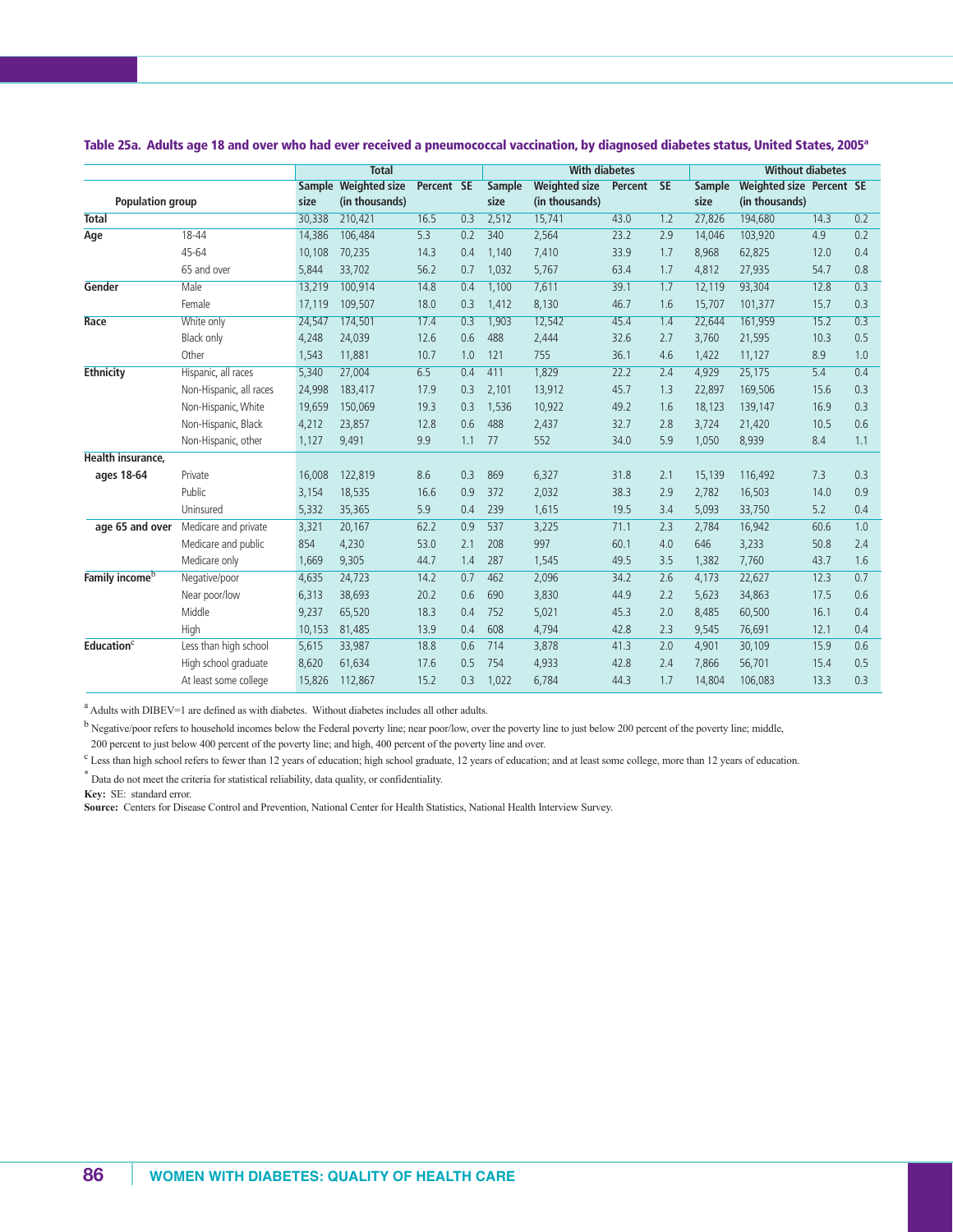|                            |                                      | <b>Total</b> |                      |            |     |        | <b>With diabetes</b> |            |     |               | <b>Without diabetes</b>  |      |     |
|----------------------------|--------------------------------------|--------------|----------------------|------------|-----|--------|----------------------|------------|-----|---------------|--------------------------|------|-----|
|                            |                                      |              | Sample Weighted size | Percent SE |     | Sample | <b>Weighted size</b> | Percent SE |     | <b>Sample</b> | Weighted size Percent SE |      |     |
| <b>Population group</b>    |                                      | size         | (in thousands)       |            |     | size   | (in thousands)       |            |     | size          | (in thousands)           |      |     |
| <b>Total</b>               |                                      | 30,338       | 210,421              | 16.5       | 0.3 | 2,512  | 15,741               | 43.0       | 1.2 | 27,826        | 194,680                  | 14.3 | 0.2 |
| Age                        | 18-44                                | 14,386       | 106,484              | 5.3        | 0.2 | 340    | 2,564                | 23.2       | 2.9 | 14,046        | 103,920                  | 4.9  | 0.2 |
|                            | 45-64                                | 10.108       | 70,235               | 14.3       | 0.4 | 1.140  | 7,410                | 33.9       | 1.7 | 8,968         | 62,825                   | 12.0 | 0.4 |
|                            | 65 and over                          | 5,844        | 33,702               | 56.2       | 0.7 | 1,032  | 5,767                | 63.4       | 1.7 | 4,812         | 27,935                   | 54.7 | 0.8 |
| Gender                     | Male                                 | 13,219       | 100,914              | 14.8       | 0.4 | 1,100  | 7,611                | 39.1       | 1.7 | 12,119        | 93,304                   | 12.8 | 0.3 |
|                            | Female                               | 17,119       | 109,507              | 18.0       | 0.3 | 1,412  | 8,130                | 46.7       | 1.6 | 15,707        | 101,377                  | 15.7 | 0.3 |
| Race                       | White only                           | 24,547       | 174,501              | 17.4       | 0.3 | 1,903  | 12,542               | 45.4       | 1.4 | 22,644        | 161,959                  | 15.2 | 0.3 |
|                            | Black only                           | 4,248        | 24.039               | 12.6       | 0.6 | 488    | 2,444                | 32.6       | 2.7 | 3,760         | 21,595                   | 10.3 | 0.5 |
|                            | Other                                | 1,543        | 11,881               | 10.7       | 1.0 | 121    | 755                  | 36.1       | 4.6 | 1,422         | 11,127                   | 8.9  | 1.0 |
| <b>Ethnicity</b>           | Hispanic, all races                  | 5,340        | 27,004               | 6.5        | 0.4 | 411    | 1,829                | 22.2       | 2.4 | 4,929         | 25,175                   | 5.4  | 0.4 |
|                            | Non-Hispanic, all races              | 24,998       | 183,417              | 17.9       | 0.3 | 2,101  | 13,912               | 45.7       | 1.3 | 22,897        | 169,506                  | 15.6 | 0.3 |
|                            | Non-Hispanic, White                  | 19,659       | 150,069              | 19.3       | 0.3 | 1,536  | 10,922               | 49.2       | 1.6 | 18,123        | 139,147                  | 16.9 | 0.3 |
|                            | Non-Hispanic, Black                  | 4,212        | 23,857               | 12.8       | 0.6 | 488    | 2,437                | 32.7       | 2.8 | 3,724         | 21,420                   | 10.5 | 0.6 |
|                            | Non-Hispanic, other                  | 1,127        | 9,491                | 9.9        | 1.1 | 77     | 552                  | 34.0       | 5.9 | 1,050         | 8,939                    | 8.4  | 1.1 |
| Health insurance,          |                                      |              |                      |            |     |        |                      |            |     |               |                          |      |     |
| ages 18-64                 | Private                              | 16,008       | 122.819              | 8.6        | 0.3 | 869    | 6,327                | 31.8       | 2.1 | 15,139        | 116.492                  | 7.3  | 0.3 |
|                            | Public                               | 3,154        | 18,535               | 16.6       | 0.9 | 372    | 2,032                | 38.3       | 2.9 | 2,782         | 16,503                   | 14.0 | 0.9 |
|                            | Uninsured                            | 5,332        | 35,365               | 5.9        | 0.4 | 239    | 1,615                | 19.5       | 3.4 | 5,093         | 33,750                   | 5.2  | 0.4 |
|                            | age 65 and over Medicare and private | 3,321        | 20,167               | 62.2       | 0.9 | 537    | 3,225                | 71.1       | 2.3 | 2,784         | 16,942                   | 60.6 | 1.0 |
|                            | Medicare and public                  | 854          | 4,230                | 53.0       | 2.1 | 208    | 997                  | 60.1       | 4.0 | 646           | 3,233                    | 50.8 | 2.4 |
|                            | Medicare only                        | 1,669        | 9,305                | 44.7       | 1.4 | 287    | 1,545                | 49.5       | 3.5 | 1,382         | 7,760                    | 43.7 | 1.6 |
| Family income <sup>b</sup> | Negative/poor                        | 4,635        | 24,723               | 14.2       | 0.7 | 462    | 2,096                | 34.2       | 2.6 | 4,173         | 22,627                   | 12.3 | 0.7 |
|                            | Near poor/low                        | 6,313        | 38,693               | 20.2       | 0.6 | 690    | 3,830                | 44.9       | 2.2 | 5,623         | 34,863                   | 17.5 | 0.6 |
|                            | Middle                               | 9,237        | 65,520               | 18.3       | 0.4 | 752    | 5,021                | 45.3       | 2.0 | 8,485         | 60,500                   | 16.1 | 0.4 |
|                            | High                                 | 10,153       | 81,485               | 13.9       | 0.4 | 608    | 4,794                | 42.8       | 2.3 | 9,545         | 76.691                   | 12.1 | 0.4 |
| Education <sup>c</sup>     | Less than high school                | 5,615        | 33,987               | 18.8       | 0.6 | 714    | 3,878                | 41.3       | 2.0 | 4,901         | 30,109                   | 15.9 | 0.6 |
|                            | High school graduate                 | 8,620        | 61,634               | 17.6       | 0.5 | 754    | 4,933                | 42.8       | 2.4 | 7,866         | 56,701                   | 15.4 | 0.5 |
|                            | At least some college                | 15,826       | 112,867              | 15.2       | 0.3 | 1,022  | 6,784                | 44.3       | 1.7 | 14,804        | 106,083                  | 13.3 | 0.3 |

## **Table 25a. Adults age 18 and over who had ever received a pneumococcal vaccination, by diagnosed diabetes status, United States, 2005ª**

<sup>a</sup> Adults with DIBEV=1 are defined as with diabetes. Without diabetes includes all other adults.

<sup>b</sup> Negative/poor refers to household incomes below the Federal poverty line; near poor/low, over the poverty line to just below 200 percent of the poverty line; middle,

200 percent to just below 400 percent of the poverty line; and high, 400 percent of the poverty line and over.

<sup>c</sup> Less than high school refers to fewer than 12 years of education; high school graduate, 12 years of education; and at least some college, more than 12 years of education.

\* Data do not meet the criteria for statistical reliability, data quality, or confidentiality.

**Key:** SE: standard error.

**Source:** Centers for Disease Control and Prevention, National Center for Health Statistics, National Health Interview Survey.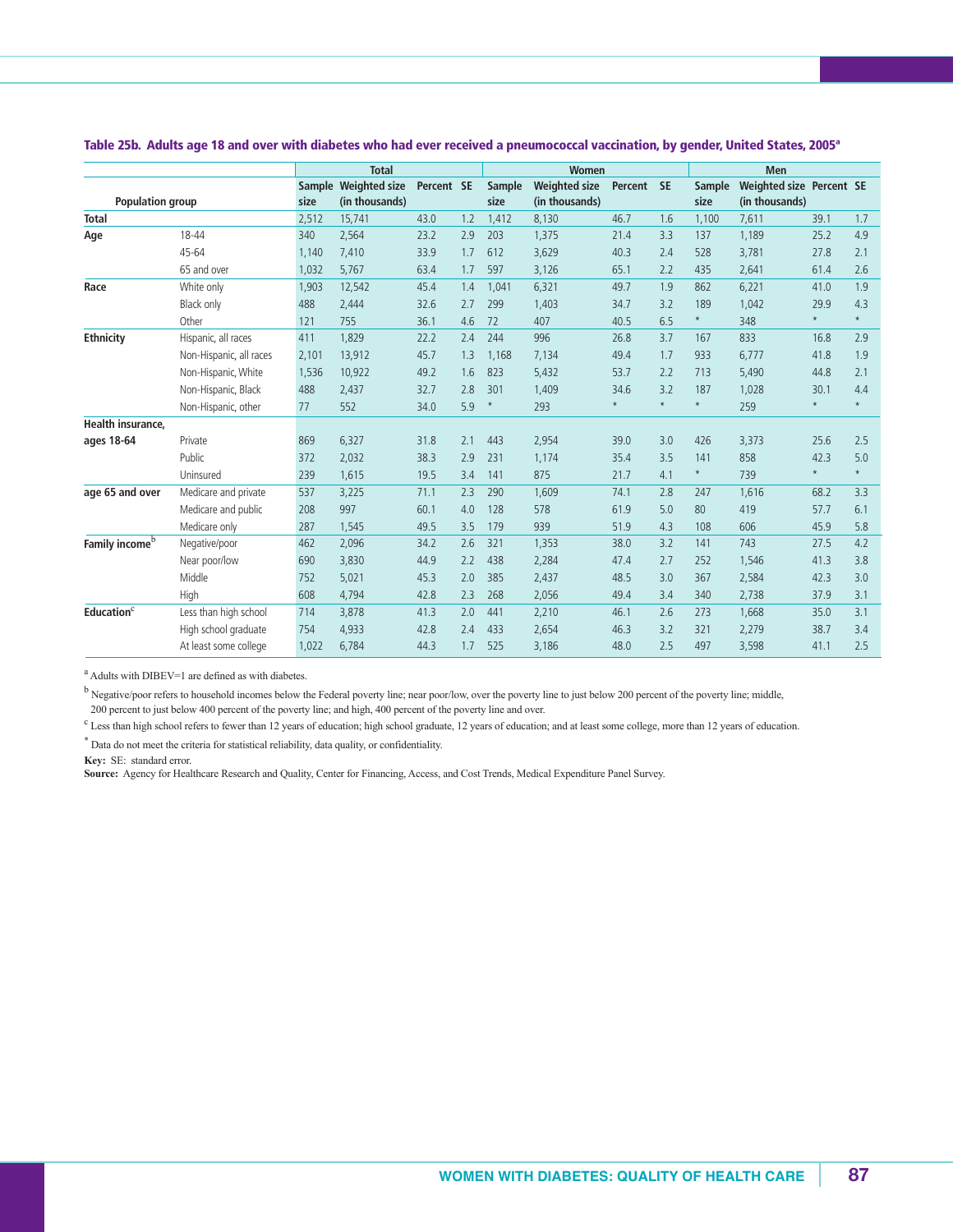|                            |                         | <b>Total</b> |                                        |            |     |                | Women                                  |            |         |                | <b>Men</b>                                 |         |          |
|----------------------------|-------------------------|--------------|----------------------------------------|------------|-----|----------------|----------------------------------------|------------|---------|----------------|--------------------------------------------|---------|----------|
| <b>Population group</b>    |                         | size         | Sample Weighted size<br>(in thousands) | Percent SE |     | Sample<br>size | <b>Weighted size</b><br>(in thousands) | Percent SE |         | Sample<br>size | Weighted size Percent SE<br>(in thousands) |         |          |
| <b>Total</b>               |                         | 2,512        | 15,741                                 | 43.0       | 1.2 | 1,412          | 8,130                                  | 46.7       | 1.6     | 1,100          | 7,611                                      | 39.1    | 1.7      |
| Age                        | 18-44                   | 340          | 2,564                                  | 23.2       | 2.9 | 203            | 1,375                                  | 21.4       | 3.3     | 137            | 1,189                                      | 25.2    | 4.9      |
|                            | 45-64                   | 1,140        | 7,410                                  | 33.9       | 1.7 | 612            | 3,629                                  | 40.3       | 2.4     | 528            | 3,781                                      | 27.8    | 2.1      |
|                            | 65 and over             | 1,032        | 5,767                                  | 63.4       | 1.7 | 597            | 3,126                                  | 65.1       | 2.2     | 435            | 2,641                                      | 61.4    | 2.6      |
| Race                       | White only              | 1,903        | 12,542                                 | 45.4       | 1.4 | 1,041          | 6,321                                  | 49.7       | 1.9     | 862            | 6,221                                      | 41.0    | 1.9      |
|                            | Black only              | 488          | 2,444                                  | 32.6       | 2.7 | 299            | 1,403                                  | 34.7       | 3.2     | 189            | 1,042                                      | 29.9    | 4.3      |
|                            | Other                   | 121          | 755                                    | 36.1       | 4.6 | 72             | 407                                    | 40.5       | 6.5     | $^\star$       | 348                                        | $\star$ | $^\star$ |
| <b>Ethnicity</b>           | Hispanic, all races     | 411          | 1,829                                  | 22.2       | 2.4 | 244            | 996                                    | 26.8       | 3.7     | 167            | 833                                        | 16.8    | 2.9      |
|                            | Non-Hispanic, all races | 2,101        | 13,912                                 | 45.7       | 1.3 | 1,168          | 7,134                                  | 49.4       | 1.7     | 933            | 6,777                                      | 41.8    | 1.9      |
|                            | Non-Hispanic, White     | 1,536        | 10,922                                 | 49.2       | 1.6 | 823            | 5,432                                  | 53.7       | 2.2     | 713            | 5,490                                      | 44.8    | 2.1      |
|                            | Non-Hispanic, Black     | 488          | 2,437                                  | 32.7       | 2.8 | 301            | 1,409                                  | 34.6       | 3.2     | 187            | 1,028                                      | 30.1    | 4.4      |
|                            | Non-Hispanic, other     | 77           | 552                                    | 34.0       | 5.9 | $\star$        | 293                                    | $\star$    | $\star$ | $\star$        | 259                                        | $\star$ | $\star$  |
| Health insurance,          |                         |              |                                        |            |     |                |                                        |            |         |                |                                            |         |          |
| ages 18-64                 | Private                 | 869          | 6,327                                  | 31.8       | 2.1 | 443            | 2,954                                  | 39.0       | 3.0     | 426            | 3,373                                      | 25.6    | 2.5      |
|                            | Public                  | 372          | 2,032                                  | 38.3       | 2.9 | 231            | 1,174                                  | 35.4       | 3.5     | 141            | 858                                        | 42.3    | 5.0      |
|                            | Uninsured               | 239          | 1,615                                  | 19.5       | 3.4 | 141            | 875                                    | 21.7       | 4.1     | $\star$        | 739                                        | $\star$ | $\star$  |
| age 65 and over            | Medicare and private    | 537          | 3,225                                  | 71.1       | 2.3 | 290            | 1,609                                  | 74.1       | 2.8     | 247            | 1,616                                      | 68.2    | 3.3      |
|                            | Medicare and public     | 208          | 997                                    | 60.1       | 4.0 | 128            | 578                                    | 61.9       | 5.0     | 80             | 419                                        | 57.7    | 6.1      |
|                            | Medicare only           | 287          | 1.545                                  | 49.5       | 3.5 | 179            | 939                                    | 51.9       | 4.3     | 108            | 606                                        | 45.9    | 5.8      |
| Family income <sup>b</sup> | Negative/poor           | 462          | 2,096                                  | 34.2       | 2.6 | 321            | 1,353                                  | 38.0       | 3.2     | 141            | 743                                        | 27.5    | 4.2      |
|                            | Near poor/low           | 690          | 3,830                                  | 44.9       | 2.2 | 438            | 2,284                                  | 47.4       | 2.7     | 252            | 1,546                                      | 41.3    | 3.8      |
|                            | Middle                  | 752          | 5,021                                  | 45.3       | 2.0 | 385            | 2,437                                  | 48.5       | 3.0     | 367            | 2,584                                      | 42.3    | 3.0      |
|                            | High                    | 608          | 4,794                                  | 42.8       | 2.3 | 268            | 2,056                                  | 49.4       | 3.4     | 340            | 2,738                                      | 37.9    | 3.1      |
| Education <sup>c</sup>     | Less than high school   | 714          | 3,878                                  | 41.3       | 2.0 | 441            | 2,210                                  | 46.1       | 2.6     | 273            | 1,668                                      | 35.0    | 3.1      |
|                            | High school graduate    | 754          | 4,933                                  | 42.8       | 2.4 | 433            | 2,654                                  | 46.3       | 3.2     | 321            | 2,279                                      | 38.7    | 3.4      |
|                            | At least some college   | 1.022        | 6.784                                  | 44.3       | 1.7 | 525            | 3,186                                  | 48.0       | 2.5     | 497            | 3,598                                      | 41.1    | 2.5      |

## **Table 25b. Adults age 18 and over with diabetes who had ever received a pneumococcal vaccination, by gender, United States, 2005ª**

<sup>a</sup> Adults with DIBEV=1 are defined as with diabetes.

<sup>b</sup> Negative/poor refers to household incomes below the Federal poverty line; near poor/low, over the poverty line to just below 200 percent of the poverty line; middle,

200 percent to just below 400 percent of the poverty line; and high, 400 percent of the poverty line and over.

<sup>c</sup> Less than high school refers to fewer than 12 years of education; high school graduate, 12 years of education; and at least some college, more than 12 years of education.

\* Data do not meet the criteria for statistical reliability, data quality, or confidentiality.

**Key:** SE: standard error.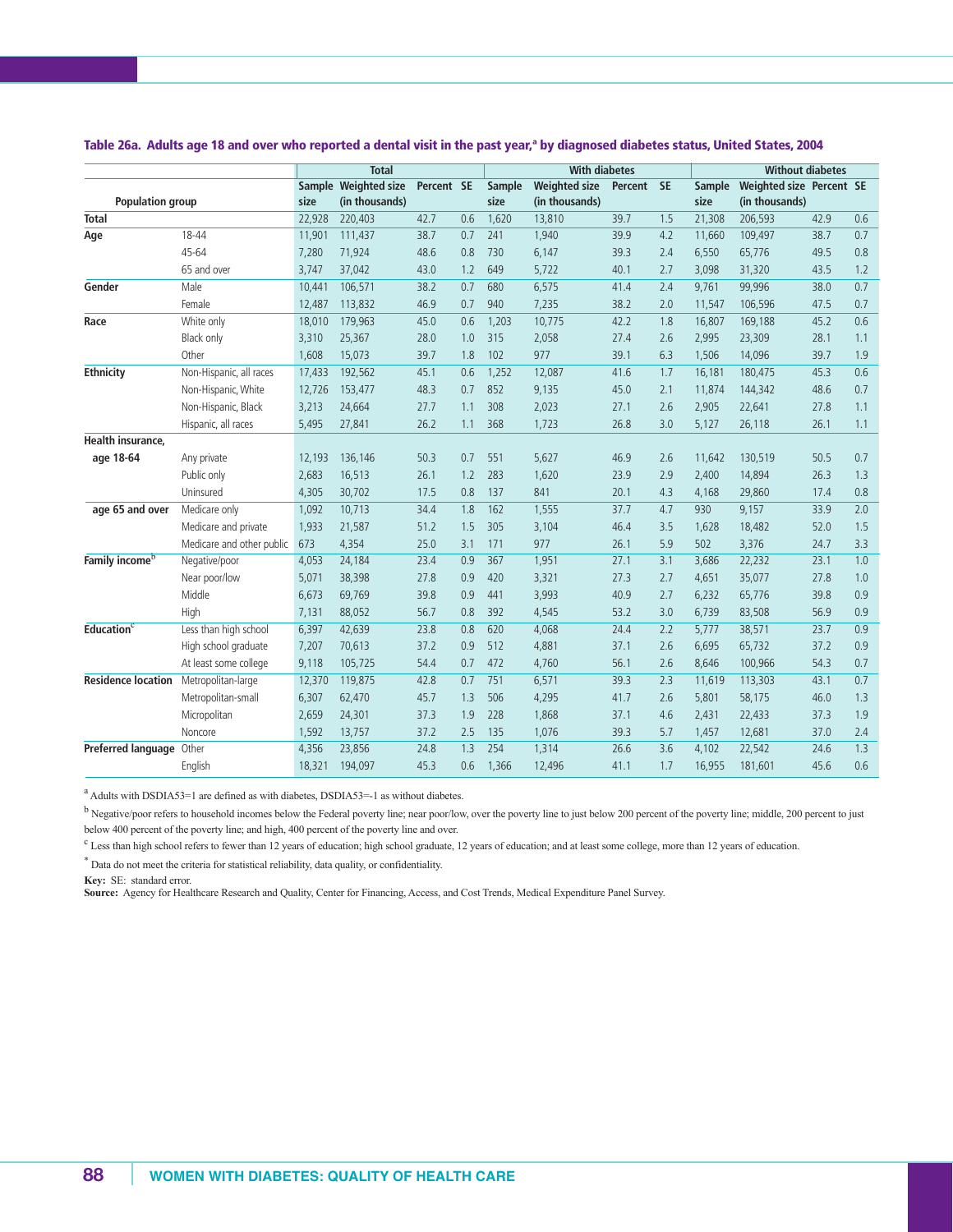|                            |                           | <b>Total</b> |                      |            |     |        | <b>With diabetes</b> |            |     |        | <b>Without diabetes</b>  |      |     |
|----------------------------|---------------------------|--------------|----------------------|------------|-----|--------|----------------------|------------|-----|--------|--------------------------|------|-----|
|                            |                           |              | Sample Weighted size | Percent SE |     | Sample | <b>Weighted size</b> | Percent SE |     | Sample | Weighted size Percent SE |      |     |
| Population group           |                           | size         | (in thousands)       |            |     | size   | (in thousands)       |            |     | size   | (in thousands)           |      |     |
| <b>Total</b>               |                           | 22,928       | 220,403              | 42.7       | 0.6 | 1,620  | 13,810               | 39.7       | 1.5 | 21,308 | 206,593                  | 42.9 | 0.6 |
| Age                        | 18-44                     | 11,901       | 111,437              | 38.7       | 0.7 | 241    | 1,940                | 39.9       | 4.2 | 11,660 | 109,497                  | 38.7 | 0.7 |
|                            | 45-64                     | 7,280        | 71,924               | 48.6       | 0.8 | 730    | 6,147                | 39.3       | 2.4 | 6,550  | 65,776                   | 49.5 | 0.8 |
|                            | 65 and over               | 3,747        | 37,042               | 43.0       | 1.2 | 649    | 5,722                | 40.1       | 2.7 | 3,098  | 31,320                   | 43.5 | 1.2 |
| Gender                     | Male                      | 10,441       | 106,571              | 38.2       | 0.7 | 680    | 6,575                | 41.4       | 2.4 | 9,761  | 99,996                   | 38.0 | 0.7 |
|                            | Female                    | 12,487       | 113,832              | 46.9       | 0.7 | 940    | 7,235                | 38.2       | 2.0 | 11,547 | 106,596                  | 47.5 | 0.7 |
| Race                       | White only                | 18,010       | 179,963              | 45.0       | 0.6 | 1,203  | 10,775               | 42.2       | 1.8 | 16,807 | 169,188                  | 45.2 | 0.6 |
|                            | <b>Black only</b>         | 3,310        | 25,367               | 28.0       | 1.0 | 315    | 2,058                | 27.4       | 2.6 | 2,995  | 23,309                   | 28.1 | 1.1 |
|                            | Other                     | 1.608        | 15,073               | 39.7       | 1.8 | 102    | 977                  | 39.1       | 6.3 | 1,506  | 14,096                   | 39.7 | 1.9 |
| Ethnicity                  | Non-Hispanic, all races   | 17,433       | 192,562              | 45.1       | 0.6 | 1,252  | 12,087               | 41.6       | 1.7 | 16,181 | 180,475                  | 45.3 | 0.6 |
|                            | Non-Hispanic, White       | 12,726       | 153,477              | 48.3       | 0.7 | 852    | 9,135                | 45.0       | 2.1 | 11,874 | 144,342                  | 48.6 | 0.7 |
|                            | Non-Hispanic, Black       | 3,213        | 24,664               | 27.7       | 1.1 | 308    | 2,023                | 27.1       | 2.6 | 2,905  | 22,641                   | 27.8 | 1.1 |
|                            | Hispanic, all races       | 5,495        | 27,841               | 26.2       | 1.1 | 368    | 1,723                | 26.8       | 3.0 | 5,127  | 26,118                   | 26.1 | 1.1 |
| <b>Health insurance,</b>   |                           |              |                      |            |     |        |                      |            |     |        |                          |      |     |
| age 18-64                  | Any private               | 12,193       | 136,146              | 50.3       | 0.7 | 551    | 5,627                | 46.9       | 2.6 | 11,642 | 130,519                  | 50.5 | 0.7 |
|                            | Public only               | 2,683        | 16,513               | 26.1       | 1.2 | 283    | 1,620                | 23.9       | 2.9 | 2,400  | 14,894                   | 26.3 | 1.3 |
|                            | Uninsured                 | 4,305        | 30,702               | 17.5       | 0.8 | 137    | 841                  | 20.1       | 4.3 | 4,168  | 29,860                   | 17.4 | 0.8 |
| age 65 and over            | Medicare only             | 1,092        | 10,713               | 34.4       | 1.8 | 162    | 1,555                | 37.7       | 4.7 | 930    | 9,157                    | 33.9 | 2.0 |
|                            | Medicare and private      | 1,933        | 21,587               | 51.2       | 1.5 | 305    | 3,104                | 46.4       | 3.5 | 1,628  | 18,482                   | 52.0 | 1.5 |
|                            | Medicare and other public | 673          | 4,354                | 25.0       | 3.1 | 171    | 977                  | 26.1       | 5.9 | 502    | 3,376                    | 24.7 | 3.3 |
| Family income <sup>b</sup> | Negative/poor             | 4,053        | 24,184               | 23.4       | 0.9 | 367    | 1,951                | 27.1       | 3.1 | 3,686  | 22,232                   | 23.1 | 1.0 |
|                            | Near poor/low             | 5,071        | 38,398               | 27.8       | 0.9 | 420    | 3,321                | 27.3       | 2.7 | 4,651  | 35,077                   | 27.8 | 1.0 |
|                            | Middle                    | 6,673        | 69,769               | 39.8       | 0.9 | 441    | 3,993                | 40.9       | 2.7 | 6,232  | 65,776                   | 39.8 | 0.9 |
|                            | High                      | 7,131        | 88,052               | 56.7       | 0.8 | 392    | 4,545                | 53.2       | 3.0 | 6,739  | 83,508                   | 56.9 | 0.9 |
| Education <sup>c</sup>     | Less than high school     | 6,397        | 42,639               | 23.8       | 0.8 | 620    | 4,068                | 24.4       | 2.2 | 5,777  | 38,571                   | 23.7 | 0.9 |
|                            | High school graduate      | 7,207        | 70,613               | 37.2       | 0.9 | 512    | 4,881                | 37.1       | 2.6 | 6,695  | 65,732                   | 37.2 | 0.9 |
|                            | At least some college     | 9,118        | 105,725              | 54.4       | 0.7 | 472    | 4,760                | 56.1       | 2.6 | 8,646  | 100,966                  | 54.3 | 0.7 |
| <b>Residence location</b>  | Metropolitan-large        | 12,370       | 119,875              | 42.8       | 0.7 | 751    | 6,571                | 39.3       | 2.3 | 11,619 | 113,303                  | 43.1 | 0.7 |
|                            | Metropolitan-small        | 6,307        | 62,470               | 45.7       | 1.3 | 506    | 4,295                | 41.7       | 2.6 | 5,801  | 58,175                   | 46.0 | 1.3 |
|                            | Micropolitan              | 2,659        | 24,301               | 37.3       | 1.9 | 228    | 1,868                | 37.1       | 4.6 | 2,431  | 22,433                   | 37.3 | 1.9 |
|                            | Noncore                   | 1,592        | 13,757               | 37.2       | 2.5 | 135    | 1,076                | 39.3       | 5.7 | 1,457  | 12,681                   | 37.0 | 2.4 |
| Preferred language Other   |                           | 4,356        | 23,856               | 24.8       | 1.3 | 254    | 1,314                | 26.6       | 3.6 | 4,102  | 22,542                   | 24.6 | 1.3 |
|                            | English                   | 18,321       | 194,097              | 45.3       | 0.6 | 1,366  | 12.496               | 41.1       | 1.7 | 16,955 | 181,601                  | 45.6 | 0.6 |

## **Table 26a. Adults age 18 and over who reported a dental visit in the past year,ª by diagnosed diabetes status, United States, 2004**

 $a$  Adults with DSDIA53=1 are defined as with diabetes, DSDIA53=-1 as without diabetes.

<sup>b</sup> Negative/poor refers to household incomes below the Federal poverty line; near poor/low, over the poverty line to just below 200 percent of the poverty line; middle, 200 percent to just below 400 percent of the poverty line; and high, 400 percent of the poverty line and over.

<sup>c</sup> Less than high school refers to fewer than 12 years of education; high school graduate, 12 years of education; and at least some college, more than 12 years of education.

\* Data do not meet the criteria for statistical reliability, data quality, or confidentiality.

**Key:** SE: standard error.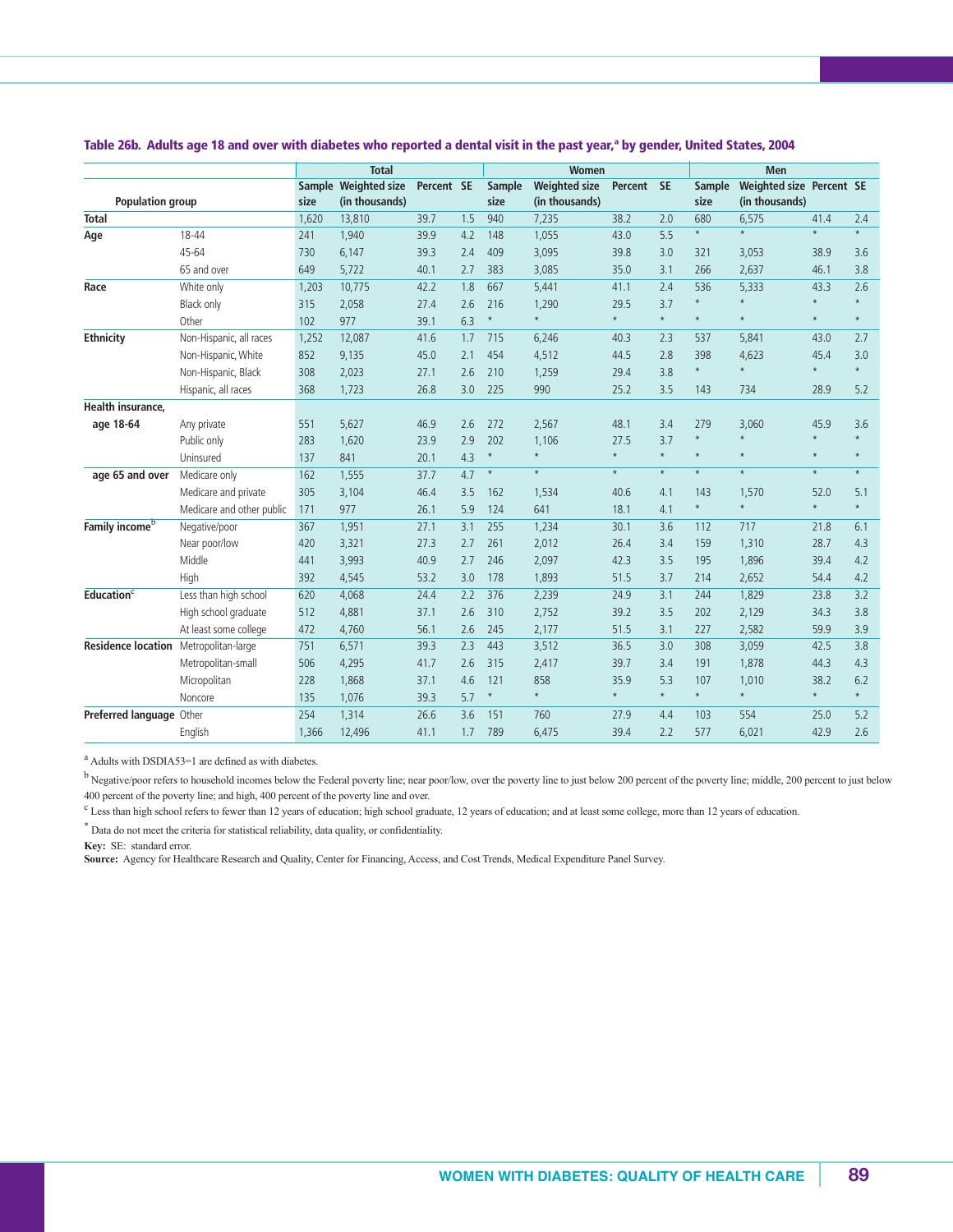|                                       |                           |       | <b>Total</b>                           |            |     |                | <b>Women</b>                           |            |          |                | <b>Men</b>                                 |          |          |
|---------------------------------------|---------------------------|-------|----------------------------------------|------------|-----|----------------|----------------------------------------|------------|----------|----------------|--------------------------------------------|----------|----------|
| <b>Population group</b>               |                           | size  | Sample Weighted size<br>(in thousands) | Percent SE |     | Sample<br>size | <b>Weighted size</b><br>(in thousands) | Percent SE |          | Sample<br>size | Weighted size Percent SE<br>(in thousands) |          |          |
| <b>Total</b>                          |                           | 1,620 | 13,810                                 | 39.7       | 1.5 | 940            | 7,235                                  | 38.2       | 2.0      | 680            | 6,575                                      | 41.4     | 2.4      |
| Age                                   | 18-44                     | 241   | 1,940                                  | 39.9       | 4.2 | 148            | 1,055                                  | 43.0       | 5.5      | $^\star$       | $\star$                                    | $\star$  | $\star$  |
|                                       | 45-64                     | 730   | 6,147                                  | 39.3       | 2.4 | 409            | 3,095                                  | 39.8       | 3.0      | 321            | 3,053                                      | 38.9     | 3.6      |
|                                       | 65 and over               | 649   | 5,722                                  | 40.1       | 2.7 | 383            | 3,085                                  | 35.0       | 3.1      | 266            | 2,637                                      | 46.1     | 3.8      |
| Race                                  | White only                | 1,203 | 10,775                                 | 42.2       | 1.8 | 667            | 5,441                                  | 41.1       | 2.4      | 536            | 5,333                                      | 43.3     | 2.6      |
|                                       | Black only                | 315   | 2,058                                  | 27.4       | 2.6 | 216            | 1,290                                  | 29.5       | 3.7      | $\star$        | $\star$                                    | $\star$  | $\star$  |
|                                       | Other                     | 102   | 977                                    | 39.1       | 6.3 | $\ast$         | $\star$                                | $\star$    | $\star$  | $^\star$       | $\star$                                    | $^\star$ | $^\star$ |
| Ethnicity                             | Non-Hispanic, all races   | 1,252 | 12,087                                 | 41.6       | 1.7 | 715            | 6,246                                  | 40.3       | 2.3      | 537            | 5,841                                      | 43.0     | 2.7      |
|                                       | Non-Hispanic, White       | 852   | 9,135                                  | 45.0       | 2.1 | 454            | 4,512                                  | 44.5       | 2.8      | 398            | 4,623                                      | 45.4     | 3.0      |
|                                       | Non-Hispanic, Black       | 308   | 2,023                                  | 27.1       | 2.6 | 210            | 1,259                                  | 29.4       | 3.8      | $\star$        | $\star$                                    | $\star$  | $\star$  |
|                                       | Hispanic, all races       | 368   | 1,723                                  | 26.8       | 3.0 | 225            | 990                                    | 25.2       | 3.5      | 143            | 734                                        | 28.9     | 5.2      |
| <b>Health insurance,</b>              |                           |       |                                        |            |     |                |                                        |            |          |                |                                            |          |          |
| age 18-64                             | Any private               | 551   | 5,627                                  | 46.9       | 2.6 | 272            | 2,567                                  | 48.1       | 3.4      | 279            | 3,060                                      | 45.9     | 3.6      |
|                                       | Public only               | 283   | 1,620                                  | 23.9       | 2.9 | 202            | 1,106                                  | 27.5       | 3.7      | $\star$        | $\star$                                    | $\star$  | $\star$  |
|                                       | Uninsured                 | 137   | 841                                    | 20.1       | 4.3 | $\star$        | $\star$                                | $\star$    | $^\star$ | $\star$        | $\star$                                    | $\star$  | $\star$  |
| age 65 and over                       | Medicare only             | 162   | 1,555                                  | 37.7       | 4.7 | $\star$        | $\star$                                | $\star$    | $\star$  | $\star$        | $\star$                                    | $\star$  | $\star$  |
|                                       | Medicare and private      | 305   | 3,104                                  | 46.4       | 3.5 | 162            | 1,534                                  | 40.6       | 4.1      | 143            | 1,570                                      | 52.0     | 5.1      |
|                                       | Medicare and other public | 171   | 977                                    | 26.1       | 5.9 | 124            | 641                                    | 18.1       | 4.1      | $^\star$       | $\star$                                    | $^\star$ | $\star$  |
| Family income <sup>b</sup>            | Negative/poor             | 367   | 1,951                                  | 27.1       | 3.1 | 255            | 1,234                                  | 30.1       | 3.6      | 112            | 717                                        | 21.8     | 6.1      |
|                                       | Near poor/low             | 420   | 3,321                                  | 27.3       | 2.7 | 261            | 2,012                                  | 26.4       | 3.4      | 159            | 1.310                                      | 28.7     | 4.3      |
|                                       | Middle                    | 441   | 3,993                                  | 40.9       | 2.7 | 246            | 2,097                                  | 42.3       | 3.5      | 195            | 1,896                                      | 39.4     | 4.2      |
|                                       | High                      | 392   | 4,545                                  | 53.2       | 3.0 | 178            | 1,893                                  | 51.5       | 3.7      | 214            | 2,652                                      | 54.4     | 4.2      |
| Education <sup>c</sup>                | Less than high school     | 620   | 4,068                                  | 24.4       | 2.2 | 376            | 2,239                                  | 24.9       | 3.1      | 244            | 1,829                                      | 23.8     | 3.2      |
|                                       | High school graduate      | 512   | 4,881                                  | 37.1       | 2.6 | 310            | 2,752                                  | 39.2       | 3.5      | 202            | 2,129                                      | 34.3     | 3.8      |
|                                       | At least some college     | 472   | 4,760                                  | 56.1       | 2.6 | 245            | 2,177                                  | 51.5       | 3.1      | 227            | 2,582                                      | 59.9     | 3.9      |
| Residence location Metropolitan-large |                           | 751   | 6,571                                  | 39.3       | 2.3 | 443            | 3,512                                  | 36.5       | 3.0      | 308            | 3,059                                      | 42.5     | 3.8      |
|                                       | Metropolitan-small        | 506   | 4,295                                  | 41.7       | 2.6 | 315            | 2,417                                  | 39.7       | 3.4      | 191            | 1,878                                      | 44.3     | 4.3      |
|                                       | Micropolitan              | 228   | 1,868                                  | 37.1       | 4.6 | 121            | 858                                    | 35.9       | 5.3      | 107            | 1,010                                      | 38.2     | 6.2      |
|                                       | Noncore                   | 135   | 1,076                                  | 39.3       | 5.7 | $\star$        | $\star$                                | $\star$    | $^\star$ | $^\star$       | $^\star$                                   | $\star$  | $\star$  |
| Preferred language Other              |                           | 254   | 1,314                                  | 26.6       | 3.6 | 151            | 760                                    | 27.9       | 4.4      | 103            | 554                                        | 25.0     | 5.2      |
|                                       | English                   | 1,366 | 12,496                                 | 41.1       | 1.7 | 789            | 6,475                                  | 39.4       | 2.2      | 577            | 6,021                                      | 42.9     | 2.6      |

## **Table 26b. Adults age 18 and over with diabetes who reported a dental visit in the past year,ª by gender, United States, 2004**

<sup>a</sup> Adults with DSDIA53=1 are defined as with diabetes.

<sup>b</sup> Negative/poor refers to household incomes below the Federal poverty line; near poor/low, over the poverty line to just below 200 percent of the poverty line; middle, 200 percent to just below 400 percent of the poverty line; and high, 400 percent of the poverty line and over.

<sup>c</sup> Less than high school refers to fewer than 12 years of education; high school graduate, 12 years of education; and at least some college, more than 12 years of education.

\* Data do not meet the criteria for statistical reliability, data quality, or confidentiality.

**Key:** SE: standard error.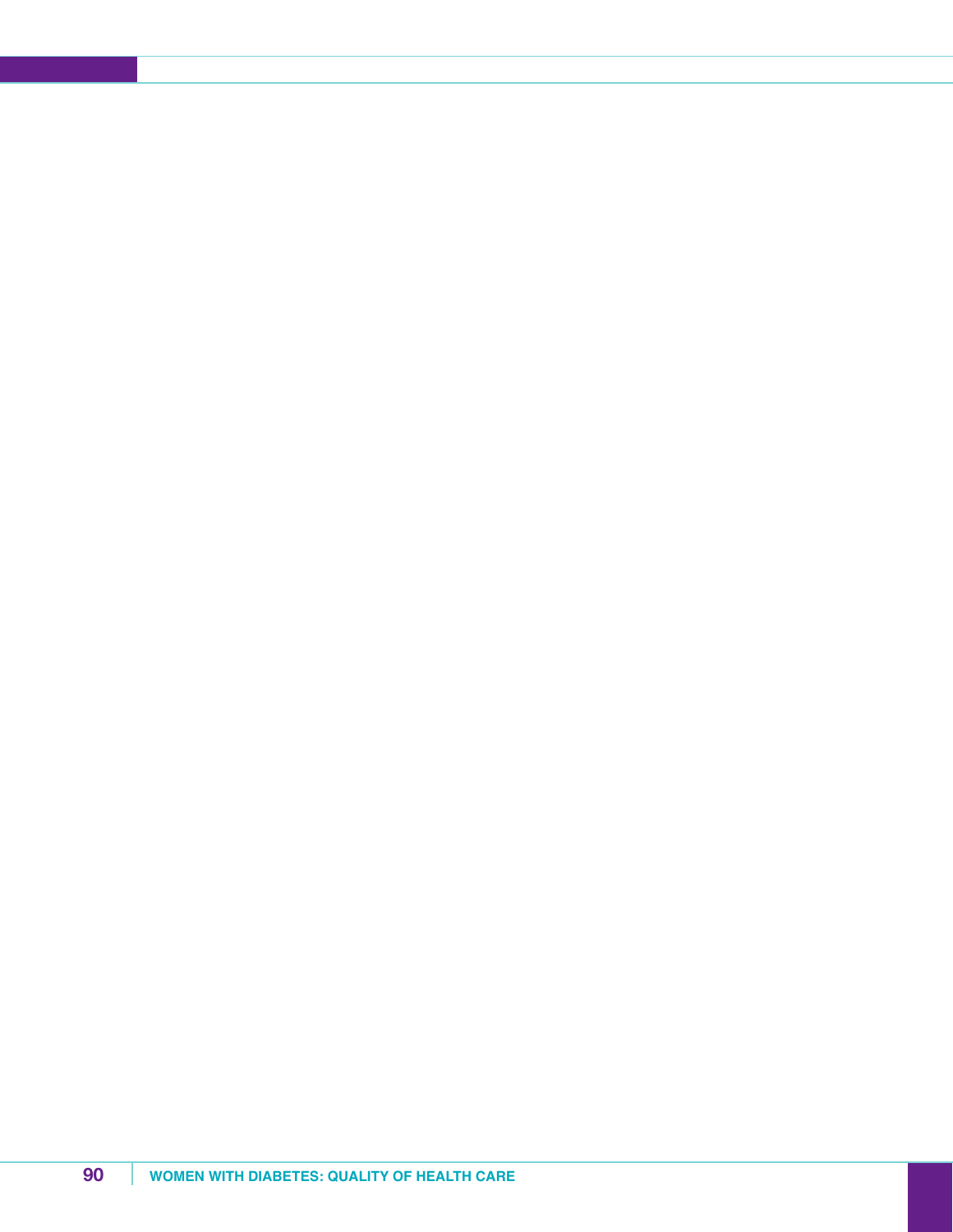**WOMEN WITH DIABETES: QUALITY OF HEALTH CARE**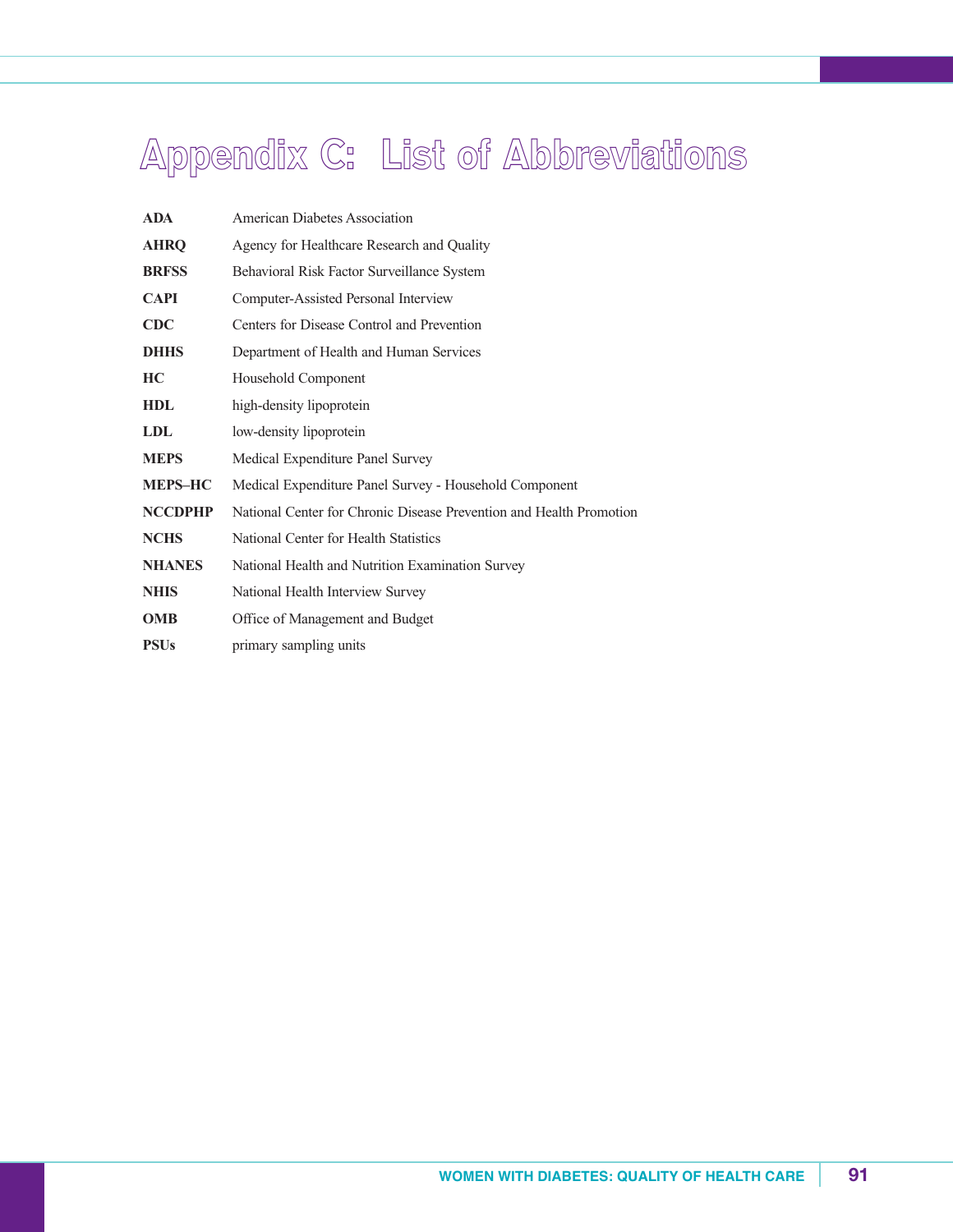# **Appendix C: List of Abbreviations**

| <b>ADA</b>     | American Diabetes Association                                       |
|----------------|---------------------------------------------------------------------|
| <b>AHRO</b>    | Agency for Healthcare Research and Quality                          |
| <b>BRFSS</b>   | Behavioral Risk Factor Surveillance System                          |
| <b>CAPI</b>    | Computer-Assisted Personal Interview                                |
| <b>CDC</b>     | Centers for Disease Control and Prevention                          |
| <b>DHHS</b>    | Department of Health and Human Services                             |
| HC             | Household Component                                                 |
| <b>HDL</b>     | high-density lipoprotein                                            |
| <b>LDL</b>     | low-density lipoprotein                                             |
| <b>MEPS</b>    | Medical Expenditure Panel Survey                                    |
| <b>MEPS-HC</b> | Medical Expenditure Panel Survey - Household Component              |
| <b>NCCDPHP</b> | National Center for Chronic Disease Prevention and Health Promotion |
| <b>NCHS</b>    | National Center for Health Statistics                               |
| <b>NHANES</b>  | National Health and Nutrition Examination Survey                    |
| <b>NHIS</b>    | National Health Interview Survey                                    |
| <b>OMB</b>     | Office of Management and Budget                                     |
| <b>PSUs</b>    | primary sampling units                                              |